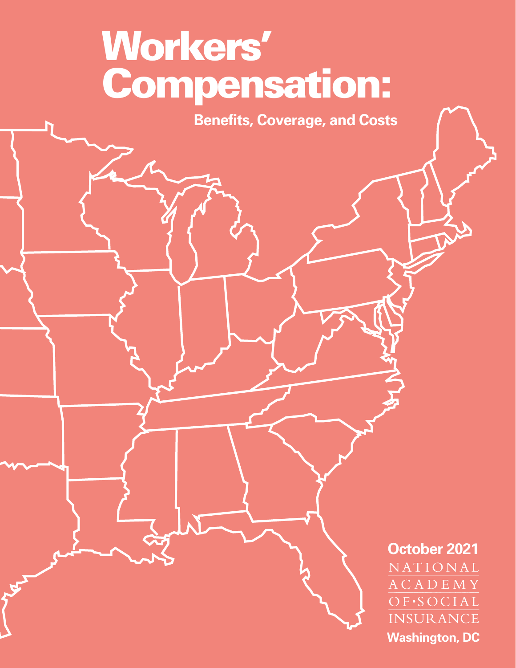# **Workers' Compensation:**

**Benefits, Coverage, and Costs**

**October 2021** NATIONAL **ACADEMY** OF·SOCIAL INSURANCE **Washington, DC**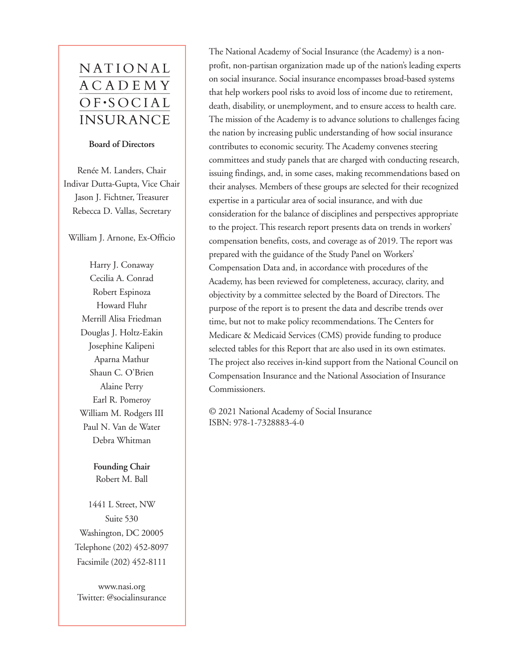# NATIONAL **ACADEMY**  $OF-SOCIAL$ **INSURANCE**

#### **Board of Directors**

Renée M. Landers, Chair Indivar Dutta-Gupta, Vice Chair Jason J. Fichtner, Treasurer Rebecca D. Vallas, Secretary

William J. Arnone, Ex-Officio

Harry J. Conaway Cecilia A. Conrad Robert Espinoza Howard Fluhr Merrill Alisa Friedman Douglas J. Holtz-Eakin Josephine Kalipeni Aparna Mathur Shaun C. O'Brien Alaine Perry Earl R. Pomeroy William M. Rodgers III Paul N. Van de Water Debra Whitman

> **Founding Chair** Robert M. Ball

1441 L Street, NW Suite 530 Washington, DC 20005 Telephone (202) 452-8097 Facsimile (202) 452-8111

<www.nasi.org> Twitter: @socialinsurance

The National Academy of Social Insurance (the Academy) is a nonprofit, non-partisan organization made up of the nation's leading experts on social insurance. Social insurance encompasses broad-based systems that help workers pool risks to avoid loss of income due to retirement, death, disability, or unemployment, and to ensure access to health care. The mission of the Academy is to advance solutions to challenges facing the nation by increasing public understanding of how social insurance contributes to economic security. The Academy convenes steering committees and study panels that are charged with conducting research, issuing findings, and, in some cases, making recommendations based on their analyses. Members of these groups are selected for their recognized expertise in a particular area of social insurance, and with due consideration for the balance of disciplines and perspectives appropriate to the project. This research report presents data on trends in workers' compensation benefits, costs, and coverage as of 2019. The report was prepared with the guidance of the Study Panel on Workers' Compensation Data and, in accordance with procedures of the Academy, has been reviewed for completeness, accuracy, clarity, and objectivity by a committee selected by the Board of Directors. The purpose of the report is to present the data and describe trends over time, but not to make policy recommendations. The Centers for Medicare & Medicaid Services (CMS) provide funding to produce selected tables for this Report that are also used in its own estimates. The project also receives in-kind support from the National Council on Compensation Insurance and the National Association of Insurance Commissioners.

© 2021 National Academy of Social Insurance ISBN: 978-1-7328883-4-0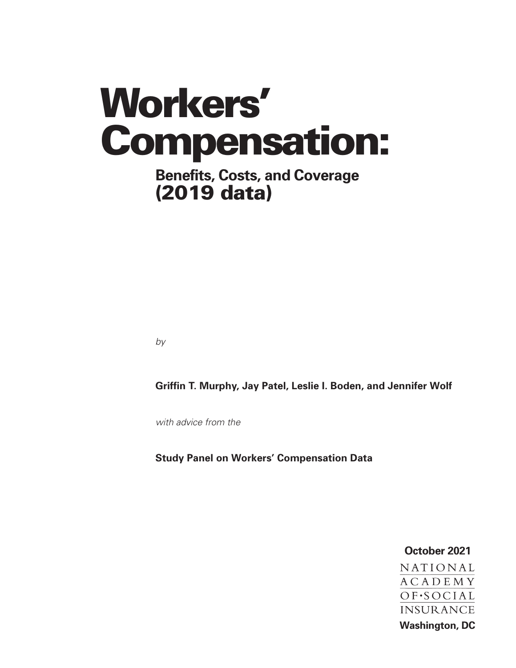# **Workers' Compensation:**

# **Benefits, Costs, and Coverage (2019 data)**

by

**Griffin T. Murphy, Jay Patel, Leslie I. Boden, and Jennifer Wolf**

with advice from the

**Study Panel on Workers' Compensation Data**

**October 2021**NATIONAL **ACADEMY** OF.SOCIAL **INSURANCE Washington, DC**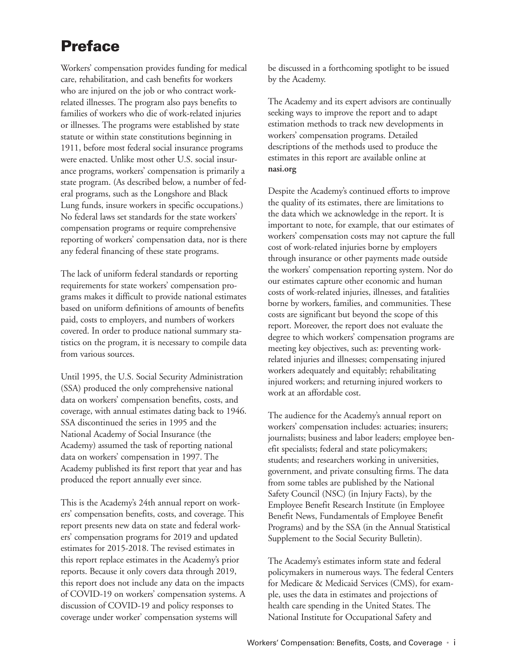# **Preface**

Workers' compensation provides funding for medical care, rehabilitation, and cash benefits for workers who are injured on the job or who contract workrelated illnesses. The program also pays benefits to families of workers who die of work-related injuries or illnesses. The programs were established by state statute or within state constitutions beginning in 1911, before most federal social insurance programs were enacted. Unlike most other U.S. social insurance programs, workers' compensation is primarily a state program. (As described below, a number of federal programs, such as the Longshore and Black Lung funds, insure workers in specific occupations.) No federal laws set standards for the state workers' compensation programs or require comprehensive reporting of workers' compensation data, nor is there any federal financing of these state programs.

The lack of uniform federal standards or reporting requirements for state workers' compensation programs makes it difficult to provide national estimates based on uniform definitions of amounts of benefits paid, costs to employers, and numbers of workers covered. In order to produce national summary statistics on the program, it is necessary to compile data from various sources.

Until 1995, the U.S. Social Security Administration (SSA) produced the only comprehensive national data on workers' compensation benefits, costs, and coverage, with annual estimates dating back to 1946. SSA discontinued the series in 1995 and the National Academy of Social Insurance (the Academy) assumed the task of reporting national data on workers' compensation in 1997. The Academy published its first report that year and has produced the report annually ever since.

This is the Academy's 24th annual report on workers' compensation benefits, costs, and coverage. This report presents new data on state and federal workers' compensation programs for 2019 and updated estimates for 2015-2018. The revised estimates in this report replace estimates in the Academy's prior reports. Because it only covers data through 2019, this report does not include any data on the impacts of COVID-19 on workers' compensation systems. A discussion of COVID-19 and policy responses to coverage under worker' compensation systems will

be discussed in a forthcoming spotlight to be issued by the Academy.

The Academy and its expert advisors are continually seeking ways to improve the report and to adapt estimation methods to track new developments in workers' compensation programs. Detailed descriptions of the methods used to produce the estimates in this report are available online at **[nasi.org](www.nasi.org)**

Despite the Academy's continued efforts to improve the quality of its estimates, there are limitations to the data which we acknowledge in the report. It is important to note, for example, that our estimates of workers' compensation costs may not capture the full cost of work-related injuries borne by employers through insurance or other payments made outside the workers' compensation reporting system. Nor do our estimates capture other economic and human costs of work-related injuries, illnesses, and fatalities borne by workers, families, and communities. These costs are significant but beyond the scope of this report. Moreover, the report does not evaluate the degree to which workers' compensation programs are meeting key objectives, such as: preventing workrelated injuries and illnesses; compensating injured workers adequately and equitably; rehabilitating injured workers; and returning injured workers to work at an affordable cost.

The audience for the Academy's annual report on workers' compensation includes: actuaries; insurers; journalists; business and labor leaders; employee benefit specialists; federal and state policymakers; students; and researchers working in universities, government, and private consulting firms. The data from some tables are published by the National Safety Council (NSC) (in Injury Facts), by the Employee Benefit Research Institute (in Employee Benefit News, Fundamentals of Employee Benefit Programs) and by the SSA (in the Annual Statistical Supplement to the Social Security Bulletin).

The Academy's estimates inform state and federal policymakers in numerous ways. The federal Centers for Medicare & Medicaid Services (CMS), for example, uses the data in estimates and projections of health care spending in the United States. The National Institute for Occupational Safety and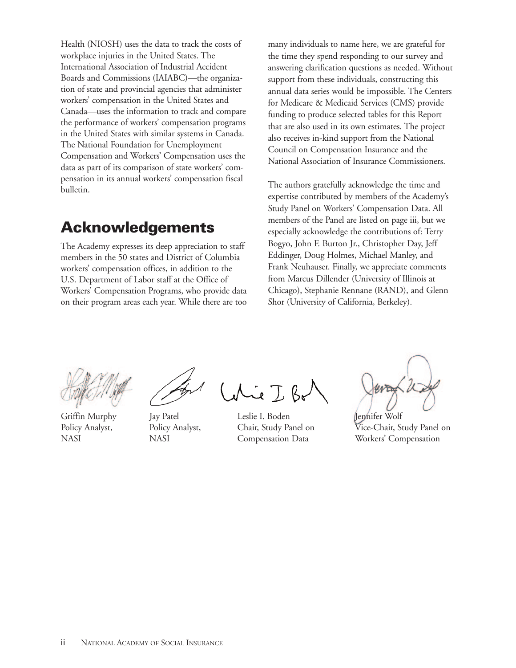Health (NIOSH) uses the data to track the costs of workplace injuries in the United States. The International Association of Industrial Accident Boards and Commissions (IAIABC)—the organization of state and provincial agencies that administer workers' compensation in the United States and Canada—uses the information to track and compare the performance of workers' compensation programs in the United States with similar systems in Canada. The National Foundation for Unemployment Compensation and Workers' Compensation uses the data as part of its comparison of state workers' compensation in its annual workers' compensation fiscal bulletin.

# **Acknowledgements**

The Academy expresses its deep appreciation to staff members in the 50 states and District of Columbia workers' compensation offices, in addition to the U.S. Department of Labor staff at the Office of Workers' Compensation Programs, who provide data on their program areas each year. While there are too many individuals to name here, we are grateful for the time they spend responding to our survey and answering clarification questions as needed. Without support from these individuals, constructing this annual data series would be impossible. The Centers for Medicare & Medicaid Services (CMS) provide funding to produce selected tables for this Report that are also used in its own estimates. The project also receives in-kind support from the National Council on Compensation Insurance and the National Association of Insurance Commissioners.

The authors gratefully acknowledge the time and expertise contributed by members of the Academy's Study Panel on Workers' Compensation Data. All members of the Panel are listed on page iii, but we especially acknowledge the contributions of: Terry Bogyo, John F. Burton Jr., Christopher Day, Jeff Eddinger, Doug Holmes, Michael Manley, and Frank Neuhauser. Finally, we appreciate comments from Marcus Dillender (University of Illinois at Chicago), Stephanie Rennane (RAND), and Glenn Shor (University of California, Berkeley).

Griffin Murphy Jay Patel Leslie I. Boden Jennifer Wolf

Policy Analyst, Policy Analyst, Chair, Study Panel on Vice-Chair, Study Panel on NASI NASI Compensation Data Workers' Compensation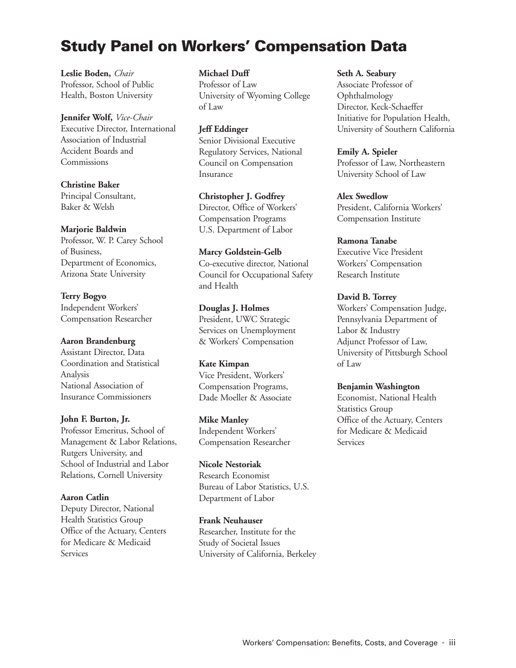# **Study Panel on Workers' Compensation Data**

**Leslie Boden,** *Chair* Professor, School of Public Health, Boston University

**Jennifer Wolf,** *Vice-Chair* Executive Director, International Association of Industrial Accident Boards and Commissions

**Christine Baker**  Principal Consultant, Baker & Welsh

#### **Marjorie Baldwin**

Professor, W. P. Carey School of Business, Department of Economics, Arizona State University

**Terry Bogyo** Independent Workers' Compensation Researcher

#### **Aaron Brandenburg**

Assistant Director, Data Coordination and Statistical Analysis National Association of Insurance Commissioners

**John F. Burton, Jr.**

Professor Emeritus, School of Management & Labor Relations, Rutgers University, and School of Industrial and Labor Relations, Cornell University

#### **Aaron Catlin**

Deputy Director, National Health Statistics Group Office of the Actuary, Centers for Medicare & Medicaid Services

**Michael Duff**

Professor of Law University of Wyoming College of Law

**Jeff Eddinger** Senior Divisional Executive Regulatory Services, National Council on Compensation Insurance

**Christopher J. Godfrey** Director, Office of Workers' Compensation Programs U.S. Department of Labor

**Marcy Goldstein-Gelb** Co-executive director, National Council for Occupational Safety and Health

**Douglas J. Holmes** President, UWC Strategic Services on Unemployment & Workers' Compensation

**Kate Kimpan** Vice President, Workers' Compensation Programs, Dade Moeller & Associate

**Mike Manley** Independent Workers' Compensation Researcher

**Nicole Nestoriak** Research Economist Bureau of Labor Statistics, U.S. Department of Labor

**Frank Neuhauser** Researcher, Institute for the Study of Societal Issues University of California, Berkeley **Seth A. Seabury**

Associate Professor of Ophthalmology Director, Keck-Schaeffer Initiative for Population Health, University of Southern California

**Emily A. Spieler**  Professor of Law, Northeastern University School of Law

**Alex Swedlow** President, California Workers' Compensation Institute

**Ramona Tanabe** Executive Vice President Workers' Compensation Research Institute

**David B. Torrey** 

Workers' Compensation Judge, Pennsylvania Department of Labor & Industry Adjunct Professor of Law, University of Pittsburgh School of Law

**Benjamin Washington**

Economist, National Health Statistics Group Office of the Actuary, Centers for Medicare & Medicaid **Services**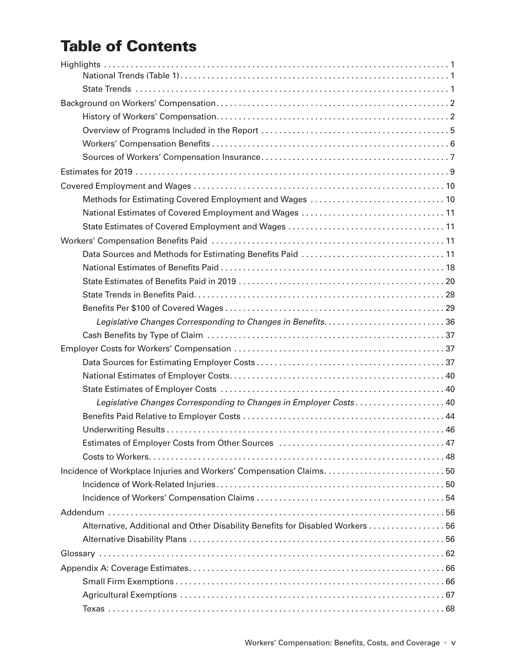# **Table of Contents**

| National Estimates of Covered Employment and Wages 11                         |
|-------------------------------------------------------------------------------|
|                                                                               |
|                                                                               |
| Data Sources and Methods for Estimating Benefits Paid  11                     |
|                                                                               |
|                                                                               |
|                                                                               |
|                                                                               |
|                                                                               |
|                                                                               |
|                                                                               |
|                                                                               |
|                                                                               |
|                                                                               |
| Legislative Changes Corresponding to Changes in Employer Costs 40             |
|                                                                               |
|                                                                               |
|                                                                               |
|                                                                               |
| Incidence of Workplace Injuries and Workers' Compensation Claims50            |
|                                                                               |
|                                                                               |
|                                                                               |
| Alternative, Additional and Other Disability Benefits for Disabled Workers 56 |
|                                                                               |
|                                                                               |
|                                                                               |
|                                                                               |
|                                                                               |
|                                                                               |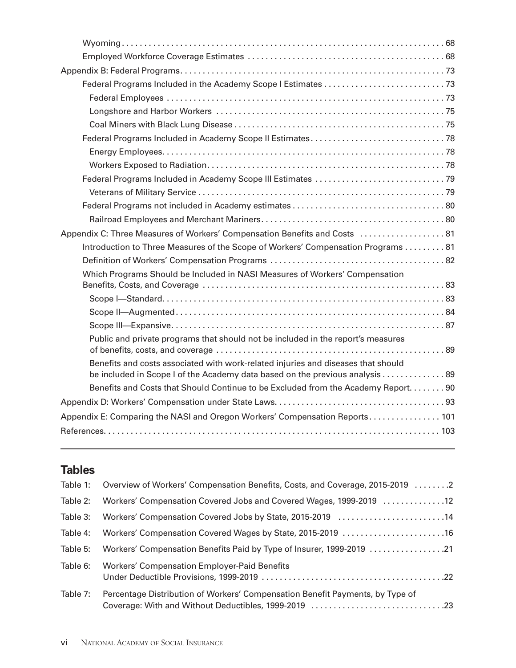| Appendix C: Three Measures of Workers' Compensation Benefits and Costs  81         |
|------------------------------------------------------------------------------------|
| Introduction to Three Measures of the Scope of Workers' Compensation Programs  81  |
|                                                                                    |
| Which Programs Should be Included in NASI Measures of Workers' Compensation        |
|                                                                                    |
|                                                                                    |
|                                                                                    |
|                                                                                    |
| Public and private programs that should not be included in the report's measures   |
| Benefits and costs associated with work-related injuries and diseases that should  |
| be included in Scope I of the Academy data based on the previous analysis  89      |
| Benefits and Costs that Should Continue to be Excluded from the Academy Report. 90 |
|                                                                                    |
| Appendix E: Comparing the NASI and Oregon Workers' Compensation Reports 101        |
|                                                                                    |
|                                                                                    |

|          | Table 1: Overview of Workers' Compensation Benefits, Costs, and Coverage, 2015-2019 2 |
|----------|---------------------------------------------------------------------------------------|
| Table 2: | Workers' Compensation Covered Jobs and Covered Wages, 1999-2019 12                    |
| Table 3: | Workers' Compensation Covered Jobs by State, 2015-2019 14                             |
| Table 4: |                                                                                       |
| Table 5: | 2121 Workers' Compensation Benefits Paid by Type of Insurer, 1999-2019                |
| Table 6: | <b>Workers' Compensation Employer-Paid Benefits</b>                                   |
| Table 7: | Percentage Distribution of Workers' Compensation Benefit Payments, by Type of         |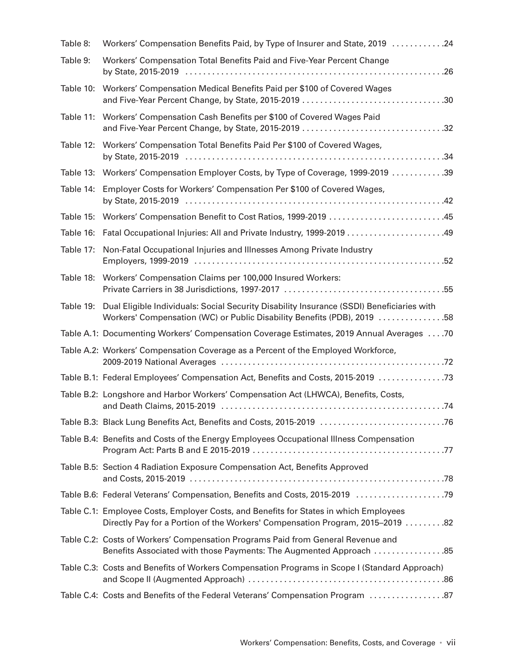| Table 8:  | Workers' Compensation Benefits Paid, by Type of Insurer and State, 2019 24                                                                                             |
|-----------|------------------------------------------------------------------------------------------------------------------------------------------------------------------------|
| Table 9:  | Workers' Compensation Total Benefits Paid and Five-Year Percent Change                                                                                                 |
| Table 10: | Workers' Compensation Medical Benefits Paid per \$100 of Covered Wages                                                                                                 |
| Table 11: | Workers' Compensation Cash Benefits per \$100 of Covered Wages Paid                                                                                                    |
| Table 12: | Workers' Compensation Total Benefits Paid Per \$100 of Covered Wages,                                                                                                  |
| Table 13: | Workers' Compensation Employer Costs, by Type of Coverage, 1999-2019 39                                                                                                |
| Table 14: | Employer Costs for Workers' Compensation Per \$100 of Covered Wages,                                                                                                   |
| Table 15: | Workers' Compensation Benefit to Cost Ratios, 1999-2019 45                                                                                                             |
| Table 16: |                                                                                                                                                                        |
| Table 17: | Non-Fatal Occupational Injuries and Illnesses Among Private Industry                                                                                                   |
| Table 18: | Workers' Compensation Claims per 100,000 Insured Workers:                                                                                                              |
| Table 19: | Dual Eligible Individuals: Social Security Disability Insurance (SSDI) Beneficiaries with<br>Workers' Compensation (WC) or Public Disability Benefits (PDB), 2019 58   |
|           | Table A.1: Documenting Workers' Compensation Coverage Estimates, 2019 Annual Averages 70                                                                               |
|           | Table A.2: Workers' Compensation Coverage as a Percent of the Employed Workforce,                                                                                      |
|           | Table B.1: Federal Employees' Compensation Act, Benefits and Costs, 2015-2019                                                                                          |
|           | Table B.2: Longshore and Harbor Workers' Compensation Act (LHWCA), Benefits, Costs,                                                                                    |
|           |                                                                                                                                                                        |
|           | Table B.4: Benefits and Costs of the Energy Employees Occupational Illness Compensation                                                                                |
|           | Table B.5: Section 4 Radiation Exposure Compensation Act, Benefits Approved                                                                                            |
|           |                                                                                                                                                                        |
|           | Table C.1: Employee Costs, Employer Costs, and Benefits for States in which Employees<br>Directly Pay for a Portion of the Workers' Compensation Program, 2015-2019 82 |
|           | Table C.2: Costs of Workers' Compensation Programs Paid from General Revenue and<br>Benefits Associated with those Payments: The Augmented Approach  85                |
|           | Table C.3: Costs and Benefits of Workers Compensation Programs in Scope I (Standard Approach)                                                                          |
|           | Table C.4: Costs and Benefits of the Federal Veterans' Compensation Program 87                                                                                         |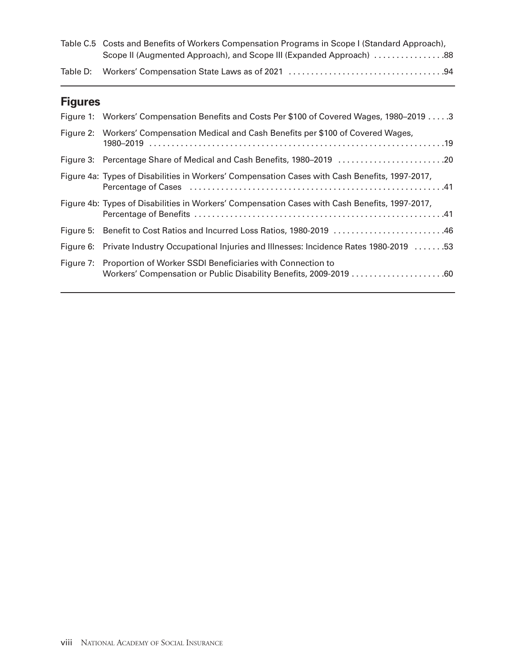| Table C.5 Costs and Benefits of Workers Compensation Programs in Scope I (Standard Approach), |  |
|-----------------------------------------------------------------------------------------------|--|
| Scope II (Augmented Approach), and Scope III (Expanded Approach) 88                           |  |
|                                                                                               |  |

# **Figures**

| Figure 1: Workers' Compensation Benefits and Costs Per \$100 of Covered Wages, 1980–2019 3     |
|------------------------------------------------------------------------------------------------|
| Figure 2: Workers' Compensation Medical and Cash Benefits per \$100 of Covered Wages,          |
|                                                                                                |
| Figure 4a: Types of Disabilities in Workers' Compensation Cases with Cash Benefits, 1997-2017, |
| Figure 4b: Types of Disabilities in Workers' Compensation Cases with Cash Benefits, 1997-2017, |
| Figure 5: Benefit to Cost Ratios and Incurred Loss Ratios, 1980-2019 46                        |
| Figure 6: Private Industry Occupational Injuries and Illnesses: Incidence Rates 1980-2019 53   |
| Figure 7: Proportion of Worker SSDI Beneficiaries with Connection to                           |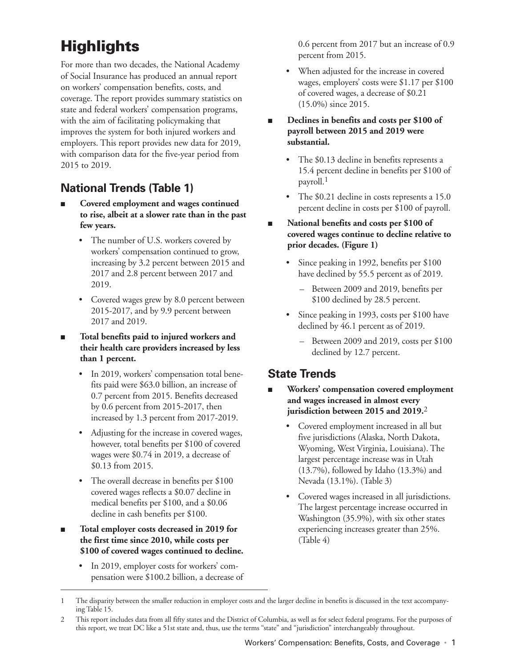# <span id="page-12-0"></span>**Highlights**

For more than two decades, the National Academy of Social Insurance has produced an annual report on workers' compensation benefits, costs, and coverage. The report provides summary statistics on state and federal workers' compensation programs, with the aim of facilitating policymaking that improves the system for both injured workers and employers. This report provides new data for 2019, with comparison data for the five-year period from 2015 to 2019.

## **National Trends (Table 1)**

- Covered employment and wages continued **to rise, albeit at a slower rate than in the past few years.**
	- The number of U.S. workers covered by workers' compensation continued to grow, increasing by 3.2 percent between 2015 and 2017 and 2.8 percent between 2017 and 2019.
	- Covered wages grew by 8.0 percent between 2015-2017, and by 9.9 percent between 2017 and 2019.
- Total benefits paid to injured workers and **their health care providers increased by less than 1 percent.** 
	- In 2019, workers' compensation total benefits paid were \$63.0 billion, an increase of 0.7 percent from 2015. Benefits decreased by 0.6 percent from 2015-2017, then increased by 1.3 percent from 2017-2019.
	- Adjusting for the increase in covered wages, however, total benefits per \$100 of covered wages were \$0.74 in 2019, a decrease of \$0.13 from 2015.
	- The overall decrease in benefits per \$100 covered wages reflects a \$0.07 decline in medical benefits per \$100, and a \$0.06 decline in cash benefits per \$100.
- Total employer costs decreased in 2019 for **the first time since 2010, while costs per \$100 of covered wages continued to decline.**
	- In 2019, employer costs for workers' compensation were \$100.2 billion, a decrease of

0.6 percent from 2017 but an increase of 0.9 percent from 2015.

- When adjusted for the increase in covered wages, employers' costs were \$1.17 per \$100 of covered wages, a decrease of \$0.21 (15.0%) since 2015.
- Declines in benefits and costs per \$100 of **payroll between 2015 and 2019 were substantial.**
	- The \$0.13 decline in benefits represents a 15.4 percent decline in benefits per \$100 of payroll.1
	- The \$0.21 decline in costs represents a 15.0 percent decline in costs per \$100 of payroll.
- National benefits and costs per \$100 of **covered wages continue to decline relative to prior decades. (Figure 1)**
	- Since peaking in 1992, benefits per \$100 have declined by 55.5 percent as of 2019.
		- Between 2009 and 2019, benefits per \$100 declined by 28.5 percent.
	- Since peaking in 1993, costs per \$100 have declined by 46.1 percent as of 2019.
		- Between 2009 and 2019, costs per \$100 declined by 12.7 percent.

## **State Trends**

- **Workers' compensation covered employment and wages increased in almost every jurisdiction between 2015 and 2019.**2
	- Covered employment increased in all but five jurisdictions (Alaska, North Dakota, Wyoming, West Virginia, Louisiana). The largest percentage increase was in Utah (13.7%), followed by Idaho (13.3%) and Nevada (13.1%). (Table 3)
	- Covered wages increased in all jurisdictions. The largest percentage increase occurred in Washington (35.9%), with six other states experiencing increases greater than 25%. (Table 4)

<sup>1</sup> The disparity between the smaller reduction in employer costs and the larger decline in benefits is discussed in the text accompanying Table 15.

<sup>2</sup> This report includes data from all fifty states and the District of Columbia, as well as for select federal programs. For the purposes of this report, we treat DC like a 51st state and, thus, use the terms "state" and "jurisdiction" interchangeably throughout.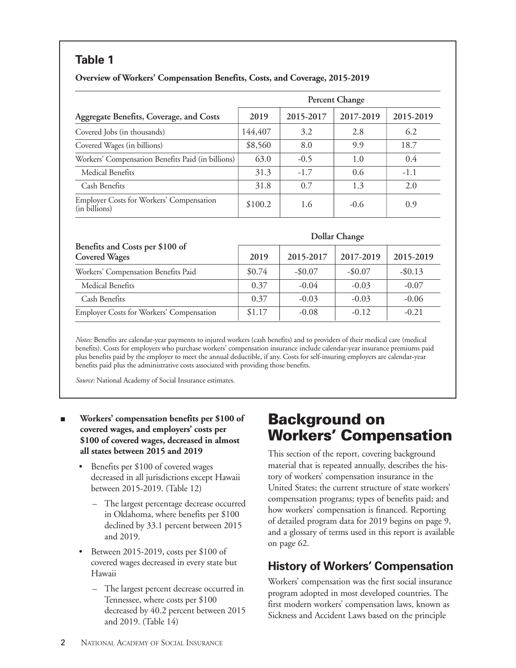<span id="page-13-0"></span>

| Overview of Workers' Compensation Benefits, Costs, and Coverage, 2015-2019 |  |  |  |  |
|----------------------------------------------------------------------------|--|--|--|--|
|----------------------------------------------------------------------------|--|--|--|--|

|                                                           |         |           | <b>Percent Change</b> |           |
|-----------------------------------------------------------|---------|-----------|-----------------------|-----------|
| Aggregate Benefits, Coverage, and Costs                   | 2019    | 2015-2017 | 2017-2019             | 2015-2019 |
| Covered Jobs (in thousands)                               | 144,407 | 3.2       | 2.8                   | 6.2       |
| Covered Wages (in billions)                               | \$8,560 | 8.0       | 9.9                   | 18.7      |
| Workers' Compensation Benefits Paid (in billions)         | 63.0    | $-0.5$    | 1.0                   | 0.4       |
| Medical Benefits                                          | 31.3    | $-1.7$    | 0.6                   | $-1.1$    |
| Cash Benefits                                             | 31.8    | 0.7       | 1.3                   | 2.0       |
| Employer Costs for Workers' Compensation<br>(in billions) | \$100.2 | 1.6       | $-0.6$                | 0.9       |

|                                                         |        |            | Dollar Change |            |
|---------------------------------------------------------|--------|------------|---------------|------------|
| Benefits and Costs per \$100 of<br><b>Covered Wages</b> | 2019   | 2015-2017  | 2017-2019     | 2015-2019  |
| Workers' Compensation Benefits Paid                     | \$0.74 | $-$ \$0.07 | $-$0.07$      | $-$ \$0.13 |
| Medical Benefits                                        | 0.37   | $-0.04$    | $-0.03$       | $-0.07$    |
| Cash Benefits                                           | 0.37   | $-0.03$    | $-0.03$       | $-0.06$    |
| Employer Costs for Workers' Compensation                | \$1.17 | $-0.08$    | $-0.12$       | $-0.21$    |

*Notes:* Benefits are calendar-year payments to injured workers (cash benefits) and to providers of their medical care (medical benefits). Costs for employers who purchase workers' compensation insurance include calendar-year insurance premiums paid plus benefits paid by the employer to meet the annual deductible, if any. Costs for self-insuring employers are calendar-year benefits paid plus the administrative costs associated with providing those benefits.

*Source:* National Academy of Social Insurance estimates.

- Workers' compensation benefits per \$100 of **covered wages, and employers' costs per \$100 of covered wages, decreased in almost all states between 2015 and 2019**
	- Benefits per \$100 of covered wages decreased in all jurisdictions except Hawaii between 2015-2019. (Table 12)
		- The largest percentage decrease occurred in Oklahoma, where benefits per \$100 declined by 33.1 percent between 2015 and 2019.
	- Between 2015-2019, costs per \$100 of covered wages decreased in every state but Hawaii
		- The largest percent decrease occurred in Tennessee, where costs per \$100 decreased by 40.2 percent between 2015 and 2019. (Table 14)

# **Background on Workers' Compensation**

This section of the report, covering background material that is repeated annually, describes the history of workers' compensation insurance in the United States; the current structure of state workers' compensation programs; types of benefits paid; and how workers' compensation is financed. Reporting of detailed program data for 2019 begins on page 9, and a glossary of terms used in this report is available on page 62.

# **History of Workers' Compensation**

Workers' compensation was the first social insurance program adopted in most developed countries. The first modern workers' compensation laws, known as Sickness and Accident Laws based on the principle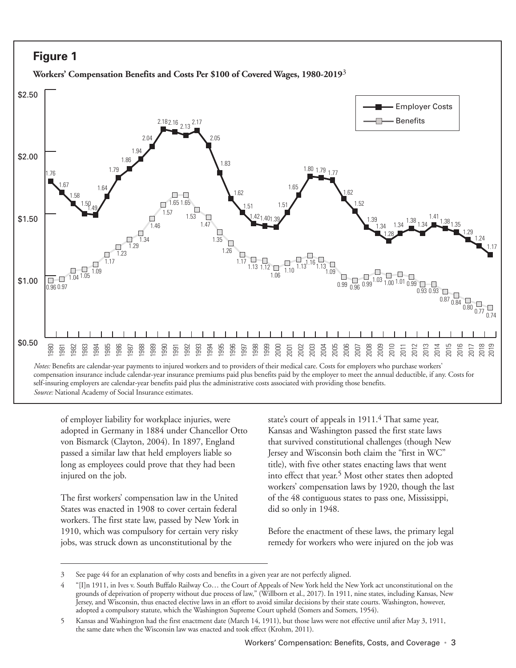## <span id="page-14-0"></span>**Figure 1**





of employer liability for workplace injuries, were adopted in Germany in 1884 under Chancellor Otto von Bismarck (Clayton, 2004). In 1897, England passed a similar law that held employers liable so long as employees could prove that they had been injured on the job.

The first workers' compensation law in the United States was enacted in 1908 to cover certain federal workers. The first state law, passed by New York in 1910, which was compulsory for certain very risky jobs, was struck down as unconstitutional by the

state's court of appeals in  $1911<sup>4</sup>$  That same year, Kansas and Washington passed the first state laws that survived constitutional challenges (though New Jersey and Wisconsin both claim the "first in WC" title), with five other states enacting laws that went into effect that year.<sup>5</sup> Most other states then adopted workers' compensation laws by 1920, though the last of the 48 contiguous states to pass one, Mississippi, did so only in 1948.

Before the enactment of these laws, the primary legal remedy for workers who were injured on the job was

<sup>3</sup> See page 44 for an explanation of why costs and benefits in a given year are not perfectly aligned.

<sup>4</sup> "[I]n 1911, in Ives v. South Buffalo Railway Co… the Court of Appeals of New York held the New York act unconstitutional on the grounds of deprivation of property without due process of law," (Willborn et al., 2017). In 1911, nine states, including Kansas, New Jersey, and Wisconsin, thus enacted elective laws in an effort to avoid similar decisions by their state courts. Washington, however, adopted a compulsory statute, which the Washington Supreme Court upheld (Somers and Somers, 1954).

<sup>5</sup> Kansas and Washington had the first enactment date (March 14, 1911), but those laws were not effective until after May 3, 1911, the same date when the Wisconsin law was enacted and took effect (Krohm, 2011).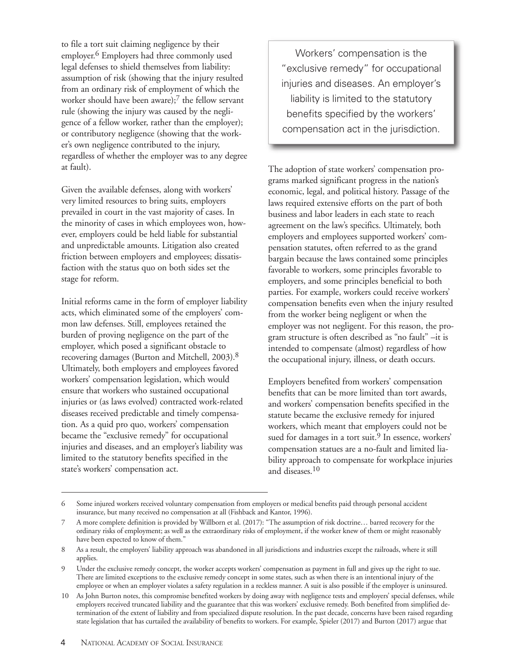to file a tort suit claiming negligence by their employer.6 Employers had three commonly used legal defenses to shield themselves from liability: assumption of risk (showing that the injury resulted from an ordinary risk of employment of which the worker should have been aware); $^7$  the fellow servant rule (showing the injury was caused by the negligence of a fellow worker, rather than the employer); or contributory negligence (showing that the worker's own negligence contributed to the injury, regardless of whether the employer was to any degree at fault).

Given the available defenses, along with workers' very limited resources to bring suits, employers prevailed in court in the vast majority of cases. In the minority of cases in which employees won, however, employers could be held liable for substantial and unpredictable amounts. Litigation also created friction between employers and employees; dissatisfaction with the status quo on both sides set the stage for reform.

Initial reforms came in the form of employer liability acts, which eliminated some of the employers' common law defenses. Still, employees retained the burden of proving negligence on the part of the employer, which posed a significant obstacle to recovering damages (Burton and Mitchell, 2003).8 Ultimately, both employers and employees favored workers' compensation legislation, which would ensure that workers who sustained occupational injuries or (as laws evolved) contracted work-related diseases received predictable and timely compensation. As a quid pro quo, workers' compensation became the "exclusive remedy" for occupational injuries and diseases, and an employer's liability was limited to the statutory benefits specified in the state's workers' compensation act.

Workers' compensation is the "exclusive remedy" for occupational injuries and diseases. An employer's liability is limited to the statutory benefits specified by the workers' compensation act in the jurisdiction.

The adoption of state workers' compensation programs marked significant progress in the nation's economic, legal, and political history. Passage of the laws required extensive efforts on the part of both business and labor leaders in each state to reach agreement on the law's specifics. Ultimately, both employers and employees supported workers' compensation statutes, often referred to as the grand bargain because the laws contained some principles favorable to workers, some principles favorable to employers, and some principles beneficial to both parties. For example, workers could receive workers' compensation benefits even when the injury resulted from the worker being negligent or when the employer was not negligent. For this reason, the program structure is often described as "no fault" –it is intended to compensate (almost) regardless of how the occupational injury, illness, or death occurs.

Employers benefited from workers' compensation benefits that can be more limited than tort awards, and workers' compensation benefits specified in the statute became the exclusive remedy for injured workers, which meant that employers could not be sued for damages in a tort suit.<sup>9</sup> In essence, workers' compensation statues are a no-fault and limited liability approach to compensate for workplace injuries and diseases.10

<sup>6</sup> Some injured workers received voluntary compensation from employers or medical benefits paid through personal accident insurance, but many received no compensation at all (Fishback and Kantor, 1996).

<sup>7</sup> A more complete definition is provided by Willborn et al. (2017): "The assumption of risk doctrine… barred recovery for the ordinary risks of employment; as well as the extraordinary risks of employment, if the worker knew of them or might reasonably have been expected to know of them."

<sup>8</sup> As a result, the employers' liability approach was abandoned in all jurisdictions and industries except the railroads, where it still applies.

<sup>9</sup> Under the exclusive remedy concept, the worker accepts workers' compensation as payment in full and gives up the right to sue. There are limited exceptions to the exclusive remedy concept in some states, such as when there is an intentional injury of the employee or when an employer violates a safety regulation in a reckless manner. A suit is also possible if the employer is uninsured.

<sup>10</sup> As John Burton notes, this compromise benefited workers by doing away with negligence tests and employers' special defenses, while employers received truncated liability and the guarantee that this was workers' exclusive remedy. Both benefited from simplified determination of the extent of liability and from specialized dispute resolution. In the past decade, concerns have been raised regarding state legislation that has curtailed the availability of benefits to workers. For example, Spieler (2017) and Burton (2017) argue that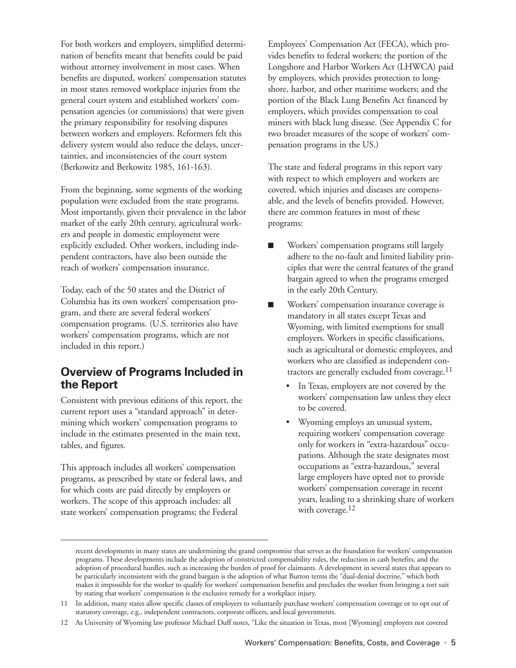For both workers and employers, simplified determination of benefits meant that benefits could be paid without attorney involvement in most cases. When benefits are disputed, workers' compensation statutes in most states removed workplace injuries from the general court system and established workers' compensation agencies (or commissions) that were given the primary responsibility for resolving disputes between workers and employers. Reformers felt this delivery system would also reduce the delays, uncertainties, and inconsistencies of the court system (Berkowitz and Berkowitz 1985, 161-163).

From the beginning, some segments of the working population were excluded from the state programs. Most importantly, given their prevalence in the labor market of the early 20th century, agricultural workers and people in domestic employment were explicitly excluded. Other workers, including independent contractors, have also been outside the reach of workers' compensation insurance.

Today, each of the 50 states and the District of Columbia has its own workers' compensation program, and there are several federal workers' compensation programs. (U.S. territories also have workers' compensation programs, which are not included in this report.)

### **Overview of Programs Included in the Report**

Consistent with previous editions of this report, the current report uses a "standard approach" in determining which workers' compensation programs to include in the estimates presented in the main text, tables, and figures.

This approach includes all workers' compensation programs, as prescribed by state or federal laws, and for which costs are paid directly by employers or workers. The scope of this approach includes: all state workers' compensation programs; the Federal

Employees' Compensation Act (FECA), which provides benefits to federal workers; the portion of the Longshore and Harbor Workers Act (LHWCA) paid by employers, which provides protection to longshore, harbor, and other maritime workers; and the portion of the Black Lung Benefits Act financed by employers, which provides compensation to coal miners with black lung disease. (See Appendix C for two broader measures of the scope of workers' compensation programs in the US.)

The state and federal programs in this report vary with respect to which employers and workers are covered, which injuries and diseases are compensable, and the levels of benefits provided. However, there are common features in most of these programs:

- n Workers' compensation programs still largely adhere to the no-fault and limited liability principles that were the central features of the grand bargain agreed to when the programs emerged in the early 20th Century.
- Workers' compensation insurance coverage is mandatory in all states except Texas and Wyoming, with limited exemptions for small employers. Workers in specific classifications, such as agricultural or domestic employees, and workers who are classified as independent contractors are generally excluded from coverage.11
	- In Texas, employers are not covered by the workers' compensation law unless they elect to be covered.
	- Wyoming employs an unusual system, requiring workers' compensation coverage only for workers in "extra-hazardous" occupations. Although the state designates most occupations as "extra-hazardous," several large employers have opted not to provide workers' compensation coverage in recent years, leading to a shrinking share of workers with coverage.<sup>12</sup>

recent developments in many states are undermining the grand compromise that serves as the foundation for workers' compensation programs. These developments include the adoption of constricted compensability rules, the reduction in cash benefits, and the adoption of procedural hurdles, such as increasing the burden of proof for claimants. A development in several states that appears to be particularly inconsistent with the grand bargain is the adoption of what Burton terms the "dual-denial doctrine," which both makes it impossible for the worker to qualify for workers' compensation benefits and precludes the worker from bringing a tort suit by stating that workers' compensation is the exclusive remedy for a workplace injury.

<sup>11</sup> In addition, many states allow specific classes of employers to voluntarily purchase workers' compensation coverage or to opt out of statutory coverage, e.g., independent contractors, corporate officers, and local governments.

<sup>12</sup> As University of Wyoming law professor Michael Duff notes, "Like the situation in Texas, most [Wyoming] employers not covered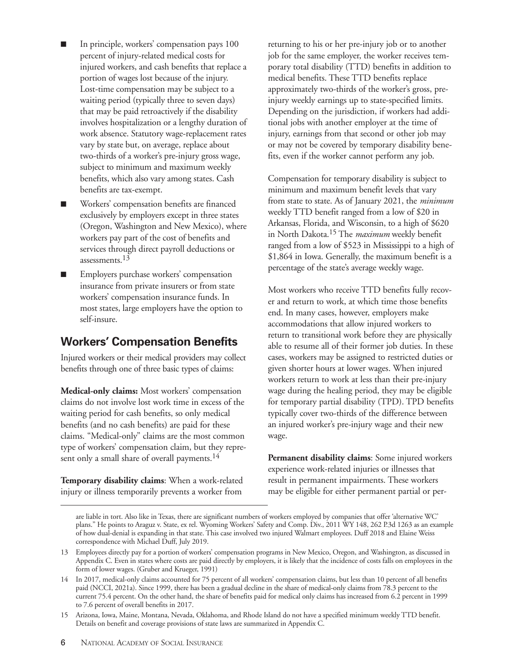- In principle, workers' compensation pays 100 percent of injury-related medical costs for injured workers, and cash benefits that replace a portion of wages lost because of the injury. Lost-time compensation may be subject to a waiting period (typically three to seven days) that may be paid retroactively if the disability involves hospitalization or a lengthy duration of work absence. Statutory wage-replacement rates vary by state but, on average, replace about two-thirds of a worker's pre-injury gross wage, subject to minimum and maximum weekly benefits, which also vary among states. Cash benefits are tax-exempt.
- Workers' compensation benefits are financed exclusively by employers except in three states (Oregon, Washington and New Mexico), where workers pay part of the cost of benefits and services through direct payroll deductions or assessments.<sup>13</sup>
- Employers purchase workers' compensation insurance from private insurers or from state workers' compensation insurance funds. In most states, large employers have the option to self-insure.

## **Workers' Compensation Benefits**

Injured workers or their medical providers may collect benefits through one of three basic types of claims:

**Medical-only claims:** Most workers' compensation claims do not involve lost work time in excess of the waiting period for cash benefits, so only medical benefits (and no cash benefits) are paid for these claims. "Medical-only" claims are the most common type of workers' compensation claim, but they represent only a small share of overall payments.<sup>14</sup>

**Temporary disability claims**: When a work-related injury or illness temporarily prevents a worker from

returning to his or her pre-injury job or to another job for the same employer, the worker receives temporary total disability (TTD) benefits in addition to medical benefits. These TTD benefits replace approximately two-thirds of the worker's gross, preinjury weekly earnings up to state-specified limits. Depending on the jurisdiction, if workers had additional jobs with another employer at the time of injury, earnings from that second or other job may or may not be covered by temporary disability benefits, even if the worker cannot perform any job.

Compensation for temporary disability is subject to minimum and maximum benefit levels that vary from state to state. As of January 2021, the *minimum* weekly TTD benefit ranged from a low of \$20 in Arkansas, Florida, and Wisconsin, to a high of \$620 in North Dakota.15 The *maximum* weekly benefit ranged from a low of \$523 in Mississippi to a high of \$1,864 in Iowa. Generally, the maximum benefit is a percentage of the state's average weekly wage.

Most workers who receive TTD benefits fully recover and return to work, at which time those benefits end. In many cases, however, employers make accommodations that allow injured workers to return to transitional work before they are physically able to resume all of their former job duties. In these cases, workers may be assigned to restricted duties or given shorter hours at lower wages. When injured workers return to work at less than their pre-injury wage during the healing period, they may be eligible for temporary partial disability (TPD). TPD benefits typically cover two-thirds of the difference between an injured worker's pre-injury wage and their new wage.

**Permanent disability claims**: Some injured workers experience work-related injuries or illnesses that result in permanent impairments. These workers may be eligible for either permanent partial or per-

are liable in tort. Also like in Texas, there are significant numbers of workers employed by companies that offer 'alternative WC' plans." He points to Araguz v. State, ex rel. Wyoming Workers' Safety and Comp. Div., 2011 WY 148, 262 P.3d 1263 as an example of how dual-denial is expanding in that state. This case involved two injured Walmart employees. Duff 2018 and Elaine Weiss correspondence with Michael Duff, July 2019.

<sup>13</sup> Employees directly pay for a portion of workers' compensation programs in New Mexico, Oregon, and Washington, as discussed in Appendix C. Even in states where costs are paid directly by employers, it is likely that the incidence of costs falls on employees in the form of lower wages. (Gruber and Krueger, 1991)

<sup>14</sup> In 2017, medical-only claims accounted for 75 percent of all workers' compensation claims, but less than 10 percent of all benefits paid (NCCI, 2021a). Since 1999, there has been a gradual decline in the share of medical-only claims from 78.3 percent to the current 75.4 percent. On the other hand, the share of benefits paid for medical only claims has increased from 6.2 percent in 1999 to 7.6 percent of overall benefits in 2017.

<sup>15</sup> Arizona, Iowa, Maine, Montana, Nevada, Oklahoma, and Rhode Island do not have a specified minimum weekly TTD benefit. Details on benefit and coverage provisions of state laws are summarized in Appendix C.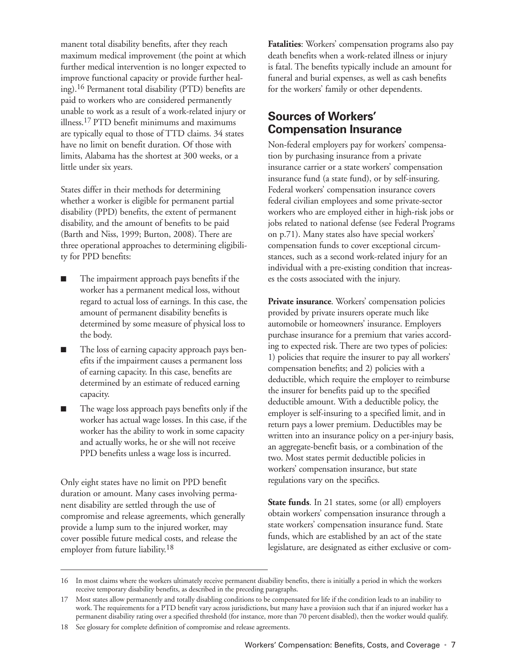manent total disability benefits, after they reach maximum medical improvement (the point at which further medical intervention is no longer expected to improve functional capacity or provide further healing).16 Permanent total disability (PTD) benefits are paid to workers who are considered permanently unable to work as a result of a work-related injury or illness.17 PTD benefit minimums and maximums are typically equal to those of TTD claims. 34 states have no limit on benefit duration. Of those with limits, Alabama has the shortest at 300 weeks, or a little under six years.

States differ in their methods for determining whether a worker is eligible for permanent partial disability (PPD) benefits, the extent of permanent disability, and the amount of benefits to be paid (Barth and Niss, 1999; Burton, 2008). There are three operational approaches to determining eligibility for PPD benefits:

- The impairment approach pays benefits if the worker has a permanent medical loss, without regard to actual loss of earnings. In this case, the amount of permanent disability benefits is determined by some measure of physical loss to the body.
- The loss of earning capacity approach pays benefits if the impairment causes a permanent loss of earning capacity. In this case, benefits are determined by an estimate of reduced earning capacity.
- The wage loss approach pays benefits only if the worker has actual wage losses. In this case, if the worker has the ability to work in some capacity and actually works, he or she will not receive PPD benefits unless a wage loss is incurred.

Only eight states have no limit on PPD benefit duration or amount. Many cases involving permanent disability are settled through the use of compromise and release agreements, which generally provide a lump sum to the injured worker, may cover possible future medical costs, and release the employer from future liability.18

**Fatalities**: Workers' compensation programs also pay death benefits when a work-related illness or injury is fatal. The benefits typically include an amount for funeral and burial expenses, as well as cash benefits for the workers' family or other dependents.

## **Sources of Workers' Compensation Insurance**

Non-federal employers pay for workers' compensation by purchasing insurance from a private insurance carrier or a state workers' compensation insurance fund (a state fund), or by self-insuring. Federal workers' compensation insurance covers federal civilian employees and some private-sector workers who are employed either in high-risk jobs or jobs related to national defense (see Federal Programs on p.71). Many states also have special workers' compensation funds to cover exceptional circumstances, such as a second work-related injury for an individual with a pre-existing condition that increases the costs associated with the injury.

Private insurance. Workers' compensation policies provided by private insurers operate much like automobile or homeowners' insurance. Employers purchase insurance for a premium that varies according to expected risk. There are two types of policies: 1) policies that require the insurer to pay all workers' compensation benefits; and 2) policies with a deductible, which require the employer to reimburse the insurer for benefits paid up to the specified deductible amount. With a deductible policy, the employer is self-insuring to a specified limit, and in return pays a lower premium. Deductibles may be written into an insurance policy on a per-injury basis, an aggregate-benefit basis, or a combination of the two. Most states permit deductible policies in workers' compensation insurance, but state regulations vary on the specifics.

**State funds**. In 21 states, some (or all) employers obtain workers' compensation insurance through a state workers' compensation insurance fund. State funds, which are established by an act of the state legislature, are designated as either exclusive or com-

<sup>16</sup> In most claims where the workers ultimately receive permanent disability benefits, there is initially a period in which the workers receive temporary disability benefits, as described in the preceding paragraphs.

<sup>17</sup> Most states allow permanently and totally disabling conditions to be compensated for life if the condition leads to an inability to work. The requirements for a PTD benefit vary across jurisdictions, but many have a provision such that if an injured worker has a permanent disability rating over a specified threshold (for instance, more than 70 percent disabled), then the worker would qualify.

<sup>18</sup> See glossary for complete definition of compromise and release agreements.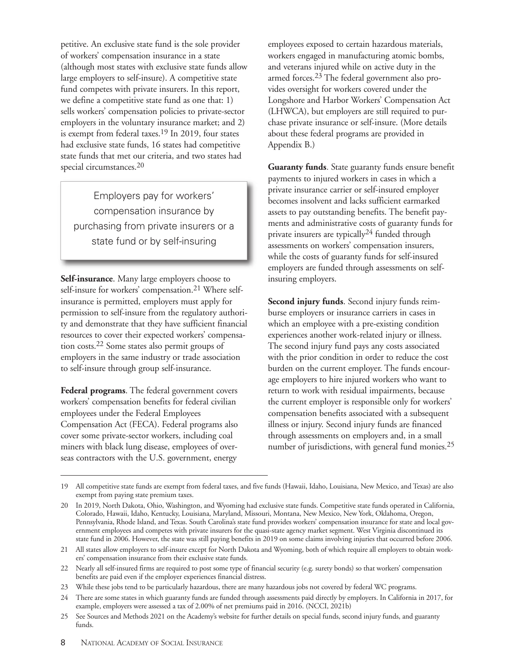petitive. An exclusive state fund is the sole provider of workers' compensation insurance in a state (although most states with exclusive state funds allow large employers to self-insure). A competitive state fund competes with private insurers. In this report, we define a competitive state fund as one that: 1) sells workers' compensation policies to private-sector employers in the voluntary insurance market; and 2) is exempt from federal taxes.19 In 2019, four states had exclusive state funds, 16 states had competitive state funds that met our criteria, and two states had special circumstances.<sup>20</sup>

Employers pay for workers' compensation insurance by purchasing from private insurers or a state fund or by self-insuring

**Self-insurance**. Many large employers choose to self-insure for workers' compensation.<sup>21</sup> Where selfinsurance is permitted, employers must apply for permission to self-insure from the regulatory authority and demonstrate that they have sufficient financial resources to cover their expected workers' compensation costs.22 Some states also permit groups of employers in the same industry or trade association to self-insure through group self-insurance.

**Federal programs**. The federal government covers workers' compensation benefits for federal civilian employees under the Federal Employees Compensation Act (FECA). Federal programs also cover some private-sector workers, including coal miners with black lung disease, employees of overseas contractors with the U.S. government, energy

employees exposed to certain hazardous materials, workers engaged in manufacturing atomic bombs, and veterans injured while on active duty in the armed forces.<sup>23</sup> The federal government also provides oversight for workers covered under the Longshore and Harbor Workers' Compensation Act (LHWCA), but employers are still required to purchase private insurance or self-insure. (More details about these federal programs are provided in Appendix B.)

**Guaranty funds***.* State guaranty funds ensure benefit payments to injured workers in cases in which a private insurance carrier or self-insured employer becomes insolvent and lacks sufficient earmarked assets to pay outstanding benefits. The benefit payments and administrative costs of guaranty funds for private insurers are typically<sup>24</sup> funded through assessments on workers' compensation insurers, while the costs of guaranty funds for self-insured employers are funded through assessments on selfinsuring employers.

**Second injury funds**. Second injury funds reimburse employers or insurance carriers in cases in which an employee with a pre-existing condition experiences another work-related injury or illness. The second injury fund pays any costs associated with the prior condition in order to reduce the cost burden on the current employer. The funds encourage employers to hire injured workers who want to return to work with residual impairments, because the current employer is responsible only for workers' compensation benefits associated with a subsequent illness or injury. Second injury funds are financed through assessments on employers and, in a small number of jurisdictions, with general fund monies.<sup>25</sup>

<sup>19</sup> All competitive state funds are exempt from federal taxes, and five funds (Hawaii, Idaho, Louisiana, New Mexico, and Texas) are also exempt from paying state premium taxes.

<sup>20</sup> In 2019, North Dakota, Ohio, Washington, and Wyoming had exclusive state funds. Competitive state funds operated in California, Colorado, Hawaii, Idaho, Kentucky, Louisiana, Maryland, Missouri, Montana, New Mexico, New York, Oklahoma, Oregon, Pennsylvania, Rhode Island, and Texas. South Carolina's state fund provides workers' compensation insurance for state and local government employees and competes with private insurers for the quasi-state agency market segment. West Virginia discontinued its state fund in 2006. However, the state was still paying benefits in 2019 on some claims involving injuries that occurred before 2006.

<sup>21</sup> All states allow employers to self-insure except for North Dakota and Wyoming, both of which require all employers to obtain workers' compensation insurance from their exclusive state funds.

<sup>22</sup> Nearly all self-insured firms are required to post some type of financial security (e.g. surety bonds) so that workers' compensation benefits are paid even if the employer experiences financial distress.

<sup>23</sup> While these jobs tend to be particularly hazardous, there are many hazardous jobs not covered by federal WC programs.

<sup>24</sup> There are some states in which guaranty funds are funded through assessments paid directly by employers. In California in 2017, for example, employers were assessed a tax of 2.00% of net premiums paid in 2016. (NCCI, 2021b)

<sup>25</sup> See Sources and Methods 2021 on the Academy's website for further details on special funds, second injury funds, and guaranty funds.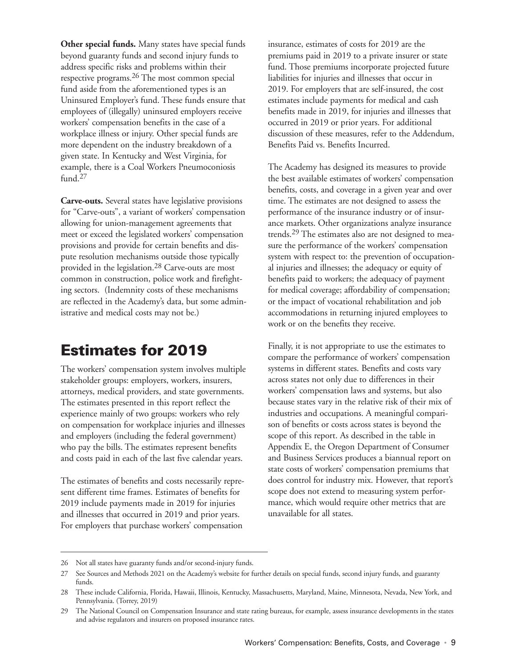<span id="page-20-0"></span>**Other special funds.** Many states have special funds beyond guaranty funds and second injury funds to address specific risks and problems within their respective programs.26 The most common special fund aside from the aforementioned types is an Uninsured Employer's fund. These funds ensure that employees of (illegally) uninsured employers receive workers' compensation benefits in the case of a workplace illness or injury. Other special funds are more dependent on the industry breakdown of a given state. In Kentucky and West Virginia, for example, there is a Coal Workers Pneumoconiosis  $f$ <sub>und.</sub> $27$ 

**Carve-outs.** Several states have legislative provisions for "Carve-outs", a variant of workers' compensation allowing for union-management agreements that meet or exceed the legislated workers' compensation provisions and provide for certain benefits and dispute resolution mechanisms outside those typically provided in the legislation.28 Carve-outs are most common in construction, police work and firefighting sectors. (Indemnity costs of these mechanisms are reflected in the Academy's data, but some administrative and medical costs may not be.)

# **Estimates for 2019**

The workers' compensation system involves multiple stakeholder groups: employers, workers, insurers, attorneys, medical providers, and state governments. The estimates presented in this report reflect the experience mainly of two groups: workers who rely on compensation for workplace injuries and illnesses and employers (including the federal government) who pay the bills. The estimates represent benefits and costs paid in each of the last five calendar years.

The estimates of benefits and costs necessarily represent different time frames. Estimates of benefits for 2019 include payments made in 2019 for injuries and illnesses that occurred in 2019 and prior years. For employers that purchase workers' compensation

insurance, estimates of costs for 2019 are the premiums paid in 2019 to a private insurer or state fund. Those premiums incorporate projected future liabilities for injuries and illnesses that occur in 2019. For employers that are self-insured, the cost estimates include payments for medical and cash benefits made in 2019, for injuries and illnesses that occurred in 2019 or prior years. For additional discussion of these measures, refer to the Addendum, Benefits Paid vs. Benefits Incurred.

The Academy has designed its measures to provide the best available estimates of workers' compensation benefits, costs, and coverage in a given year and over time. The estimates are not designed to assess the performance of the insurance industry or of insurance markets. Other organizations analyze insurance trends.29 The estimates also are not designed to measure the performance of the workers' compensation system with respect to: the prevention of occupational injuries and illnesses; the adequacy or equity of benefits paid to workers; the adequacy of payment for medical coverage; affordability of compensation; or the impact of vocational rehabilitation and job accommodations in returning injured employees to work or on the benefits they receive.

Finally, it is not appropriate to use the estimates to compare the performance of workers' compensation systems in different states. Benefits and costs vary across states not only due to differences in their workers' compensation laws and systems, but also because states vary in the relative risk of their mix of industries and occupations. A meaningful comparison of benefits or costs across states is beyond the scope of this report. As described in the table in Appendix E, the Oregon Department of Consumer and Business Services produces a biannual report on state costs of workers' compensation premiums that does control for industry mix. However, that report's scope does not extend to measuring system performance, which would require other metrics that are unavailable for all states.

<sup>26</sup> Not all states have guaranty funds and/or second-injury funds.

<sup>27</sup> See Sources and Methods 2021 on the Academy's website for further details on special funds, second injury funds, and guaranty funds.

<sup>28</sup> These include California, Florida, Hawaii, Illinois, Kentucky, Massachusetts, Maryland, Maine, Minnesota, Nevada, New York, and Pennsylvania. (Torrey, 2019)

<sup>29</sup> The National Council on Compensation Insurance and state rating bureaus, for example, assess insurance developments in the states and advise regulators and insurers on proposed insurance rates.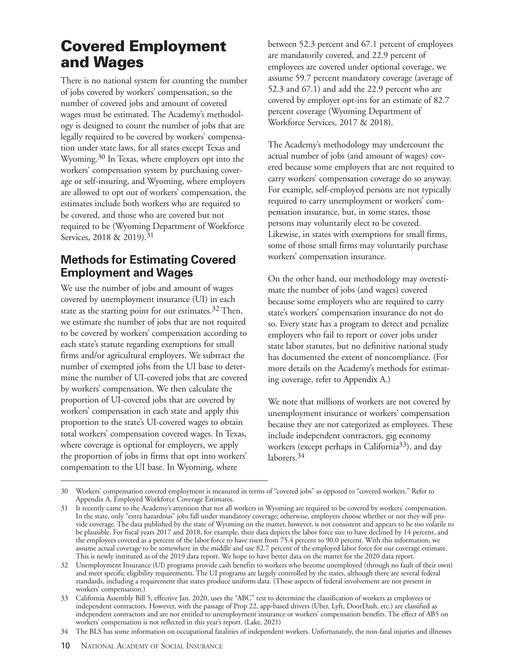# <span id="page-21-0"></span>**Covered Employment and Wages**

There is no national system for counting the number of jobs covered by workers' compensation, so the number of covered jobs and amount of covered wages must be estimated. The Academy's methodology is designed to count the number of jobs that are legally required to be covered by workers' compensation under state laws, for all states except Texas and Wyoming.<sup>30</sup> In Texas, where employers opt into the workers' compensation system by purchasing coverage or self-insuring, and Wyoming, where employers are allowed to opt out of workers' compensation, the estimates include both workers who are required to be covered, and those who are covered but not required to be (Wyoming Department of Workforce Services, 2018 & 2019).<sup>31</sup>

## **Methods for Estimating Covered Employment and Wages**

We use the number of jobs and amount of wages covered by unemployment insurance (UI) in each state as the starting point for our estimates.<sup>32</sup> Then, we estimate the number of jobs that are not required to be covered by workers' compensation according to each state's statute regarding exemptions for small firms and/or agricultural employers. We subtract the number of exempted jobs from the UI base to determine the number of UI-covered jobs that are covered by workers' compensation. We then calculate the proportion of UI-covered jobs that are covered by workers' compensation in each state and apply this proportion to the state's UI-covered wages to obtain total workers' compensation covered wages. In Texas, where coverage is optional for employers, we apply the proportion of jobs in firms that opt into workers' compensation to the UI base. In Wyoming, where

between 52.3 percent and 67.1 percent of employees are mandatorily covered, and 22.9 percent of employees are covered under optional coverage, we assume 59.7 percent mandatory coverage (average of 52.3 and 67.1) and add the 22.9 percent who are covered by employer opt-ins for an estimate of 82.7 percent coverage (Wyoming Department of Workforce Services, 2017 & 2018).

The Academy's methodology may undercount the actual number of jobs (and amount of wages) covered because some employers that are not required to carry workers' compensation coverage do so anyway. For example, self-employed persons are not typically required to carry unemployment or workers' compensation insurance, but, in some states, those persons may voluntarily elect to be covered. Likewise, in states with exemptions for small firms, some of those small firms may voluntarily purchase workers' compensation insurance.

On the other hand, our methodology may overestimate the number of jobs (and wages) covered because some employers who are required to carry state's workers' compensation insurance do not do so. Every state has a program to detect and penalize employers who fail to report or cover jobs under state labor statutes, but no definitive national study has documented the extent of noncompliance. (For more details on the Academy's methods for estimating coverage, refer to Appendix A.)

We note that millions of workers are not covered by unemployment insurance or workers' compensation because they are not categorized as employees. These include independent contractors, gig economy workers (except perhaps in California<sup>33</sup>), and day laborers.<sup>34</sup>

<sup>30</sup> Workers' compensation covered employment is measured in terms of "covered jobs" as opposed to "covered workers." Refer to Appendix A, Employed Workforce Coverage Estimates.

<sup>31</sup> It recently came to the Academy's attention that not all workers in Wyoming are required to be covered by workers' compensation. In the state, only "extra hazardous" jobs fall under mandatory coverage; otherwise, employers choose whether or not they will provide coverage. The data published by the state of Wyoming on the matter, however, is not consistent and appears to be too volatile to be plausible. For fiscal years 2017 and 2018, for example, their data depicts the labor force size to have declined by 14 percent, and the employees covered as a percent of the labor force to have risen from 75.4 percent to 90.0 percent. With this information, we assume actual coverage to be somewhere in the middle and use 82.7 percent of the employed labor force for our coverage estimate. This is newly instituted as of the 2019 data report. We hope to have better data on the matter for the 2020 data report.

<sup>32</sup> Unemployment Insurance (UI) programs provide cash benefits to workers who become unemployed (through no fault of their own) and meet specific eligibility requirements. The UI programs are largely controlled by the states, although there are several federal standards, including a requirement that states produce uniform data. (These aspects of federal involvement are not present in workers' compensation.)

<sup>33</sup> California Assembly Bill 5, effective Jan. 2020, uses the "ABC" test to determine the classification of workers as employees or independent contractors. However, with the passage of Prop 22, app-based drivers (Uber, Lyft, DoorDash, etc.) are classified as independent contractors and are not entitled to unemployment insurance or workers' compensation benefits. The effect of AB5 on workers' compensation is not reflected in this year's report. (Lake, 2021)

<sup>34</sup> The BLS has some information on occupational fatalities of independent workers. Unfortunately, the non-fatal injuries and illnesses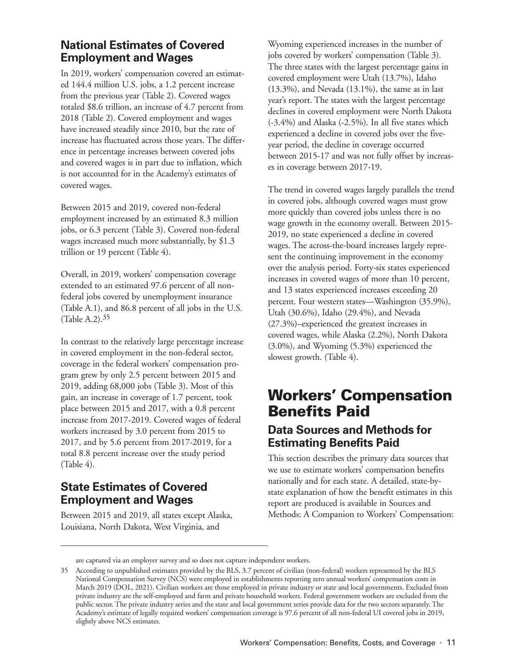## <span id="page-22-0"></span>**National Estimates of Covered Employment and Wages**

In 2019, workers' compensation covered an estimated 144.4 million U.S. jobs, a 1.2 percent increase from the previous year (Table 2). Covered wages totaled \$8.6 trillion, an increase of 4.7 percent from 2018 (Table 2). Covered employment and wages have increased steadily since 2010, but the rate of increase has fluctuated across those years. The difference in percentage increases between covered jobs and covered wages is in part due to inflation, which is not accounted for in the Academy's estimates of covered wages.

Between 2015 and 2019, covered non-federal employment increased by an estimated 8.3 million jobs, or 6.3 percent (Table 3). Covered non-federal wages increased much more substantially, by \$1.3 trillion or 19 percent (Table 4).

Overall, in 2019, workers' compensation coverage extended to an estimated 97.6 percent of all nonfederal jobs covered by unemployment insurance (Table A.1), and 86.8 percent of all jobs in the U.S. (Table A.2).35

In contrast to the relatively large percentage increase in covered employment in the non-federal sector, coverage in the federal workers' compensation program grew by only 2.5 percent between 2015 and 2019, adding 68,000 jobs (Table 3). Most of this gain, an increase in coverage of 1.7 percent, took place between 2015 and 2017, with a 0.8 percent increase from 2017-2019. Covered wages of federal workers increased by 3.0 percent from 2015 to 2017, and by 5.6 percent from 2017-2019, for a total 8.8 percent increase over the study period (Table 4).

## **State Estimates of Covered Employment and Wages**

Between 2015 and 2019, all states except Alaska, Louisiana, North Dakota, West Virginia, and

Wyoming experienced increases in the number of jobs covered by workers' compensation (Table 3). The three states with the largest percentage gains in covered employment were Utah (13.7%), Idaho (13.3%), and Nevada (13.1%), the same as in last year's report. The states with the largest percentage declines in covered employment were North Dakota (-3.4%) and Alaska (-2.5%). In all five states which experienced a decline in covered jobs over the fiveyear period, the decline in coverage occurred between 2015-17 and was not fully offset by increases in coverage between 2017-19.

The trend in covered wages largely parallels the trend in covered jobs, although covered wages must grow more quickly than covered jobs unless there is no wage growth in the economy overall. Between 2015- 2019, no state experienced a decline in covered wages. The across-the-board increases largely represent the continuing improvement in the economy over the analysis period. Forty-six states experienced increases in covered wages of more than 10 percent, and 13 states experienced increases exceeding 20 percent. Four western states—Washington (35.9%), Utah (30.6%), Idaho (29.4%), and Nevada (27.3%)–experienced the greatest increases in covered wages, while Alaska (2.2%), North Dakota (3.0%), and Wyoming (5.3%) experienced the slowest growth. (Table 4).

# **Workers' Compensation Benefits Paid**

## **Data Sources and Methods for Estimating Benefits Paid**

This section describes the primary data sources that we use to estimate workers' compensation benefits nationally and for each state. A detailed, state-bystate explanation of how the benefit estimates in this report are produced is available in Sources and Methods: A Companion to Workers' Compensation:

are captured via an employer survey and so does not capture independent workers.

<sup>35</sup> According to unpublished estimates provided by the BLS, 3.7 percent of civilian (non-federal) workers represented by the BLS National Compensation Survey (NCS) were employed in establishments reporting zero annual workers' compensation costs in March 2019 (DOL, 2021). Civilian workers are those employed in private industry or state and local governments. Excluded from private industry are the self-employed and farm and private household workers. Federal government workers are excluded from the public sector. The private industry series and the state and local government series provide data for the two sectors separately. The Academy's estimate of legally required workers' compensation coverage is 97.6 percent of all non-federal UI covered jobs in 2019, slightly above NCS estimates.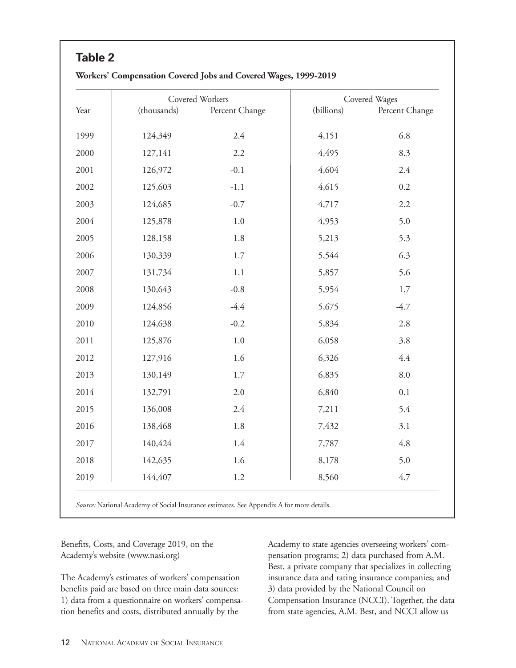|      |             | Covered Workers |            | Covered Wages  |
|------|-------------|-----------------|------------|----------------|
| Year | (thousands) | Percent Change  | (billions) | Percent Change |
| 1999 | 124,349     | 2.4             | 4,151      | 6.8            |
| 2000 | 127,141     | 2.2             | 4,495      | 8.3            |
| 2001 | 126,972     | $-0.1$          | 4,604      | 2.4            |
| 2002 | 125,603     | $-1.1$          | 4,615      | 0.2            |
| 2003 | 124,685     | $-0.7$          | 4,717      | 2.2            |
| 2004 | 125,878     | 1.0             | 4,953      | 5.0            |
| 2005 | 128,158     | 1.8             | 5,213      | 5.3            |
| 2006 | 130,339     | 1.7             | 5,544      | 6.3            |
| 2007 | 131,734     | 1.1             | 5,857      | 5.6            |
| 2008 | 130,643     | $-0.8$          | 5,954      | 1.7            |
| 2009 | 124,856     | $-4.4$          | 5,675      | $-4.7$         |
| 2010 | 124,638     | $-0.2$          | 5,834      | 2.8            |
| 2011 | 125,876     | 1.0             | 6,058      | 3.8            |
| 2012 | 127,916     | 1.6             | 6,326      | 4.4            |
| 2013 | 130,149     | 1.7             | 6,835      | 8.0            |
| 2014 | 132,791     | 2.0             | 6,840      | 0.1            |
| 2015 | 136,008     | 2.4             | 7,211      | 5.4            |
| 2016 | 138,468     | 1.8             | 7,432      | 3.1            |
| 2017 | 140,424     | 1.4             | 7,787      | 4.8            |
| 2018 | 142,635     | 1.6             | 8,178      | 5.0            |
| 2019 | 144,407     | 1.2             | 8,560      | 4.7            |

#### <span id="page-23-0"></span>**Workers' Compensation Covered Jobs and Covered Wages, 1999-2019**

*Source:* National Academy of Social Insurance estimates. See Appendix A for more details.

Benefits, Costs, and Coverage 2019, on the Academy's website (www.nasi.org)

The Academy's estimates of workers' compensation benefits paid are based on three main data sources: 1) data from a questionnaire on workers' compensation benefits and costs, distributed annually by the

Academy to state agencies overseeing workers' compensation programs; 2) data purchased from A.M. Best, a private company that specializes in collecting insurance data and rating insurance companies; and 3) data provided by the National Council on Compensation Insurance (NCCI). Together, the data from state agencies, A.M. Best, and NCCI allow us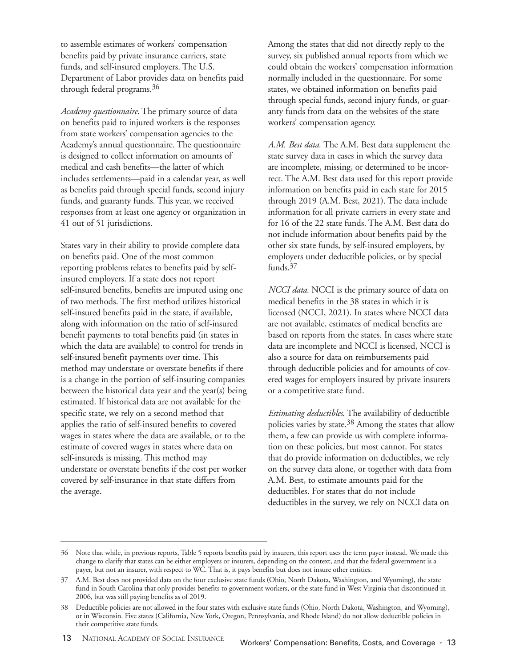to assemble estimates of workers' compensation benefits paid by private insurance carriers, state funds, and self-insured employers. The U.S. Department of Labor provides data on benefits paid through federal programs.36

*Academy questionnaire*. The primary source of data on benefits paid to injured workers is the responses from state workers' compensation agencies to the Academy's annual questionnaire. The questionnaire is designed to collect information on amounts of medical and cash benefits—the latter of which includes settlements—paid in a calendar year, as well as benefits paid through special funds, second injury funds, and guaranty funds. This year, we received responses from at least one agency or organization in 41 out of 51 jurisdictions.

States vary in their ability to provide complete data on benefits paid. One of the most common reporting problems relates to benefits paid by selfinsured employers. If a state does not report self-insured benefits, benefits are imputed using one of two methods. The first method utilizes historical self-insured benefits paid in the state, if available, along with information on the ratio of self-insured benefit payments to total benefits paid (in states in which the data are available) to control for trends in self-insured benefit payments over time. This method may understate or overstate benefits if there is a change in the portion of self-insuring companies between the historical data year and the year(s) being estimated. If historical data are not available for the specific state, we rely on a second method that applies the ratio of self-insured benefits to covered wages in states where the data are available, or to the estimate of covered wages in states where data on self-insureds is missing. This method may understate or overstate benefits if the cost per worker covered by self-insurance in that state differs from the average.

Among the states that did not directly reply to the survey, six published annual reports from which we could obtain the workers' compensation information normally included in the questionnaire. For some states, we obtained information on benefits paid through special funds, second injury funds, or guaranty funds from data on the websites of the state workers' compensation agency.

*A.M. Best data.* The A.M. Best data supplement the state survey data in cases in which the survey data are incomplete, missing, or determined to be incorrect. The A.M. Best data used for this report provide information on benefits paid in each state for 2015 through 2019 (A.M. Best, 2021). The data include information for all private carriers in every state and for 16 of the 22 state funds. The A.M. Best data do not include information about benefits paid by the other six state funds, by self-insured employers, by employers under deductible policies, or by special funds.37

*NCCI data.* NCCI is the primary source of data on medical benefits in the 38 states in which it is licensed (NCCI, 2021). In states where NCCI data are not available, estimates of medical benefits are based on reports from the states. In cases where state data are incomplete and NCCI is licensed, NCCI is also a source for data on reimbursements paid through deductible policies and for amounts of covered wages for employers insured by private insurers or a competitive state fund.

*Estimating deductibles*. The availability of deductible policies varies by state.38 Among the states that allow them, a few can provide us with complete information on these policies, but most cannot. For states that do provide information on deductibles, we rely on the survey data alone, or together with data from A.M. Best, to estimate amounts paid for the deductibles. For states that do not include deductibles in the survey, we rely on NCCI data on

<sup>36</sup> Note that while, in previous reports, Table 5 reports benefits paid by insurers, this report uses the term payer instead. We made this change to clarify that states can be either employers or insurers, depending on the context, and that the federal government is a payer, but not an insurer, with respect to WC. That is, it pays benefits but does not insure other entities.

<sup>37</sup> A.M. Best does not provided data on the four exclusive state funds (Ohio, North Dakota, Washington, and Wyoming), the state fund in South Carolina that only provides benefits to government workers, or the state fund in West Virginia that discontinued in 2006, but was still paying benefits as of 2019.

<sup>38</sup> Deductible policies are not allowed in the four states with exclusive state funds (Ohio, North Dakota, Washington, and Wyoming), or in Wisconsin. Five states (California, New York, Oregon, Pennsylvania, and Rhode Island) do not allow deductible policies in their competitive state funds.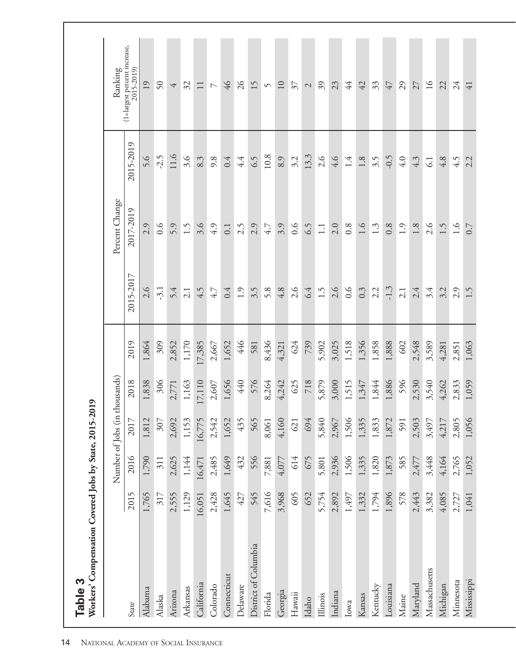<span id="page-25-0"></span>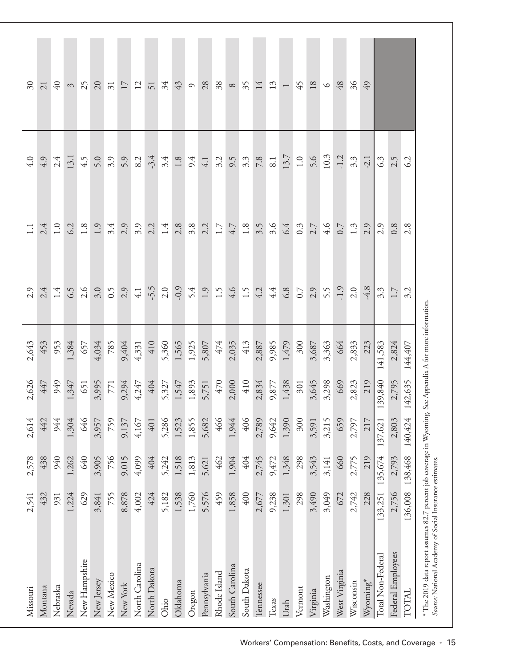| <b>Missouri</b>                                                                                                                                                      | 2,541   | 2,578   | 2,614   | 2,626   | 2,643   | 2.9              | $\Xi$   | 4.0      | $30\,$                   |
|----------------------------------------------------------------------------------------------------------------------------------------------------------------------|---------|---------|---------|---------|---------|------------------|---------|----------|--------------------------|
| Montana                                                                                                                                                              | 432     | 438     | 442     | 447     | 453     | 2.4              | 2.4     | 4.9      | 21                       |
| Nebraska                                                                                                                                                             | 931     | 940     | 944     | 949     | 953     | 1.4              | 1.0     | 2.4      | $\sqrt{40}$              |
| Nevada                                                                                                                                                               | 1,224   | 1,262   | 1,304   | 1,347   | 1,384   | 6.5              | 6.2     | 13.1     | $\mathfrak{S}$           |
| New Hampshire                                                                                                                                                        | 629     | 640     | 646     | 651     | 657     | 2.6              | $1.8\,$ | 4.5      | 25                       |
| New Jersey                                                                                                                                                           | 3,841   | 3,905   | 3,957   | 3,995   | 4,034   | 3.0              | 1.9     | 5.0      | 20                       |
| New Mexico                                                                                                                                                           | 755     | 756     | 759     | 771     | 785     | 6.5              | 3.4     | 3.9      | $\overline{\mathcal{E}}$ |
| New York                                                                                                                                                             | 8,878   | 9,015   | 9,137   | 9,294   | 9,404   | 2.9              | 2.9     | 5.9      | 17                       |
| North Carolina                                                                                                                                                       | 4,002   | 4,099   | 4,167   | 4,247   | 4,331   | $4.1\,$          | 3.9     | 8.2      | $\overline{12}$          |
| North Dakota                                                                                                                                                         | 424     | 404     | 401     | 404     | 410     | $-5.5$           | 2.2     | $-3.4$   | 51                       |
| Ohio                                                                                                                                                                 | 5,182   | 5,242   | 5,286   | 5,327   | 5,360   | 2.0              | 1.4     | 3.4      | 34                       |
| Oklahoma                                                                                                                                                             | 1,538   | 1,518   | 1,523   | 1,547   | 1,565   | $-0.9$           | 2.8     | $1.8\,$  | 43                       |
| Oregon                                                                                                                                                               | 1,760   | 1,813   | 1,855   | 1,893   | 1,925   | 5.4              | 3.8     | 9.4      | $\circ$                  |
| Pennsylvania                                                                                                                                                         | 5,576   | 5,621   | 5,682   | 5,751   | 5,807   | 1.9              | 2.2     | 4.1      | 28                       |
| Rhode Island                                                                                                                                                         | 459     | 462     | 466     | 470     | 474     | 1.5              | 1.7     | 3.2      | 38                       |
| South Carolina                                                                                                                                                       | 1,858   | 1,904   | 1,944   | 2,000   | 2,035   | 4.6              | 4.7     | 9.5      | $\infty$                 |
| South Dakota                                                                                                                                                         | 400     | 404     | 406     | 410     | 413     | 1.5              | $1.8\,$ | 3.3      | 35                       |
| Tennessee                                                                                                                                                            | 2,677   | 2,745   | 2,789   | 2,834   | 2,887   | 4.2              | 3.5     | $7.8\,$  | 14                       |
| Texas                                                                                                                                                                | 9,238   | 9,472   | 9,642   | 9,877   | 9,985   | 4.4              | 3.6     | 8.1      | $13\,$                   |
| Utah                                                                                                                                                                 | 1,301   | 1,348   | 1,390   | 1,438   | 1,479   | 6.8              | 6.4     | 13.7     | $\overline{ }$           |
| Vermont                                                                                                                                                              | 298     | 298     | 300     | $301$   | 300     | 0.7              | 0.3     | $1.0\,$  | 45                       |
| Virginia                                                                                                                                                             | 3,490   | 3,543   | 3,591   | 3,645   | 3,687   | 2.9              | 2.7     | 5.6      | $18\,$                   |
| Washington                                                                                                                                                           | 3,049   | 3,141   | 3,215   | 3,298   | 3,363   | 5.5              | 4.6     | $10.3\,$ | $\circ$                  |
| West Virginia                                                                                                                                                        | 672     | 660     | 659     | 669     | 664     | $-1.9$           | 0.7     | $-1.2$   | 48                       |
| Wisconsin                                                                                                                                                            | 2,742   | 2,775   | 2,797   | 2,823   | 2,833   | 2.0              | 1.3     | 3.3      | 36                       |
| $W$ yoming $^*$                                                                                                                                                      | 228     | 219     | 217     | 219     | 223     | $-4.8$           | 2.9     | $-2.1$   | 49                       |
| Total Non-Federal                                                                                                                                                    | 133,251 | 135,674 | 137,621 | 139,840 | 141,583 | $3.\overline{3}$ | 2.9     | 63       |                          |
| Federal Employees                                                                                                                                                    | 2,756   | 2,793   | 2,803   | 2,795   | 2,824   | 1.7              | 0.8     | 2.5      |                          |
| TOTAL                                                                                                                                                                | 136,008 | 138,468 | 140,424 | 142,635 | 144,407 | 3.2              | 2.8     | 6.2      |                          |
| * The 2019 data report assumes 82.7 percent job coverage in Wyoming. See Appendix A for more information.<br>Source: National Academy of Social Insurance estimates. |         |         |         |         |         |                  |         |          |                          |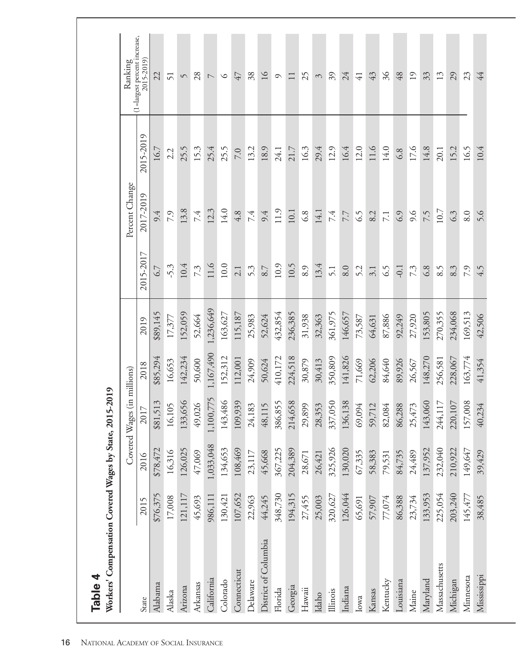<span id="page-27-0"></span>

|                      |          |           | Covered Wages (in millions) |           |           |           | Percent Change   |           | Ranking                                    |
|----------------------|----------|-----------|-----------------------------|-----------|-----------|-----------|------------------|-----------|--------------------------------------------|
| State                | 2015     | 2016      | 2017                        | 2018      | 2019      | 2015-2017 | 2017-2019        | 2015-2019 | (1=largest percent increase,<br>2015-2019) |
| Alabama              | \$76,375 | \$78,472  | \$81,513                    | \$85,294  | \$89,145  | 6.7       | 9.4              | 16.7      | 22                                         |
| Alaska               | 17,008   | 16,316    | 16,105                      | 16,653    | 17,377    | $-5.3$    | 7.9              | 2.2       | 51                                         |
| Arizona              | 121,117  | 126,025   | 133,656                     | 142,234   | 152,059   | 10.4      | 13.8             | 25.5      | $\sqrt{ }$                                 |
| Arkansas             | 45,693   | 47,069    | 49,026                      | 50,600    | 52,664    | 7.3       | 7.4              | 15.3      | 28                                         |
| California           | 986,111  | 1,033,048 | 1,100,775                   | 1,167,490 | 1,236,649 | 11.6      | 12.3             | 25.4      | $\overline{\phantom{0}}$                   |
| Colorado             | 130,421  | 134,653   | 143,486                     | 152,312   | 163,627   | 10.0      | 14.0             | 25.5      | $\circ$                                    |
| Connecticut          | 107,652  | 108,469   | 109,939                     | 112,001   | 115,187   | 2.1       | 4.8              | 7.0       | 47                                         |
| Delaware             | 22,963   | 23,117    | 24,183                      | 24,909    | 25,983    | 5.3       | 7.4              | 13.2      | 38                                         |
| District of Columbia | 44,245   | 45,668    | 48,115                      | 50,624    | 52,624    | 8.7       | 9.4              | 18.9      | 16                                         |
| Florida              | 348,730  | 367,225   | 386,855                     | 410,172   | 432,854   | 10.9      | 11.9             | 24.1      | $\circ$                                    |
| Georgia              | 194,315  | 204,389   | 214,658                     | 224,518   | 236,385   | 10.5      | 10.1             | 21.7      | $\Box$                                     |
| Hawaii               | 27,455   | 28,671    | 29,899                      | 30,879    | 31,938    | 8.9       | 6.8              | 16.3      | 25                                         |
| Idaho                | 25,003   | 26,421    | 28,353                      | 30,413    | 32,363    | 13.4      | 14.1             | 29.4      | 3                                          |
| Illinois             | 320,627  | 325,926   | 337,050                     | 350,809   | 361,975   | 5.1       | 7.4              | 12.9      | 39                                         |
| Indiana              | 126,044  | 130,020   | 136,138                     | 141,826   | 146,657   | 8.0       | 7.7              | 16.4      | 24                                         |
| Iowa                 | 65,691   | 67,335    | 69,094                      | 71,669    | 73,587    | 5.2       | $\widetilde{c}$  | 12.0      | $\overline{41}$                            |
| Kansas               | 57,907   | 58,383    | 59,712                      | 62,206    | 64,631    | 3.1       | 8.2              | 11.6      | 43                                         |
| Kentucky             | 77,074   | 79,531    | 82,084                      | 84,640    | 87,886    | 6.5       | $\overline{7.1}$ | 14.0      | 36                                         |
| Louisiana            | 86,388   | 84,735    | 86,288                      | 89,926    | 92,249    | $-0.1$    | 6.9              | 6.8       | 48                                         |
| Maine                | 23,734   | 24,489    | 25,473                      | 26,567    | 27,920    | 7.3       | 9.6              | 17.6      | 19                                         |
| Maryland             | 133,953  | 137,952   | 143,060                     | 148,270   | 153,805   | 6.8       | 7.5              | 14.8      | 33                                         |
| Massachusetts        | 225,054  | 232,040   | 244,117                     | 256,581   | 270,355   | 8.5       | $10.7\,$         | 20.1      | 13                                         |
| Michigan             | 203,240  | 210,922   | 220,107                     | 228,067   | 234,068   | 8.3       | 6.3              | 15.2      | 29                                         |
| Minnesota            | 145,477  | 149,647   | 157,008                     | 163,774   | 169,513   | 7.9       | 8.0              | 16.5      | 23                                         |
| Mississippi          | 38,485   | 39,429    | 40,234                      | 41,354    | 42,506    | 4.5       | 5.6              | 10.4      | 44                                         |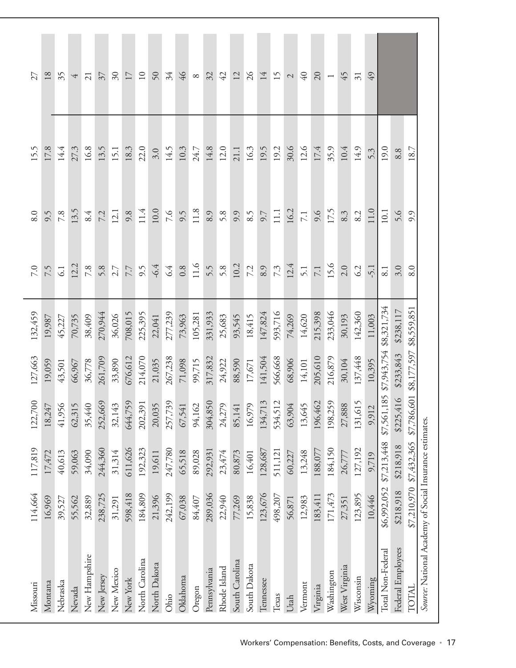| Missouri                                               | 114,664     | 117,819                 | 122,700     | 127,663     | 132,459     | $7.0\,$ | 8.0  | 15.5     | 27                       |
|--------------------------------------------------------|-------------|-------------------------|-------------|-------------|-------------|---------|------|----------|--------------------------|
| Montana                                                | 16,969      | 17,472                  | 18,247      | 19,059      | 19,987      | 7.5     | 9.5  | 17.8     | 18                       |
| Nebraska                                               | 39,527      | 40,613                  | 41,956      | 43,501      | 45,227      | 61      | 7.8  | 14.4     | 35                       |
| Nevada                                                 | 55,562      | 59,063                  | 62,315      | 66,967      | 70,735      | 12.2    | 13.5 | 27.3     | 4                        |
| New Hampshire                                          | 32,889      | 34,090                  | 35,440      | 36,778      | 38,409      | 7.8     | 8.4  | 16.8     | $\overline{21}$          |
| New Jersey                                             | 238,725     | 244,360                 | 252,669     | 261,709     | 270,944     | 5.8     | 7.2  | 13.5     | 37                       |
| New Mexico                                             | 31,291      | 31,314                  | 32,143      | 33,890      | 36,026      | 2.7     | 12.1 | 15.1     | $\mathfrak{S}0$          |
| New York                                               | 598,418     | 611,626                 | 644,759     | 676,612     | 708,015     | 7.7     | 9.8  | 18.3     | 17                       |
| North Carolina                                         | 184,809     | 192,323                 | 202,391     | 214,070     | 225,395     | 9.5     | 11.4 | 22.0     | $10$                     |
| North Dakota                                           | 21,396      | 19,611                  | 20,035      | 21,035      | 22,041      | $-6.4$  | 10.0 | 3.0      | 50                       |
| Ohio                                                   | 242,199     | 247,780                 | 257,739     | 267,238     | 277,239     | 6.4     | 7.6  | 14.5     | 34                       |
| Oklahoma                                               | 67,038      | 65,518                  | 67,541      | 71,098      | 73,963      | 0.8     | 9.5  | 10.3     | 46                       |
| Oregon                                                 | 84,407      | 89,028                  | 94,162      | 99,715      | 105,281     | 11.6    | 11.8 | 24.7     | $\infty$                 |
| Pennsylvania                                           | 289,036     | 292,931                 | 304,850     | 317,832     | 331,933     | 5.5     | 8.9  | 14.8     | 32                       |
| Rhode Island                                           | 22,940      | 23,474                  | 24,279      | 24,922      | 25,683      | 5.8     | 5.8  | 12.0     | 42                       |
| South Carolina                                         | 77,269      | 80,873                  | 85,141      | 88,590      | 93,545      | 10.2    | 9.9  | 21.1     | 12                       |
| South Dakota                                           | 15,838      | 16,401                  | 16,979      | 17,671      | 18,415      | 7.2     | 8.5  | 16.3     | 26                       |
| Tennessee                                              | 123,676     | 128,687                 | 134,713     | 141,504     | 147,824     | 8.9     | 9.7  | 19.5     | 14                       |
| Texas                                                  | 498,207     | 511,121                 | 534,512     | 566,668     | 593,716     | 73      | 11.1 | 19.2     | 15                       |
| Utah                                                   | 56,871      | 60,227                  | 63,904      | 68,906      | 74,269      | 12.4    | 16.2 | 30.6     | $\mathcal{L}$            |
| Vermont                                                | 12,983      | 13,248                  | 13,645      | 14,101      | 14,620      | 5.1     | 7.1  | 12.6     | 40                       |
| Virginia                                               | 183,411     | 188,077                 | 196,462     | 205,610     | 215,398     | $7.1\,$ | 9.6  | 17.4     | 20                       |
| Washington                                             | 171,473     | 184,150                 | 198,259     | 216,879     | 233,046     | 15.6    | 17.5 | 35.9     | $\overline{\phantom{0}}$ |
| West Virginia                                          | 27,351      | 26,777                  | 27,888      | 30,104      | 30,193      | 2.0     | 8.3  | 10.4     | 45                       |
| Wisconsin                                              | 123,895     | 127,192                 | 131,615     | 137,448     | 142,360     | 62      | 8.2  | 14.9     | $\overline{31}$          |
| Wyoming                                                | 10,446      | 9,719                   | 9,912       | 10,395      | 11,003      | $-5.1$  | 11.0 | 5.3      | 49                       |
| Total Non-Federal                                      | \$6,992,052 | \$7,213,448             | \$7,561,185 | \$7,943,754 | \$8,321,734 | 8.1     | 10.1 | 19.0     |                          |
| Federal Employees                                      |             | \$218,918 \$218,918     | \$225,416   | \$233,843   | \$238,117   | 3.0     | 5.6  | 8.8      |                          |
| <b>INIOTA</b>                                          |             | \$7,210,970 \$7,432,365 | \$7,786,60  | \$8,177,597 | \$8,559,851 | 8.0     | 9.9  | $18.7\,$ |                          |
| Source: National Academy of Social Insurance estimates |             |                         |             |             |             |         |      |          |                          |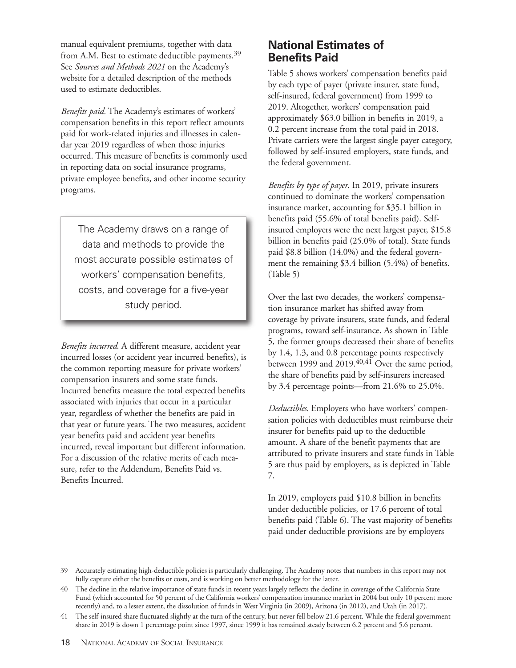manual equivalent premiums, together with data from A.M. Best to estimate deductible payments.<sup>39</sup> See *Sources and Methods 2021* on the Academy's website for a detailed description of the methods used to estimate deductibles.

*Benefits paid.* The Academy's estimates of workers' compensation benefits in this report reflect amounts paid for work-related injuries and illnesses in calendar year 2019 regardless of when those injuries occurred. This measure of benefits is commonly used in reporting data on social insurance programs, private employee benefits, and other income security programs.

The Academy draws on a range of data and methods to provide the most accurate possible estimates of workers' compensation benefits, costs, and coverage for a five-year study period.

*Benefits incurred.* A different measure, accident year incurred losses (or accident year incurred benefits), is the common reporting measure for private workers' compensation insurers and some state funds. Incurred benefits measure the total expected benefits associated with injuries that occur in a particular year, regardless of whether the benefits are paid in that year or future years. The two measures, accident year benefits paid and accident year benefits incurred, reveal important but different information. For a discussion of the relative merits of each measure, refer to the Addendum, Benefits Paid vs. Benefits Incurred.

## **National Estimates of Benefits Paid**

Table 5 shows workers' compensation benefits paid by each type of payer (private insurer, state fund, self-insured, federal government) from 1999 to 2019. Altogether, workers' compensation paid approximately \$63.0 billion in benefits in 2019, a 0.2 percent increase from the total paid in 2018. Private carriers were the largest single payer category, followed by self-insured employers, state funds, and the federal government.

*Benefits by type of payer*. In 2019, private insurers continued to dominate the workers' compensation insurance market, accounting for \$35.1 billion in benefits paid (55.6% of total benefits paid). Selfinsured employers were the next largest payer, \$15.8 billion in benefits paid (25.0% of total). State funds paid \$8.8 billion (14.0%) and the federal government the remaining \$3.4 billion (5.4%) of benefits. (Table 5)

Over the last two decades, the workers' compensation insurance market has shifted away from coverage by private insurers, state funds, and federal programs, toward self-insurance. As shown in Table 5, the former groups decreased their share of benefits by 1.4, 1.3, and 0.8 percentage points respectively between 1999 and 2019.<sup>40,41</sup> Over the same period, the share of benefits paid by self-insurers increased by 3.4 percentage points—from 21.6% to 25.0%.

*Deductibles.* Employers who have workers' compensation policies with deductibles must reimburse their insurer for benefits paid up to the deductible amount. A share of the benefit payments that are attributed to private insurers and state funds in Table 5 are thus paid by employers, as is depicted in Table 7.

In 2019, employers paid \$10.8 billion in benefits under deductible policies, or 17.6 percent of total benefits paid (Table 6). The vast majority of benefits paid under deductible provisions are by employers

<sup>39</sup> Accurately estimating high-deductible policies is particularly challenging. The Academy notes that numbers in this report may not fully capture either the benefits or costs, and is working on better methodology for the latter.

<sup>40</sup> The decline in the relative importance of state funds in recent years largely reflects the decline in coverage of the California State Fund (which accounted for 50 percent of the California workers' compensation insurance market in 2004 but only 10 percent more recently) and, to a lesser extent, the dissolution of funds in West Virginia (in 2009), Arizona (in 2012), and Utah (in 2017).

<sup>41</sup> The self-insured share fluctuated slightly at the turn of the century, but never fell below 21.6 percent. While the federal government share in 2019 is down 1 percentage point since 1997, since 1999 it has remained steady between 6.2 percent and 5.6 percent.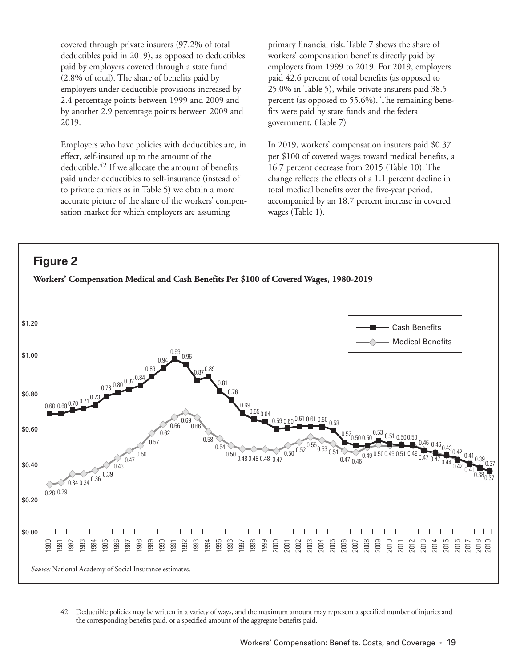<span id="page-30-0"></span>covered through private insurers (97.2% of total deductibles paid in 2019), as opposed to deductibles paid by employers covered through a state fund (2.8% of total). The share of benefits paid by employers under deductible provisions increased by 2.4 percentage points between 1999 and 2009 and by another 2.9 percentage points between 2009 and 2019.

Employers who have policies with deductibles are, in effect, self-insured up to the amount of the deductible.42 If we allocate the amount of benefits paid under deductibles to self-insurance (instead of to private carriers as in Table 5) we obtain a more accurate picture of the share of the workers' compensation market for which employers are assuming

primary financial risk. Table 7 shows the share of workers' compensation benefits directly paid by employers from 1999 to 2019. For 2019, employers paid 42.6 percent of total benefits (as opposed to 25.0% in Table 5), while private insurers paid 38.5 percent (as opposed to 55.6%). The remaining benefits were paid by state funds and the federal government. (Table 7)

In 2019, workers' compensation insurers paid \$0.37 per \$100 of covered wages toward medical benefits, a 16.7 percent decrease from 2015 (Table 10). The change reflects the effects of a 1.1 percent decline in total medical benefits over the five-year period, accompanied by an 18.7 percent increase in covered wages (Table 1).



<sup>42</sup> Deductible policies may be written in a variety of ways, and the maximum amount may represent a specified number of injuries and the corresponding benefits paid, or a specified amount of the aggregate benefits paid.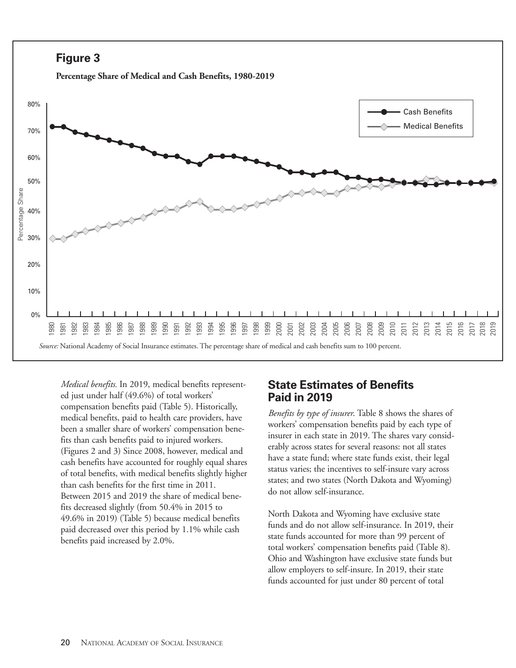<span id="page-31-0"></span>

**Percentage Share of Medical and Cash Benefits, 1980-2019**



*Medical benefits.* In 2019, medical benefits represented just under half (49.6%) of total workers' compensation benefits paid (Table 5). Historically, medical benefits, paid to health care providers, have been a smaller share of workers' compensation benefits than cash benefits paid to injured workers. (Figures 2 and 3) Since 2008, however, medical and cash benefits have accounted for roughly equal shares of total benefits, with medical benefits slightly higher than cash benefits for the first time in 2011. Between 2015 and 2019 the share of medical benefits decreased slightly (from 50.4% in 2015 to 49.6% in 2019) (Table 5) because medical benefits paid decreased over this period by 1.1% while cash benefits paid increased by 2.0%.

### **State Estimates of Benefits Paid in 2019**

*Benefits by type of insurer*. Table 8 shows the shares of workers' compensation benefits paid by each type of insurer in each state in 2019. The shares vary considerably across states for several reasons: not all states have a state fund; where state funds exist, their legal status varies; the incentives to self-insure vary across states; and two states (North Dakota and Wyoming) do not allow self-insurance.

North Dakota and Wyoming have exclusive state funds and do not allow self-insurance. In 2019, their state funds accounted for more than 99 percent of total workers' compensation benefits paid (Table 8). Ohio and Washington have exclusive state funds but allow employers to self-insure. In 2019, their state funds accounted for just under 80 percent of total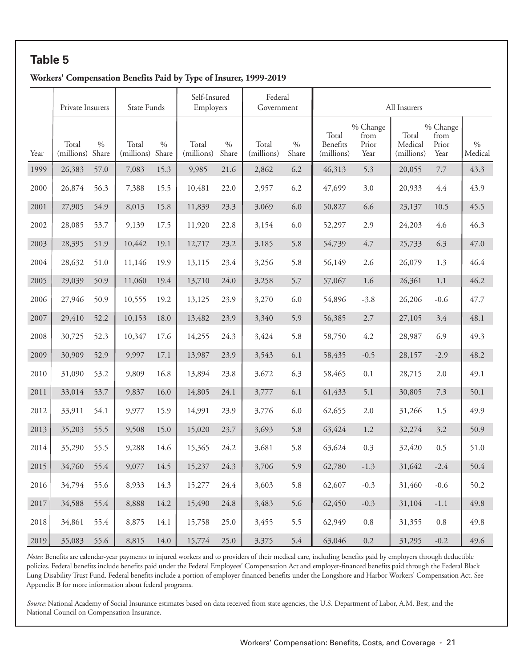#### <span id="page-32-0"></span>**Workers' Compensation Benefits Paid by Type of Insurer, 1999-2019**

|      | Private Insurers    |               | State Funds         |               | Self-Insured<br>Employers |                     | Federal<br>Government |                |                                 |                                   | All Insurers                   |                                   |                      |
|------|---------------------|---------------|---------------------|---------------|---------------------------|---------------------|-----------------------|----------------|---------------------------------|-----------------------------------|--------------------------------|-----------------------------------|----------------------|
| Year | Total<br>(millions) | $\%$<br>Share | Total<br>(millions) | $\%$<br>Share | Total<br>(millions)       | $0\!/\!_0$<br>Share | Total<br>(millions)   | $0/0$<br>Share | Total<br>Benefits<br>(millions) | % Change<br>from<br>Prior<br>Year | Total<br>Medical<br>(millions) | % Change<br>from<br>Prior<br>Year | $0\!/\!0$<br>Medical |
| 1999 | 26,383              | 57.0          | 7,083               | 15.3          | 9,985                     | 21.6                | 2,862                 | 6.2            | 46,313                          | 5.3                               | 20,055                         | 7.7                               | 43.3                 |
| 2000 | 26,874              | 56.3          | 7,388               | 15.5          | 10,481                    | 22.0                | 2,957                 | 6.2            | 47,699                          | 3.0                               | 20,933                         | 4.4                               | 43.9                 |
| 2001 | 27,905              | 54.9          | 8,013               | 15.8          | 11,839                    | 23.3                | 3,069                 | 6.0            | 50,827                          | 6.6                               | 23,137                         | 10.5                              | 45.5                 |
| 2002 | 28,085              | 53.7          | 9,139               | 17.5          | 11,920                    | 22.8                | 3,154                 | 6.0            | 52,297                          | 2.9                               | 24,203                         | 4.6                               | 46.3                 |
| 2003 | 28,395              | 51.9          | 10,442              | 19.1          | 12,717                    | 23.2                | 3,185                 | 5.8            | 54,739                          | 4.7                               | 25,733                         | 6.3                               | 47.0                 |
| 2004 | 28,632              | 51.0          | 11,146              | 19.9          | 13,115                    | 23.4                | 3,256                 | 5.8            | 56,149                          | 2.6                               | 26,079                         | 1.3                               | 46.4                 |
| 2005 | 29,039              | 50.9          | 11,060              | 19.4          | 13,710                    | 24.0                | 3,258                 | 5.7            | 57,067                          | 1.6                               | 26,361                         | 1.1                               | 46.2                 |
| 2006 | 27,946              | 50.9          | 10,555              | 19.2          | 13,125                    | 23.9                | 3,270                 | 6.0            | 54,896                          | $-3.8$                            | 26,206                         | $-0.6$                            | 47.7                 |
| 2007 | 29,410              | 52.2          | 10,153              | 18.0          | 13,482                    | 23.9                | 3,340                 | 5.9            | 56,385                          | 2.7                               | 27,105                         | 3.4                               | 48.1                 |
| 2008 | 30,725              | 52.3          | 10,347              | 17.6          | 14,255                    | 24.3                | 3,424                 | 5.8            | 58,750                          | 4.2                               | 28,987                         | 6.9                               | 49.3                 |
| 2009 | 30,909              | 52.9          | 9,997               | 17.1          | 13,987                    | 23.9                | 3,543                 | 6.1            | 58,435                          | $-0.5$                            | 28,157                         | $-2.9$                            | 48.2                 |
| 2010 | 31,090              | 53.2          | 9,809               | 16.8          | 13,894                    | 23.8                | 3,672                 | 6.3            | 58,465                          | 0.1                               | 28,715                         | 2.0                               | 49.1                 |
| 2011 | 33,014              | 53.7          | 9,837               | 16.0          | 14,805                    | 24.1                | 3,777                 | 6.1            | 61,433                          | 5.1                               | 30,805                         | 7.3                               | 50.1                 |
| 2012 | 33,911              | 54.1          | 9,977               | 15.9          | 14,991                    | 23.9                | 3,776                 | 6.0            | 62,655                          | 2.0                               | 31,266                         | 1.5                               | 49.9                 |
| 2013 | 35,203              | 55.5          | 9,508               | 15.0          | 15,020                    | 23.7                | 3,693                 | 5.8            | 63,424                          | 1.2                               | 32,274                         | 3.2                               | 50.9                 |
| 2014 | 35,290              | 55.5          | 9,288               | 14.6          | 15,365                    | 24.2                | 3,681                 | 5.8            | 63,624                          | 0.3                               | 32,420                         | 0.5                               | 51.0                 |
| 2015 | 34,760              | 55.4          | 9,077               | 14.5          | 15,237                    | 24.3                | 3,706                 | 5.9            | 62,780                          | $-1.3$                            | 31,642                         | $-2.4$                            | 50.4                 |
| 2016 | 34,794              | 55.6          | 8,933               | 14.3          | 15,277                    | 24.4                | 3,603                 | 5.8            | 62,607                          | $-0.3$                            | 31,460                         | $-0.6$                            | 50.2                 |
| 2017 | 34,588              | 55.4          | 8,888               | 14.2          | 15,490                    | 24.8                | 3,483                 | 5.6            | 62,450                          | $-0.3$                            | 31,104                         | $-1.1$                            | 49.8                 |
| 2018 | 34,861              | 55.4          | 8,875               | 14.1          | 15,758                    | 25.0                | 3,455                 | 5.5            | 62,949                          | $0.8\,$                           | 31,355                         | $0.8\,$                           | 49.8                 |
| 2019 | 35,083              | 55.6          | 8,815               | 14.0          | 15,774                    | 25.0                | 3,375                 | 5.4            | 63,046                          | $0.2\,$                           | 31,295                         | $-0.2$                            | 49.6                 |

*Notes*: Benefits are calendar-year payments to injured workers and to providers of their medical care, including benefits paid by employers through deductible policies. Federal benefits include benefits paid under the Federal Employees' Compensation Act and employer-financed benefits paid through the Federal Black Lung Disability Trust Fund. Federal benefits include a portion of employer-financed benefits under the Longshore and Harbor Workers' Compensation Act. See Appendix B for more information about federal programs.

*Source:* National Academy of Social Insurance estimates based on data received from state agencies, the U.S. Department of Labor, A.M. Best, and the National Council on Compensation Insurance.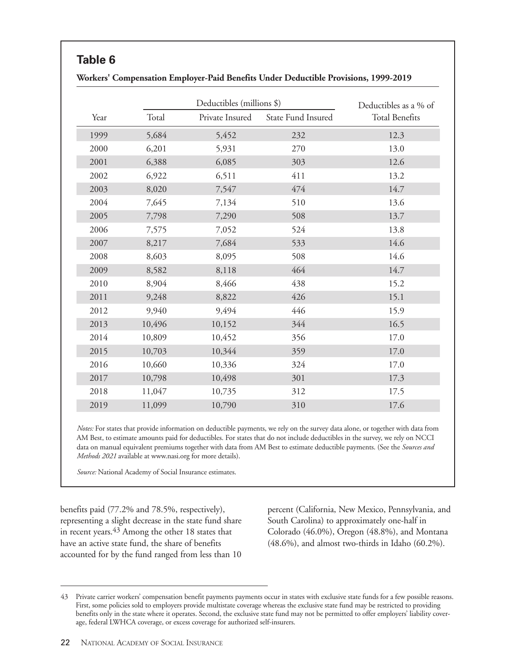<span id="page-33-0"></span>

|      |        | Deductibles (millions \$) |                    | Deductibles as a % of |
|------|--------|---------------------------|--------------------|-----------------------|
| Year | Total  | Private Insured           | State Fund Insured | <b>Total Benefits</b> |
| 1999 | 5,684  | 5,452                     | 232                | 12.3                  |
| 2000 | 6,201  | 5,931                     | 270                | 13.0                  |
| 2001 | 6,388  | 6,085                     | 303                | 12.6                  |
| 2002 | 6,922  | 6,511                     | 411                | 13.2                  |
| 2003 | 8,020  | 7,547                     | 474                | 14.7                  |
| 2004 | 7,645  | 7,134                     | 510                | 13.6                  |
| 2005 | 7,798  | 7,290                     | 508                | 13.7                  |
| 2006 | 7,575  | 7,052                     | 524                | 13.8                  |
| 2007 | 8,217  | 7,684                     | 533                | 14.6                  |
| 2008 | 8,603  | 8,095                     | 508                | 14.6                  |
| 2009 | 8,582  | 8,118                     | 464                | 14.7                  |
| 2010 | 8,904  | 8,466                     | 438                | 15.2                  |
| 2011 | 9,248  | 8,822                     | 426                | 15.1                  |
| 2012 | 9,940  | 9,494                     | 446                | 15.9                  |
| 2013 | 10,496 | 10,152                    | 344                | 16.5                  |
| 2014 | 10,809 | 10,452                    | 356                | 17.0                  |
| 2015 | 10,703 | 10,344                    | 359                | 17.0                  |
| 2016 | 10,660 | 10,336                    | 324                | 17.0                  |
| 2017 | 10,798 | 10,498                    | 301                | 17.3                  |
| 2018 | 11,047 | 10,735                    | 312                | 17.5                  |
| 2019 | 11,099 | 10,790                    | 310                | 17.6                  |

*Notes:* For states that provide information on deductible payments, we rely on the survey data alone, or together with data from AM Best, to estimate amounts paid for deductibles. For states that do not include deductibles in the survey, we rely on NCCI data on manual equivalent premiums together with data from AM Best to estimate deductible payments. (See the *Sources and Methods 2021* available at www.nasi.org for more details).

*Source:* National Academy of Social Insurance estimates.

benefits paid (77.2% and 78.5%, respectively), representing a slight decrease in the state fund share in recent years.43 Among the other 18 states that have an active state fund, the share of benefits accounted for by the fund ranged from less than 10 percent (California, New Mexico, Pennsylvania, and South Carolina) to approximately one-half in Colorado (46.0%), Oregon (48.8%), and Montana (48.6%), and almost two-thirds in Idaho (60.2%).

<sup>43</sup> Private carrier workers' compensation benefit payments payments occur in states with exclusive state funds for a few possible reasons. First, some policies sold to employers provide multistate coverage whereas the exclusive state fund may be restricted to providing benefits only in the state where it operates. Second, the exclusive state fund may not be permitted to offer employers' liability coverage, federal LWHCA coverage, or excess coverage for authorized self-insurers.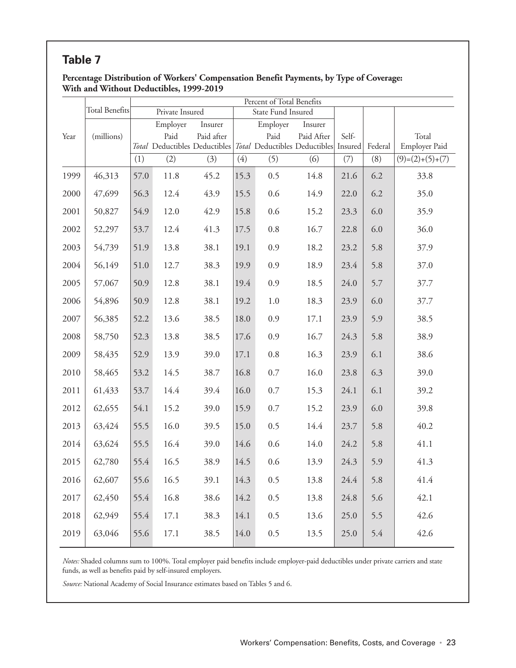#### <span id="page-34-0"></span>**Percentage Distribution of Workers' Compensation Benefit Payments, by Type of Coverage: With and Without Deductibles, 1999-2019**

|      |                       |      |                 |                                                                                   |      | Percent of Total Benefits |            |       |         |                        |
|------|-----------------------|------|-----------------|-----------------------------------------------------------------------------------|------|---------------------------|------------|-------|---------|------------------------|
|      | <b>Total Benefits</b> |      | Private Insured |                                                                                   |      | State Fund Insured        |            |       |         |                        |
|      |                       |      | Employer        | Insurer                                                                           |      | Employer                  | Insurer    |       |         |                        |
| Year | (millions)            |      | Paid            | Paid after<br>Total Deductibles Deductibles Total Deductibles Deductibles Insured |      | Paid                      | Paid After | Self- | Federal | Total<br>Employer Paid |
|      |                       | (1)  | (2)             | (3)                                                                               | (4)  | (5)                       | (6)        | (7)   | (8)     | $(9)=(2)+(5)+(7)$      |
| 1999 | 46,313                | 57.0 | 11.8            | 45.2                                                                              | 15.3 | 0.5                       | 14.8       | 21.6  | 6.2     | 33.8                   |
| 2000 | 47,699                | 56.3 | 12.4            | 43.9                                                                              | 15.5 | 0.6                       | 14.9       | 22.0  | 6.2     | 35.0                   |
| 2001 | 50,827                | 54.9 | 12.0            | 42.9                                                                              | 15.8 | 0.6                       | 15.2       | 23.3  | 6.0     | 35.9                   |
| 2002 | 52,297                | 53.7 | 12.4            | 41.3                                                                              | 17.5 | $0.8\,$                   | 16.7       | 22.8  | 6.0     | 36.0                   |
| 2003 | 54,739                | 51.9 | 13.8            | 38.1                                                                              | 19.1 | 0.9                       | 18.2       | 23.2  | 5.8     | 37.9                   |
| 2004 | 56,149                | 51.0 | 12.7            | 38.3                                                                              | 19.9 | 0.9                       | 18.9       | 23.4  | 5.8     | 37.0                   |
| 2005 | 57,067                | 50.9 | 12.8            | 38.1                                                                              | 19.4 | 0.9                       | 18.5       | 24.0  | 5.7     | 37.7                   |
| 2006 | 54,896                | 50.9 | 12.8            | 38.1                                                                              | 19.2 | 1.0                       | 18.3       | 23.9  | 6.0     | 37.7                   |
| 2007 | 56,385                | 52.2 | 13.6            | 38.5                                                                              | 18.0 | 0.9                       | 17.1       | 23.9  | 5.9     | 38.5                   |
| 2008 | 58,750                | 52.3 | 13.8            | 38.5                                                                              | 17.6 | 0.9                       | 16.7       | 24.3  | 5.8     | 38.9                   |
| 2009 | 58,435                | 52.9 | 13.9            | 39.0                                                                              | 17.1 | $0.8\,$                   | 16.3       | 23.9  | 6.1     | 38.6                   |
| 2010 | 58,465                | 53.2 | 14.5            | 38.7                                                                              | 16.8 | $0.7\,$                   | 16.0       | 23.8  | 6.3     | 39.0                   |
| 2011 | 61,433                | 53.7 | 14.4            | 39.4                                                                              | 16.0 | $0.7\,$                   | 15.3       | 24.1  | 6.1     | 39.2                   |
| 2012 | 62,655                | 54.1 | 15.2            | 39.0                                                                              | 15.9 | $0.7\,$                   | 15.2       | 23.9  | 6.0     | 39.8                   |
| 2013 | 63,424                | 55.5 | 16.0            | 39.5                                                                              | 15.0 | 0.5                       | 14.4       | 23.7  | 5.8     | 40.2                   |
| 2014 | 63,624                | 55.5 | 16.4            | 39.0                                                                              | 14.6 | 0.6                       | 14.0       | 24.2  | 5.8     | 41.1                   |
| 2015 | 62,780                | 55.4 | 16.5            | 38.9                                                                              | 14.5 | 0.6                       | 13.9       | 24.3  | 5.9     | 41.3                   |
| 2016 | 62,607                | 55.6 | 16.5            | 39.1                                                                              | 14.3 | 0.5                       | 13.8       | 24.4  | 5.8     | 41.4                   |
| 2017 | 62,450                | 55.4 | 16.8            | 38.6                                                                              | 14.2 | 0.5                       | 13.8       | 24.8  | 5.6     | 42.1                   |
| 2018 | 62,949                | 55.4 | 17.1            | 38.3                                                                              | 14.1 | 0.5                       | 13.6       | 25.0  | 5.5     | 42.6                   |
| 2019 | 63,046                | 55.6 | 17.1            | 38.5                                                                              | 14.0 | 0.5                       | 13.5       | 25.0  | 5.4     | 42.6                   |

*Notes:* Shaded columns sum to 100%. Total employer paid benefits include employer-paid deductibles under private carriers and state funds, as well as benefits paid by self-insured employers.

*Source:* National Academy of Social Insurance estimates based on Tables 5 and 6.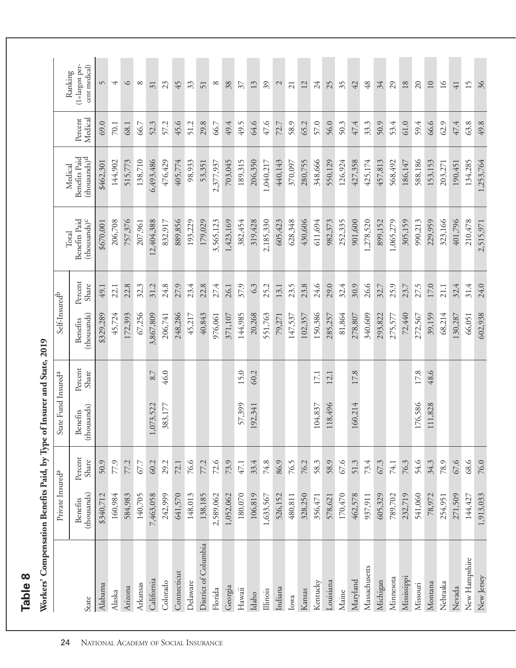<span id="page-35-0"></span>

| Workers' Compensation Benefits Paid, by Type of Insurer and State, 2019 |                                |                  |                                 |                  |                                |                  |                                                    |                                           |                    |                                             |
|-------------------------------------------------------------------------|--------------------------------|------------------|---------------------------------|------------------|--------------------------------|------------------|----------------------------------------------------|-------------------------------------------|--------------------|---------------------------------------------|
|                                                                         | Private Insured <sup>a</sup>   |                  | State Fund Insured <sup>a</sup> |                  | Self-Insured <sup>b</sup>      |                  |                                                    | Medical                                   |                    |                                             |
| State                                                                   | (thousands)<br><b>Benefits</b> | Percent<br>Share | (thousands)<br>Benefits         | Percent<br>Share | (thousands)<br><b>Benefits</b> | Percent<br>Share | Benefits Paid<br>(thousands) <sup>c</sup><br>Total | Benefits Paid<br>(thousands) <sup>d</sup> | Medical<br>Percent | (1=largest per-<br>cent medical)<br>Ranking |
| Alabama                                                                 | \$340,712                      | 50.9             |                                 |                  | \$329,289                      | 49.1             | \$670,001                                          | \$462,301                                 | 69.0               | $\sqrt{2}$                                  |
| Alaska                                                                  | 160,984                        | 77.9             |                                 |                  | 45,724                         | 22.1             | 206,708                                            | 144,902                                   | 70.1               | 4                                           |
| Arizona                                                                 | 584,983                        | 77.2             |                                 |                  | 172,393                        | 22.8             | 757,376                                            | 515,773                                   | 68.1               | $\circ$                                     |
| Arkansas                                                                | 140,705                        | 67.7             |                                 |                  | 67,256                         | 32.3             | 207,961                                            | 138,710                                   | 66.7               | $\infty$                                    |
| California                                                              | 7,463,058                      | 60.2             | ,073,522                        | 8.7              | 3,867,809                      | 31.2             | 12,404,388                                         | 6,493,486                                 | 52.3               | $\overline{31}$                             |
| Colorado                                                                | 242,999                        | 29.2             | 383,177                         | 46.0             | 206,741                        | 24.8             | 832,917                                            | 476,429                                   | 57.2               | 23                                          |
| Connecticut                                                             | 641,570                        | 72.1             |                                 |                  | 248,286                        | 27.9             | 889,856                                            | 405,774                                   | 45.6               | 45                                          |
| Delaware                                                                | 148,013                        | 76.6             |                                 |                  | 45,217                         | 23.4             | 193,229                                            | 98,933                                    | 51.2               | 33                                          |
| District of Columbia                                                    | 138,185                        | 77.2             |                                 |                  | 40,843                         | 22.8             | 179,029                                            | 53,351                                    | 29.8               | 51                                          |
| Florida                                                                 | 2,589,062                      | 72.6             |                                 |                  | 976,061                        | 27.4             | 3,565,123                                          | 2,377,937                                 | 66.7               | $\infty$                                    |
| Georgia                                                                 | 1,052,062                      | 73.9             |                                 |                  | 371,107                        | 26.1             | 1,423,169                                          | 703,045                                   | 49.4               | 38                                          |
| $H$ awaii                                                               | 180,070                        | 47.1             | 57,399                          | 15.0             | 144,985                        | 37.9             | 382,454                                            | 189,315                                   | 49.5               | $\mathcal{E}$                               |
| Idaho                                                                   | 106,819                        | 33.4             | 192,341                         | 60.2             | 20,268                         | 6.3              | 319,428                                            | 206,350                                   | 64.6               | 13                                          |
| Illinois                                                                | 1,633,567                      | 74.8             |                                 |                  | 551,763                        | 25.2             | 2,185,330                                          | 1,040,217                                 | 47.6               | 39                                          |
| Indiana                                                                 | 526,152                        | 86.9             |                                 |                  | 79,271                         | 13.1             | 605,423                                            | 440,143                                   | 72.7               | $\mathcal{L}$                               |
| Iowa                                                                    | 480,811                        | 76.5             |                                 |                  | 147,537                        | 23.5             | 628,348                                            | 370,097                                   | 58.9               | 21                                          |
| Kansas                                                                  | 328,250                        | 76.2             |                                 |                  | 102,357                        | 23.8             | 430,606                                            | 280,755                                   | 65.2               | $\overline{12}$                             |
| Kentucky                                                                | 356,471                        | 58.3             | 104,837                         | 17.1             | 150,386                        | 24.6             | 611,694                                            | 348,666                                   | 57.0               | 24                                          |
| Louisiana                                                               | 578,621                        | 58.9             | 118,496                         | 12.1             | 285,257                        | 29.0             | 982,373                                            | 550,129                                   | 56.0               | 25                                          |
| Maine                                                                   | 170,470                        | 67.6             |                                 |                  | 81,864                         | 32.4             | 252,335                                            | 126,924                                   | 50.3               | 35                                          |
| Maryland                                                                | 462,578                        | 51.3             | 160,214                         | 17.8             | 278,807                        | 30.9             | 901,600                                            | 427,358                                   | 47.4               | 42                                          |
| Massachusetts                                                           | 937,911                        | 73.4             |                                 |                  | 340,609                        | 26.6             | 1,278,520                                          | 425,174                                   | 33.3               | 48                                          |
| Michigan                                                                | 605,329                        | 67.3             |                                 |                  | 293,822                        | 32.7             | 899,152                                            | 457,813                                   | 50.9               | 34                                          |
| Minnesota                                                               | 789,702                        | 74.1             |                                 |                  | 275,577                        | 25.9             | 1,065,279                                          | 568,492                                   | 53.4               | 29                                          |
| Mississippi                                                             | 232,719                        | 76.3             |                                 |                  | 72,440                         | 23.7             | 305,159                                            | 186,147                                   | $61.0$             | $18\,$                                      |
| Missouri                                                                | 541,060                        | 54.6             | 176,586                         | 17.8             | 272,567                        | 27.5             | 990,213                                            | 588,186                                   | 59.4               | 20                                          |
| Montana                                                                 | 78,972                         | 34.3             | 111,828                         | 48.6             | 39,159                         | 17.0             | 229,959                                            | 153,153                                   | 66.6               | 10                                          |
| Nebraska                                                                | 254,951                        | 78.9             |                                 |                  | 68,214                         | 21.1             | 323,166                                            | 203,271                                   | 62.9               | $\geq$                                      |
| Nevada                                                                  | 271,509                        | 67.6             |                                 |                  | 130,287                        | 32.4             | 401,796                                            | 190,451                                   | 47.4               | $\overline{41}$                             |
| New Hampshire                                                           | 144,427                        | 68.6             |                                 |                  | 66,051                         | 31.4             | 210,478                                            | 134,285                                   | 63.8               | 15                                          |
| New Jersey                                                              | 1,913,033                      | 76.0             |                                 |                  | 602,938                        | 24.0             | 2,515,971                                          | 1,253,764                                 | $49.8$             | 36                                          |

 $\frac{1}{2}$  $\ddot{f}$  $\mathbf{f}$ Ϋ́, **Daid** ਪੌ  $\vec{p}$  $\ddot{\phantom{0}}$ **Table 8**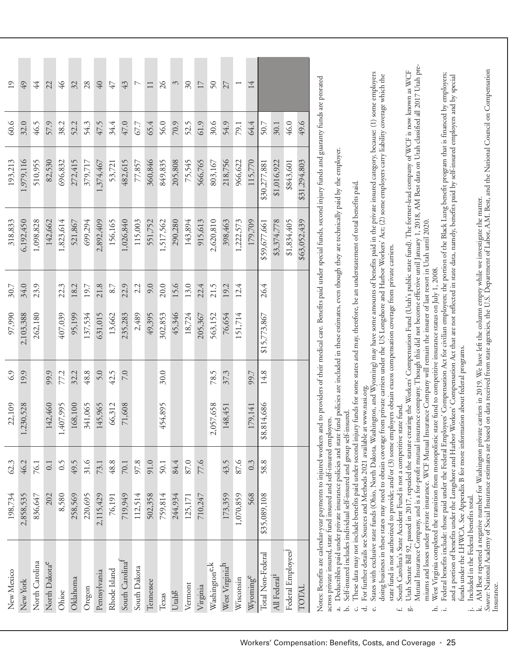| New Mexico                                                                                                                                                                                                                                                                                                                                             | 198,734      | 62.3 | 22,109             | 6.9  | 97,990       | 30.7 | 318,833                                                                                                                                                                                                                                                                                                                                                                       | 193,213      | 60.6 | 19                  |
|--------------------------------------------------------------------------------------------------------------------------------------------------------------------------------------------------------------------------------------------------------------------------------------------------------------------------------------------------------|--------------|------|--------------------|------|--------------|------|-------------------------------------------------------------------------------------------------------------------------------------------------------------------------------------------------------------------------------------------------------------------------------------------------------------------------------------------------------------------------------|--------------|------|---------------------|
| New York                                                                                                                                                                                                                                                                                                                                               | 2,858,535    | 46.2 | ,230,528           | 19.9 | 2,103,388    | 34.0 | 6,192,450                                                                                                                                                                                                                                                                                                                                                                     | 1,979,116    | 32.0 | 49                  |
| North Carolina                                                                                                                                                                                                                                                                                                                                         | 836,647      | 76.1 |                    |      | 262,180      | 23.9 | 1,098,828                                                                                                                                                                                                                                                                                                                                                                     | 510,955      | 46.5 | 44                  |
| North Dakota <sup>e</sup>                                                                                                                                                                                                                                                                                                                              | 202          | 0.1  | 142,460            | 99.9 |              |      | 142,662                                                                                                                                                                                                                                                                                                                                                                       | 82,530       | 57.9 | 22                  |
| Ohioe                                                                                                                                                                                                                                                                                                                                                  | 8,580        | 6.5  | ,407,995           | 77.2 | 407,039      | 22.3 | 1,823,614                                                                                                                                                                                                                                                                                                                                                                     | 696,832      | 38.2 | $\frac{9}{7}$       |
| Oklahoma                                                                                                                                                                                                                                                                                                                                               | 258,569      | 49.5 | 168,100            | 32.2 | 95,199       | 18.2 | 521,867                                                                                                                                                                                                                                                                                                                                                                       | 272,415      | 52.2 | 32                  |
| Oregon                                                                                                                                                                                                                                                                                                                                                 | 220,695      | 31.6 | 341,065            | 48.8 | 137,534      | 19.7 | 699,294                                                                                                                                                                                                                                                                                                                                                                       | 379,717      | 54.3 | 28                  |
| Pennsylvania                                                                                                                                                                                                                                                                                                                                           | 2,115,429    | 73.1 | 145,965            | 5.0  | 631,015      | 21.8 | 2,892,409                                                                                                                                                                                                                                                                                                                                                                     | 1,374,467    | 47.5 | $\sqrt{40}$         |
| Rhode Island                                                                                                                                                                                                                                                                                                                                           | 76,191       | 48.8 | 66,312             | 42.5 | 13,662       | 8.7  | 156,165                                                                                                                                                                                                                                                                                                                                                                       | 53,721       | 34.4 | 47                  |
| South Carolina <sup>t</sup>                                                                                                                                                                                                                                                                                                                            | 719,949      | 70.1 | 71,608             | 7.0  | 235,283      | 22.9 | 1,026,840                                                                                                                                                                                                                                                                                                                                                                     | 482,615      | 47.0 | 43                  |
| South Dakota                                                                                                                                                                                                                                                                                                                                           | 112,514      | 97.8 |                    |      | 2,489        | 2.2  | 115,003                                                                                                                                                                                                                                                                                                                                                                       | 77,857       | 67.7 | $\overline{ }$      |
| Tennessee                                                                                                                                                                                                                                                                                                                                              | 502,358      | 91.0 |                    |      | 49,395       | 9.0  | 551,752                                                                                                                                                                                                                                                                                                                                                                       | 360,846      | 65.4 | $\Box$              |
| Texas                                                                                                                                                                                                                                                                                                                                                  | 759,814      | 50.1 | 454,895            | 30.0 | 302,853      | 20.0 | 1,517,562                                                                                                                                                                                                                                                                                                                                                                     | 849,835      | 56.0 | $\delta$            |
| Utahg                                                                                                                                                                                                                                                                                                                                                  | 244,934      | 84.4 |                    |      | 45,346       | 15.6 | 290,280                                                                                                                                                                                                                                                                                                                                                                       | 205,808      | 70.9 | 3                   |
| Vermont                                                                                                                                                                                                                                                                                                                                                | 125,171      | 87.0 |                    |      | 18,724       | 13.0 | 143,894                                                                                                                                                                                                                                                                                                                                                                       | 75,545       | 52.5 | $\overline{\omega}$ |
| Virginia                                                                                                                                                                                                                                                                                                                                               | 710,247      | 77.6 |                    |      | 205,367      | 22.4 | 915,613                                                                                                                                                                                                                                                                                                                                                                       | 566,765      | 61.9 | 17                  |
| Washington <sup>e,k</sup>                                                                                                                                                                                                                                                                                                                              |              |      | ,057,658<br>$\sim$ | 78.5 | 563,152      | 21.5 | 2,620,810                                                                                                                                                                                                                                                                                                                                                                     | 803,167      | 30.6 | 50                  |
| West Virginiah                                                                                                                                                                                                                                                                                                                                         | 173,359      | 43.5 | 148,451            | 37.3 | 76,654       | 19.2 | 398,463                                                                                                                                                                                                                                                                                                                                                                       | 218,756      | 54.9 | 27                  |
| Wisconsin                                                                                                                                                                                                                                                                                                                                              | 1,070,859    | 87.6 |                    |      | 151,714      | 12.4 | 1,222,573                                                                                                                                                                                                                                                                                                                                                                     | 966,622      | 79.1 |                     |
| Wyoming <sup>e</sup>                                                                                                                                                                                                                                                                                                                                   | 568          | 0.3  | 179,141            | 99.7 |              |      | 179,709                                                                                                                                                                                                                                                                                                                                                                       | 115,770      | 64.4 | 14                  |
| Total Non-Federal                                                                                                                                                                                                                                                                                                                                      | \$35,089,108 | 58.8 | ,814,686<br>\$8    | 14.8 | \$15,773,867 | 26.4 | \$59,677,661                                                                                                                                                                                                                                                                                                                                                                  | \$30,277,881 | 50.7 |                     |
| All Federal <sup>1</sup>                                                                                                                                                                                                                                                                                                                               |              |      |                    |      |              |      | \$3,374,778                                                                                                                                                                                                                                                                                                                                                                   | \$1,016,922  | 30.1 |                     |
| Federal Employees                                                                                                                                                                                                                                                                                                                                      |              |      |                    |      |              |      | \$1,834,405                                                                                                                                                                                                                                                                                                                                                                   | \$843,601    | 46.0 |                     |
| TOTAL                                                                                                                                                                                                                                                                                                                                                  |              |      |                    |      |              |      | \$63,052,439                                                                                                                                                                                                                                                                                                                                                                  | \$31,294,803 | 49.6 |                     |
| Notes: Benefits are calendar-year payments to injured workers and to providers of their medical care. Benefits paid under special funds, second injury funds and guaranty funds are prorated<br>Self-insured includes individual self-insured and group self-insured.<br>across private insured, state fund insured and self-insured employers.<br>نم. |              |      |                    |      |              |      | Deductibles paid under private insurance policies and state fund policies are included in these estimates, even though they are technically paid by the employer.<br>These data may not include benefits paid under second injury funds for some states and may, therefore, be an understatement of total benefits paid                                                       |              |      |                     |
| For further details see Sources and Methods 2021 available at www.nasi.org.<br>$\vec{d}$<br>نه                                                                                                                                                                                                                                                         |              |      |                    |      |              |      | States with exclusive state funds (Ohio, North Dakota, Washington, and Wyoming) may have some amounts of benefits paid in the private insured category, because: (1) some employers<br>doing business in these states may need to obtain coverage from private carriers under the US Longshore and Harbor Workers' Act; (2) some employers carry liability coverage which the |              |      |                     |
| state fund is not authorized to provide; and/or (3) some employers obtain excess compensation coverage from private carriers.                                                                                                                                                                                                                          |              |      |                    |      |              |      |                                                                                                                                                                                                                                                                                                                                                                               |              |      |                     |

f. South Carolina's State Accident Fund is not a competitive state fund. South Carolina's State Accident Fund is not a competitive state fund.

Mutual Insurance Company, and is a for-profit mutual insurance company. Though this did not become effective until January 1, 2018, AM Best data on Utah classified all 2017 Utah pre-Mutual Insurance Company, and is a for-profit mutual insurance company. Though this did not become effective until January 1, 2018, AM Best data on Utah classified all 2017 Utah pre-Utah Senate Bill 92, passed in 2017, repealed the statute creating the Workers' Compensation Fund (Utah's public state fund). The former-lead company of WCF is now known as WCF g. Utah Senate Bill 92, passed in 2017, repealed the statute creating the Workers' Compensation Fund (Utah's public state fund). The former-lead company of WCF is now known as WCF miums and losses under private insurance. WCF Mutual Insurance Company will remain the insurer of last resort in Utah until 2020. miums and losses under private insurance. WCF Mutual Insurance Company will remain the insurer of last resort in Utah until 2020.  $\dot{\omega}$   $\rightarrow$ 

h. West Virginia completed the transition from monopolistic state fund to competitive insurance status on July 1, 2008. West Virginia completed the transition from monopolistic state fund to competitive insurance status on July 1, 2008. د. ف

Federal benefits include: those paid under the Federal Employees' Compensation Act for civilian employees; the portion of the Black Lung benefit program that is financed by employers; i. Federal benefits include: those paid under the Federal Employees' Compensation Act for civilian employees; the portion of the Black Lung benefit program that is financed by employers; and a portion of benefits under the Longshore and Harbor Workers' Compensation Act that are not reflected in state data, namely, benefits paid by self-insured employers and by special and a portion of benefits under the Longshore and Harbor Workers' Compensation Act that are not reflected in state data, namely, benefits paid by self-insured employers and by special funds under the LHWCA. See Appendix B for more information about federal programs. funds under the LHWCA. See Appendix B for more information about federal programs.

j. Included in the Federal benefits total.

j. Included in the Federal benefits total.<br>k. AM Best reported a negative number for Washington private carriers in 2019. We have left the column empty while we investigate the matter.<br>*Sourte:* National Academy of Socia *Source:* National Academy of Social Insurance estimates are based on data received from state agencies, the U.S. Department of Labor, A.M. Best, and the National Council on Compensation k. AM Best reported a negative number for Washington private carriers in 2019. We have left the column empty while we investigate the matter. Insurance.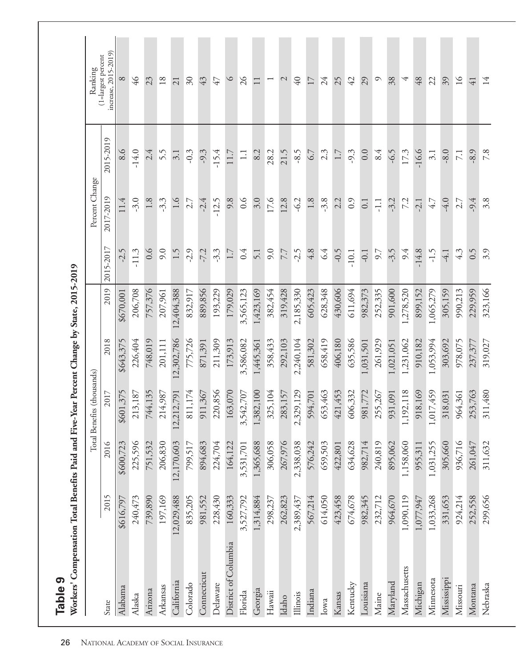| Workers' Compensation Total Benefits Paid and Five-Year Percent Change by State, 2015-2019<br>Table 9 |            |            |                                    |            |            |           |                  |                  |                                            |
|-------------------------------------------------------------------------------------------------------|------------|------------|------------------------------------|------------|------------|-----------|------------------|------------------|--------------------------------------------|
|                                                                                                       |            |            | Total Benefits (thousands)         |            |            |           | Percent Change   |                  | Ranking                                    |
| State                                                                                                 | 2015       | 2016       | 2017                               | 2018       | 2019       | 2015-2017 | 2017-2019        | 2015-2019        | increase, 2015-2019)<br>(1=largest percent |
| Alabama                                                                                               | \$616,797  | \$600,723  | \$601,375                          | \$643,375  | \$670,001  | $-2.5$    | 11.4             | 8.6              | $\infty$                                   |
| Alaska                                                                                                | 240,473    | 225,596    | 3,187<br>21                        | 226,404    | 206,708    | $-11.3$   | $-3.0$           | $-14.0$          | $\frac{9}{7}$                              |
| Arizona                                                                                               | 739,890    | 751,532    | 744,135                            | 748,019    | 757,376    | 0.6       | 1.8              | 2.4              | 23                                         |
| Arkansas                                                                                              | 197,169    | 206,830    | 4,987<br>$\overline{21}$           | 201,111    | 207,961    | 9.0       | $-3.3$           | 5.5              | 18                                         |
| California                                                                                            | .2,029,488 | 12,170,603 | 2,791<br>12,21                     | 12,302,786 | 12,404,388 | 1.5       | $\frac{6}{1}$    | 3.1              | $\overline{21}$                            |
| Colorado                                                                                              | 835,205    | 799,517    | 811,174                            | 775,726    | 832,917    | $-2.9$    | 2.7              | $-0.3$           | $\delta$ 0                                 |
| Connecticut                                                                                           | 981,552    | 894,683    | 911,367                            | 871,391    | 889,856    | $-7.2$    | $-2.4$           | $-9.3$           | 43                                         |
| Delaware                                                                                              | 228,430    | 224,704    | 220,856                            | 211,309    | 193,229    | $-3.3$    | $-12.5$          | $-15.4$          | 47                                         |
| District of Columbia                                                                                  | 160,333    | 164,122    | 163,070                            | 173,913    | 179,029    | 1.7       | 9.8              | 11.7             | $\circ$                                    |
| Florida                                                                                               | 3,527,792  | 3,531,701  | 3,542,707                          | 3,586,082  | 3,565,123  | 0.4       | 0.6              | $\Box$           | $\frac{5}{2}$                              |
| Georgia                                                                                               | 1,314,884  | 1,365,688  | 1,382,100                          | 1,445,361  | 1,423,169  | 5.1       | 3.0              | 8.2              |                                            |
| $H$ awaii                                                                                             | 298,237    | 306,058    | 325,104                            | 358,433    | 382,454    | 9.0       | 17.6             | 28.2             | $\overline{ }$                             |
| Idaho                                                                                                 | 262,823    | 267,976    | 283,157                            | 292,103    | 319,428    | 7.7       | 12.8             | 21.5             | $\mathcal{L}$                              |
| Illinois                                                                                              | 2,389,437  | 2,338,038  | 2,329,129                          | 2,240,104  | 2,185,330  | $-2.5$    | $-6.2$           | $-8.5$           | $\sqrt{40}$                                |
| Indiana                                                                                               | 567,214    | 576,242    | 594,701                            | 581,302    | 605,423    | 4.8       | 1.8              | 6.7              | 17                                         |
| Iowa                                                                                                  | 614,050    | 659,503    | 653,463                            | 658,419    | 628,348    | 6.4       | $-3.8$           | 2.3              | 24                                         |
| Kansas                                                                                                | 423,458    | 422,801    | 421,453                            | 406,180    | 430,606    | $-0.5$    | 2.2              | 1.7              | 25                                         |
| Kentucky                                                                                              | 674,678    | 634,628    | 606,332                            | 635,586    | 611,694    | $-10.1$   | 0.9              | $-9.3$           | 42                                         |
| Louisiana                                                                                             | 982,345    | 982,714    | 981,772                            | 1,031,501  | 982,373    | $-0.1$    | $\overline{0}$ . | 0.0              | 29                                         |
| Maine                                                                                                 | 232,712    | 240,819    | 5,267<br>25                        | 261,929    | 252,335    | 5.6       | $\overline{11}$  | 8.4              | $\circ$                                    |
| Maryland                                                                                              | 964,670    | 895,062    | 931,091                            | 1,021,051  | 901,600    | -3.5      | $-3.2$           | $-6.5$           | 38                                         |
| Massachusetts                                                                                         | 1,090,119  | 1,158,060  | 1,192,118                          | 1,231,062  | 1,278,520  | 9.4       | 7.2              | 17.3             | 4                                          |
| Michigan                                                                                              | 1,077,947  | 955,311    | .8,169<br>$\overline{5}$           | 910,182    | 899,152    | $-14.8$   | $-2.1$           | $-16.6$          | $48$                                       |
| Minnesota                                                                                             | 1,033,268  | 1,031,255  | 7,459<br>1,01                      | 1,053,994  | 1,065,279  | $-1.5$    | 4.7              | 3.1              | 22                                         |
| Mississippi                                                                                           | 331,653    | 305,660    | .8,031<br>$\overline{\mathcal{Z}}$ | 303,692    | 305,159    | $-4.1$    | $-4.0$           | $-8.0$           | 39                                         |
| Missouri                                                                                              | 924,214    | 936,716    | 964,361                            | 978,075    | 990,213    | 4.3       | 2.7              | $\overline{7.1}$ | $\overline{16}$                            |
| Montana                                                                                               | 252,558    | 261,047    | 253,763                            | 237,377    | 229,959    | 0.5       | $-9.4$           | $-8.9$           | $\overline{41}$                            |
| Nebraska                                                                                              | 299,656    | 311,632    | 311,480                            | 319,027    | 323,166    | 3.9       | 3.8              | 7.8              | 14                                         |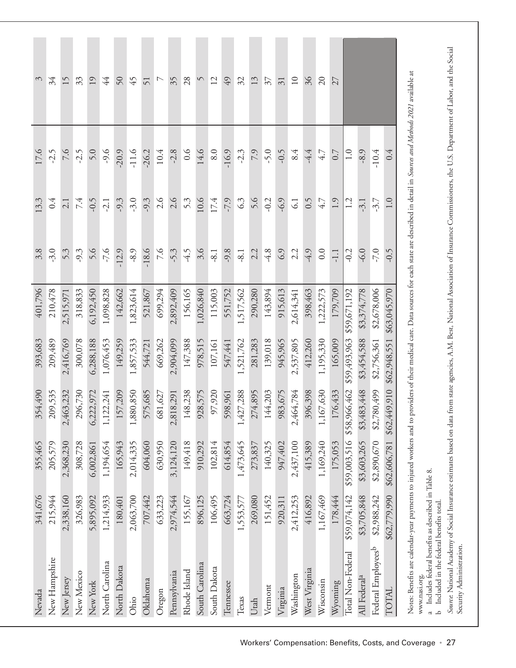| Nevada                                                                                                                                                                                                                                                                           | 341,676      | 355,465      | 354,490      | 393,683      | 401,796      | 3.8     | 13.3    | 17.6          | $\hat{\mathcal{E}}$      |
|----------------------------------------------------------------------------------------------------------------------------------------------------------------------------------------------------------------------------------------------------------------------------------|--------------|--------------|--------------|--------------|--------------|---------|---------|---------------|--------------------------|
| New Hampshire                                                                                                                                                                                                                                                                    | 215,944      | 205,579      | 209,535      | 209,489      | 210,478      | $-3.0$  | 0.4     | $-2.5$        | 34                       |
| New Jersey                                                                                                                                                                                                                                                                       | 2,338,160    | 2,368,230    | 2,463,232    | 2,416,769    | 2,515,971    | 5.3     | 2.1     | 9.7           | 15                       |
| New Mexico                                                                                                                                                                                                                                                                       | 326,983      | 308,728      | 296,730      | 300,078      | 318,833      | $-9.3$  | 7.4     | $-2.5$        | 33                       |
| New York                                                                                                                                                                                                                                                                         | 5,895,092    | 6,002,861    | 6,222,972    | 6,288,188    | 6,192,450    | 5.6     | $-0.5$  | 5.0           | 19                       |
| North Carolina                                                                                                                                                                                                                                                                   | 1,214,933    | 1,194,654    | 1,122,241    | 1,076,453    | 1,098,828    | $-7.6$  | $-2.1$  | $-9.6$        | 44                       |
| North Dakota                                                                                                                                                                                                                                                                     | 180,401      | 165,943      | 157,209      | 149,259      | 142,662      | $-12.9$ | $-9.3$  | $-20.9$       | 50                       |
| Ohio                                                                                                                                                                                                                                                                             | 2,063,700    | 2,014,335    | 1,880,850    | 1,857,533    | 1,823,614    | $-8.9$  | $-3.0$  | $-11.6$       | 45                       |
| Oklahoma                                                                                                                                                                                                                                                                         | 707,442      | 604,060      | 575,685      | 544,721      | 521,867      | $-18.6$ | $-9.3$  | $-26.2$       | 51                       |
| Oregon                                                                                                                                                                                                                                                                           | 633,223      | 630,950      | 681,627      | 669,262      | 699,294      | 9.7     | 2.6     | 10.4          |                          |
| Pennsylvania                                                                                                                                                                                                                                                                     | 2,974,544    | 3,124,120    | 2,818,291    | 2,904,099    | 2,892,409    | $-5.3$  | 2.6     | $-2.8$        | 35                       |
| Rhode Island                                                                                                                                                                                                                                                                     | 155,167      | 149,418      | 148,238      | 147,388      | 156,165      | $-4.5$  | 5.3     | 0.6           | 28                       |
| South Carolina                                                                                                                                                                                                                                                                   | 896,125      | 910,292      | 928,575      | 978,515      | 1,026,840    | 3.6     | 10.6    | 14.6          | $\sqrt{2}$               |
| South Dakota                                                                                                                                                                                                                                                                     | 106,495      | 102,814      | 97,920       | 107,161      | 115,003      | $-8.1$  | 17.4    | 8.0           | 12                       |
| Tennessee                                                                                                                                                                                                                                                                        | 663,724      | 614,854      | 598,961      | 547,441      | 551,752      | $-9.8$  | $-7.9$  | $-16.9$       | 49                       |
| Texas                                                                                                                                                                                                                                                                            | 1,553,577    | 1,473,645    | 1,427,288    | 1,521,762    | 1,517,562    | $-8.1$  | 6.3     | $-2.3$        | 32                       |
| Utah                                                                                                                                                                                                                                                                             | 269,080      | 273,837      | 274,895      | 281,283      | 290,280      | 2.2     | 5.6     | 7.9           | 13                       |
| Vermont                                                                                                                                                                                                                                                                          | 151,452      | 140,325      | 144,203      | 139,018      | 143,894      | $-4.8$  | $-0.2$  | $-5.0$        | $\overline{\mathcal{E}}$ |
| Virginia                                                                                                                                                                                                                                                                         | 920,311      | 947,402      | 983,675      | 945,965      | 915,613      | 6.9     | $-6.9$  | $-0.5$        | $\overline{31}$          |
| Washington                                                                                                                                                                                                                                                                       | 2,412,253    | 2,437,100    | 2,464,784    | 2,537,805    | 2,614,341    | 2.2     | 61      | 8.4           | 10                       |
| West Virginia                                                                                                                                                                                                                                                                    | 416,892      | 415,389      | 396,398      | 412,260      | 398,463      | $-4.9$  | 0.5     | $-4.4$        | 36                       |
| Wisconsin                                                                                                                                                                                                                                                                        | 1,167,469    | 1,169,240    | 1,167,630    | 1,195,330    | 1,222,573    | 0.0     | 4.7     | 4.7           | $\overline{c}$           |
| Wyoming                                                                                                                                                                                                                                                                          | 178,444      | 175,053      | 176,433      | 165,009      | 179,709      | $-1.1$  | 1.9     | 0.7           | 27                       |
| Total Non-Federal                                                                                                                                                                                                                                                                | \$59,074,142 | \$59,003,516 | \$58,966,462 | \$59,493,963 | \$59,671,192 | $-0.2$  | 1.2     | $\frac{0}{1}$ |                          |
| All Federal <sup>a</sup>                                                                                                                                                                                                                                                         | \$3,705,848  | \$3,603,265  | \$3,483,448  | \$3,454,588  | \$3,374,778  | $-6.0$  | $-3.1$  | $-8.9$        |                          |
| Federal Employees <sup>b</sup>                                                                                                                                                                                                                                                   | \$2,988,242  | \$2,890,670  | \$2,780,499  | \$2,756,361  | \$2,678,006  | $-7.0$  | $-3.7$  | $-10.4$       |                          |
| TOTAL                                                                                                                                                                                                                                                                            | \$62,779,990 | \$62,606,781 | \$62,449,910 | \$62,948,551 | \$63,045,970 | $-0.5$  | $1.0\,$ | 0.4           |                          |
| Notes: Benefits are calendar-year payments to injured workers and to providers of their medical care. Data sources for each state are described in detail in Sources and Methods 2021 available at<br>0 مايلى سنام بالسمور مم مستلم مواليس المستلم مواليد المطا<br>www.nasi.org. |              |              |              |              |              |         |         |               |                          |

Includes federal benefits as described in Table 8.<br>Included in the federal benefits total. a Includes federal benefits as described in Table 8. b Included in the federal benefits total. ം<br>പ

*Soure*: National Academy of Social Insurance estimates based on data from state agencies, A.M. Best, National Association of Insurance Commissioners, the U.S. Department of Labor, and the Social<br>Security Administration. *Source*: National Academy of Social Insurance estimates based on data from state agencies, A.M. Best, National Association of Insurance Commissioners, the U.S. Department of Labor, and the Social Security Administration.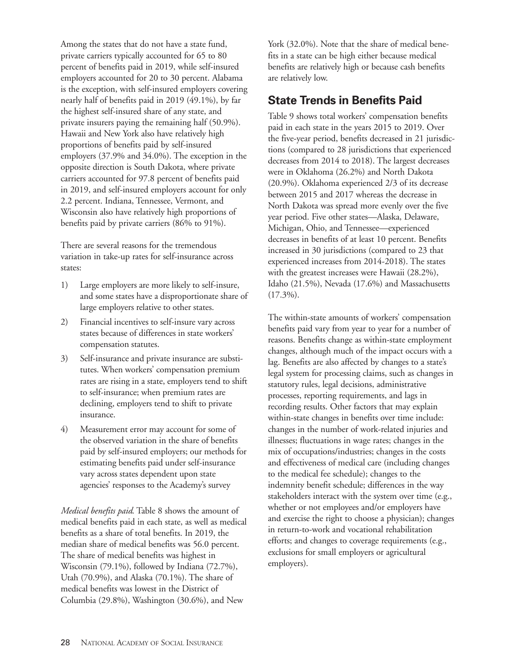Among the states that do not have a state fund, private carriers typically accounted for 65 to 80 percent of benefits paid in 2019, while self-insured employers accounted for 20 to 30 percent. Alabama is the exception, with self-insured employers covering nearly half of benefits paid in 2019 (49.1%), by far the highest self-insured share of any state, and private insurers paying the remaining half (50.9%). Hawaii and New York also have relatively high proportions of benefits paid by self-insured employers (37.9% and 34.0%). The exception in the opposite direction is South Dakota, where private carriers accounted for 97.8 percent of benefits paid in 2019, and self-insured employers account for only 2.2 percent. Indiana, Tennessee, Vermont, and Wisconsin also have relatively high proportions of benefits paid by private carriers (86% to 91%).

There are several reasons for the tremendous variation in take-up rates for self-insurance across states:

- 1) Large employers are more likely to self-insure, and some states have a disproportionate share of large employers relative to other states.
- 2) Financial incentives to self-insure vary across states because of differences in state workers' compensation statutes.
- 3) Self-insurance and private insurance are substitutes. When workers' compensation premium rates are rising in a state, employers tend to shift to self-insurance; when premium rates are declining, employers tend to shift to private insurance.
- 4) Measurement error may account for some of the observed variation in the share of benefits paid by self-insured employers; our methods for estimating benefits paid under self-insurance vary across states dependent upon state agencies' responses to the Academy's survey

*Medical benefits paid*. Table 8 shows the amount of medical benefits paid in each state, as well as medical benefits as a share of total benefits. In 2019, the median share of medical benefits was 56.0 percent. The share of medical benefits was highest in Wisconsin (79.1%), followed by Indiana (72.7%), Utah (70.9%), and Alaska (70.1%). The share of medical benefits was lowest in the District of Columbia (29.8%), Washington (30.6%), and New

York (32.0%). Note that the share of medical benefits in a state can be high either because medical benefits are relatively high or because cash benefits are relatively low.

## **State Trends in Benefits Paid**

Table 9 shows total workers' compensation benefits paid in each state in the years 2015 to 2019. Over the five-year period, benefits decreased in 21 jurisdictions (compared to 28 jurisdictions that experienced decreases from 2014 to 2018). The largest decreases were in Oklahoma (26.2%) and North Dakota (20.9%). Oklahoma experienced 2/3 of its decrease between 2015 and 2017 whereas the decrease in North Dakota was spread more evenly over the five year period. Five other states—Alaska, Delaware, Michigan, Ohio, and Tennessee—experienced decreases in benefits of at least 10 percent. Benefits increased in 30 jurisdictions (compared to 23 that experienced increases from 2014-2018). The states with the greatest increases were Hawaii (28.2%), Idaho (21.5%), Nevada (17.6%) and Massachusetts  $(17.3\%)$ .

The within-state amounts of workers' compensation benefits paid vary from year to year for a number of reasons. Benefits change as within-state employment changes, although much of the impact occurs with a lag. Benefits are also affected by changes to a state's legal system for processing claims, such as changes in statutory rules, legal decisions, administrative processes, reporting requirements, and lags in recording results. Other factors that may explain within-state changes in benefits over time include: changes in the number of work-related injuries and illnesses; fluctuations in wage rates; changes in the mix of occupations/industries; changes in the costs and effectiveness of medical care (including changes to the medical fee schedule); changes to the indemnity benefit schedule; differences in the way stakeholders interact with the system over time (e.g., whether or not employees and/or employers have and exercise the right to choose a physician); changes in return-to-work and vocational rehabilitation efforts; and changes to coverage requirements (e.g., exclusions for small employers or agricultural employers).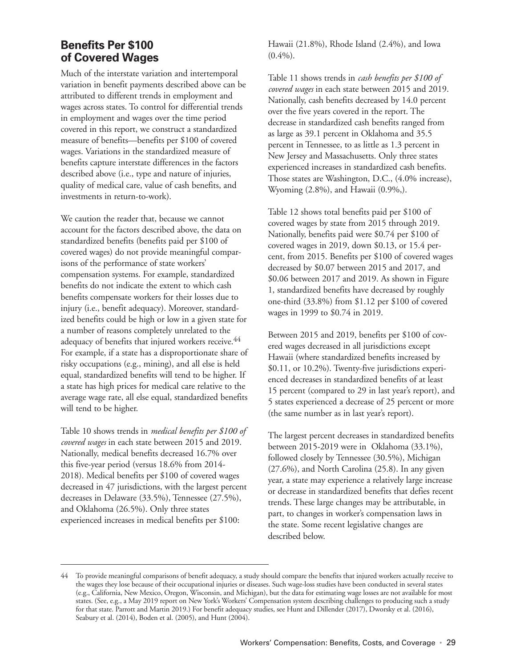#### **Benefits Per \$100 of Covered Wages**

Much of the interstate variation and intertemporal variation in benefit payments described above can be attributed to different trends in employment and wages across states. To control for differential trends in employment and wages over the time period covered in this report, we construct a standardized measure of benefits—benefits per \$100 of covered wages. Variations in the standardized measure of benefits capture interstate differences in the factors described above (i.e., type and nature of injuries, quality of medical care, value of cash benefits, and investments in return-to-work).

We caution the reader that, because we cannot account for the factors described above, the data on standardized benefits (benefits paid per \$100 of covered wages) do not provide meaningful comparisons of the performance of state workers' compensation systems. For example, standardized benefits do not indicate the extent to which cash benefits compensate workers for their losses due to injury (i.e., benefit adequacy). Moreover, standardized benefits could be high or low in a given state for a number of reasons completely unrelated to the adequacy of benefits that injured workers receive.<sup>44</sup> For example, if a state has a disproportionate share of risky occupations (e.g., mining), and all else is held equal, standardized benefits will tend to be higher. If a state has high prices for medical care relative to the average wage rate, all else equal, standardized benefits will tend to be higher.

Table 10 shows trends in *medical benefits per \$100 of covered wages* in each state between 2015 and 2019. Nationally, medical benefits decreased 16.7% over this five-year period (versus 18.6% from 2014- 2018). Medical benefits per \$100 of covered wages decreased in 47 jurisdictions, with the largest percent decreases in Delaware (33.5%), Tennessee (27.5%), and Oklahoma (26.5%). Only three states experienced increases in medical benefits per \$100:

Hawaii (21.8%), Rhode Island (2.4%), and Iowa  $(0.4\%)$ .

Table 11 shows trends in *cash benefits per \$100 of covered wages* in each state between 2015 and 2019. Nationally, cash benefits decreased by 14.0 percent over the five years covered in the report. The decrease in standardized cash benefits ranged from as large as 39.1 percent in Oklahoma and 35.5 percent in Tennessee, to as little as 1.3 percent in New Jersey and Massachusetts. Only three states experienced increases in standardized cash benefits. Those states are Washington, D.C., (4.0% increase), Wyoming (2.8%), and Hawaii (0.9%,).

Table 12 shows total benefits paid per \$100 of covered wages by state from 2015 through 2019. Nationally, benefits paid were \$0.74 per \$100 of covered wages in 2019, down \$0.13, or 15.4 percent, from 2015. Benefits per \$100 of covered wages decreased by \$0.07 between 2015 and 2017, and \$0.06 between 2017 and 2019. As shown in Figure 1, standardized benefits have decreased by roughly one-third (33.8%) from \$1.12 per \$100 of covered wages in 1999 to \$0.74 in 2019.

Between 2015 and 2019, benefits per \$100 of covered wages decreased in all jurisdictions except Hawaii (where standardized benefits increased by \$0.11, or 10.2%). Twenty-five jurisdictions experienced decreases in standardized benefits of at least 15 percent (compared to 29 in last year's report), and 5 states experienced a decrease of 25 percent or more (the same number as in last year's report).

The largest percent decreases in standardized benefits between 2015-2019 were in Oklahoma (33.1%), followed closely by Tennessee (30.5%), Michigan (27.6%), and North Carolina (25.8). In any given year, a state may experience a relatively large increase or decrease in standardized benefits that defies recent trends. These large changes may be attributable, in part, to changes in worker's compensation laws in the state. Some recent legislative changes are described below.

<sup>44</sup> To provide meaningful comparisons of benefit adequacy, a study should compare the benefits that injured workers actually receive to the wages they lose because of their occupational injuries or diseases. Such wage-loss studies have been conducted in several states (e.g., California, New Mexico, Oregon, Wisconsin, and Michigan), but the data for estimating wage losses are not available for most states. (See, e.g., a May 2019 report on New York's Workers' Compensation system describing challenges to producing such a study for that state. Parrott and Martin 2019.) For benefit adequacy studies, see Hunt and Dillender (2017), Dworsky et al. (2016), Seabury et al. (2014), Boden et al. (2005), and Hunt (2004).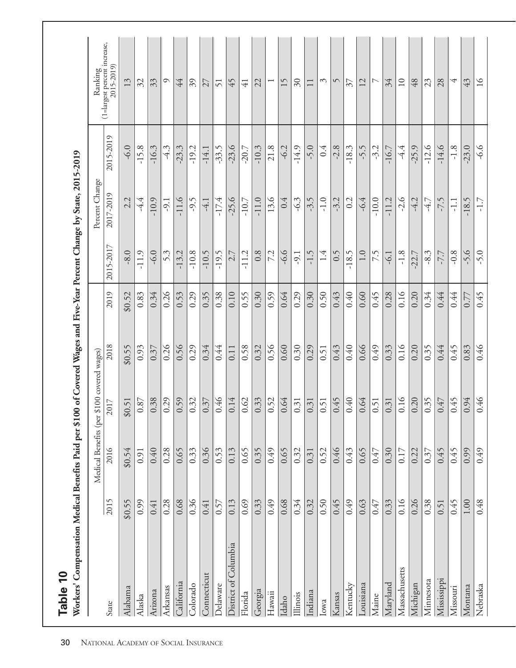| Workers' Compensation Medical Benefits Paid per \$100 of Covered Wages and Five-Year Percent Change by State, 2015-2019<br>Table 10 |          |                       |                      |        |        |           |                |           |                                         |
|-------------------------------------------------------------------------------------------------------------------------------------|----------|-----------------------|----------------------|--------|--------|-----------|----------------|-----------|-----------------------------------------|
|                                                                                                                                     |          | Medical Benefits (per | \$100 covered wages) |        |        |           | Percent Change |           | Ranking<br>(1=largest percent increase, |
| State                                                                                                                               | 2015     | 2016                  | 2017                 | 2018   | 2019   | 2015-2017 | 2017-2019      | 2015-2019 | 2015-2019)                              |
| Alabama                                                                                                                             | \$0.55   | \$0.54                | \$0.51               | \$0.55 | \$0.52 | $-8.0$    | 2.2            | $-6.0$    | 13                                      |
| Alaska                                                                                                                              | 0.99     | 0.91                  | 0.87                 | 0.93   | 0.83   | $-11.9$   | $-4.4$         | $-15.8$   | 32                                      |
| Arizona                                                                                                                             | 0.41     | 0.40                  | 0.38                 | 0.37   | 0.34   | $-6.0$    | $-10.9$        | $-16.3$   | 33                                      |
| Arkansas                                                                                                                            | 0.28     | 0.28                  | 0.29                 | 0.26   | 0.26   | 5.3       | -9.1           | $-4.3$    | $\circ$                                 |
| California                                                                                                                          | 0.68     | 0.65                  | 0.59                 | 0.56   | 0.53   | $-13.2$   | $-11.6$        | -23.3     | 44                                      |
| Colorado                                                                                                                            | 0.36     | 0.33                  | 0.32                 | 0.29   | 0.29   | $-10.8$   | -9.5           | $-19.2$   | 39                                      |
| Connecticut                                                                                                                         | 0.41     | 0.36                  | 0.37                 | 0.34   | 0.35   | $-10.5$   | $-4.1$         | $-14.1$   | 27                                      |
| Delaware                                                                                                                            | 0.57     | 0.53                  | 0.46                 | 0.44   | 0.38   | $-19.5$   | $-17.4$        | $-33.5$   | 51                                      |
| District of Columbia                                                                                                                | 0.13     | 0.13                  | 0.14                 | 0.11   | 0.10   | 2.7       | $-25.6$        | $-23.6$   | 45                                      |
| Florida                                                                                                                             | 0.69     | 0.65                  | 0.62                 | 0.58   | 0.55   | $-11.2$   | $-10.7$        | $-20.7$   | $\overline{4}$                          |
| Georgia                                                                                                                             | 0.33     | 0.35                  | 0.33                 | 0.32   | 0.30   | 0.8       | $-11.0$        | $-10.3$   | 22                                      |
| Hawaii                                                                                                                              | 650      | 65.0                  | 0.52                 | 0.56   | 0.59   | 7.2       | 13.6           | 21.8      | $\overline{ }$                          |
| Idaho                                                                                                                               | 0.68     | 0.65                  | 0.64                 | 0.60   | 0.64   | $-6.6$    | 0.4            | $-6.2$    | 15                                      |
| Illinois                                                                                                                            | 0.34     | 0.32                  | 0.31                 | 0.30   | 0.29   | -9.1      | $-6.3$         | $-14.9$   | $\delta$                                |
| Indiana                                                                                                                             | 0.32     | 0.31                  | 0.31                 | 0.29   | 0.30   | $-1.5$    | $-3.5$         | $-5.0$    | $\Box$                                  |
| Iowa                                                                                                                                | 0.50     | 0.52                  | 0.51                 | 0.51   | 0.50   | 1.4       | $-1.0$         | 0.4       | S                                       |
| Kansas                                                                                                                              | 0.45     | 0.46                  | 0.45                 | 0.43   | 0.43   | 0.5       | $-3.2$         | $-2.8$    | $\sqrt{2}$                              |
| Kentucky                                                                                                                            | 64.0     | 0.43                  | 0.40                 | 0.40   | 0.40   | $-18.5$   | 0.2            | $-18.3$   | 37                                      |
| Louisiana                                                                                                                           | 0.63     | 0.65                  | 0.64                 | 0.66   | 0.60   | 1.0       | $-6.4$         | $-5.5$    | 12                                      |
| Maine                                                                                                                               | 0.47     | 0.47                  | 0.51                 | 0.49   | 0.45   | 7.5       | $-10.0$        | $-3.2$    | $\overline{\phantom{0}}$                |
| Maryland                                                                                                                            | 0.33     | 0.30                  | 0.31                 | 0.33   | 0.28   | $-6.1$    | $-11.2$        | $-16.7$   | 34                                      |
| Massachusetts                                                                                                                       | 0.16     | 0.17                  | 0.16                 | 0.16   | 0.16   | $-1.8$    | $-2.6$         | $-4.4$    | $\overline{10}$                         |
| Michigan                                                                                                                            | 0.26     | 0.22                  | 0.20                 | 0.20   | 0.20   | $-22.7$   | $-4.2$         | $-25.9$   | 48                                      |
| Minnesota                                                                                                                           | 0.38     | 0.37                  | 0.35                 | 0.35   | 0.34   | $-8.3$    | $-4.7$         | $-12.6$   | 23                                      |
| Mississippi                                                                                                                         | 0.51     | 0.45                  | 0.47                 | 0.44   | 0.44   | -7.7      | -7.5           | $-14.6$   | 28                                      |
| Missouri                                                                                                                            | 0.45     | 0.45                  | 0.45                 | 0.45   | 0.44   | $-0.8$    | $-1.1$         | $-1.8$    | 4                                       |
| Montana                                                                                                                             | $1.00\,$ | 0.99                  | 0.94                 | 0.83   | 0.77   | $-5.6$    | $-18.5$        | $-23.0$   | 43                                      |
| Nebraska                                                                                                                            | 0.48     | 64.0                  | 0.46                 | 0.46   | 645    | $-5.0$    | $-1.7$         | $-6.6$    | $\geq$                                  |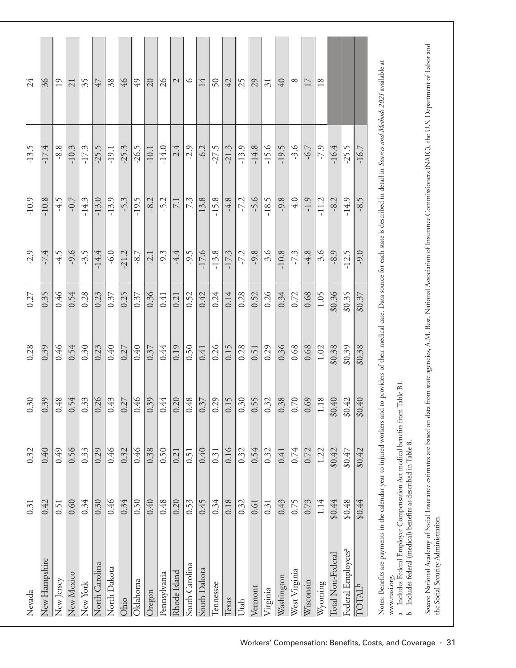| Nevada                                                                                                                                                                                                                                     | 0.31   | 0.32   | 0.30   | 0.28   | 0.27   | $-2.9$  | $-10.9$ | $-13.5$ | 24                                                                                                                             |
|--------------------------------------------------------------------------------------------------------------------------------------------------------------------------------------------------------------------------------------------|--------|--------|--------|--------|--------|---------|---------|---------|--------------------------------------------------------------------------------------------------------------------------------|
| New Hampshire                                                                                                                                                                                                                              | 0.42   | 0.40   | 0.39   | 0.39   | 0.35   | $-7.4$  | $-10.8$ | $-17.4$ | 36                                                                                                                             |
| New Jersey                                                                                                                                                                                                                                 | 0.51   | 0.49   | 0.48   | 0.46   | 0.46   | $-4.5$  | $-4.5$  | $-8.8$  | 19                                                                                                                             |
| New Mexico                                                                                                                                                                                                                                 | 0.60   | 0.56   | 0.54   | 0.54   | 0.54   | $-9.6$  | $-0.7$  | $-10.3$ | $\overline{21}$                                                                                                                |
| New York                                                                                                                                                                                                                                   | 0.34   | 0.33   | 0.33   | 0.30   | 0.28   | $-3.5$  | $-14.3$ | $-17.3$ | 35                                                                                                                             |
| North Carolina                                                                                                                                                                                                                             | 0.30   | 0.29   | 0.26   | 0.23   | 0.23   | $-14.4$ | $-13.0$ | $-25.5$ | 47                                                                                                                             |
| North Dakota                                                                                                                                                                                                                               | 0.46   | 0.46   | 0.43   | 0.40   | 0.37   | $-6.0$  | $-13.9$ | $-19.1$ | 38                                                                                                                             |
| Ohio                                                                                                                                                                                                                                       | 0.34   | 0.32   | 0.27   | 0.27   | 0.25   | 21.2    | $-5.3$  | $-25.3$ | $\frac{9}{7}$                                                                                                                  |
| Oklahoma                                                                                                                                                                                                                                   | 0.50   | 0.46   | 0.46   | 0.40   | 0.37   | $-8.7$  | $-19.5$ | $-26.5$ | $\overline{6}$                                                                                                                 |
| Oregon                                                                                                                                                                                                                                     | 0.40   | 0.38   | 0.39   | 0.37   | 0.36   | $-2.1$  | $-8.2$  | $-10.1$ | $\Omega$                                                                                                                       |
| Pennsylvania                                                                                                                                                                                                                               | 0.48   | 0.50   | 0.44   | 0.44   | 0.41   | $-9.3$  | -5.2    | $-14.0$ | $\delta$                                                                                                                       |
| Rhode Island                                                                                                                                                                                                                               | 0.20   | 0.21   | 0.20   | 0.19   | 0.21   | $-4.4$  | 7.1     | 2.4     | $\mathcal{L}$                                                                                                                  |
| South Carolina                                                                                                                                                                                                                             | 0.53   | 0.51   | 0.48   | 0.50   | 0.52   | $-9.5$  | 7.3     | $-2.9$  | $\circ$                                                                                                                        |
| South Dakota                                                                                                                                                                                                                               | 0.45   | 0.40   | 0.37   | 0.41   | 0.42   | $-17.6$ | 13.8    | $-6.2$  | 14                                                                                                                             |
| Tennessee                                                                                                                                                                                                                                  | 0.34   | 0.31   | 0.29   | 0.26   | 0.24   | $-13.8$ | $-15.8$ | 27.5    | $50\,$                                                                                                                         |
| Texas                                                                                                                                                                                                                                      | 0.18   | 0.16   | 0.15   | 0.15   | 0.14   | $-17.3$ | $-4.8$  | $-21.3$ | 42                                                                                                                             |
| Utah                                                                                                                                                                                                                                       | 0.32   | 0.32   | 0.30   | 0.28   | 0.28   | $-7.2$  | $-7.2$  | $-13.9$ | 25                                                                                                                             |
| Vermont                                                                                                                                                                                                                                    | 0.61   | 0.54   | 0.55   | 0.51   | 0.52   | $-9.8$  | $-5.6$  | $-14.8$ | 29                                                                                                                             |
| Virginia                                                                                                                                                                                                                                   | 0.31   | 0.32   | 0.32   | 0.29   | 0.26   | 3.6     | $-18.5$ | $-15.6$ | $\overline{31}$                                                                                                                |
| Washington                                                                                                                                                                                                                                 | 0.43   | 0.41   | 0.38   | 0.36   | 0.34   | $-10.8$ | $-9.8$  | $-19.5$ | $\sqrt{40}$                                                                                                                    |
| West Virginia                                                                                                                                                                                                                              | 0.75   | 0.74   | 0.70   | 0.68   | 0.72   | $-7.3$  | 4.0     | $-3.6$  | $\infty$                                                                                                                       |
| Wisconsin                                                                                                                                                                                                                                  | 0.73   | 0.72   | 0.69   | 0.68   | 0.68   | $-4.8$  | $-1.9$  | $-6.7$  | 17                                                                                                                             |
| Wyoming                                                                                                                                                                                                                                    | 1.14   | 1.22   | 1.18   | 1.02   | 1.05   | 3.6     | $-11.2$ | $-7.9$  | $18\,$                                                                                                                         |
| Total Non-Federal                                                                                                                                                                                                                          | \$0.44 | \$0.42 | \$0.40 | \$0.38 | \$0.36 | $-8.9$  | $-8.2$  | $-16.4$ |                                                                                                                                |
| Federal Employees <sup>a</sup>                                                                                                                                                                                                             | \$0.48 | \$0.47 | \$0.42 | \$0.39 | \$0.35 | $-12.5$ | $-14.9$ | $-25.5$ |                                                                                                                                |
| TOTAL <sup>b</sup>                                                                                                                                                                                                                         | \$0.44 | \$0.42 | \$0.40 | \$0.38 | \$0.37 | $-9.0$  | $-8.5$  | $-16.7$ |                                                                                                                                |
| a Includes Federal Employee Compensation Act medical benefits from Table B1<br>b Includes federal (medical) benefits as described in Table 8.<br>Notes: Benefits are payments in the calendar year to injured workers and<br>www.nasi.org. |        |        |        |        |        |         |         |         | to providers of their medical care. Data source for each state is described in detail in Sources and Methods 2021 available at |
| Source National Academy of Social Insurance estimates are based on data<br>the Social Security Administration.                                                                                                                             |        |        |        |        |        |         |         |         | from state agencies, A.M. Best, National Association of Insurance Commissioners (NAIC), the U.S. Department of Labor and       |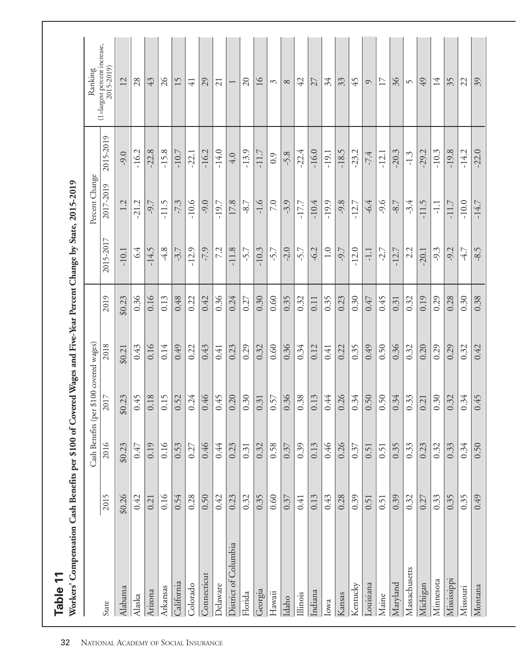| Workers' Compensation Cash Benefits per \$100 of Covered Wages and Five-Year Percent Change by State, 2015-2019<br>Table 11 |        |        |                                         |        |        |           |                |           |                                                      |
|-----------------------------------------------------------------------------------------------------------------------------|--------|--------|-----------------------------------------|--------|--------|-----------|----------------|-----------|------------------------------------------------------|
|                                                                                                                             |        |        | Cash Benefits (per \$100 covered wages) |        |        |           | Percent Change |           | Ranking                                              |
| State                                                                                                                       | 2015   | 2016   | 2017                                    | 2018   | 2019   | 2015-2017 | 2017-2019      | 2015-2019 | $(1 = \text{largest percent increase}, 2015 - 2019)$ |
| Alabama                                                                                                                     | \$0.26 | \$0.23 | \$0.23                                  | \$0.21 | \$0.23 | $-10.1$   | 1.2            | $-9.0$    | 12                                                   |
| Alaska                                                                                                                      | 0.42   | 0.47   | 0.45                                    | 643    | 0.36   | 6.4       | $-21.2$        | $-16.2$   | 28                                                   |
| Arizona                                                                                                                     | 0.21   | 0.19   | 0.18                                    | 0.16   | 0.16   | $-14.5$   | $-9.7$         | $-22.8$   | 43                                                   |
| Arkansas                                                                                                                    | 0.16   | 0.16   | 0.15                                    | 0.14   | 0.13   | $-4.8$    | $-11.5$        | $-15.8$   | $\delta$                                             |
| California                                                                                                                  | 0.54   | 0.53   | 0.52                                    | 65.0   | 0.48   | $-3.7$    | $-7.3$         | $-10.7$   | 15                                                   |
| Colorado                                                                                                                    | 0.28   | 0.27   | 0.24                                    | 0.22   | 0.22   | $-12.9$   | $-10.6$        | $-22.1$   | $\overline{41}$                                      |
| Connecticut                                                                                                                 | 0.50   | 0.46   | 0.46                                    | 0.43   | 0.42   | $-7.9$    | $-9.0$         | $-16.2$   | 29                                                   |
| <b>Delaware</b>                                                                                                             | 0.42   | 0.44   | 645                                     | 0.41   | 0.36   | 7.2       | $-19.7$        | $-14.0$   | $\overline{21}$                                      |
| District of Columbia                                                                                                        | 0.23   | 0.23   | 0.20                                    | 0.23   | 0.24   | $-11.8$   | 17.8           | 4.0       | $\overline{ }$                                       |
| Florida                                                                                                                     | 0.32   | 0.31   | 0.30                                    | 0.29   | 0.27   | -5.7      | $-8.7$         | $-13.9$   | $\Omega$                                             |
| Georgia                                                                                                                     | 0.35   | 0.32   | 0.31                                    | 0.32   | 0.30   | $-10.3$   | $-1.6$         | $-11.7$   | $\geq$                                               |
| Hawaii                                                                                                                      | 0.60   | 0.58   | 0.57                                    | 0.60   | 0.60   | -5.7      | 7.0            | 0.9       | $\mathcal{C}$                                        |
| Idaho                                                                                                                       | 0.37   | 0.37   | 0.36                                    | 0.36   | 0.35   | $-2.0$    | $-3.9$         | $-5.8$    | $\infty$                                             |
| Illinois                                                                                                                    | 0.41   | 0.39   | 0.38                                    | 0.34   | 0.32   | $-5.7$    | $-17.7$        | $-22.4$   | 42                                                   |
| Indiana                                                                                                                     | 0.13   | 0.13   | 0.13                                    | 0.12   | 0.11   | $-6.2$    | $-10.4$        | $-16.0$   | 27                                                   |
| Iowa                                                                                                                        | 0.43   | 0.46   | 0.44                                    | 0.41   | 0.35   | 1.0       | $-19.9$        | $-19.1$   | 34                                                   |
| Kansas                                                                                                                      | 0.28   | 0.26   | 0.26                                    | 0.22   | 0.23   | $-9.7$    | $-9.8$         | $-18.5$   | 33                                                   |
| Kentucky                                                                                                                    | 0.39   | 0.37   | 0.34                                    | 0.35   | 0.30   | $-12.0$   | $-12.7$        | $-23.2$   | 45                                                   |
| Louisiana                                                                                                                   | 0.51   | 0.51   | 0.50                                    | 67.0   | 0.47   | $-1.1$    | $-6.4$         | $-7.4$    | $\circ$                                              |
| Maine                                                                                                                       | 0.51   | 0.51   | 0.50                                    | 0.50   | 0.45   | $-2.7$    | $-9.6$         | $-12.1$   | 17                                                   |
| Maryland                                                                                                                    | 0.39   | 0.35   | 0.34                                    | 0.36   | 0.31   | $-12.7$   | $-8.7$         | $-20.3$   | 36                                                   |
| Massachusetts                                                                                                               | 0.32   | 0.33   | 0.33                                    | 0.32   | 0.32   | 2.2       | -3.4           | $-1.3$    | $\sqrt{ }$                                           |
| Michigan                                                                                                                    | 0.27   | 0.23   | 0.21                                    | 0.20   | 0.19   | $-20.1$   | $-11.5$        | $-29.2$   | 49                                                   |
| Minnesota                                                                                                                   | 0.33   | 0.32   | 0.30                                    | 0.29   | 0.29   | $-9.3$    | $-1.1$         | $-10.3$   | 14                                                   |
| Mississippi                                                                                                                 | 0.35   | 0.33   | 0.32                                    | 0.29   | 0.28   | $-9.2$    | $-11.7$        | $-19.8$   | 35                                                   |
| <b>Missouri</b>                                                                                                             | 0.35   | 0.34   | 0.34                                    | 0.32   | 0.30   | $-4.7$    | $-10.0$        | $-14.2$   | 22                                                   |
| Montana                                                                                                                     | 67.0   | 0.50   | 0.45                                    | 0.42   | 0.38   | $-8.5$    | $-14.7$        | $-22.0$   | 39                                                   |

32 NATIONAL ACADEMY OF SOCIAL INSURANCE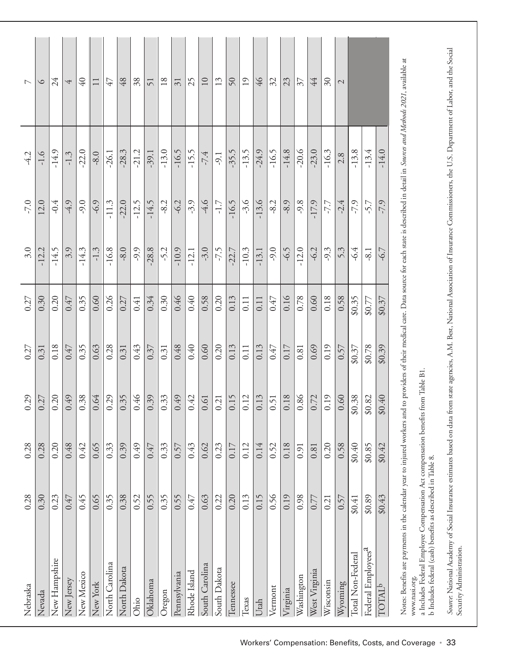| Nebraska                                                                                                                                                                                                                                                                                                                                                       | 0.28   | 0.28   | 0.29           | 0.27   | 0.27   | 3.0     | $-7.0$  | $-4.2$  | $\overline{C}$  |
|----------------------------------------------------------------------------------------------------------------------------------------------------------------------------------------------------------------------------------------------------------------------------------------------------------------------------------------------------------------|--------|--------|----------------|--------|--------|---------|---------|---------|-----------------|
| Nevada                                                                                                                                                                                                                                                                                                                                                         | 0.30   | 0.28   | 0.27           | 0.31   | 0.30   | $-12.2$ | 12.0    | $-1.6$  | $\circ$         |
| New Hampshire                                                                                                                                                                                                                                                                                                                                                  | 0.23   | 0.20   | 0.20           | 0.18   | 0.20   | $-14.5$ | $-0.4$  | $-14.9$ | 24              |
| New Jersey                                                                                                                                                                                                                                                                                                                                                     | 0.47   | 0.48   | 0.49           | 0.47   | 0.47   | 3.9     | $-4.9$  | $-1.3$  | 4               |
| New Mexico                                                                                                                                                                                                                                                                                                                                                     | 0.45   | 0.42   | 0.38           | 0.35   | 0.35   | $-14.3$ | $-9.0$  | $-22.0$ | $\overline{40}$ |
| New York                                                                                                                                                                                                                                                                                                                                                       | 0.65   | 0.65   | 0.64           | 0.63   | 0.60   | $-1.3$  | $-6.9$  | $-8.0$  | $\Box$          |
| North Carolina                                                                                                                                                                                                                                                                                                                                                 | 0.35   | 0.33   | 0.29           | 0.28   | 0.26   | $-16.8$ | $-11.3$ | $-26.1$ | 47              |
| North Dakota                                                                                                                                                                                                                                                                                                                                                   | 0.38   | 0.39   | 0.35           | 0.31   | 0.27   | $-8.0$  | $-22.0$ | $-28.3$ | 48              |
| Ohio                                                                                                                                                                                                                                                                                                                                                           | 0.52   | 64.0   | 0.46           | 0.43   | 0.41   | -9.9    | $-12.5$ | $-21.2$ | 38              |
| Oklahoma                                                                                                                                                                                                                                                                                                                                                       | 0.55   | 0.47   | 0.39           | 0.37   | 0.34   | $-28.8$ | $-14.5$ | $-39.1$ | 51              |
| Oregon                                                                                                                                                                                                                                                                                                                                                         | 0.35   | 0.33   | 0.33           | 0.31   | 0.30   | $-5.2$  | $-8.2$  | $-13.0$ | 18              |
| Pennsylvania                                                                                                                                                                                                                                                                                                                                                   | 0.55   | 0.57   | 0.49           | 0.48   | 0.46   | $-10.9$ | $-6.2$  | $-16.5$ | $\overline{31}$ |
| Rhode Island                                                                                                                                                                                                                                                                                                                                                   | 0.47   | 643    | 0.42           | 0.40   | 0.40   | $-12.1$ | $-3.9$  | $-15.5$ | 25              |
| South Carolina                                                                                                                                                                                                                                                                                                                                                 | 0.63   | 0.62   | 0.61           | 0.60   | 0.58   | $-3.0$  | $-4.6$  | $-7.4$  | 10              |
| South Dakota                                                                                                                                                                                                                                                                                                                                                   | 0.22   | 0.23   | 0.21           | 0.20   | 0.20   | $-7.5$  | $-1.7$  | $-9.1$  | 13              |
| Tennessee                                                                                                                                                                                                                                                                                                                                                      | 0.20   | 0.17   | 0.15           | 0.13   | 0.13   | $-22.7$ | $-16.5$ | $-35.5$ | 50              |
| Texas                                                                                                                                                                                                                                                                                                                                                          | 0.13   | 0.12   | 0.12           | 0.11   | 0.11   | $-10.3$ | $-3.6$  | $-13.5$ | $\overline{19}$ |
| Utah                                                                                                                                                                                                                                                                                                                                                           | 0.15   | 0.14   | 0.13           | 0.13   | 0.11   | $-13.1$ | $-13.6$ | $-24.9$ | $\frac{9}{7}$   |
| Vermont                                                                                                                                                                                                                                                                                                                                                        | 0.56   | 0.52   | 0.51           | 0.47   | 0.47   | $-9.0$  | $-8.2$  | $-16.5$ | 32              |
| Virginia                                                                                                                                                                                                                                                                                                                                                       | 0.19   | 0.18   | 0.18           | 0.17   | 0.16   | $-6.5$  | $-8.9$  | $-14.8$ | 23              |
| Washington                                                                                                                                                                                                                                                                                                                                                     | 0.98   | 0.91   | 0.86           | 0.81   | 0.78   | $-12.0$ | $-9.8$  | $-20.6$ | $\mathcal{E}$   |
| West Virginia                                                                                                                                                                                                                                                                                                                                                  | 0.77   | 0.81   | 0.72           | 0.69   | 0.60   | $-6.2$  | $-17.9$ | $-23.0$ | 44              |
| Wisconsin                                                                                                                                                                                                                                                                                                                                                      | 0.21   | 0.20   | 0.19           | 0.19   | 0.18   | $-9.3$  | -7.7    | $-16.3$ | $\delta$        |
| Wyoming                                                                                                                                                                                                                                                                                                                                                        | 0.57   | 0.58   | 0.60           | 0.57   | 0.58   | 5.3     | $-2.4$  | 2.8     | $\mathcal{L}$   |
| Total Non-Federal                                                                                                                                                                                                                                                                                                                                              | \$0.41 | \$0.40 | \$0.38         | \$0.37 | \$0.35 | $-6.4$  | $-7.9$  | $-13.8$ |                 |
| Federal Employees <sup>a</sup>                                                                                                                                                                                                                                                                                                                                 | \$0.89 | \$0.85 | \$0.82         | \$0.78 | \$0.77 | $-8.1$  | $-5.7$  | $-13.4$ |                 |
| TOTAL <sup>b</sup>                                                                                                                                                                                                                                                                                                                                             | \$0.43 | \$0.42 | \$0.40         | \$0.39 | \$0.37 | $-6.7$  | -7.9    | $-14.0$ |                 |
| Notes: Benefits are payments in the calendar year to injured workers and to providers of their medical care. Data source for each state is described in detail in Sources and Methods 2021, available at<br>a Includes Federal Employee Compensation Act compensation benefits<br>b Includes federal (cash) benefits as described in Table 8.<br>www.nasi.org. |        |        | from Table B1. |        |        |         |         |         |                 |

*Source* National Academy of Social Insurance estimates based on data from state agencies, A.M. Best, National Association of Insurance Commissioners, the U.S. Department of Labor, and the Social<br>Security Administration. *Source*: National Academy of Social Insurance estimates based on data from state agencies, A.M. Best, National Association of Insurance Commissioners, the U.S. Department of Labor, and the Social Security Administration.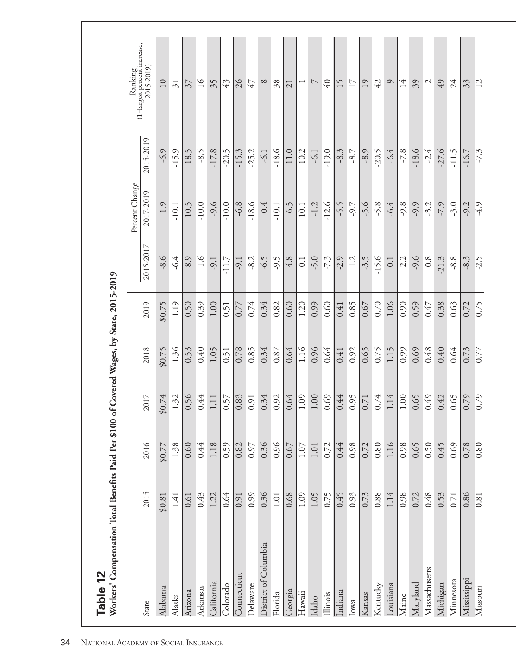|                      |          |          |                   |          |          |                  | Percent Change |           | Ranking<br>(1=largest percent increase, |
|----------------------|----------|----------|-------------------|----------|----------|------------------|----------------|-----------|-----------------------------------------|
| State                | 2015     | 2016     | 2017              | 2018     | 2019     | 2015-2017        | 2017-2019      | 2015-2019 | 2015-2019)                              |
| Alabama              | \$0.81   | \$0.77   | \$0.74            | \$0.75   | \$0.75   | $-8.6$           | 1.9            | $-6.9$    | 10                                      |
| Alaska               | 1.41     | 1.38     | 1.32              | 1.36     | 1.19     | $-6.4$           | $-10.1$        | $-15.9$   | $\overline{\mathcal{E}}$                |
| Arizona              | 0.61     | 0.60     | 0.56              | 0.53     | 0.50     | $-8.9$           | $-10.5$        | $-18.5$   | $\overline{\mathcal{E}}$                |
| Arkansas             | 643      | 0.44     | 0.44              | 0.40     | 0.39     | $\frac{6}{1}$    | $-10.0$        | $-8.5$    | $\overline{16}$                         |
| California           | 1.22     | 1.18     | $1.11\,$          | 1.05     | 1.00     | $-9.1$           | $-9.6$         | $-17.8$   | 35                                      |
| Colorado             | 0.64     | 0.59     | 0.57              | 0.51     | 0.51     | $-11.7$          | $-10.0$        | $-20.5$   | 43                                      |
| Connecticut          | 0.91     | 0.82     | 0.83              | 0.78     | 0.77     | $-9.1$           | $-6.8$         | $-15.3$   | 26                                      |
| Delaware             | 0.99     | 0.97     | 0.91              | 0.85     | 0.74     | $-8.2$           | $-18.6$        | $-25.2$   | 47                                      |
| District of Columbia | 0.36     | 0.36     | 0.34              | 0.34     | 0.34     | $-6.5$           | 0.4            | $-6.1$    | $\infty$                                |
| Florida              | $1.01\,$ | 0.96     | 0.92              | $0.87\,$ | $0.82\,$ | $-9.5$           | $-10.1$        | $-18.6$   | 38                                      |
| Georgia              | 0.68     | 0.67     | 0.64              | 0.64     | 0.60     | $-4.8$           | $-6.5$         | $-11.0$   | 21                                      |
| Hawaii               | 1.09     | 1.07     | 1.09              | 1.16     | 1.20     | $\overline{0}$ . | 10.1           | 10.2      |                                         |
| Idaho                | 1.05     | $1.01\,$ | $1.00\,$          | 0.96     | 0.99     | $-5.0$           | $-1.2$         | $-6.1$    | $\overline{ }$                          |
| Illinois             | 0.75     | 0.72     | 0.69              | 0.64     | 0.60     | $-7.3$           | $-12.6$        | $-19.0$   | 40                                      |
| Indiana              | 0.45     | 0.44     | 0.44              | 0.41     | 0.41     | $-2.9$           | -5.5           | $-8.3$    | 15                                      |
| Iowa                 | 0.93     | 0.98     | 0.95              | 0.92     | 0.85     | 1.2              | $-9.7$         | $-8.7$    | 17                                      |
| Kansas               | 0.73     | 0.72     | $0.71\,$          | 0.65     | 0.67     | $-3.5$           | $-5.6$         | $-8.9$    | 19                                      |
| Kentucky             | 0.88     | 0.80     | 0.74              | 0.75     | 0.70     | $-15.6$          | $-5.8$         | $-20.5$   | 42                                      |
| Louisiana            | 1.14     | 1.16     | 1.14              | 1.15     | 1.06     | 0.1              | $-6.4$         | $-6.4$    | $\circ$                                 |
| Maine                | 0.98     | 0.98     | $1.00\,$          | 0.99     | 0.90     | 2.2              | $-9.8$         | $-7.8$    | 14                                      |
| Maryland             | 0.72     | 0.65     | 0.65              | 0.69     | 0.59     | $-9.6$           | $-9.9$         | $-18.6$   | 39                                      |
| Massachusetts        | 0.48     | 0.50     | 0.49              | 0.48     | 0.47     | 0.8              | $-3.2$         | $-2.4$    | $\mathcal{L}$                           |
| Michigan             | 0.53     | 0.45     | 0.42              | 0.40     | 0.38     | $-21.3$          | -7.9           | $-27.6$   | 49                                      |
| Minnesota            | 0.71     | 0.69     | 0.65              | 0.64     | 0.63     | $-8.8$           | $-3.0$         | $-11.5$   | 24                                      |
| Mississippi          | 0.86     | 0.78     | $\overline{0.79}$ | 0.73     | 0.72     | $-8.3$           | $-9.2$         | $-16.7$   | 33                                      |
| Missouri             | 0.81     | 0.80     | 0.79              | 0.77     | 0.75     | $-2.5$           | $-4.9$         | $-7.3$    | 12                                      |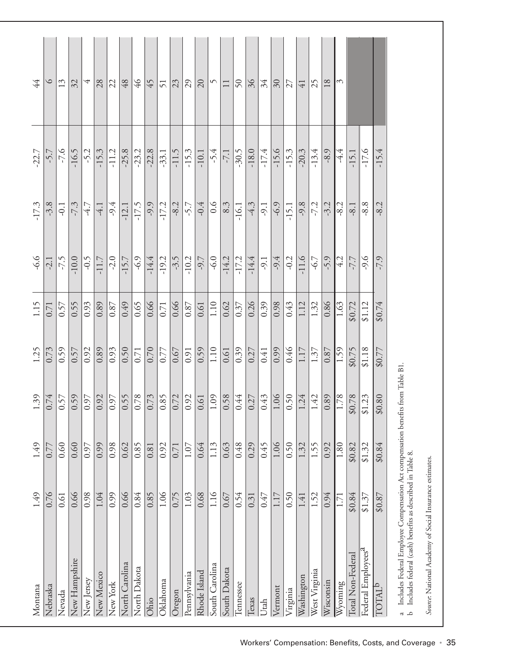| Montana                                                                                                                                                                                                                                   | 1.49   | 1.49   | 1.39                   | 1.25   | 1.15         | $-6.6$       | $-17.3$ | $-22.7$ | $\overline{44}$ |
|-------------------------------------------------------------------------------------------------------------------------------------------------------------------------------------------------------------------------------------------|--------|--------|------------------------|--------|--------------|--------------|---------|---------|-----------------|
| Nebraska                                                                                                                                                                                                                                  | 0.76   | 0.77   | 0.74                   | 0.73   | 0.71         | $-2.1$       | $-3.8$  | -5.7    | $\circ$         |
| Nevada                                                                                                                                                                                                                                    | 0.61   | 0.60   | 0.57                   | 0.59   | 0.57         | $-7.5$       | $-0.1$  | $-7.6$  | 13              |
| <b>New Hampshire</b>                                                                                                                                                                                                                      | 0.66   | 0.60   |                        | 0.57   | 0.55         | $-10.0$      | $-7.3$  | $-16.5$ | 32              |
| New Jersey                                                                                                                                                                                                                                | 0.98   | 0.97   | $\sqrt{97}$            | 0.92   | 0.93         | $-0.5$       | 47      | $-5.2$  | 4               |
| New Mexico                                                                                                                                                                                                                                | 1.04   | 0.99   | 0.92                   | 0.89   | 0.89         | $-11.7$      | $-4.1$  | $-15.3$ | 28              |
| New York                                                                                                                                                                                                                                  | 0.99   | 0.98   | $\sqrt{97}$            | 0.93   | $\sqrt{8.0}$ | $-2.0$       | $-9.4$  | $-11.2$ | 22              |
| North Carolina                                                                                                                                                                                                                            | 0.66   | 0.62   |                        | 0.50   | 67.0         | $-15.7$      | $-12.1$ | $-25.8$ | $48$            |
| North Dakota                                                                                                                                                                                                                              | 0.84   | 0.85   |                        | 0.71   | 0.65         | $-6.9$       | $-17.5$ | $-23.2$ | $\frac{9}{7}$   |
| Ohio                                                                                                                                                                                                                                      | 0.85   | 0.81   | $\frac{0.55}{0.78}$    | 0.70   | 0.66         | $-14.4$      | $-9.9$  | $-22.8$ | 45              |
| Oklahoma                                                                                                                                                                                                                                  | 1.06   | 0.92   | 0.85                   | 0.77   | $0.71\,$     | $-19.2$      | $-17.2$ | $-33.1$ | 51              |
| Oregon                                                                                                                                                                                                                                    | 0.75   | 0.71   | 0.72                   | 0.67   | 0.66         | $-3.5$       | $-8.2$  | $-11.5$ | 23              |
| Pennsylvania                                                                                                                                                                                                                              | 1.03   | 1.07   | $\sqrt{2}$             | 0.91   | 0.87         | $-10.2$      | $-5.7$  | $-15.3$ | 29              |
| Rhode Island                                                                                                                                                                                                                              | 0.68   | 0.64   | 0.61                   | 0.59   | $0.61$       | $\sqrt{6}$   | $-0.4$  | $-10.1$ | 20              |
| South Carolina                                                                                                                                                                                                                            | 1.16   | 1.13   | 1.09                   | 1.10   | 1.10         | $-6.0$       | 0.6     | $-5.4$  | $\varsigma$     |
| South Dakota                                                                                                                                                                                                                              | 0.67   | 0.63   | $\sqrt{0.58}$          | 0.61   | 0.62         | $-14.2$      | 8.3     | $-7.1$  | $\Box$          |
| Tennessee                                                                                                                                                                                                                                 | 0.54   | 0.48   |                        | 0.39   | 0.37         | $-17.2$      | $-16.1$ | $-30.5$ | $50\,$          |
| <b>Lexas</b>                                                                                                                                                                                                                              | 0.31   | 0.29   | $rac{1.44}{0.27}$      | 0.27   | 0.26         | $-14.4$      | $-4.3$  | $-18.0$ | 36              |
| Utah                                                                                                                                                                                                                                      | 0.47   | 0.45   | 0.43                   | 0.41   | 0.39         | $\sqrt{9.1}$ | $-9.1$  | $-17.4$ | 34              |
| Vermont                                                                                                                                                                                                                                   | 1.17   | 1.06   | 1.06                   | 0.99   | 0.98         | $-9.4$       | $-6.9$  | $-15.6$ | 30              |
| Virginia                                                                                                                                                                                                                                  | 0.50   | 0.50   | $\overline{0.50}$      | 0.46   | 0.43         | $-0.2$       | $-15.1$ | $-15.3$ | 27              |
| Washington                                                                                                                                                                                                                                | 1.41   | 1.32   | 1.24                   | 1.17   | 1.12         | $-11.6$      | $-9.8$  | $-20.3$ | $\overline{41}$ |
| West Virginia                                                                                                                                                                                                                             | 1.52   | 1.55   | $\frac{42}{1}$         | 1.37   | 1.32         | $-6.7$       | $-7.2$  | $-13.4$ | 25              |
| Wisconsin                                                                                                                                                                                                                                 | 0.94   | 0.92   | 0.89                   | 0.87   | 0.86         | $-5.9$       | $-3.2$  | $-8.9$  | 18              |
| Wyoming                                                                                                                                                                                                                                   | 1.71   | 1.80   | 1.78                   | 1.59   | 1.63         | 4.2          | $-8.2$  | $-4.4$  | S               |
| Total Non-Federal                                                                                                                                                                                                                         | \$0.84 | \$0.82 | \$0.78                 | \$0.75 | \$0.72       | 7.7          | $-8.1$  | $-15.1$ |                 |
| Federal Employees <sup>a</sup>                                                                                                                                                                                                            | \$1.37 | \$1.32 | 1.23<br>$\frac{31}{2}$ | \$1.18 | \$1.12       | $-9.6$       | $-8.8$  | $-17.6$ |                 |
| TOTAL <sup>b</sup>                                                                                                                                                                                                                        | \$0.87 | \$0.84 | 0.80<br>$\mathfrak{D}$ | \$0.77 | \$0.74       | -7.9         | $-8.2$  | $-15.4$ |                 |
| a Includes Federal Employee Compensation Act compensation benefits<br>b Includes federal (cash) $\lambda_{\rm max}$ for all $\lambda_{\rm max}$ in the compensation benefits<br>Includes federal (cash) benefits as described in Table 8. |        |        | from Table B1.         |        |              |              |         |         |                 |

Source National Academy of Social Insurance estimates. *Source*: National Academy of Social Insurance estimates.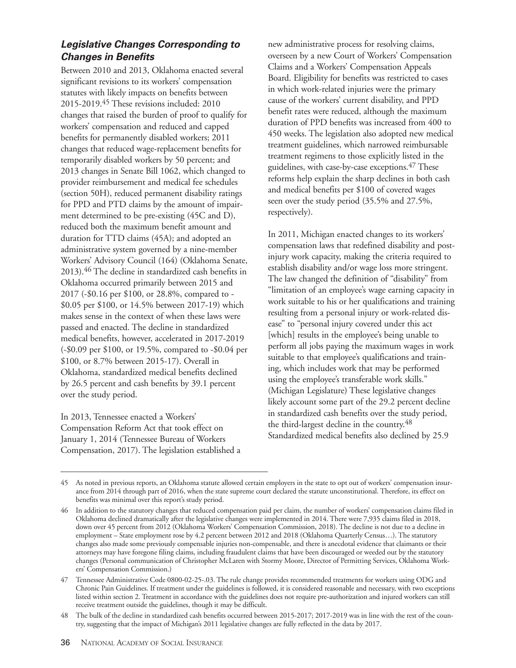#### **Legislative Changes Corresponding to Changes in Benefits**

Between 2010 and 2013, Oklahoma enacted several significant revisions to its workers' compensation statutes with likely impacts on benefits between 2015-2019.45 These revisions included: 2010 changes that raised the burden of proof to qualify for workers' compensation and reduced and capped benefits for permanently disabled workers; 2011 changes that reduced wage-replacement benefits for temporarily disabled workers by 50 percent; and 2013 changes in Senate Bill 1062, which changed to provider reimbursement and medical fee schedules (section 50H), reduced permanent disability ratings for PPD and PTD claims by the amount of impairment determined to be pre-existing (45C and D), reduced both the maximum benefit amount and duration for TTD claims (45A); and adopted an administrative system governed by a nine-member Workers' Advisory Council (164) (Oklahoma Senate, 2013).46 The decline in standardized cash benefits in Oklahoma occurred primarily between 2015 and 2017 (-\$0.16 per \$100, or 28.8%, compared to - \$0.05 per \$100, or 14.5% between 2017-19) which makes sense in the context of when these laws were passed and enacted. The decline in standardized medical benefits, however, accelerated in 2017-2019 (-\$0.09 per \$100, or 19.5%, compared to -\$0.04 per \$100, or 8.7% between 2015-17). Overall in Oklahoma, standardized medical benefits declined by 26.5 percent and cash benefits by 39.1 percent over the study period.

In 2013, Tennessee enacted a Workers' Compensation Reform Act that took effect on January 1, 2014 (Tennessee Bureau of Workers Compensation, 2017). The legislation established a new administrative process for resolving claims, overseen by a new Court of Workers' Compensation Claims and a Workers' Compensation Appeals Board. Eligibility for benefits was restricted to cases in which work-related injuries were the primary cause of the workers' current disability, and PPD benefit rates were reduced, although the maximum duration of PPD benefits was increased from 400 to 450 weeks. The legislation also adopted new medical treatment guidelines, which narrowed reimbursable treatment regimens to those explicitly listed in the guidelines, with case-by-case exceptions.<sup>47</sup> These reforms help explain the sharp declines in both cash and medical benefits per \$100 of covered wages seen over the study period (35.5% and 27.5%, respectively).

In 2011, Michigan enacted changes to its workers' compensation laws that redefined disability and postinjury work capacity, making the criteria required to establish disability and/or wage loss more stringent. The law changed the definition of "disability" from "limitation of an employee's wage earning capacity in work suitable to his or her qualifications and training resulting from a personal injury or work-related disease" to "personal injury covered under this act [which] results in the employee's being unable to perform all jobs paying the maximum wages in work suitable to that employee's qualifications and training, which includes work that may be performed using the employee's transferable work skills." (Michigan Legislature) These legislative changes likely account some part of the 29.2 percent decline in standardized cash benefits over the study period, the third-largest decline in the country.<sup>48</sup> Standardized medical benefits also declined by 25.9

<sup>45</sup> As noted in previous reports, an Oklahoma statute allowed certain employers in the state to opt out of workers' compensation insurance from 2014 through part of 2016, when the state supreme court declared the statute unconstitutional. Therefore, its effect on benefits was minimal over this report's study period.

In addition to the statutory changes that reduced compensation paid per claim, the number of workers' compensation claims filed in Oklahoma declined dramatically after the legislative changes were implemented in 2014. There were 7,935 claims filed in 2018, down over 45 percent from 2012 (Oklahoma Workers' Compensation Commission, 2018). The decline is not due to a decline in employment – State employment rose by 4.2 percent between 2012 and 2018 (Oklahoma Quarterly Census…). The statutory changes also made some previously compensable injuries non-compensable, and there is anecdotal evidence that claimants or their attorneys may have foregone filing claims, including fraudulent claims that have been discouraged or weeded out by the statutory changes (Personal communication of Christopher McLaren with Stormy Moore, Director of Permitting Services, Oklahoma Workers' Compensation Commission.)

<sup>47</sup> Tennessee Administrative Code 0800-02-25-.03. The rule change provides recommended treatments for workers using ODG and Chronic Pain Guidelines. If treatment under the guidelines is followed, it is considered reasonable and necessary, with two exceptions listed within section 2. Treatment in accordance with the guidelines does not require pre-authorization and injured workers can still receive treatment outside the guidelines, though it may be difficult.

<sup>48</sup> The bulk of the decline in standardized cash benefits occurred between 2015-2017; 2017-2019 was in line with the rest of the country, suggesting that the impact of Michigan's 2011 legislative changes are fully reflected in the data by 2017.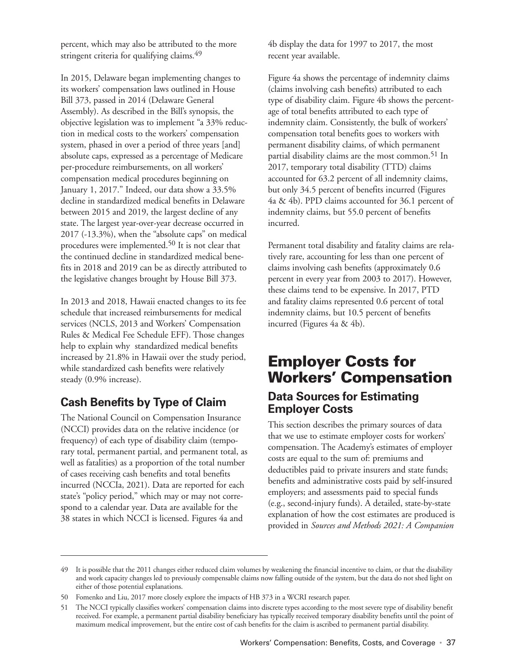percent, which may also be attributed to the more stringent criteria for qualifying claims.<sup>49</sup>

In 2015, Delaware began implementing changes to its workers' compensation laws outlined in House Bill 373, passed in 2014 (Delaware General Assembly). As described in the Bill's synopsis, the objective legislation was to implement "a 33% reduction in medical costs to the workers' compensation system, phased in over a period of three years [and] absolute caps, expressed as a percentage of Medicare per-procedure reimbursements, on all workers' compensation medical procedures beginning on January 1, 2017." Indeed, our data show a 33.5% decline in standardized medical benefits in Delaware between 2015 and 2019, the largest decline of any state. The largest year-over-year decrease occurred in 2017 (-13.3%), when the "absolute caps" on medical procedures were implemented.<sup>50</sup> It is not clear that the continued decline in standardized medical benefits in 2018 and 2019 can be as directly attributed to the legislative changes brought by House Bill 373.

In 2013 and 2018, Hawaii enacted changes to its fee schedule that increased reimbursements for medical services (NCLS, 2013 and Workers' Compensation Rules & Medical Fee Schedule EFF). Those changes help to explain why standardized medical benefits increased by 21.8% in Hawaii over the study period, while standardized cash benefits were relatively steady (0.9% increase).

## **Cash Benefits by Type of Claim**

The National Council on Compensation Insurance (NCCI) provides data on the relative incidence (or frequency) of each type of disability claim (temporary total, permanent partial, and permanent total, as well as fatalities) as a proportion of the total number of cases receiving cash benefits and total benefits incurred (NCCIa, 2021). Data are reported for each state's "policy period," which may or may not correspond to a calendar year. Data are available for the 38 states in which NCCI is licensed. Figures 4a and

4b display the data for 1997 to 2017, the most recent year available.

Figure 4a shows the percentage of indemnity claims (claims involving cash benefits) attributed to each type of disability claim. Figure 4b shows the percentage of total benefits attributed to each type of indemnity claim. Consistently, the bulk of workers' compensation total benefits goes to workers with permanent disability claims, of which permanent partial disability claims are the most common.<sup>51</sup> In 2017, temporary total disability (TTD) claims accounted for 63.2 percent of all indemnity claims, but only 34.5 percent of benefits incurred (Figures 4a & 4b). PPD claims accounted for 36.1 percent of indemnity claims, but 55.0 percent of benefits incurred.

Permanent total disability and fatality claims are relatively rare, accounting for less than one percent of claims involving cash benefits (approximately 0.6 percent in every year from 2003 to 2017). However, these claims tend to be expensive. In 2017, PTD and fatality claims represented 0.6 percent of total indemnity claims, but 10.5 percent of benefits incurred (Figures 4a & 4b).

# **Employer Costs for Workers' Compensation Data Sources for Estimating Employer Costs**

This section describes the primary sources of data that we use to estimate employer costs for workers' compensation. The Academy's estimates of employer costs are equal to the sum of: premiums and deductibles paid to private insurers and state funds; benefits and administrative costs paid by self-insured employers; and assessments paid to special funds (e.g., second-injury funds). A detailed, state-by-state explanation of how the cost estimates are produced is provided in *Sources and Methods 2021: A Companion*

<sup>49</sup> It is possible that the 2011 changes either reduced claim volumes by weakening the financial incentive to claim, or that the disability and work capacity changes led to previously compensable claims now falling outside of the system, but the data do not shed light on either of those potential explanations.

<sup>50</sup> Fomenko and Liu, 2017 more closely explore the impacts of HB 373 in a WCRI research paper.

<sup>51</sup> The NCCI typically classifies workers' compensation claims into discrete types according to the most severe type of disability benefit received. For example, a permanent partial disability beneficiary has typically received temporary disability benefits until the point of maximum medical improvement, but the entire cost of cash benefits for the claim is ascribed to permanent partial disability.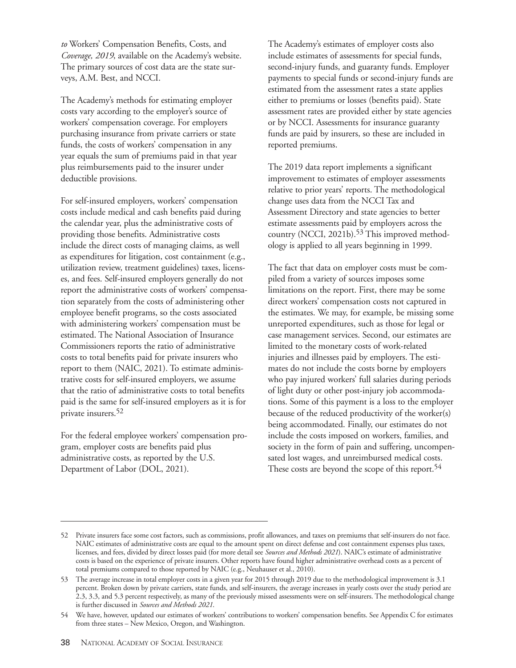*to* Workers' Compensation Benefits, Costs, and *Coverage, 2019*, available on the Academy's website. The primary sources of cost data are the state surveys, A.M. Best, and NCCI.

The Academy's methods for estimating employer costs vary according to the employer's source of workers' compensation coverage. For employers purchasing insurance from private carriers or state funds, the costs of workers' compensation in any year equals the sum of premiums paid in that year plus reimbursements paid to the insurer under deductible provisions.

For self-insured employers, workers' compensation costs include medical and cash benefits paid during the calendar year, plus the administrative costs of providing those benefits. Administrative costs include the direct costs of managing claims, as well as expenditures for litigation, cost containment (e.g., utilization review, treatment guidelines) taxes, licenses, and fees. Self-insured employers generally do not report the administrative costs of workers' compensation separately from the costs of administering other employee benefit programs, so the costs associated with administering workers' compensation must be estimated. The National Association of Insurance Commissioners reports the ratio of administrative costs to total benefits paid for private insurers who report to them (NAIC, 2021). To estimate administrative costs for self-insured employers, we assume that the ratio of administrative costs to total benefits paid is the same for self-insured employers as it is for private insurers.52

For the federal employee workers' compensation program, employer costs are benefits paid plus administrative costs, as reported by the U.S. Department of Labor (DOL, 2021).

The Academy's estimates of employer costs also include estimates of assessments for special funds, second-injury funds, and guaranty funds. Employer payments to special funds or second-injury funds are estimated from the assessment rates a state applies either to premiums or losses (benefits paid). State assessment rates are provided either by state agencies or by NCCI. Assessments for insurance guaranty funds are paid by insurers, so these are included in reported premiums.

The 2019 data report implements a significant improvement to estimates of employer assessments relative to prior years' reports. The methodological change uses data from the NCCI Tax and Assessment Directory and state agencies to better estimate assessments paid by employers across the country (NCCI, 2021b).<sup>53</sup> This improved methodology is applied to all years beginning in 1999.

The fact that data on employer costs must be compiled from a variety of sources imposes some limitations on the report. First, there may be some direct workers' compensation costs not captured in the estimates. We may, for example, be missing some unreported expenditures, such as those for legal or case management services. Second, our estimates are limited to the monetary costs of work-related injuries and illnesses paid by employers. The estimates do not include the costs borne by employers who pay injured workers' full salaries during periods of light duty or other post-injury job accommodations. Some of this payment is a loss to the employer because of the reduced productivity of the worker(s) being accommodated. Finally, our estimates do not include the costs imposed on workers, families, and society in the form of pain and suffering, uncompensated lost wages, and unreimbursed medical costs. These costs are beyond the scope of this report.<sup>54</sup>

<sup>52</sup> Private insurers face some cost factors, such as commissions, profit allowances, and taxes on premiums that self-insurers do not face. NAIC estimates of administrative costs are equal to the amount spent on direct defense and cost containment expenses plus taxes, licenses, and fees, divided by direct losses paid (for more detail see *Sources and Methods 2021*). NAIC's estimate of administrative costs is based on the experience of private insurers. Other reports have found higher administrative overhead costs as a percent of total premiums compared to those reported by NAIC (e.g., Neuhauser et al., 2010).

<sup>53</sup> The average increase in total employer costs in a given year for 2015 through 2019 due to the methodological improvement is 3.1 percent. Broken down by private carriers, state funds, and self-insurers, the average increases in yearly costs over the study period are 2.3, 3.3, and 5.3 percent respectively, as many of the previously missed assessments were on self-insurers. The methodological change is further discussed in *Sources and Methods 2021*.

<sup>54</sup> We have, however, updated our estimates of workers' contributions to workers' compensation benefits. See Appendix C for estimates from three states – New Mexico, Oregon, and Washington.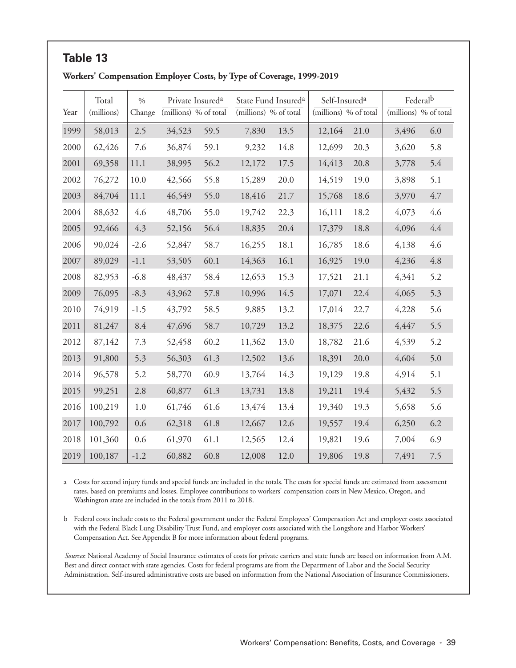|      | Workers' Compensation Employer Costs, by Type of Coverage, 1999-2019 |                         |                                                       |      |                                                          |      |                                                    |      |                                   |         |
|------|----------------------------------------------------------------------|-------------------------|-------------------------------------------------------|------|----------------------------------------------------------|------|----------------------------------------------------|------|-----------------------------------|---------|
| Year | Total<br>(millions)                                                  | $\frac{0}{0}$<br>Change | Private Insured <sup>a</sup><br>(millions) % of total |      | State Fund Insured <sup>a</sup><br>(millions) % of total |      | Self-Insured <sup>a</sup><br>(millions) % of total |      | Federalb<br>(millions) % of total |         |
| 1999 | 58,013                                                               | 2.5                     | 34,523                                                | 59.5 | 7,830                                                    | 13.5 | 12,164                                             | 21.0 | 3,496                             | 6.0     |
| 2000 | 62,426                                                               | 7.6                     | 36,874                                                | 59.1 | 9,232                                                    | 14.8 | 12,699                                             | 20.3 | 3,620                             | 5.8     |
| 2001 | 69,358                                                               | 11.1                    | 38,995                                                | 56.2 | 12,172                                                   | 17.5 | 14,413                                             | 20.8 | 3,778                             | 5.4     |
| 2002 | 76,272                                                               | 10.0                    | 42,566                                                | 55.8 | 15,289                                                   | 20.0 | 14,519                                             | 19.0 | 3,898                             | 5.1     |
| 2003 | 84,704                                                               | 11.1                    | 46,549                                                | 55.0 | 18,416                                                   | 21.7 | 15,768                                             | 18.6 | 3,970                             | 4.7     |
| 2004 | 88,632                                                               | 4.6                     | 48,706                                                | 55.0 | 19,742                                                   | 22.3 | 16,111                                             | 18.2 | 4,073                             | 4.6     |
| 2005 | 92,466                                                               | 4.3                     | 52,156                                                | 56.4 | 18,835                                                   | 20.4 | 17,379                                             | 18.8 | 4,096                             | 4.4     |
| 2006 | 90,024                                                               | $-2.6$                  | 52,847                                                | 58.7 | 16,255                                                   | 18.1 | 16,785                                             | 18.6 | 4,138                             | 4.6     |
| 2007 | 89,029                                                               | $-1.1$                  | 53,505                                                | 60.1 | 14,363                                                   | 16.1 | 16,925                                             | 19.0 | 4,236                             | $4.8\,$ |
| 2008 | 82,953                                                               | $-6.8$                  | 48,437                                                | 58.4 | 12,653                                                   | 15.3 | 17,521                                             | 21.1 | 4,341                             | 5.2     |
| 2009 | 76,095                                                               | $-8.3$                  | 43,962                                                | 57.8 | 10,996                                                   | 14.5 | 17,071                                             | 22.4 | 4,065                             | 5.3     |
| 2010 | 74,919                                                               | $-1.5$                  | 43,792                                                | 58.5 | 9,885                                                    | 13.2 | 17,014                                             | 22.7 | 4,228                             | 5.6     |
| 2011 | 81,247                                                               | 8.4                     | 47,696                                                | 58.7 | 10,729                                                   | 13.2 | 18,375                                             | 22.6 | 4,447                             | 5.5     |
| 2012 | 87,142                                                               | 7.3                     | 52,458                                                | 60.2 | 11,362                                                   | 13.0 | 18,782                                             | 21.6 | 4,539                             | 5.2     |
| 2013 | 91,800                                                               | 5.3                     | 56,303                                                | 61.3 | 12,502                                                   | 13.6 | 18,391                                             | 20.0 | 4,604                             | 5.0     |
| 2014 | 96,578                                                               | 5.2                     | 58,770                                                | 60.9 | 13,764                                                   | 14.3 | 19,129                                             | 19.8 | 4,914                             | 5.1     |
| 2015 | 99,251                                                               | 2.8                     | 60,877                                                | 61.3 | 13,731                                                   | 13.8 | 19,211                                             | 19.4 | 5,432                             | 5.5     |
| 2016 | 100,219                                                              | 1.0                     | 61,746                                                | 61.6 | 13,474                                                   | 13.4 | 19,340                                             | 19.3 | 5,658                             | 5.6     |
| 2017 | 100,792                                                              | 0.6                     | 62,318                                                | 61.8 | 12,667                                                   | 12.6 | 19,557                                             | 19.4 | 6,250                             | 6.2     |
| 2018 | 101,360                                                              | 0.6                     | 61,970                                                | 61.1 | 12,565                                                   | 12.4 | 19,821                                             | 19.6 | 7,004                             | 6.9     |
| 2019 | 100,187                                                              | $-1.2$                  | 60,882                                                | 60.8 | 12,008                                                   | 12.0 | 19,806                                             | 19.8 | 7,491                             | 7.5     |

# **Table 13**

a Costs for second injury funds and special funds are included in the totals. The costs for special funds are estimated from assessment rates, based on premiums and losses. Employee contributions to workers' compensation costs in New Mexico, Oregon, and Washington state are included in the totals from 2011 to 2018.

b Federal costs include costs to the Federal government under the Federal Employees' Compensation Act and employer costs associated with the Federal Black Lung Disability Trust Fund, and employer costs associated with the Longshore and Harbor Workers' Compensation Act. See Appendix B for more information about federal programs.

*Sources*: National Academy of Social Insurance estimates of costs for private carriers and state funds are based on information from A.M. Best and direct contact with state agencies. Costs for federal programs are from the Department of Labor and the Social Security Administration. Self-insured administrative costs are based on information from the National Association of Insurance Commissioners.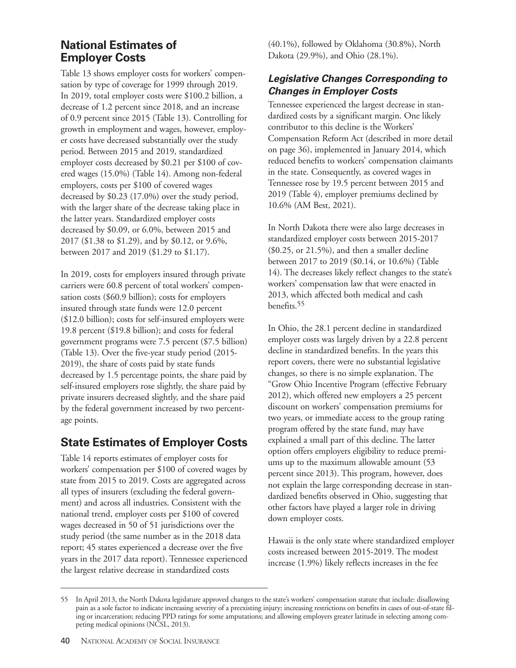#### **National Estimates of Employer Costs**

Table 13 shows employer costs for workers' compensation by type of coverage for 1999 through 2019. In 2019, total employer costs were \$100.2 billion, a decrease of 1.2 percent since 2018, and an increase of 0.9 percent since 2015 (Table 13). Controlling for growth in employment and wages, however, employer costs have decreased substantially over the study period. Between 2015 and 2019, standardized employer costs decreased by \$0.21 per \$100 of covered wages (15.0%) (Table 14). Among non-federal employers, costs per \$100 of covered wages decreased by \$0.23 (17.0%) over the study period, with the larger share of the decrease taking place in the latter years. Standardized employer costs decreased by \$0.09, or 6.0%, between 2015 and 2017 (\$1.38 to \$1.29), and by \$0.12, or 9.6%, between 2017 and 2019 (\$1.29 to \$1.17).

In 2019, costs for employers insured through private carriers were 60.8 percent of total workers' compensation costs (\$60.9 billion); costs for employers insured through state funds were 12.0 percent (\$12.0 billion); costs for self-insured employers were 19.8 percent (\$19.8 billion); and costs for federal government programs were 7.5 percent (\$7.5 billion) (Table 13). Over the five-year study period (2015- 2019), the share of costs paid by state funds decreased by 1.5 percentage points, the share paid by self-insured employers rose slightly, the share paid by private insurers decreased slightly, and the share paid by the federal government increased by two percentage points.

## **State Estimates of Employer Costs**

Table 14 reports estimates of employer costs for workers' compensation per \$100 of covered wages by state from 2015 to 2019. Costs are aggregated across all types of insurers (excluding the federal government) and across all industries. Consistent with the national trend, employer costs per \$100 of covered wages decreased in 50 of 51 jurisdictions over the study period (the same number as in the 2018 data report; 45 states experienced a decrease over the five years in the 2017 data report). Tennessee experienced the largest relative decrease in standardized costs

(40.1%), followed by Oklahoma (30.8%), North Dakota (29.9%), and Ohio (28.1%).

#### **Legislative Changes Corresponding to Changes in Employer Costs**

Tennessee experienced the largest decrease in standardized costs by a significant margin. One likely contributor to this decline is the Workers' Compensation Reform Act (described in more detail on page 36), implemented in January 2014, which reduced benefits to workers' compensation claimants in the state. Consequently, as covered wages in Tennessee rose by 19.5 percent between 2015 and 2019 (Table 4), employer premiums declined by 10.6% (AM Best, 2021).

In North Dakota there were also large decreases in standardized employer costs between 2015-2017 (\$0.25, or 21.5%), and then a smaller decline between 2017 to 2019 (\$0.14, or 10.6%) (Table 14). The decreases likely reflect changes to the state's workers' compensation law that were enacted in 2013, which affected both medical and cash benefits.55

In Ohio, the 28.1 percent decline in standardized employer costs was largely driven by a 22.8 percent decline in standardized benefits. In the years this report covers, there were no substantial legislative changes, so there is no simple explanation. The "Grow Ohio Incentive Program (effective February 2012), which offered new employers a 25 percent discount on workers' compensation premiums for two years, or immediate access to the group rating program offered by the state fund, may have explained a small part of this decline. The latter option offers employers eligibility to reduce premiums up to the maximum allowable amount (53 percent since 2013). This program, however, does not explain the large corresponding decrease in standardized benefits observed in Ohio, suggesting that other factors have played a larger role in driving down employer costs.

Hawaii is the only state where standardized employer costs increased between 2015-2019. The modest increase (1.9%) likely reflects increases in the fee

<sup>55</sup> In April 2013, the North Dakota legislature approved changes to the state's workers' compensation statute that include: disallowing pain as a sole factor to indicate increasing severity of a preexisting injury; increasing restrictions on benefits in cases of out-of-state filing or incarceration; reducing PPD ratings for some amputations; and allowing employers greater latitude in selecting among competing medical opinions (NCSL, 2013).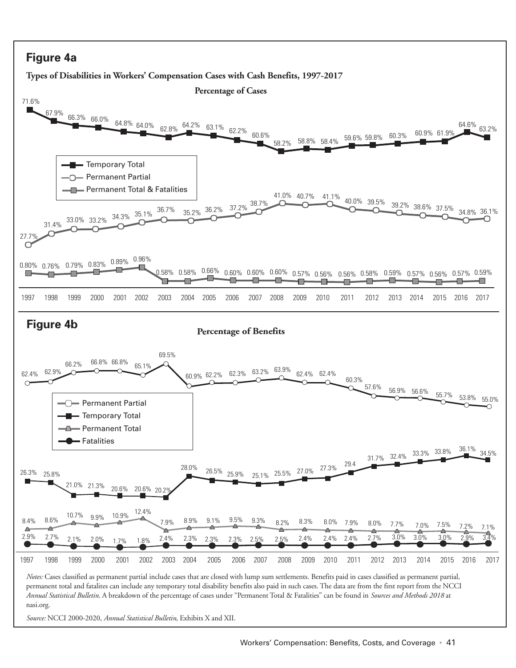#### **Figure 4a**

**Types of Disabilities in Workers' Compensation Cases with Cash Benefits, 1997-2017**



*Source:* NCCI 2000-2020, *Annual Statistical Bulletin*, Exhibits X and XII.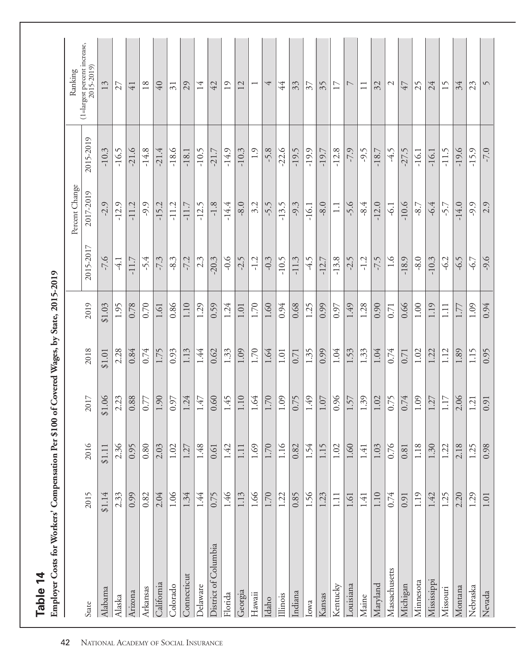| Employer Costs for Workers' Compensation Per \$100<br>Table 14 |        |          |          | of Covered Wages, by State, 2015-2019 |          |           |                  |           |                                            |
|----------------------------------------------------------------|--------|----------|----------|---------------------------------------|----------|-----------|------------------|-----------|--------------------------------------------|
|                                                                |        |          |          |                                       |          |           | Percent Change   |           | Ranking                                    |
| State                                                          | 2015   | 2016     | 2017     | 2018                                  | 2019     | 2015-2017 | 2017-2019        | 2015-2019 | (1=largest percent increase,<br>2015-2019) |
| Alabama                                                        | \$1.14 | \$1.11   | \$1.06   | \$1.01                                | \$1.03   | $-7.6$    | $-2.9$           | $-10.3$   | 13                                         |
| Alaska                                                         | 2.33   | 2.36     | 2.23     | 2.28                                  | 1.95     | $-4.1$    | $-12.9$          | $-16.5$   | 27                                         |
| Arizona                                                        | 0.99   | 0.95     | 0.88     | 0.84                                  | 0.78     | $-11.7$   | $-11.2$          | $-21.6$   | $\overline{41}$                            |
| Arkansas                                                       | 0.82   | 0.80     | 0.77     | 0.74                                  | 0.70     | $-5.4$    | $-9.9$           | $-14.8$   | $18\,$                                     |
| California                                                     | 2.04   | 2.03     | 1.90     | 1.75                                  | 1.61     | $-7.3$    | $-15.2$          | $-21.4$   | $40\,$                                     |
| Colorado                                                       | 1.06   | 1.02     | 0.97     | 0.93                                  | 0.86     | $-8.3$    | $-11.2$          | $-18.6$   | $\overline{31}$                            |
| Connecticut                                                    | 1.34   | 1.27     | 1.24     | 1.13                                  | 1.10     | $-7.2$    | $-11.7$          | $-18.1$   | 29                                         |
| <b>Delaware</b>                                                | 1.44   | 1.48     | 1.47     | 1.44                                  | 1.29     | 2.3       | $-12.5$          | $-10.5$   | 14                                         |
| District of Columbia                                           | 0.75   | 0.61     | 0.60     | 0.62                                  | 0.59     | $-20.3$   | $-1.8$           | $-21.7$   | 42                                         |
| Florida                                                        | 1.46   | 1.42     | 1.45     | 1.33                                  | 1.24     | $-0.6$    | $-14.4$          | $-14.9$   | 19                                         |
| Georgia                                                        | 1.13   | 1.11     | $1.10$   | 1.09                                  | $1.01\,$ | $-2.5$    | $-8.0$           | $-10.3$   | 12                                         |
| Hawaii                                                         | 1.66   | 1.69     | 1.64     | 1.70                                  | 1.70     | $-1.2$    | 3.2              | 1.9       |                                            |
| Idaho                                                          | 1.70   | 1.70     | 1.70     | 1.64                                  | 1.60     | $-0.3$    | $-5.5$           | $-5.8$    | 4                                          |
| Illinois                                                       | 1.22   | 1.16     | $1.09\,$ | $1.01\,$                              | 0.94     | $-10.5$   | $-13.5$          | $-22.6$   | $\overline{4}$                             |
| Indiana                                                        | 0.85   | 0.82     | 0.75     | 0.71                                  | 0.68     | $-11.3$   | $-9.3$           | $-19.5$   | 33                                         |
| Iowa                                                           | 1.56   | 1.54     | $1.49$   | 1.35                                  | 1.25     | $-4.5$    | $-16.1$          | $-19.9$   | $\overline{\mathcal{E}}$                   |
| Kansas                                                         | 1.23   | 1.15     | $1.07\,$ | 0.99                                  | 0.99     | $-12.7$   | $-8.0$           | $-19.7$   | 35                                         |
| Kentucky                                                       | 1.11   | 1.02     | 0.96     | 1.04                                  | 0.97     | $-13.8$   | $\overline{1}$ . | $-12.8$   | 17                                         |
| Louisiana                                                      | 1.61   | 1.60     | 1.57     | 1.53                                  | 1.49     | $-2.5$    | $-5.6$           | $-7.9$    | $\overline{\phantom{0}}$                   |
| Maine                                                          | 1.41   | 1.41     | 1.39     | 1.33                                  | 1.28     | $-1.2$    | $-8.4$           | $-9.5$    | $\Box$                                     |
| Maryland                                                       | 1.10   | 1.03     | 1.02     | 1.04                                  | 0.90     | -7.5      | $-12.0$          | $-18.7$   | 32                                         |
| Massachusetts                                                  | 0.74   | 0.76     | 0.75     | 0.74                                  | 0.71     | 1.6       | $-6.1$           | $-4.5$    | $\mathcal{L}$                              |
| Michigan                                                       | 0.91   | $0.81\,$ | 0.74     | 0.71                                  | 0.66     | $-18.9$   | $-10.6$          | $-27.5$   | 47                                         |
| Minnesota                                                      | 1.19   | 1.18     | 1.09     | 1.02                                  | $1.00\,$ | $-8.0$    | $-8.7$           | $-16.1$   | 25                                         |
| Mississippi                                                    | 1.42   | 1.30     | 1.27     | 1.22                                  | 1.19     | $-10.3$   | $-6.4$           | $-16.1$   | 24                                         |
| Missouri                                                       | 1.25   | 1.22     | 1.17     | 1.12                                  | 1.11     | $-6.2$    | $-5.7$           | $-11.5$   | 15                                         |
| Montana                                                        | 2.20   | 2.18     | 2.06     | 1.89                                  | 1.77     | $-6.5$    | $-14.0$          | $-19.6$   | 34                                         |
| Nebraska                                                       | 1.29   | 1.25     | 1.21     | 1.15                                  | 1.09     | $-6.7$    | $-9.9$           | $-15.9$   | 23                                         |
| Nevada                                                         | 1.01   | 0.98     | 0.91     | 0.95                                  | 0.94     | $-9.6$    | 2.9              | $-7.0$    | $\sqrt{}$                                  |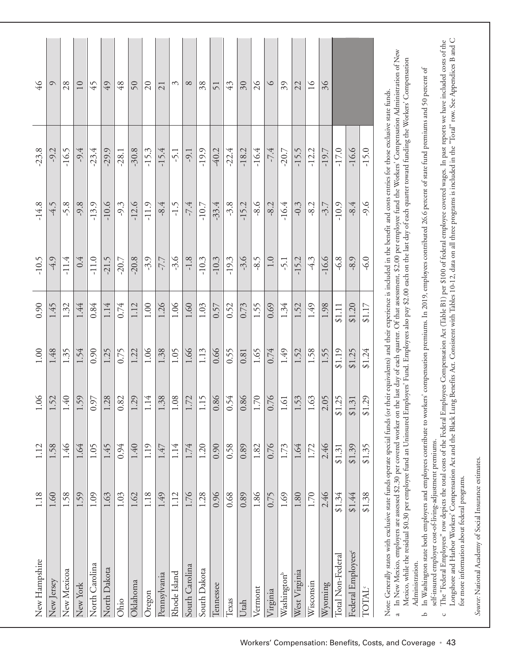| New Hampshire                                                                                                                                                                                     | 1.18     | 1.12   | 1.06                   | $1.00\,$ | 0.90   | $-10.5$ | $-14.8$ | $-23.8$ | $\sqrt{46}$         |
|---------------------------------------------------------------------------------------------------------------------------------------------------------------------------------------------------|----------|--------|------------------------|----------|--------|---------|---------|---------|---------------------|
| New Jersey                                                                                                                                                                                        | 1.60     | 1.58   | 1.52                   | 1.48     | 1.45   | $-4.9$  | $-4.5$  | $-9.2$  | $\circ$             |
| New Mexicoa                                                                                                                                                                                       | 1.58     | 1.46   | 1.40                   | 1.35     | 1.32   | $-11.4$ | $-5.8$  | $-16.5$ | 28                  |
| New York                                                                                                                                                                                          | 1.59     | 1.64   | 1.59                   | 1.54     | 1.44   | 0.4     | $-9.8$  | $-9.4$  | $10\,$              |
| North Carolina                                                                                                                                                                                    | 1.09     | 1.05   | 0.97                   | 0.90     | 0.84   | $-11.0$ | $-13.9$ | $-23.4$ | 45                  |
| North Dakota                                                                                                                                                                                      | 1.63     | 1.45   | 1.28                   | 1.25     | 1.14   | $-21.5$ | $-10.6$ | $-29.9$ | 49                  |
| Ohio                                                                                                                                                                                              | 1.03     | 0.94   | 0.82                   | 0.75     | 0.74   | $-20.7$ | $-9.3$  | $-28.1$ | 48                  |
| Oklahoma                                                                                                                                                                                          | 1.62     | 1.40   | 1.29                   | 1.22     | 1.12   | $-20.8$ | $-12.6$ | $-30.8$ | $\sqrt{5}$          |
| Oregon                                                                                                                                                                                            | 1.18     | 1.19   | 1.14                   | 1.06     | 1.00   | $-3.9$  | $-11.9$ | $-15.3$ | $\overline{c}$      |
| Pennsylvania                                                                                                                                                                                      | 1.49     | 1.47   | 1.38                   | 1.38     | 1.26   | $-7.7$  | $-8.4$  | $-15.4$ | 21                  |
| Rhode Island                                                                                                                                                                                      | 1.12     | 1.14   | 1.08                   | 1.05     | 1.06   | $-3.6$  | $-1.5$  | $-5.1$  | ξ                   |
| South Carolina                                                                                                                                                                                    | 1.76     | 1.74   | 1.72                   | 1.66     | 1.60   | $-1.8$  | $-7.4$  | $-9.1$  | $\infty$            |
| South Dakota                                                                                                                                                                                      | 1.28     | 1.20   | 1.15                   | 1.13     | 1.03   | $-10.3$ | $-10.7$ | $-19.9$ | 38                  |
| Tennessee                                                                                                                                                                                         | 0.96     | 0.90   | 0.86                   | 0.66     | 0.57   | $-10.3$ | $-33.4$ | $-40.2$ | 51                  |
| Texas                                                                                                                                                                                             | 0.68     | 0.58   | 0.54                   | 0.55     | 0.52   | $-19.3$ | $-3.8$  | $-22.4$ | 43                  |
| Utah                                                                                                                                                                                              | 0.89     | 0.89   | 0.86                   | $\!0.81$ | 0.73   | $-3.6$  | $-15.2$ | $-18.2$ | $\overline{\omega}$ |
| Vermont                                                                                                                                                                                           | 1.86     | 1.82   | $1.70\,$               | 1.65     | 1.55   | $-8.5$  | $-8.6$  | $-16.4$ | $\%$                |
| Virginia                                                                                                                                                                                          | 0.75     | 0.76   | 0.76                   | 0.74     | 0.69   | 1.0     | $-8.2$  | $-7.4$  | $\circ$             |
| Washington <sup>b</sup>                                                                                                                                                                           | 1.69     | 1.73   | $1.61\,$               | 1.49     | 1.34   | $-5.1$  | $-16.4$ | $-20.7$ | 39                  |
| West Virginia                                                                                                                                                                                     | 1.80     | 1.64   | 1.53                   | 1.52     | 1.52   | $-15.2$ | $-0.3$  | $-15.5$ | 22                  |
| Wisconsin                                                                                                                                                                                         | $1.70\,$ | 1.72   | 1.63                   | 1.58     | 1.49   | $-4.3$  | $-8.2$  | $-12.2$ | $\geq$              |
| Wyoming                                                                                                                                                                                           | 2.46     | 2.46   | 2.05                   | 1.55     | 1.98   | $-16.6$ | $-3.7$  | $-19.7$ | 36                  |
| Total Non-Federal                                                                                                                                                                                 | \$1.34   | \$1.31 | 1.25<br>ڿ              | \$1.19   | \$1.11 | $-6.8$  | $-10.9$ | $-17.0$ |                     |
| Federal Employees <sup>c</sup>                                                                                                                                                                    | \$1.44   | \$1.39 | 1.31<br>$\mathfrak{S}$ | \$1.25   | \$1.20 | $-8.9$  | $-8.4$  | $-16.6$ |                     |
| TOTAL <sup>®</sup>                                                                                                                                                                                | \$1.38   | \$1.35 | 1.29<br>$\mathfrak{S}$ | \$1.24   | \$1.17 | $-6.0$  | -9.6    | $-15.0$ |                     |
| Note: Generally states with exclusive state funds operate special funds (or their equivalents) and their experience is included in the benefit and costs entries for those exclusive state funds. |          |        |                        |          |        |         |         |         |                     |

In New Mexico, employers are assessed \$2.30 per covered worker on the last day of each quarter. Of that assessment, \$2.00 per employee fund the Workers' Compensation Administration of New<br>Mexico, while the residual \$0.30 p In New Mexico, employers are assessed \$2.30 per covered worker on the last day of each quarter. Of that assessment, \$2.00 per employee fund the Workers' Compensation Administration of New Mexico, while the residual \$0.30 per employee fund an Uninsured Employers' Fund. Employees also pay \$2.00 each on the last day of each quarter toward funding the Workers' Compensation a

In Washington state both employers and employees contribute to workers' compensation premiums. In 2019, employees contributed 26.6 percent of state fund premiums and 50 percent of In Washington state both employers and employees contribute to workers' compensation premiums. In 2019, employees contributed 26.6 percent of state fund premiums and 50 percent of self-insured employer cost-of-living-adjustment premiums. self-insured employer cost-of-living-adjustment premiums. Administration. Administration.  $\Delta$ 

Longshore and Harbor Workers' Compensation Act and the Black Lung Benefits Act. Consistent with Tables 10-12, data on all three programs is included in the "Total" row. See Appendices B and C The "Federal Employees" row depicts the total costs of the Federal Employees Compensation Act (Table B1) per \$100 of federal employee covered wages. In past reports we have included costs of the Longshore and Harbor Workers' Compensation Act and the Black Lung Benefits Act. Consistent with Tables 10-12, data on all three programs is included in the "Total" row. See Appendices B and C The "Federal Employees" row depicts the total costs of the Federal Employees Compensation Act (Table B1) per \$100 of federal employee covered wages. In past reports we have included costs of the for more information about federal programs. for more information about federal programs.  $\circ$ 

Source: National Academy of Social Insurance estimates. *Source:* National Academy of Social Insurance estimates.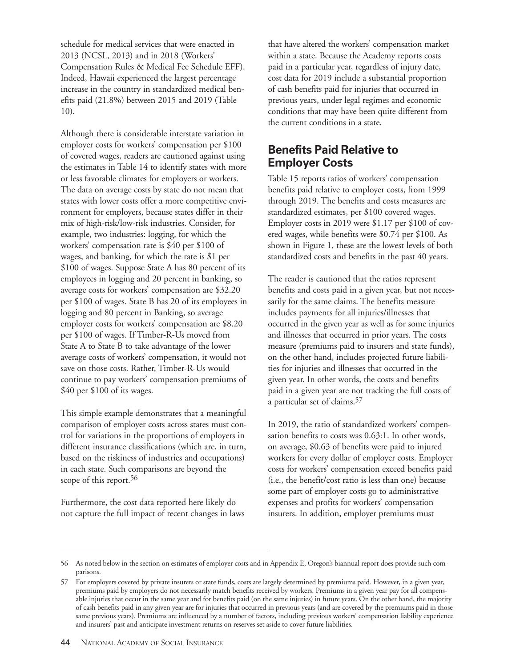schedule for medical services that were enacted in 2013 (NCSL, 2013) and in 2018 (Workers' Compensation Rules & Medical Fee Schedule EFF). Indeed, Hawaii experienced the largest percentage increase in the country in standardized medical benefits paid (21.8%) between 2015 and 2019 (Table 10).

Although there is considerable interstate variation in employer costs for workers' compensation per \$100 of covered wages, readers are cautioned against using the estimates in Table 14 to identify states with more or less favorable climates for employers or workers. The data on average costs by state do not mean that states with lower costs offer a more competitive environment for employers, because states differ in their mix of high-risk/low-risk industries. Consider, for example, two industries: logging, for which the workers' compensation rate is \$40 per \$100 of wages, and banking, for which the rate is \$1 per \$100 of wages. Suppose State A has 80 percent of its employees in logging and 20 percent in banking, so average costs for workers' compensation are \$32.20 per \$100 of wages. State B has 20 of its employees in logging and 80 percent in Banking, so average employer costs for workers' compensation are \$8.20 per \$100 of wages. If Timber-R-Us moved from State A to State B to take advantage of the lower average costs of workers' compensation, it would not save on those costs. Rather, Timber-R-Us would continue to pay workers' compensation premiums of \$40 per \$100 of its wages.

This simple example demonstrates that a meaningful comparison of employer costs across states must control for variations in the proportions of employers in different insurance classifications (which are, in turn, based on the riskiness of industries and occupations) in each state. Such comparisons are beyond the scope of this report.<sup>56</sup>

Furthermore, the cost data reported here likely do not capture the full impact of recent changes in laws that have altered the workers' compensation market within a state. Because the Academy reports costs paid in a particular year, regardless of injury date, cost data for 2019 include a substantial proportion of cash benefits paid for injuries that occurred in previous years, under legal regimes and economic conditions that may have been quite different from the current conditions in a state.

#### **Benefits Paid Relative to Employer Costs**

Table 15 reports ratios of workers' compensation benefits paid relative to employer costs, from 1999 through 2019. The benefits and costs measures are standardized estimates, per \$100 covered wages. Employer costs in 2019 were \$1.17 per \$100 of covered wages, while benefits were \$0.74 per \$100. As shown in Figure 1, these are the lowest levels of both standardized costs and benefits in the past 40 years.

The reader is cautioned that the ratios represent benefits and costs paid in a given year, but not necessarily for the same claims. The benefits measure includes payments for all injuries/illnesses that occurred in the given year as well as for some injuries and illnesses that occurred in prior years. The costs measure (premiums paid to insurers and state funds), on the other hand, includes projected future liabilities for injuries and illnesses that occurred in the given year. In other words, the costs and benefits paid in a given year are not tracking the full costs of a particular set of claims.57

In 2019, the ratio of standardized workers' compensation benefits to costs was 0.63:1. In other words, on average, \$0.63 of benefits were paid to injured workers for every dollar of employer costs. Employer costs for workers' compensation exceed benefits paid (i.e., the benefit/cost ratio is less than one) because some part of employer costs go to administrative expenses and profits for workers' compensation insurers. In addition, employer premiums must

<sup>56</sup> As noted below in the section on estimates of employer costs and in Appendix E, Oregon's biannual report does provide such comparisons.

<sup>57</sup> For employers covered by private insurers or state funds, costs are largely determined by premiums paid. However, in a given year, premiums paid by employers do not necessarily match benefits received by workers. Premiums in a given year pay for all compensable injuries that occur in the same year and for benefits paid (on the same injuries) in future years. On the other hand, the majority of cash benefits paid in any given year are for injuries that occurred in previous years (and are covered by the premiums paid in those same previous years). Premiums are influenced by a number of factors, including previous workers' compensation liability experience and insurers' past and anticipate investment returns on reserves set aside to cover future liabilities.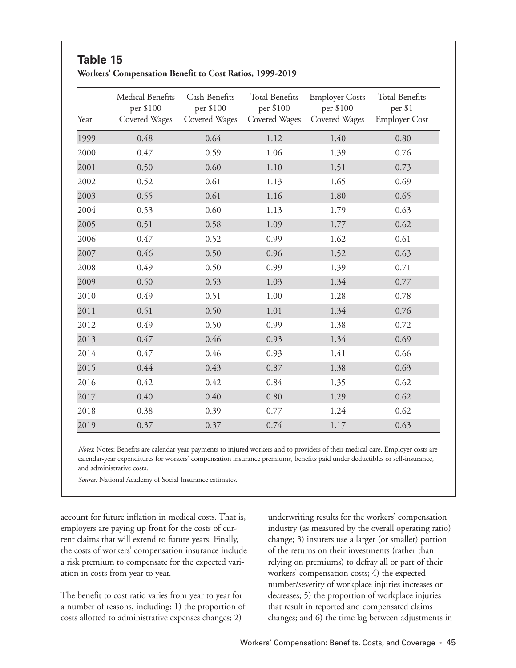#### **Table 15 Workers' Compensation Benefit to Cost Ratios, 1999-2019**

| Year | Medical Benefits<br>per \$100<br>Covered Wages | Cash Benefits<br>per \$100<br>Covered Wages | <b>Total Benefits</b><br>per \$100<br>Covered Wages | <b>Employer Costs</b><br>per \$100<br>Covered Wages | <b>Total Benefits</b><br>per \$1<br><b>Employer Cost</b> |
|------|------------------------------------------------|---------------------------------------------|-----------------------------------------------------|-----------------------------------------------------|----------------------------------------------------------|
| 1999 | 0.48                                           | 0.64                                        | 1.12                                                | 1.40                                                | 0.80                                                     |
| 2000 | 0.47                                           | 0.59                                        | 1.06                                                | 1.39                                                | 0.76                                                     |
| 2001 | 0.50                                           | 0.60                                        | 1.10                                                | 1.51                                                | 0.73                                                     |
| 2002 | 0.52                                           | 0.61                                        | 1.13                                                | 1.65                                                | 0.69                                                     |
| 2003 | 0.55                                           | 0.61                                        | 1.16                                                | 1.80                                                | 0.65                                                     |
| 2004 | 0.53                                           | 0.60                                        | 1.13                                                | 1.79                                                | 0.63                                                     |
| 2005 | 0.51                                           | 0.58                                        | 1.09                                                | 1.77                                                | 0.62                                                     |
| 2006 | 0.47                                           | 0.52                                        | 0.99                                                | 1.62                                                | 0.61                                                     |
| 2007 | 0.46                                           | 0.50                                        | 0.96                                                | 1.52                                                | 0.63                                                     |
| 2008 | 0.49                                           | 0.50                                        | 0.99                                                | 1.39                                                | 0.71                                                     |
| 2009 | 0.50                                           | 0.53                                        | 1.03                                                | 1.34                                                | 0.77                                                     |
| 2010 | 0.49                                           | 0.51                                        | 1.00                                                | 1.28                                                | 0.78                                                     |
| 2011 | 0.51                                           | 0.50                                        | 1.01                                                | 1.34                                                | 0.76                                                     |
| 2012 | 0.49                                           | 0.50                                        | 0.99                                                | 1.38                                                | 0.72                                                     |
| 2013 | 0.47                                           | 0.46                                        | 0.93                                                | 1.34                                                | 0.69                                                     |
| 2014 | 0.47                                           | 0.46                                        | 0.93                                                | 1.41                                                | 0.66                                                     |
| 2015 | 0.44                                           | 0.43                                        | 0.87                                                | 1.38                                                | 0.63                                                     |
| 2016 | 0.42                                           | 0.42                                        | 0.84                                                | 1.35                                                | 0.62                                                     |
| 2017 | 0.40                                           | 0.40                                        | 0.80                                                | 1.29                                                | 0.62                                                     |
| 2018 | 0.38                                           | 0.39                                        | 0.77                                                | 1.24                                                | 0.62                                                     |
| 2019 | 0.37                                           | 0.37                                        | 0.74                                                | 1.17                                                | 0.63                                                     |

*Notes*: Notes: Benefits are calendar-year payments to injured workers and to providers of their medical care. Employer costs are calendar-year expenditures for workers' compensation insurance premiums, benefits paid under deductibles or self-insurance, and administrative costs.

*Source:* National Academy of Social Insurance estimates.

account for future inflation in medical costs. That is, employers are paying up front for the costs of current claims that will extend to future years. Finally, the costs of workers' compensation insurance include a risk premium to compensate for the expected variation in costs from year to year.

The benefit to cost ratio varies from year to year for a number of reasons, including: 1) the proportion of costs allotted to administrative expenses changes; 2)

underwriting results for the workers' compensation industry (as measured by the overall operating ratio) change; 3) insurers use a larger (or smaller) portion of the returns on their investments (rather than relying on premiums) to defray all or part of their workers' compensation costs; 4) the expected number/severity of workplace injuries increases or decreases; 5) the proportion of workplace injuries that result in reported and compensated claims changes; and 6) the time lag between adjustments in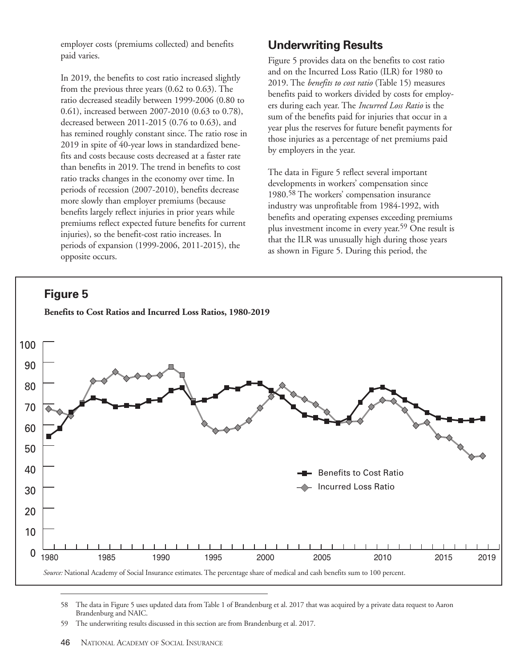employer costs (premiums collected) and benefits paid varies.

In 2019, the benefits to cost ratio increased slightly from the previous three years (0.62 to 0.63). The ratio decreased steadily between 1999-2006 (0.80 to 0.61), increased between 2007-2010 (0.63 to 0.78), decreased between 2011-2015 (0.76 to 0.63), and has remined roughly constant since. The ratio rose in 2019 in spite of 40-year lows in standardized benefits and costs because costs decreased at a faster rate than benefits in 2019. The trend in benefits to cost ratio tracks changes in the economy over time. In periods of recession (2007-2010), benefits decrease more slowly than employer premiums (because benefits largely reflect injuries in prior years while premiums reflect expected future benefits for current injuries), so the benefit-cost ratio increases. In periods of expansion (1999-2006, 2011-2015), the opposite occurs.

#### **Underwriting Results**

Figure 5 provides data on the benefits to cost ratio and on the Incurred Loss Ratio (ILR) for 1980 to 2019. The *benefits to cost ratio* (Table 15) measures benefits paid to workers divided by costs for employers during each year. The *Incurred Loss Ratio* is the sum of the benefits paid for injuries that occur in a year plus the reserves for future benefit payments for those injuries as a percentage of net premiums paid by employers in the year.

The data in Figure 5 reflect several important developments in workers' compensation since 1980.58 The workers' compensation insurance industry was unprofitable from 1984-1992, with benefits and operating expenses exceeding premiums plus investment income in every year.59 One result is that the ILR was unusually high during those years as shown in Figure 5. During this period, the





58 The data in Figure 5 uses updated data from Table 1 of Brandenburg et al. 2017 that was acquired by a private data request to Aaron Brandenburg and NAIC.

<sup>59</sup> The underwriting results discussed in this section are from Brandenburg et al. 2017.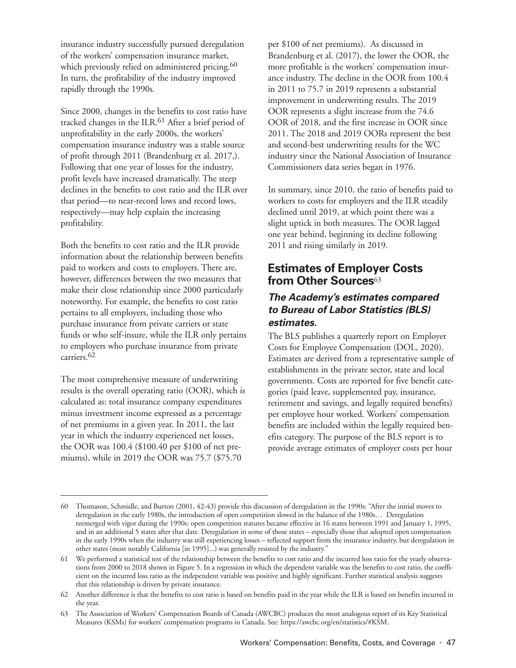insurance industry successfully pursued deregulation of the workers' compensation insurance market, which previously relied on administered pricing.<sup>60</sup> In turn, the profitability of the industry improved rapidly through the 1990s.

Since 2000, changes in the benefits to cost ratio have tracked changes in the ILR.61 After a brief period of unprofitability in the early 2000s, the workers' compensation insurance industry was a stable source of profit through 2011 (Brandenburg et al. 2017,). Following that one year of losses for the industry, profit levels have increased dramatically. The steep declines in the benefits to cost ratio and the ILR over that period—to near-record lows and record lows, respectively—may help explain the increasing profitability.

Both the benefits to cost ratio and the ILR provide information about the relationship between benefits paid to workers and costs to employers. There are, however, differences between the two measures that make their close relationship since 2000 particularly noteworthy. For example, the benefits to cost ratio pertains to all employers, including those who purchase insurance from private carriers or state funds or who self-insure, while the ILR only pertains to employers who purchase insurance from private carriers.62

The most comprehensive measure of underwriting results is the overall operating ratio (OOR), which is calculated as: total insurance company expenditures minus investment income expressed as a percentage of net premiums in a given year. In 2011, the last year in which the industry experienced net losses, the OOR was 100.4 (\$100.40 per \$100 of net premiums), while in 2019 the OOR was 75.7 (\$75.70

per \$100 of net premiums). As discussed in Brandenburg et al. (2017), the lower the OOR, the more profitable is the workers' compensation insurance industry. The decline in the OOR from 100.4 in 2011 to 75.7 in 2019 represents a substantial improvement in underwriting results. The 2019 OOR represents a slight increase from the 74.6 OOR of 2018, and the first increase in OOR since 2011. The 2018 and 2019 OORs represent the best and second-best underwriting results for the WC industry since the National Association of Insurance Commissioners data series began in 1976.

In summary, since 2010, the ratio of benefits paid to workers to costs for employers and the ILR steadily declined until 2019, at which point there was a slight uptick in both measures. The OOR lagged one year behind, beginning its decline following 2011 and rising similarly in 2019.

#### **Estimates of Employer Costs from Other Sources**<sup>63</sup>

#### **The Academy's estimates compared to Bureau of Labor Statistics (BLS) estimates.**

The BLS publishes a quarterly report on Employer Costs for Employee Compensation (DOL, 2020). Estimates are derived from a representative sample of establishments in the private sector, state and local governments. Costs are reported for five benefit categories (paid leave, supplemented pay, insurance, retirement and savings, and legally required benefits) per employee hour worked. Workers' compensation benefits are included within the legally required benefits category. The purpose of the BLS report is to provide average estimates of employer costs per hour

<sup>60</sup> Thomason, Schmidle, and Burton (2001, 42-43) provide this discussion of deregulation in the 1990s: "After the initial moves to deregulation in the early 1980s, the introduction of open competition slowed in the balance of the 1980s… Deregulation reemerged with vigor during the 1990s: open competition statutes became effective in 16 states between 1991 and January 1, 1995, and in an additional 5 states after that date. Deregulation in some of those states – especially those that adopted open compensation in the early 1990s when the industry was still experiencing losses – reflected support from the insurance industry, but deregulation in other states (most notably California [in 1995]...) was generally resisted by the industry."

<sup>61</sup> We performed a statistical test of the relationship between the benefits to cost ratio and the incurred loss ratio for the yearly observations from 2000 to 2018 shown in Figure 5. In a regression in which the dependent variable was the benefits to cost ratio, the coefficient on the incurred loss ratio as the independent variable was positive and highly significant. Further statistical analysis suggests that this relationship is driven by private insurance.

<sup>62</sup> Another difference is that the benefits to cost ratio is based on benefits paid in the year while the ILR is based on benefits incurred in the year.

<sup>63</sup> The Association of Workers' Compensation Boards of Canada (AWCBC) produces the most analogous report of its Key Statistical Measures (KSMs) for workers' compensation programs in Canada. See: https://awcbc.org/en/statistics/#KSM.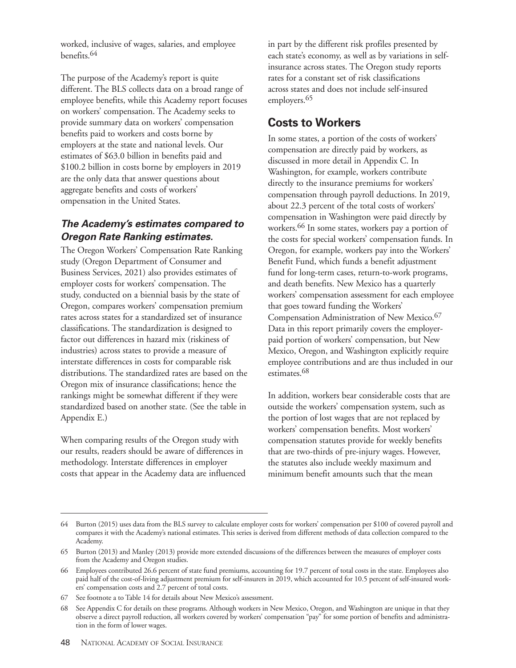worked, inclusive of wages, salaries, and employee benefits.64

The purpose of the Academy's report is quite different. The BLS collects data on a broad range of employee benefits, while this Academy report focuses on workers' compensation. The Academy seeks to provide summary data on workers' compensation benefits paid to workers and costs borne by employers at the state and national levels. Our estimates of \$63.0 billion in benefits paid and \$100.2 billion in costs borne by employers in 2019 are the only data that answer questions about aggregate benefits and costs of workers' ompensation in the United States.

#### **The Academy's estimates compared to Oregon Rate Ranking estimates.**

The Oregon Workers' Compensation Rate Ranking study (Oregon Department of Consumer and Business Services, 2021) also provides estimates of employer costs for workers' compensation. The study, conducted on a biennial basis by the state of Oregon, compares workers' compensation premium rates across states for a standardized set of insurance classifications. The standardization is designed to factor out differences in hazard mix (riskiness of industries) across states to provide a measure of interstate differences in costs for comparable risk distributions. The standardized rates are based on the Oregon mix of insurance classifications; hence the rankings might be somewhat different if they were standardized based on another state. (See the table in Appendix E.)

When comparing results of the Oregon study with our results, readers should be aware of differences in methodology. Interstate differences in employer costs that appear in the Academy data are influenced in part by the different risk profiles presented by each state's economy, as well as by variations in selfinsurance across states. The Oregon study reports rates for a constant set of risk classifications across states and does not include self-insured employers.<sup>65</sup>

#### **Costs to Workers**

In some states, a portion of the costs of workers' compensation are directly paid by workers, as discussed in more detail in Appendix C. In Washington, for example, workers contribute directly to the insurance premiums for workers' compensation through payroll deductions. In 2019, about 22.3 percent of the total costs of workers' compensation in Washington were paid directly by workers.66 In some states, workers pay a portion of the costs for special workers' compensation funds. In Oregon, for example, workers pay into the Workers' Benefit Fund, which funds a benefit adjustment fund for long-term cases, return-to-work programs, and death benefits. New Mexico has a quarterly workers' compensation assessment for each employee that goes toward funding the Workers' Compensation Administration of New Mexico.67 Data in this report primarily covers the employerpaid portion of workers' compensation, but New Mexico, Oregon, and Washington explicitly require employee contributions and are thus included in our estimates.68

In addition, workers bear considerable costs that are outside the workers' compensation system, such as the portion of lost wages that are not replaced by workers' compensation benefits. Most workers' compensation statutes provide for weekly benefits that are two-thirds of pre-injury wages. However, the statutes also include weekly maximum and minimum benefit amounts such that the mean

<sup>64</sup> Burton (2015) uses data from the BLS survey to calculate employer costs for workers' compensation per \$100 of covered payroll and compares it with the Academy's national estimates. This series is derived from different methods of data collection compared to the Academy.

<sup>65</sup> Burton (2013) and Manley (2013) provide more extended discussions of the differences between the measures of employer costs from the Academy and Oregon studies.

<sup>66</sup> Employees contributed 26.6 percent of state fund premiums, accounting for 19.7 percent of total costs in the state. Employees also paid half of the cost-of-living adjustment premium for self-insurers in 2019, which accounted for 10.5 percent of self-insured workers' compensation costs and 2.7 percent of total costs.

<sup>67</sup> See footnote a to Table 14 for details about New Mexico's assessment.

<sup>68</sup> See Appendix C for details on these programs. Although workers in New Mexico, Oregon, and Washington are unique in that they observe a direct payroll reduction, all workers covered by workers' compensation "pay" for some portion of benefits and administration in the form of lower wages.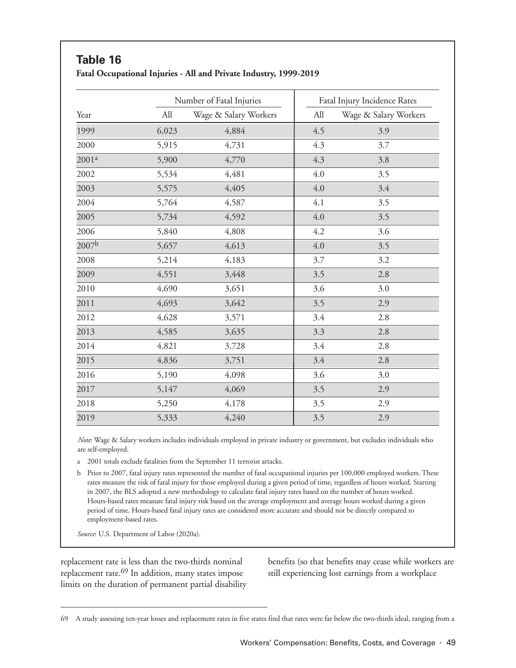|                   |       | Number of Fatal Injuries | Fatal Injury Incidence Rates |                       |  |
|-------------------|-------|--------------------------|------------------------------|-----------------------|--|
| Year              | All   | Wage & Salary Workers    | All                          | Wage & Salary Workers |  |
| 1999              | 6,023 | 4,884                    | 4.5                          | 3.9                   |  |
| 2000              | 5,915 | 4,731                    | 4.3                          | 3.7                   |  |
| 2001 <sup>a</sup> | 5,900 | 4,770                    | 4.3                          | 3.8                   |  |
| 2002              | 5,534 | 4,481                    | 4.0                          | 3.5                   |  |
| 2003              | 5,575 | 4,405                    | 4.0                          | 3.4                   |  |
| 2004              | 5,764 | 4,587                    | 4.1                          | 3.5                   |  |
| 2005              | 5,734 | 4,592                    | 4.0                          | 3.5                   |  |
| 2006              | 5,840 | 4,808                    | 4.2                          | 3.6                   |  |
| 2007 <sup>b</sup> | 5,657 | 4,613                    | 4.0                          | 3.5                   |  |
| 2008              | 5,214 | 4,183                    | 3.7                          | 3.2                   |  |
| 2009              | 4,551 | 3,448                    | 3.5                          | 2.8                   |  |
| 2010              | 4,690 | 3,651                    | 3.6                          | 3.0                   |  |
| 2011              | 4,693 | 3,642                    | 3.5                          | 2.9                   |  |
| 2012              | 4,628 | 3,571                    | 3.4                          | 2.8                   |  |
| 2013              | 4,585 | 3,635                    | 3.3                          | 2.8                   |  |
| 2014              | 4,821 | 3,728                    | 3.4                          | 2.8                   |  |
| 2015              | 4,836 | 3,751                    | 3.4                          | 2.8                   |  |
| 2016              | 5,190 | 4,098                    | 3.6                          | 3.0                   |  |
| 2017              | 5,147 | 4,069                    | 3.5                          | 2.9                   |  |
| 2018              | 5,250 | 4,178                    | 3.5                          | 2.9                   |  |
| 2019              | 5,333 | 4,240                    | 3.5                          | 2.9                   |  |

*Note*: Wage & Salary workers includes individuals employed in private industry or government, but excludes individuals who are self-employed.

a 2001 totals exclude fatalities from the September 11 terrorist attacks.

b Prior to 2007, fatal injury rates represented the number of fatal occupational injuries per 100,000 employed workers. These rates measure the risk of fatal injury for those employed during a given period of time, regardless of hours worked. Starting in 2007, the BLS adopted a new methodology to calculate fatal injury rates based on the number of hours worked. Hours-based rates measure fatal injury risk based on the average employment and average hours worked during a given period of time. Hours-based fatal injury rates are considered more accurate and should not be directly compared to employment-based rates.

*Source*: U.S. Department of Labor (2020a).

**Table 16**

replacement rate is less than the two-thirds nominal replacement rate.69 In addition, many states impose limits on the duration of permanent partial disability benefits (so that benefits may cease while workers are still experiencing lost earnings from a workplace

<sup>69</sup> A study assessing ten-year losses and replacement rates in five states find that rates were far below the two-thirds ideal, ranging from a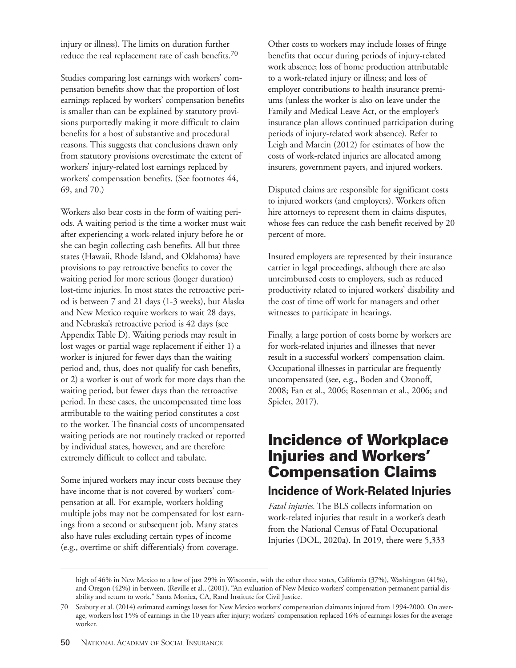injury or illness). The limits on duration further reduce the real replacement rate of cash benefits.70

Studies comparing lost earnings with workers' compensation benefits show that the proportion of lost earnings replaced by workers' compensation benefits is smaller than can be explained by statutory provisions purportedly making it more difficult to claim benefits for a host of substantive and procedural reasons. This suggests that conclusions drawn only from statutory provisions overestimate the extent of workers' injury-related lost earnings replaced by workers' compensation benefits. (See footnotes 44, 69, and 70.)

Workers also bear costs in the form of waiting periods. A waiting period is the time a worker must wait after experiencing a work-related injury before he or she can begin collecting cash benefits. All but three states (Hawaii, Rhode Island, and Oklahoma) have provisions to pay retroactive benefits to cover the waiting period for more serious (longer duration) lost-time injuries. In most states the retroactive period is between 7 and 21 days (1-3 weeks), but Alaska and New Mexico require workers to wait 28 days, and Nebraska's retroactive period is 42 days (see Appendix Table D). Waiting periods may result in lost wages or partial wage replacement if either 1) a worker is injured for fewer days than the waiting period and, thus, does not qualify for cash benefits, or 2) a worker is out of work for more days than the waiting period, but fewer days than the retroactive period. In these cases, the uncompensated time loss attributable to the waiting period constitutes a cost to the worker. The financial costs of uncompensated waiting periods are not routinely tracked or reported by individual states, however, and are therefore extremely difficult to collect and tabulate.

Some injured workers may incur costs because they have income that is not covered by workers' compensation at all. For example, workers holding multiple jobs may not be compensated for lost earnings from a second or subsequent job. Many states also have rules excluding certain types of income (e.g., overtime or shift differentials) from coverage.

Other costs to workers may include losses of fringe benefits that occur during periods of injury-related work absence; loss of home production attributable to a work-related injury or illness; and loss of employer contributions to health insurance premiums (unless the worker is also on leave under the Family and Medical Leave Act, or the employer's insurance plan allows continued participation during periods of injury-related work absence). Refer to Leigh and Marcin (2012) for estimates of how the costs of work-related injuries are allocated among insurers, government payers, and injured workers.

Disputed claims are responsible for significant costs to injured workers (and employers). Workers often hire attorneys to represent them in claims disputes, whose fees can reduce the cash benefit received by 20 percent of more.

Insured employers are represented by their insurance carrier in legal proceedings, although there are also unreimbursed costs to employers, such as reduced productivity related to injured workers' disability and the cost of time off work for managers and other witnesses to participate in hearings.

Finally, a large portion of costs borne by workers are for work-related injuries and illnesses that never result in a successful workers' compensation claim. Occupational illnesses in particular are frequently uncompensated (see, e.g., Boden and Ozonoff, 2008; Fan et al., 2006; Rosenman et al., 2006; and Spieler, 2017).

# **Incidence of Workplace Injuries and Workers' Compensation Claims**

#### **Incidence of Work-Related Injuries**

*Fatal injuries.* The BLS collects information on work-related injuries that result in a worker's death from the National Census of Fatal Occupational Injuries (DOL, 2020a). In 2019, there were 5,333

high of 46% in New Mexico to a low of just 29% in Wisconsin, with the other three states, California (37%), Washington (41%), and Oregon (42%) in between. (Reville et al., (2001). "An evaluation of New Mexico workers' compensation permanent partial disability and return to work." Santa Monica, CA, Rand Institute for Civil Justice.

<sup>70</sup> Seabury et al. (2014) estimated earnings losses for New Mexico workers' compensation claimants injured from 1994-2000. On average, workers lost 15% of earnings in the 10 years after injury; workers' compensation replaced 16% of earnings losses for the average worker.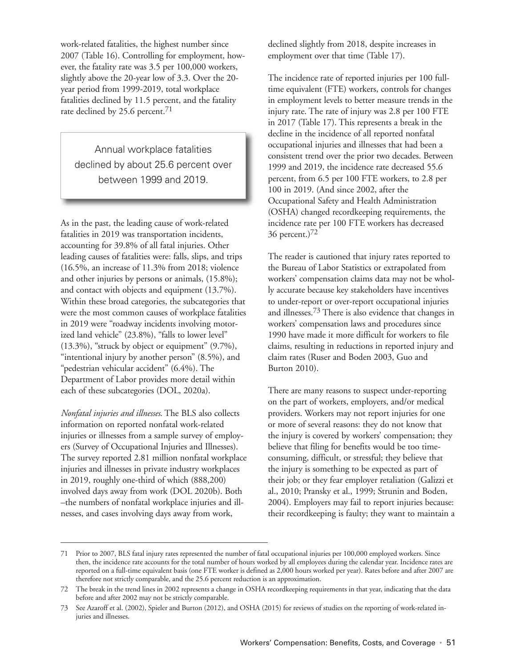work-related fatalities, the highest number since 2007 (Table 16). Controlling for employment, however, the fatality rate was 3.5 per 100,000 workers, slightly above the 20-year low of 3.3. Over the 20 year period from 1999-2019, total workplace fatalities declined by 11.5 percent, and the fatality rate declined by 25.6 percent.<sup>71</sup>

Annual workplace fatalities declined by about 25.6 percent over between 1999 and 2019.

As in the past, the leading cause of work-related fatalities in 2019 was transportation incidents, accounting for 39.8% of all fatal injuries. Other leading causes of fatalities were: falls, slips, and trips (16.5%, an increase of 11.3% from 2018; violence and other injuries by persons or animals, (15.8%); and contact with objects and equipment (13.7%). Within these broad categories, the subcategories that were the most common causes of workplace fatalities in 2019 were "roadway incidents involving motorized land vehicle" (23.8%), "falls to lower level" (13.3%), "struck by object or equipment" (9.7%), "intentional injury by another person" (8.5%), and "pedestrian vehicular accident" (6.4%). The Department of Labor provides more detail within each of these subcategories (DOL, 2020a).

*Nonfatal injuries and illnesses*. The BLS also collects information on reported nonfatal work-related injuries or illnesses from a sample survey of employers (Survey of Occupational Injuries and Illnesses). The survey reported 2.81 million nonfatal workplace injuries and illnesses in private industry workplaces in 2019, roughly one-third of which (888,200) involved days away from work (DOL 2020b). Both –the numbers of nonfatal workplace injuries and illnesses, and cases involving days away from work,

declined slightly from 2018, despite increases in employment over that time (Table 17).

The incidence rate of reported injuries per 100 fulltime equivalent (FTE) workers, controls for changes in employment levels to better measure trends in the injury rate. The rate of injury was 2.8 per 100 FTE in 2017 (Table 17). This represents a break in the decline in the incidence of all reported nonfatal occupational injuries and illnesses that had been a consistent trend over the prior two decades. Between 1999 and 2019, the incidence rate decreased 55.6 percent, from 6.5 per 100 FTE workers, to 2.8 per 100 in 2019. (And since 2002, after the Occupational Safety and Health Administration (OSHA) changed recordkeeping requirements, the incidence rate per 100 FTE workers has decreased 36 percent.)72

The reader is cautioned that injury rates reported to the Bureau of Labor Statistics or extrapolated from workers' compensation claims data may not be wholly accurate because key stakeholders have incentives to under-report or over-report occupational injuries and illnesses.73 There is also evidence that changes in workers' compensation laws and procedures since 1990 have made it more difficult for workers to file claims, resulting in reductions in reported injury and claim rates (Ruser and Boden 2003, Guo and Burton 2010).

There are many reasons to suspect under-reporting on the part of workers, employers, and/or medical providers. Workers may not report injuries for one or more of several reasons: they do not know that the injury is covered by workers' compensation; they believe that filing for benefits would be too timeconsuming, difficult, or stressful; they believe that the injury is something to be expected as part of their job; or they fear employer retaliation (Galizzi et al., 2010; Pransky et al., 1999; Strunin and Boden, 2004). Employers may fail to report injuries because: their recordkeeping is faulty; they want to maintain a

<sup>71</sup> Prior to 2007, BLS fatal injury rates represented the number of fatal occupational injuries per 100,000 employed workers. Since then, the incidence rate accounts for the total number of hours worked by all employees during the calendar year. Incidence rates are reported on a full-time equivalent basis (one FTE worker is defined as 2,000 hours worked per year). Rates before and after 2007 are therefore not strictly comparable, and the 25.6 percent reduction is an approximation.

<sup>72</sup> The break in the trend lines in 2002 represents a change in OSHA recordkeeping requirements in that year, indicating that the data before and after 2002 may not be strictly comparable.

<sup>73</sup> See Azaroff et al. (2002), Spieler and Burton (2012), and OSHA (2015) for reviews of studies on the reporting of work-related injuries and illnesses.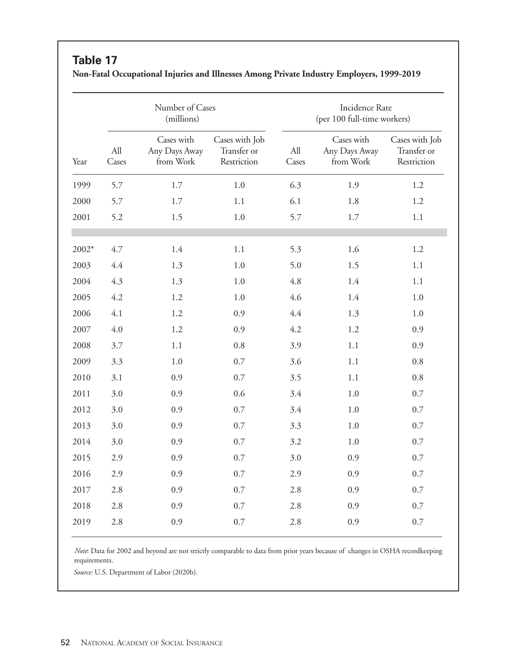#### **Table 17**

|         |              | Number of Cases<br>(millions)            |                                              | <b>Incidence Rate</b><br>(per 100 full-time workers) |                                          |                                              |  |  |
|---------|--------------|------------------------------------------|----------------------------------------------|------------------------------------------------------|------------------------------------------|----------------------------------------------|--|--|
| Year    | All<br>Cases | Cases with<br>Any Days Away<br>from Work | Cases with Job<br>Transfer or<br>Restriction | All<br>Cases                                         | Cases with<br>Any Days Away<br>from Work | Cases with Job<br>Transfer or<br>Restriction |  |  |
| 1999    | 5.7          | 1.7                                      | 1.0                                          | 6.3                                                  | 1.9                                      | 1.2                                          |  |  |
| 2000    | 5.7          | 1.7                                      | 1.1                                          | 6.1                                                  | 1.8                                      | 1.2                                          |  |  |
| 2001    | 5.2          | 1.5                                      | $1.0\,$                                      | 5.7                                                  | 1.7                                      | $1.1\,$                                      |  |  |
| $2002*$ | 4.7          | 1.4                                      | 1.1                                          | 5.3                                                  | 1.6                                      | 1.2                                          |  |  |
| 2003    | 4.4          | 1.3                                      | 1.0                                          | 5.0                                                  | 1.5                                      | 1.1                                          |  |  |
| 2004    | 4.3          | 1.3                                      | 1.0                                          | 4.8                                                  | 1.4                                      | 1.1                                          |  |  |
| 2005    | 4.2          | 1.2                                      | 1.0                                          | 4.6                                                  | 1.4                                      | 1.0                                          |  |  |
| 2006    | 4.1          | 1.2                                      | 0.9                                          | 4.4                                                  | 1.3                                      | 1.0                                          |  |  |
| 2007    | 4.0          | 1.2                                      | 0.9                                          | 4.2                                                  | 1.2                                      | 0.9                                          |  |  |
| 2008    | 3.7          | 1.1                                      | 0.8                                          | 3.9                                                  | 1.1                                      | 0.9                                          |  |  |
| 2009    | 3.3          | 1.0                                      | 0.7                                          | 3.6                                                  | 1.1                                      | 0.8                                          |  |  |
| 2010    | 3.1          | 0.9                                      | 0.7                                          | 3.5                                                  | 1.1                                      | $0.8\,$                                      |  |  |
| 2011    | 3.0          | 0.9                                      | 0.6                                          | 3.4                                                  | 1.0                                      | 0.7                                          |  |  |
| 2012    | 3.0          | 0.9                                      | 0.7                                          | 3.4                                                  | 1.0                                      | 0.7                                          |  |  |
| 2013    | 3.0          | 0.9                                      | 0.7                                          | 3.3                                                  | 1.0                                      | 0.7                                          |  |  |
| 2014    | 3.0          | 0.9                                      | 0.7                                          | 3.2                                                  | $1.0\,$                                  | 0.7                                          |  |  |
| 2015    | 2.9          | 0.9                                      | 0.7                                          | 3.0                                                  | 0.9                                      | 0.7                                          |  |  |
| 2016    | 2.9          | 0.9                                      | 0.7                                          | 2.9                                                  | 0.9                                      | 0.7                                          |  |  |
| 2017    | 2.8          | 0.9                                      | 0.7                                          | 2.8                                                  | 0.9                                      | 0.7                                          |  |  |
| 2018    | 2.8          | 0.9                                      | 0.7                                          | 2.8                                                  | 0.9                                      | 0.7                                          |  |  |
| 2019    | 2.8          | 0.9                                      | 0.7                                          | 2.8                                                  | 0.9                                      | 0.7                                          |  |  |
|         |              |                                          |                                              |                                                      |                                          |                                              |  |  |

**Non-Fatal Occupational Injuries and Illnesses Among Private Industry Employers, 1999-2019**

*Note*: Data for 2002 and beyond are not strictly comparable to data from prior years because of changes in OSHA recordkeeping requirements.

*Source:* U.S. Department of Labor (2020b).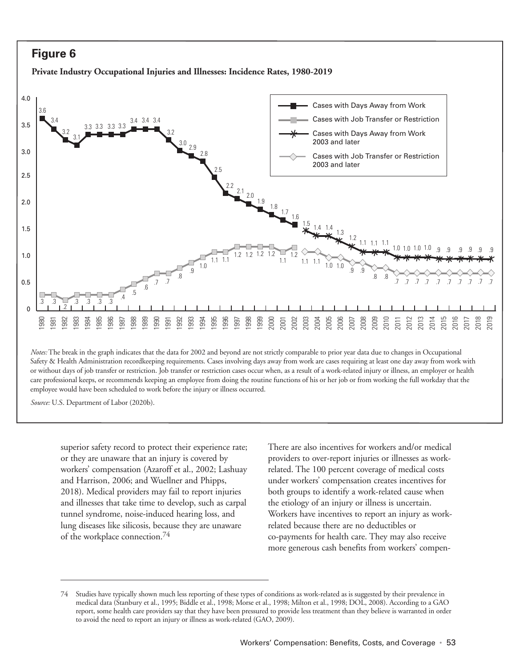#### **Figure 6**

**Private Industry Occupational Injuries and Illnesses: Incidence Rates, 1980-2019**



Safety & Health Administration recordkeeping requirements. Cases involving days away from work are cases requiring at least one day away from work with or without days of job transfer or restriction. Job transfer or restriction cases occur when, as a result of a work-related injury or illness, an employer or health care professional keeps, or recommends keeping an employee from doing the routine functions of his or her job or from working the full workday that the employee would have been scheduled to work before the injury or illness occurred.

*Source:* U.S. Department of Labor (2020b).

superior safety record to protect their experience rate; or they are unaware that an injury is covered by workers' compensation (Azaroff et al., 2002; Lashuay and Harrison, 2006; and Wuellner and Phipps, 2018). Medical providers may fail to report injuries and illnesses that take time to develop, such as carpal tunnel syndrome, noise-induced hearing loss, and lung diseases like silicosis, because they are unaware of the workplace connection.74

There are also incentives for workers and/or medical providers to over-report injuries or illnesses as workrelated. The 100 percent coverage of medical costs under workers' compensation creates incentives for both groups to identify a work-related cause when the etiology of an injury or illness is uncertain. Workers have incentives to report an injury as workrelated because there are no deductibles or co-payments for health care. They may also receive more generous cash benefits from workers' compen-

<sup>74</sup> Studies have typically shown much less reporting of these types of conditions as work-related as is suggested by their prevalence in medical data (Stanbury et al., 1995; Biddle et al., 1998; Morse et al., 1998; Milton et al., 1998; DOL, 2008). According to a GAO report, some health care providers say that they have been pressured to provide less treatment than they believe is warranted in order to avoid the need to report an injury or illness as work-related (GAO, 2009).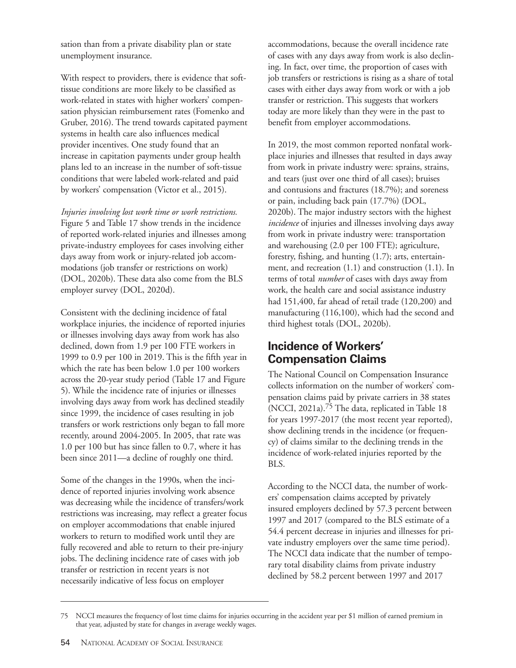sation than from a private disability plan or state unemployment insurance.

With respect to providers, there is evidence that softtissue conditions are more likely to be classified as work-related in states with higher workers' compensation physician reimbursement rates (Fomenko and Gruber, 2016). The trend towards capitated payment systems in health care also influences medical provider incentives. One study found that an increase in capitation payments under group health plans led to an increase in the number of soft-tissue conditions that were labeled work-related and paid by workers' compensation (Victor et al., 2015).

*Injuries involving lost work time or work restrictions.* Figure 5 and Table 17 show trends in the incidence of reported work-related injuries and illnesses among private-industry employees for cases involving either days away from work or injury-related job accommodations (job transfer or restrictions on work) (DOL, 2020b). These data also come from the BLS employer survey (DOL, 2020d).

Consistent with the declining incidence of fatal workplace injuries, the incidence of reported injuries or illnesses involving days away from work has also declined, down from 1.9 per 100 FTE workers in 1999 to 0.9 per 100 in 2019. This is the fifth year in which the rate has been below 1.0 per 100 workers across the 20-year study period (Table 17 and Figure 5). While the incidence rate of injuries or illnesses involving days away from work has declined steadily since 1999, the incidence of cases resulting in job transfers or work restrictions only began to fall more recently, around 2004-2005. In 2005, that rate was 1.0 per 100 but has since fallen to 0.7, where it has been since 2011—a decline of roughly one third.

Some of the changes in the 1990s, when the incidence of reported injuries involving work absence was decreasing while the incidence of transfers/work restrictions was increasing, may reflect a greater focus on employer accommodations that enable injured workers to return to modified work until they are fully recovered and able to return to their pre-injury jobs. The declining incidence rate of cases with job transfer or restriction in recent years is not necessarily indicative of less focus on employer

accommodations, because the overall incidence rate of cases with any days away from work is also declining. In fact, over time, the proportion of cases with job transfers or restrictions is rising as a share of total cases with either days away from work or with a job transfer or restriction. This suggests that workers today are more likely than they were in the past to benefit from employer accommodations.

In 2019, the most common reported nonfatal workplace injuries and illnesses that resulted in days away from work in private industry were: sprains, strains, and tears (just over one third of all cases); bruises and contusions and fractures (18.7%); and soreness or pain, including back pain (17.7%) (DOL, 2020b). The major industry sectors with the highest *incidence* of injuries and illnesses involving days away from work in private industry were: transportation and warehousing (2.0 per 100 FTE); agriculture, forestry, fishing, and hunting (1.7); arts, entertainment, and recreation (1.1) and construction (1.1). In terms of total *number* of cases with days away from work, the health care and social assistance industry had 151,400, far ahead of retail trade (120,200) and manufacturing (116,100), which had the second and third highest totals (DOL, 2020b).

#### **Incidence of Workers' Compensation Claims**

The National Council on Compensation Insurance collects information on the number of workers' compensation claims paid by private carriers in 38 states (NCCI, 2021a).75 The data, replicated in Table 18 for years 1997-2017 (the most recent year reported), show declining trends in the incidence (or frequency) of claims similar to the declining trends in the incidence of work-related injuries reported by the BLS.

According to the NCCI data, the number of workers' compensation claims accepted by privately insured employers declined by 57.3 percent between 1997 and 2017 (compared to the BLS estimate of a 54.4 percent decrease in injuries and illnesses for private industry employers over the same time period). The NCCI data indicate that the number of temporary total disability claims from private industry declined by 58.2 percent between 1997 and 2017

<sup>75</sup> NCCI measures the frequency of lost time claims for injuries occurring in the accident year per \$1 million of earned premium in that year, adjusted by state for changes in average weekly wages.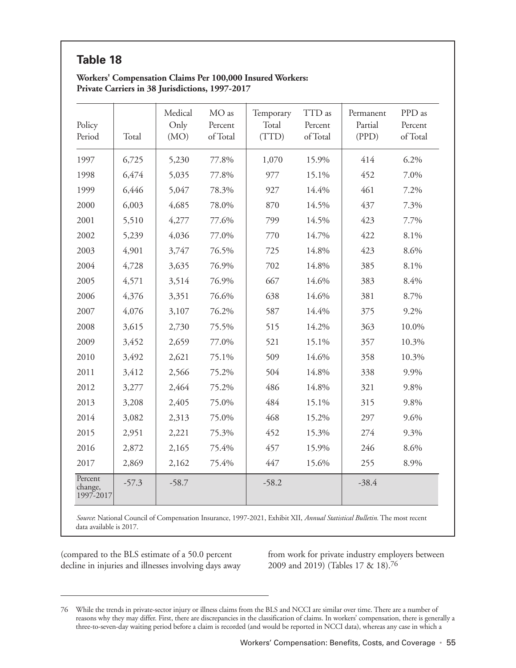## **Table 18**

#### **Workers' Compensation Claims Per 100,000 Insured Workers: Private Carriers in 38 Jurisdictions, 1997-2017**

| Policy<br>Period                | Total   | Medical<br>Only<br>(MO) | MO as<br>Percent<br>of Total | Temporary<br>Total<br>(TTD) | TTD as<br>Percent<br>of Total | Permanent<br>Partial<br>(PPD) | PPD as<br>Percent<br>of Total |
|---------------------------------|---------|-------------------------|------------------------------|-----------------------------|-------------------------------|-------------------------------|-------------------------------|
| 1997                            | 6,725   | 5,230                   | 77.8%                        | 1,070                       | 15.9%                         | 414                           | 6.2%                          |
| 1998                            | 6,474   | 5,035                   | 77.8%                        | 977                         | 15.1%                         | 452                           | 7.0%                          |
| 1999                            | 6,446   | 5,047                   | 78.3%                        | 927                         | 14.4%                         | 461                           | 7.2%                          |
| 2000                            | 6,003   | 4,685                   | 78.0%                        | 870                         | 14.5%                         | 437                           | 7.3%                          |
| 2001                            | 5,510   | 4,277                   | 77.6%                        | 799                         | 14.5%                         | 423                           | 7.7%                          |
| 2002                            | 5,239   | 4,036                   | 77.0%                        | 770                         | 14.7%                         | 422                           | 8.1%                          |
| 2003                            | 4,901   | 3,747                   | 76.5%                        | 725                         | 14.8%                         | 423                           | 8.6%                          |
| 2004                            | 4,728   | 3,635                   | 76.9%                        | 702                         | 14.8%                         | 385                           | 8.1%                          |
| 2005                            | 4,571   | 3,514                   | 76.9%                        | 667                         | 14.6%                         | 383                           | 8.4%                          |
| 2006                            | 4,376   | 3,351                   | 76.6%                        | 638                         | 14.6%                         | 381                           | 8.7%                          |
| 2007                            | 4,076   | 3,107                   | 76.2%                        | 587                         | 14.4%                         | 375                           | 9.2%                          |
| 2008                            | 3,615   | 2,730                   | 75.5%                        | 515                         | 14.2%                         | 363                           | 10.0%                         |
| 2009                            | 3,452   | 2,659                   | 77.0%                        | 521                         | 15.1%                         | 357                           | 10.3%                         |
| 2010                            | 3,492   | 2,621                   | 75.1%                        | 509                         | 14.6%                         | 358                           | 10.3%                         |
| 2011                            | 3,412   | 2,566                   | 75.2%                        | 504                         | 14.8%                         | 338                           | 9.9%                          |
| 2012                            | 3,277   | 2,464                   | 75.2%                        | 486                         | 14.8%                         | 321                           | 9.8%                          |
| 2013                            | 3,208   | 2,405                   | 75.0%                        | 484                         | 15.1%                         | 315                           | 9.8%                          |
| 2014                            | 3,082   | 2,313                   | 75.0%                        | 468                         | 15.2%                         | 297                           | 9.6%                          |
| 2015                            | 2,951   | 2,221                   | 75.3%                        | 452                         | 15.3%                         | 274                           | 9.3%                          |
| 2016                            | 2,872   | 2,165                   | 75.4%                        | 457                         | 15.9%                         | 246                           | 8.6%                          |
| 2017                            | 2,869   | 2,162                   | 75.4%                        | 447                         | 15.6%                         | 255                           | 8.9%                          |
| Percent<br>change,<br>1997-2017 | $-57.3$ | $-58.7$                 |                              | $-58.2$                     |                               | $-38.4$                       |                               |

*Source*: National Council of Compensation Insurance, 1997-2021, Exhibit XII, *Annual Statistical Bulletin.* The most recent data available is 2017.

(compared to the BLS estimate of a 50.0 percent decline in injuries and illnesses involving days away from work for private industry employers between 2009 and 2019) (Tables 17 & 18).76

<sup>76</sup> While the trends in private-sector injury or illness claims from the BLS and NCCI are similar over time. There are a number of reasons why they may differ. First, there are discrepancies in the classification of claims. In workers' compensation, there is generally a three-to-seven-day waiting period before a claim is recorded (and would be reported in NCCI data), whereas any case in which a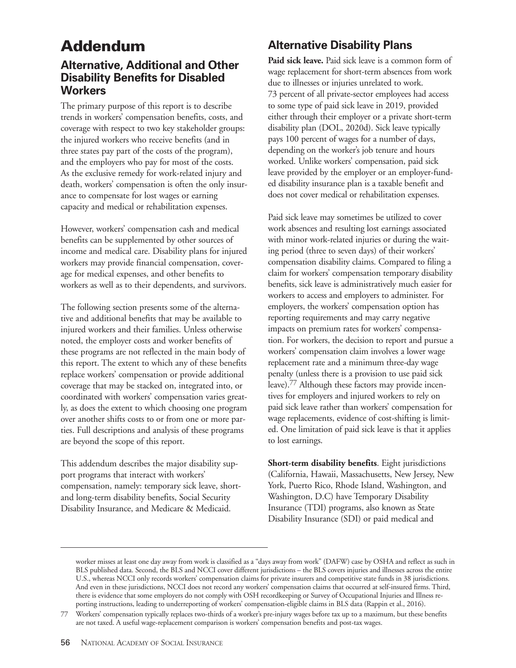# **Addendum**

#### **Alternative, Additional and Other Disability Benefits for Disabled Workers**

The primary purpose of this report is to describe trends in workers' compensation benefits, costs, and coverage with respect to two key stakeholder groups: the injured workers who receive benefits (and in three states pay part of the costs of the program), and the employers who pay for most of the costs. As the exclusive remedy for work-related injury and death, workers' compensation is often the only insurance to compensate for lost wages or earning capacity and medical or rehabilitation expenses.

However, workers' compensation cash and medical benefits can be supplemented by other sources of income and medical care. Disability plans for injured workers may provide financial compensation, coverage for medical expenses, and other benefits to workers as well as to their dependents, and survivors.

The following section presents some of the alternative and additional benefits that may be available to injured workers and their families. Unless otherwise noted, the employer costs and worker benefits of these programs are not reflected in the main body of this report. The extent to which any of these benefits replace workers' compensation or provide additional coverage that may be stacked on, integrated into, or coordinated with workers' compensation varies greatly, as does the extent to which choosing one program over another shifts costs to or from one or more parties. Full descriptions and analysis of these programs are beyond the scope of this report.

This addendum describes the major disability support programs that interact with workers' compensation, namely: temporary sick leave, shortand long-term disability benefits, Social Security Disability Insurance, and Medicare & Medicaid.

# **Alternative Disability Plans**

**Paid sick leave.** Paid sick leave is a common form of wage replacement for short-term absences from work due to illnesses or injuries unrelated to work. 73 percent of all private-sector employees had access to some type of paid sick leave in 2019, provided either through their employer or a private short-term disability plan (DOL, 2020d). Sick leave typically pays 100 percent of wages for a number of days, depending on the worker's job tenure and hours worked. Unlike workers' compensation, paid sick leave provided by the employer or an employer-funded disability insurance plan is a taxable benefit and does not cover medical or rehabilitation expenses.

Paid sick leave may sometimes be utilized to cover work absences and resulting lost earnings associated with minor work-related injuries or during the waiting period (three to seven days) of their workers' compensation disability claims. Compared to filing a claim for workers' compensation temporary disability benefits, sick leave is administratively much easier for workers to access and employers to administer. For employers, the workers' compensation option has reporting requirements and may carry negative impacts on premium rates for workers' compensation. For workers, the decision to report and pursue a workers' compensation claim involves a lower wage replacement rate and a minimum three-day wage penalty (unless there is a provision to use paid sick leave).77 Although these factors may provide incentives for employers and injured workers to rely on paid sick leave rather than workers' compensation for wage replacements, evidence of cost-shifting is limited. One limitation of paid sick leave is that it applies to lost earnings.

**Short-term disability benefits**. Eight jurisdictions (California, Hawaii, Massachusetts, New Jersey, New York, Puerto Rico, Rhode Island, Washington, and Washington, D.C) have Temporary Disability Insurance (TDI) programs, also known as State Disability Insurance (SDI) or paid medical and

worker misses at least one day away from work is classified as a "days away from work" (DAFW) case by OSHA and reflect as such in BLS published data. Second, the BLS and NCCI cover different jurisdictions – the BLS covers injuries and illnesses across the entire U.S., whereas NCCI only records workers' compensation claims for private insurers and competitive state funds in 38 jurisdictions. And even in these jurisdictions, NCCI does not record any workers' compensation claims that occurred at self-insured firms. Third, there is evidence that some employers do not comply with OSH recordkeeping or Survey of Occupational Injuries and Illness reporting instructions, leading to underreporting of workers' compensation-eligible claims in BLS data (Rappin et al., 2016).

<sup>77</sup> Workers' compensation typically replaces two-thirds of a worker's pre-injury wages before tax up to a maximum, but these benefits are not taxed. A useful wage-replacement comparison is workers' compensation benefits and post-tax wages.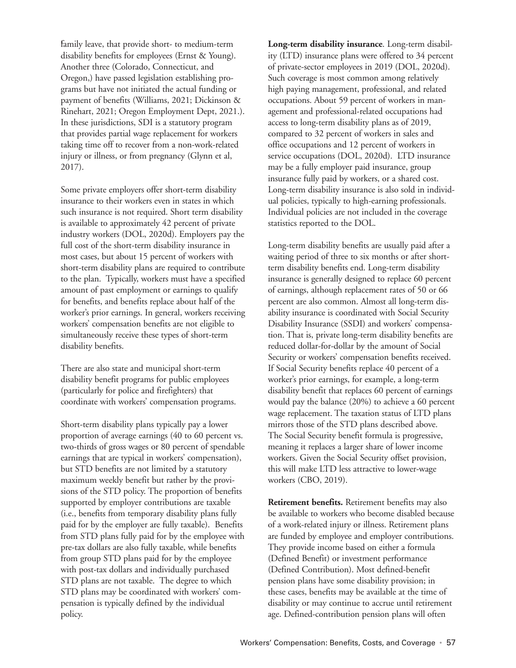' family leave, that provide short- to medium-term disability benefits for employees (Ernst & Young). Another three (Colorado, Connecticut, and Oregon,) have passed legislation establishing programs but have not initiated the actual funding or payment of benefits (Williams, 2021; Dickinson & Rinehart, 2021; Oregon Employment Dept, 2021.). In these jurisdictions, SDI is a statutory program that provides partial wage replacement for workers taking time off to recover from a non-work-related injury or illness, or from pregnancy (Glynn et al, 2017).

Some private employers offer short-term disability insurance to their workers even in states in which such insurance is not required. Short term disability is available to approximately 42 percent of private industry workers (DOL, 2020d). Employers pay the full cost of the short-term disability insurance in most cases, but about 15 percent of workers with short-term disability plans are required to contribute to the plan. Typically, workers must have a specified amount of past employment or earnings to qualify for benefits, and benefits replace about half of the worker's prior earnings. In general, workers receiving workers' compensation benefits are not eligible to simultaneously receive these types of short-term disability benefits.

There are also state and municipal short-term disability benefit programs for public employees (particularly for police and firefighters) that coordinate with workers' compensation programs.

Short-term disability plans typically pay a lower proportion of average earnings (40 to 60 percent vs. two-thirds of gross wages or 80 percent of spendable earnings that are typical in workers' compensation), but STD benefits are not limited by a statutory maximum weekly benefit but rather by the provisions of the STD policy. The proportion of benefits supported by employer contributions are taxable (i.e., benefits from temporary disability plans fully paid for by the employer are fully taxable). Benefits from STD plans fully paid for by the employee with pre-tax dollars are also fully taxable, while benefits from group STD plans paid for by the employee with post-tax dollars and individually purchased STD plans are not taxable. The degree to which STD plans may be coordinated with workers' compensation is typically defined by the individual policy.

**Long-term disability insurance**. Long-term disability (LTD) insurance plans were offered to 34 percent of private-sector employees in 2019 (DOL, 2020d). Such coverage is most common among relatively high paying management, professional, and related occupations. About 59 percent of workers in management and professional-related occupations had access to long-term disability plans as of 2019, compared to 32 percent of workers in sales and office occupations and 12 percent of workers in service occupations (DOL, 2020d). LTD insurance may be a fully employer paid insurance, group insurance fully paid by workers, or a shared cost. Long-term disability insurance is also sold in individual policies, typically to high-earning professionals. Individual policies are not included in the coverage statistics reported to the DOL.

Long-term disability benefits are usually paid after a waiting period of three to six months or after shortterm disability benefits end. Long-term disability insurance is generally designed to replace 60 percent of earnings, although replacement rates of 50 or 66 percent are also common. Almost all long-term disability insurance is coordinated with Social Security Disability Insurance (SSDI) and workers' compensation. That is, private long-term disability benefits are reduced dollar-for-dollar by the amount of Social Security or workers' compensation benefits received. If Social Security benefits replace 40 percent of a worker's prior earnings, for example, a long-term disability benefit that replaces 60 percent of earnings would pay the balance (20%) to achieve a 60 percent wage replacement. The taxation status of LTD plans mirrors those of the STD plans described above. The Social Security benefit formula is progressive, meaning it replaces a larger share of lower income workers. Given the Social Security offset provision, this will make LTD less attractive to lower-wage workers (CBO, 2019).

**Retirement benefits.** Retirement benefits may also be available to workers who become disabled because of a work-related injury or illness. Retirement plans are funded by employee and employer contributions. They provide income based on either a formula (Defined Benefit) or investment performance (Defined Contribution). Most defined-benefit pension plans have some disability provision; in these cases, benefits may be available at the time of disability or may continue to accrue until retirement age. Defined-contribution pension plans will often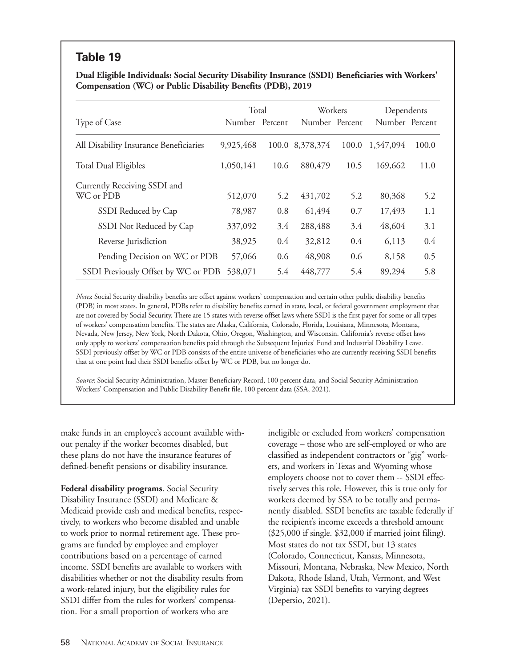#### **Table 19**

**Dual Eligible Individuals: Social Security Disability Insurance (SSDI) Beneficiaries with Workers' Compensation (WC) or Public Disability Benefits (PDB), 2019**

|                                        |                | Total         |                 | Workers |                | Dependents |  |
|----------------------------------------|----------------|---------------|-----------------|---------|----------------|------------|--|
| Type of Case                           | Number Percent |               | Number Percent  |         | Number Percent |            |  |
| All Disability Insurance Beneficiaries | 9,925,468      |               | 100.0 8,378,374 | 100.0   | 1,547,094      | 100.0      |  |
| <b>Total Dual Eligibles</b>            | 1,050,141      | 10.6          | 880,479         | 10.5    | 169,662        | 11.0       |  |
| Currently Receiving SSDI and           |                |               |                 |         |                |            |  |
| WC or PDB                              | 512,070        | 5.2           | 431,702         | 5.2     | 80,368         | 5.2        |  |
| SSDI Reduced by Cap                    | 78,987         | 0.8           | 61,494          | 0.7     | 17,493         | 1.1        |  |
| SSDI Not Reduced by Cap                | 337,092        | 3.4           | 288,488         | 3.4     | 48,604         | 3.1        |  |
| Reverse Jurisdiction                   | 38,925         | $0.4^{\circ}$ | 32,812          | 0.4     | 6,113          | 0.4        |  |
| Pending Decision on WC or PDB          | 57,066         | 0.6           | 48,908          | 0.6     | 8,158          | 0.5        |  |
| SSDI Previously Offset by WC or PDB    | 538,071        | 5.4           | 448,777         | 5.4     | 89,294         | 5.8        |  |

*Notes*: Social Security disability benefits are offset against workers' compensation and certain other public disability benefits (PDB) in most states. In general, PDBs refer to disability benefits earned in state, local, or federal government employment that are not covered by Social Security. There are 15 states with reverse offset laws where SSDI is the first payer for some or all types of workers' compensation benefits. The states are Alaska, California, Colorado, Florida, Louisiana, Minnesota, Montana, Nevada, New Jersey, New York, North Dakota, Ohio, Oregon, Washington, and Wisconsin. California's reverse offset laws only apply to workers' compensation benefits paid through the Subsequent Injuries' Fund and Industrial Disability Leave. SSDI previously offset by WC or PDB consists of the entire universe of beneficiaries who are currently receiving SSDI benefits that at one point had their SSDI benefits offset by WC or PDB, but no longer do.

*Source*: Social Security Administration, Master Beneficiary Record, 100 percent data, and Social Security Administration Workers' Compensation and Public Disability Benefit file, 100 percent data (SSA, 2021).

make funds in an employee's account available without penalty if the worker becomes disabled, but these plans do not have the insurance features of defined-benefit pensions or disability insurance.

**Federal disability programs**. Social Security Disability Insurance (SSDI) and Medicare & Medicaid provide cash and medical benefits, respectively, to workers who become disabled and unable to work prior to normal retirement age. These programs are funded by employee and employer contributions based on a percentage of earned income. SSDI benefits are available to workers with disabilities whether or not the disability results from a work-related injury, but the eligibility rules for SSDI differ from the rules for workers' compensation. For a small proportion of workers who are

ineligible or excluded from workers' compensation coverage – those who are self-employed or who are classified as independent contractors or "gig" workers, and workers in Texas and Wyoming whose employers choose not to cover them -- SSDI effectively serves this role. However, this is true only for workers deemed by SSA to be totally and permanently disabled. SSDI benefits are taxable federally if the recipient's income exceeds a threshold amount (\$25,000 if single. \$32,000 if married joint filing). Most states do not tax SSDI, but 13 states (Colorado, Connecticut, Kansas, Minnesota, Missouri, Montana, Nebraska, New Mexico, North Dakota, Rhode Island, Utah, Vermont, and West Virginia) tax SSDI benefits to varying degrees (Depersio, 2021).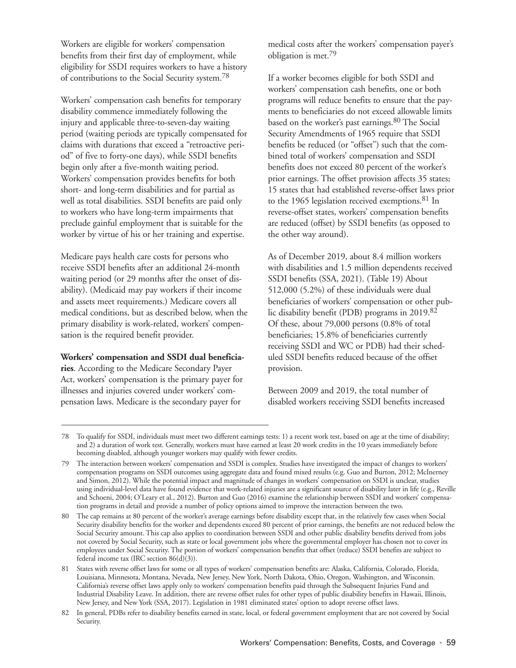Workers are eligible for workers' compensation benefits from their first day of employment, while eligibility for SSDI requires workers to have a history of contributions to the Social Security system.78

Workers' compensation cash benefits for temporary disability commence immediately following the injury and applicable three-to-seven-day waiting period (waiting periods are typically compensated for claims with durations that exceed a "retroactive period" of five to forty-one days), while SSDI benefits begin only after a five-month waiting period. Workers' compensation provides benefits for both short- and long-term disabilities and for partial as well as total disabilities. SSDI benefits are paid only to workers who have long-term impairments that preclude gainful employment that is suitable for the worker by virtue of his or her training and expertise.

Medicare pays health care costs for persons who receive SSDI benefits after an additional 24-month waiting period (or 29 months after the onset of disability). (Medicaid may pay workers if their income and assets meet requirements.) Medicare covers all medical conditions, but as described below, when the primary disability is work-related, workers' compensation is the required benefit provider.

#### **Workers' compensation and SSDI dual beneficia-**

**ries**. According to the Medicare Secondary Payer Act, workers' compensation is the primary payer for illnesses and injuries covered under workers' compensation laws. Medicare is the secondary payer for

medical costs after the workers' compensation payer's obligation is met.79

If a worker becomes eligible for both SSDI and workers' compensation cash benefits, one or both programs will reduce benefits to ensure that the payments to beneficiaries do not exceed allowable limits based on the worker's past earnings.80 The Social Security Amendments of 1965 require that SSDI benefits be reduced (or "offset") such that the combined total of workers' compensation and SSDI benefits does not exceed 80 percent of the worker's prior earnings. The offset provision affects 35 states; 15 states that had established reverse-offset laws prior to the 1965 legislation received exemptions.<sup>81</sup> In reverse-offset states, workers' compensation benefits are reduced (offset) by SSDI benefits (as opposed to the other way around).

As of December 2019, about 8.4 million workers with disabilities and 1.5 million dependents received SSDI benefits (SSA, 2021). (Table 19) About 512,000 (5.2%) of these individuals were dual beneficiaries of workers' compensation or other public disability benefit (PDB) programs in 2019.82 Of these, about 79,000 persons (0.8% of total beneficiaries; 15.8% of beneficiaries currently receiving SSDI and WC or PDB) had their scheduled SSDI benefits reduced because of the offset provision.

Between 2009 and 2019, the total number of disabled workers receiving SSDI benefits increased

<sup>78</sup> To qualify for SSDI, individuals must meet two different earnings tests: 1) a recent work test, based on age at the time of disability; and 2) a duration of work test. Generally, workers must have earned at least 20 work credits in the 10 years immediately before becoming disabled, although younger workers may qualify with fewer credits.

<sup>79</sup> The interaction between workers' compensation and SSDI is complex. Studies have investigated the impact of changes to workers' compensation programs on SSDI outcomes using aggregate data and found mixed results (e.g. Guo and Burton, 2012; McInerney and Simon, 2012). While the potential impact and magnitude of changes in workers' compensation on SSDI is unclear, studies using individual-level data have found evidence that work-related injuries are a significant source of disability later in life (e.g., Reville and Schoeni, 2004; O'Leary et al., 2012). Burton and Guo (2016) examine the relationship between SSDI and workers' compensation programs in detail and provide a number of policy options aimed to improve the interaction between the two.

<sup>80</sup> The cap remains at 80 percent of the worker's average earnings before disability except that, in the relatively few cases when Social Security disability benefits for the worker and dependents exceed 80 percent of prior earnings, the benefits are not reduced below the Social Security amount. This cap also applies to coordination between SSDI and other public disability benefits derived from jobs not covered by Social Security, such as state or local government jobs where the governmental employer has chosen not to cover its employees under Social Security. The portion of workers' compensation benefits that offset (reduce) SSDI benefits are subject to federal income tax (IRC section 86(d)(3)).

<sup>81</sup> States with reverse offset laws for some or all types of workers' compensation benefits are: Alaska, California, Colorado, Florida, Louisiana, Minnesota, Montana, Nevada, New Jersey, New York, North Dakota, Ohio, Oregon, Washington, and Wisconsin. California's reverse offset laws apply only to workers' compensation benefits paid through the Subsequent Injuries Fund and Industrial Disability Leave. In addition, there are reverse offset rules for other types of public disability benefits in Hawaii, Illinois, New Jersey, and New York (SSA, 2017). Legislation in 1981 eliminated states' option to adopt reverse offset laws.

<sup>82</sup> In general, PDBs refer to disability benefits earned in state, local, or federal government employment that are not covered by Social Security.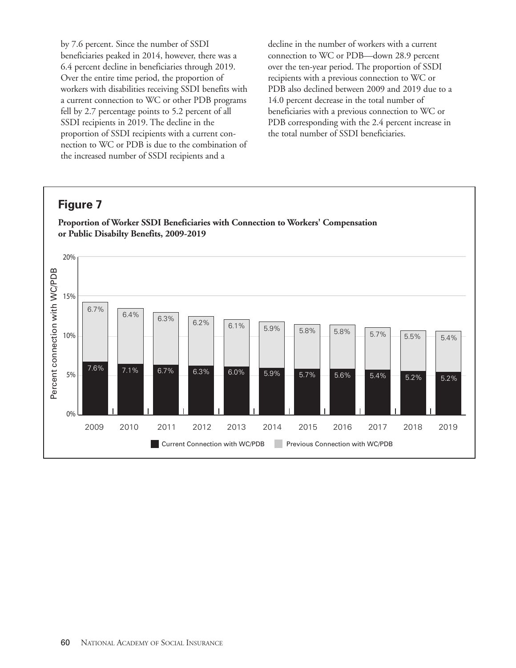by 7.6 percent. Since the number of SSDI beneficiaries peaked in 2014, however, there was a 6.4 percent decline in beneficiaries through 2019. Over the entire time period, the proportion of workers with disabilities receiving SSDI benefits with a current connection to WC or other PDB programs fell by 2.7 percentage points to 5.2 percent of all SSDI recipients in 2019. The decline in the proportion of SSDI recipients with a current connection to WC or PDB is due to the combination of the increased number of SSDI recipients and a

decline in the number of workers with a current connection to WC or PDB—down 28.9 percent over the ten-year period. The proportion of SSDI recipients with a previous connection to WC or PDB also declined between 2009 and 2019 due to a 14.0 percent decrease in the total number of beneficiaries with a previous connection to WC or PDB corresponding with the 2.4 percent increase in the total number of SSDI beneficiaries.

## **Figure 7**

**Proportion of Worker SSDI Beneficiaries with Connection to Workers' Compensation or Public Disabilty Benefits, 2009-2019**

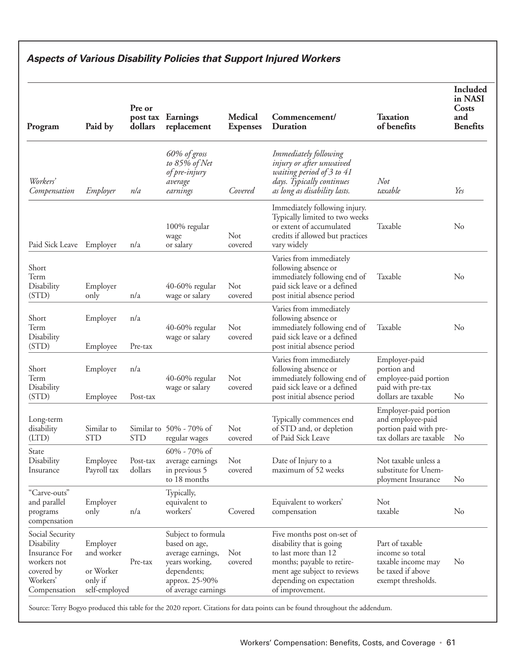# **Aspects of Various Disability Policies that Support Injured Workers**

| Program                                                                                                 | Paid by                                                         | Pre or<br>dollars   | post tax Earnings<br>replacement                                                                                                   | <b>Medical</b><br><b>Expenses</b> | Commencement/<br><b>Duration</b>                                                                                                                                                           | <b>Taxation</b><br>of benefits                                                                      | <b>Included</b><br>in NASI<br>Costs<br>and<br><b>Benefits</b> |
|---------------------------------------------------------------------------------------------------------|-----------------------------------------------------------------|---------------------|------------------------------------------------------------------------------------------------------------------------------------|-----------------------------------|--------------------------------------------------------------------------------------------------------------------------------------------------------------------------------------------|-----------------------------------------------------------------------------------------------------|---------------------------------------------------------------|
| Workers'<br>Compensation                                                                                | Employer                                                        | nla                 | 60% of gross<br>to 85% of Net<br>of pre-injury<br>average<br>earnings                                                              | Covered                           | Immediately following<br>injury or after unwaived<br>waiting period of 3 to 41<br>days. Typically continues<br>as long as disability lasts.                                                | Not<br>taxable                                                                                      | Yes                                                           |
| Paid Sick Leave Employer                                                                                |                                                                 | n/a                 | 100% regular<br>wage<br>or salary                                                                                                  | Not<br>covered                    | Immediately following injury.<br>Typically limited to two weeks<br>or extent of accumulated<br>credits if allowed but practices<br>vary widely                                             | Taxable                                                                                             | No                                                            |
| Short<br>Term<br>Disability<br>(STD)                                                                    | Employer<br>only                                                | n/a                 | 40-60% regular<br>wage or salary                                                                                                   | Not<br>covered                    | Varies from immediately<br>following absence or<br>immediately following end of<br>paid sick leave or a defined<br>post initial absence period                                             | Taxable                                                                                             | No                                                            |
| Short<br>Term<br>Disability<br>(STD)                                                                    | Employer<br>Employee                                            | n/a<br>Pre-tax      | $40-60%$ regular<br>wage or salary                                                                                                 | Not<br>covered                    | Varies from immediately<br>following absence or<br>immediately following end of<br>paid sick leave or a defined<br>post initial absence period                                             | Taxable                                                                                             | No                                                            |
| Short<br>Term<br>Disability<br>(STD)                                                                    | Employer<br>Employee                                            | n/a<br>Post-tax     | $40-60\%$ regular<br>wage or salary                                                                                                | Not<br>covered                    | Varies from immediately<br>following absence or<br>immediately following end of<br>paid sick leave or a defined<br>post initial absence period                                             | Employer-paid<br>portion and<br>employee-paid portion<br>paid with pre-tax<br>dollars are taxable   | N <sub>o</sub>                                                |
| Long-term<br>disability<br>(LTD)                                                                        | Similar to<br><b>STD</b>                                        | <b>STD</b>          | Similar to 50% - 70% of<br>regular wages                                                                                           | Not<br>covered                    | Typically commences end<br>of STD and, or depletion<br>of Paid Sick Leave                                                                                                                  | Employer-paid portion<br>and employee-paid<br>portion paid with pre-<br>tax dollars are taxable     | N <sub>o</sub>                                                |
| State<br>Disability<br>Insurance                                                                        | Employee<br>Payroll tax                                         | Post-tax<br>dollars | $60\% - 70\%$ of<br>average earnings<br>in previous 5<br>to 18 months                                                              | Not<br>covered                    | Date of Injury to a<br>maximum of 52 weeks                                                                                                                                                 | Not taxable unless a<br>substitute for Unem-<br>ployment Insurance                                  | $\rm No$                                                      |
| "Carve-outs"<br>and parallel<br>programs<br>compensation                                                | Employer<br>only                                                | n/a                 | Typically,<br>equivalent to<br>workers'                                                                                            | Covered                           | Equivalent to workers'<br>compensation                                                                                                                                                     | Not<br>taxable                                                                                      | N <sub>o</sub>                                                |
| Social Security<br>Disability<br>Insurance For<br>workers not<br>covered by<br>Workers'<br>Compensation | Employer<br>and worker<br>or Worker<br>only if<br>self-employed | Pre-tax             | Subject to formula<br>based on age,<br>average earnings,<br>years working,<br>dependents;<br>approx. 25-90%<br>of average earnings | Not<br>covered                    | Five months post on-set of<br>disability that is going<br>to last more than 12<br>months; payable to retire-<br>ment age subject to reviews<br>depending on expectation<br>of improvement. | Part of taxable<br>income so total<br>taxable income may<br>be taxed if above<br>exempt thresholds. | N <sub>o</sub>                                                |

Source: Terry Bogyo produced this table for the 2020 report. Citations for data points can be found throughout the addendum.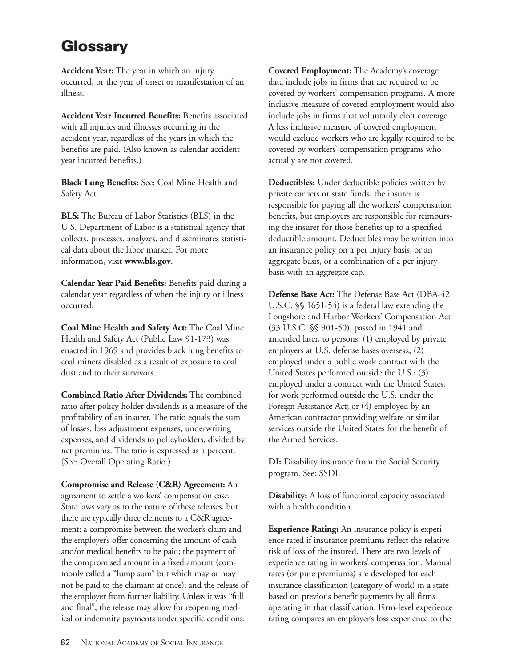# **Glossary**

**Accident Year:** The year in which an injury occurred, or the year of onset or manifestation of an illness.

**Accident Year Incurred Benefits:** Benefits associated with all injuries and illnesses occurring in the accident year, regardless of the years in which the benefits are paid. (Also known as calendar accident year incurred benefits.)

**Black Lung Benefits:** See: Coal Mine Health and Safety Act.

**BLS:** The Bureau of Labor Statistics (BLS) in the U.S. Department of Labor is a statistical agency that collects, processes, analyzes, and disseminates statistical data about the labor market. For more information, visit **www.bls.gov**.

**Calendar Year Paid Benefits:** Benefits paid during a calendar year regardless of when the injury or illness occurred.

**Coal Mine Health and Safety Act:** The Coal Mine Health and Safety Act (Public Law 91-173) was enacted in 1969 and provides black lung benefits to coal miners disabled as a result of exposure to coal dust and to their survivors.

**Combined Ratio After Dividends:** The combined ratio after policy holder dividends is a measure of the profitability of an insurer. The ratio equals the sum of losses, loss adjustment expenses, underwriting expenses, and dividends to policyholders, divided by net premiums. The ratio is expressed as a percent. (See: Overall Operating Ratio.)

**Compromise and Release (C&R) Agreement:** An agreement to settle a workers' compensation case. State laws vary as to the nature of these releases, but there are typically three elements to a C&R agreement: a compromise between the worker's claim and the employer's offer concerning the amount of cash and/or medical benefits to be paid; the payment of the compromised amount in a fixed amount (commonly called a "lump sum" but which may or may not be paid to the claimant at once); and the release of the employer from further liability. Unless it was "full and final", the release may allow for reopening medical or indemnity payments under specific conditions.

**Covered Employment:** The Academy's coverage data include jobs in firms that are required to be covered by workers' compensation programs. A more inclusive measure of covered employment would also include jobs in firms that voluntarily elect coverage. A less inclusive measure of covered employment would exclude workers who are legally required to be covered by workers' compensation programs who actually are not covered.

**Deductibles:** Under deductible policies written by private carriers or state funds, the insurer is responsible for paying all the workers' compensation benefits, but employers are responsible for reimbursing the insurer for those benefits up to a specified deductible amount. Deductibles may be written into an insurance policy on a per injury basis, or an aggregate basis, or a combination of a per injury basis with an aggregate cap.

**Defense Base Act:** The Defense Base Act (DBA-42 U.S.C. §§ 1651-54) is a federal law extending the Longshore and Harbor Workers' Compensation Act (33 U.S.C. §§ 901-50), passed in 1941 and amended later, to persons: (1) employed by private employers at U.S. defense bases overseas; (2) employed under a public work contract with the United States performed outside the U.S.; (3) employed under a contract with the United States, for work performed outside the U.S. under the Foreign Assistance Act; or (4) employed by an American contractor providing welfare or similar services outside the United States for the benefit of the Armed Services.

**DI:** Disability insurance from the Social Security program. See: SSDI.

**Disability:** A loss of functional capacity associated with a health condition.

**Experience Rating:** An insurance policy is experience rated if insurance premiums reflect the relative risk of loss of the insured. There are two levels of experience rating in workers' compensation. Manual rates (or pure premiums) are developed for each insurance classification (category of work) in a state based on previous benefit payments by all firms operating in that classification. Firm-level experience rating compares an employer's loss experience to the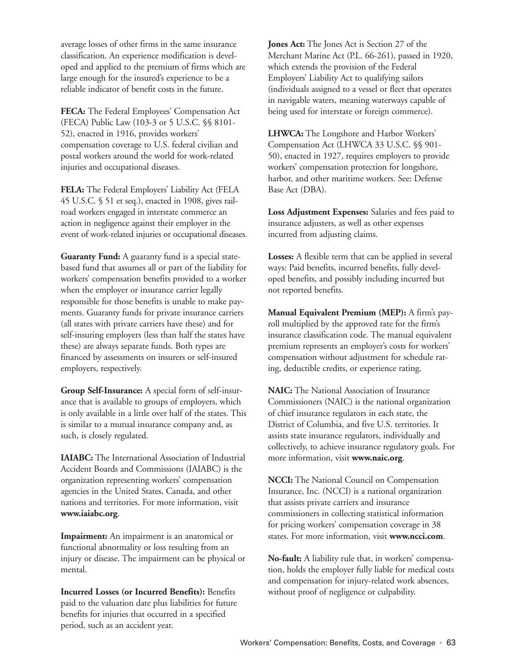average losses of other firms in the same insurance classification. An experience modification is developed and applied to the premium of firms which are large enough for the insured's experience to be a reliable indicator of benefit costs in the future.

**FECA:** The Federal Employees' Compensation Act (FECA) Public Law (103-3 or 5 U.S.C. §§ 8101- 52), enacted in 1916, provides workers' compensation coverage to U.S. federal civilian and postal workers around the world for work-related injuries and occupational diseases.

**FELA:** The Federal Employers' Liability Act (FELA 45 U.S.C. § 51 et seq.), enacted in 1908, gives railroad workers engaged in interstate commerce an action in negligence against their employer in the event of work-related injuries or occupational diseases.

**Guaranty Fund:** A guaranty fund is a special statebased fund that assumes all or part of the liability for workers' compensation benefits provided to a worker when the employer or insurance carrier legally responsible for those benefits is unable to make payments. Guaranty funds for private insurance carriers (all states with private carriers have these) and for self-insuring employers (less than half the states have these) are always separate funds. Both types are financed by assessments on insurers or self-insured employers, respectively.

**Group Self-Insurance:** A special form of self-insurance that is available to groups of employers, which is only available in a little over half of the states. This is similar to a mutual insurance company and, as such, is closely regulated.

**IAIABC:** The International Association of Industrial Accident Boards and Commissions (IAIABC) is the organization representing workers' compensation agencies in the United States, Canada, and other nations and territories. For more information, visit **www.iaiabc.org**.

**Impairment:** An impairment is an anatomical or functional abnormality or loss resulting from an injury or disease. The impairment can be physical or mental.

**Incurred Losses (or Incurred Benefits):** Benefits paid to the valuation date plus liabilities for future benefits for injuries that occurred in a specified period, such as an accident year.

**Jones Act:** The Jones Act is Section 27 of the Merchant Marine Act (P.L. 66-261), passed in 1920, which extends the provision of the Federal Employers' Liability Act to qualifying sailors (individuals assigned to a vessel or fleet that operates in navigable waters, meaning waterways capable of being used for interstate or foreign commerce).

**LHWCA:** The Longshore and Harbor Workers' Compensation Act (LHWCA 33 U.S.C. §§ 901- 50), enacted in 1927, requires employers to provide workers' compensation protection for longshore, harbor, and other maritime workers. See: Defense Base Act (DBA).

**Loss Adjustment Expenses:** Salaries and fees paid to insurance adjusters, as well as other expenses incurred from adjusting claims.

**Losses:** A flexible term that can be applied in several ways: Paid benefits, incurred benefits, fully developed benefits, and possibly including incurred but not reported benefits.

**Manual Equivalent Premium (MEP):** A firm's payroll multiplied by the approved rate for the firm's insurance classification code. The manual equivalent premium represents an employer's costs for workers' compensation without adjustment for schedule rating, deductible credits, or experience rating.

**NAIC:** The National Association of Insurance Commissioners (NAIC) is the national organization of chief insurance regulators in each state, the District of Columbia, and five U.S. territories. It assists state insurance regulators, individually and collectively, to achieve insurance regulatory goals. For more information, visit **www.naic.org**.

**NCCI:** The National Council on Compensation Insurance, Inc. (NCCI) is a national organization that assists private carriers and insurance commissioners in collecting statistical information for pricing workers' compensation coverage in 38 states. For more information, visit **www.ncci.com**.

**No-fault:** A liability rule that, in workers' compensation, holds the employer fully liable for medical costs and compensation for injury-related work absences, without proof of negligence or culpability.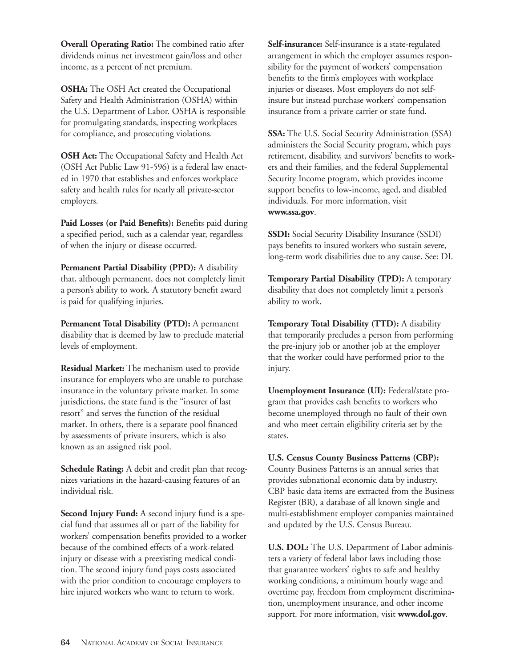**Overall Operating Ratio:** The combined ratio after dividends minus net investment gain/loss and other income, as a percent of net premium.

**OSHA:** The OSH Act created the Occupational Safety and Health Administration (OSHA) within the U.S. Department of Labor. OSHA is responsible for promulgating standards, inspecting workplaces for compliance, and prosecuting violations.

**OSH Act:** The Occupational Safety and Health Act (OSH Act Public Law 91-596) is a federal law enacted in 1970 that establishes and enforces workplace safety and health rules for nearly all private-sector employers.

Paid Losses (or Paid Benefits): Benefits paid during a specified period, such as a calendar year, regardless of when the injury or disease occurred.

**Permanent Partial Disability (PPD):** A disability that, although permanent, does not completely limit a person's ability to work. A statutory benefit award is paid for qualifying injuries.

**Permanent Total Disability (PTD):** A permanent disability that is deemed by law to preclude material levels of employment.

**Residual Market:** The mechanism used to provide insurance for employers who are unable to purchase insurance in the voluntary private market. In some jurisdictions, the state fund is the "insurer of last resort" and serves the function of the residual market. In others, there is a separate pool financed by assessments of private insurers, which is also known as an assigned risk pool.

**Schedule Rating:** A debit and credit plan that recognizes variations in the hazard-causing features of an individual risk.

**Second Injury Fund:** A second injury fund is a special fund that assumes all or part of the liability for workers' compensation benefits provided to a worker because of the combined effects of a work-related injury or disease with a preexisting medical condition. The second injury fund pays costs associated with the prior condition to encourage employers to hire injured workers who want to return to work.

**Self-insurance:** Self-insurance is a state-regulated arrangement in which the employer assumes responsibility for the payment of workers' compensation benefits to the firm's employees with workplace injuries or diseases. Most employers do not selfinsure but instead purchase workers' compensation insurance from a private carrier or state fund.

**SSA:** The U.S. Social Security Administration (SSA) administers the Social Security program, which pays retirement, disability, and survivors' benefits to workers and their families, and the federal Supplemental Security Income program, which provides income support benefits to low-income, aged, and disabled individuals. For more information, visit **www.ssa.gov**.

**SSDI:** Social Security Disability Insurance (SSDI) pays benefits to insured workers who sustain severe, long-term work disabilities due to any cause. See: DI.

**Temporary Partial Disability (TPD):** A temporary disability that does not completely limit a person's ability to work.

**Temporary Total Disability (TTD):** A disability that temporarily precludes a person from performing the pre-injury job or another job at the employer that the worker could have performed prior to the injury.

**Unemployment Insurance (UI):** Federal/state program that provides cash benefits to workers who become unemployed through no fault of their own and who meet certain eligibility criteria set by the states.

**U.S. Census County Business Patterns (CBP):** County Business Patterns is an annual series that provides subnational economic data by industry. CBP basic data items are extracted from the Business Register (BR), a database of all known single and multi-establishment employer companies maintained and updated by the U.S. Census Bureau.

**U.S. DOL:** The U.S. Department of Labor administers a variety of federal labor laws including those that guarantee workers' rights to safe and healthy working conditions, a minimum hourly wage and overtime pay, freedom from employment discrimination, unemployment insurance, and other income support. For more information, visit **www.dol.gov**.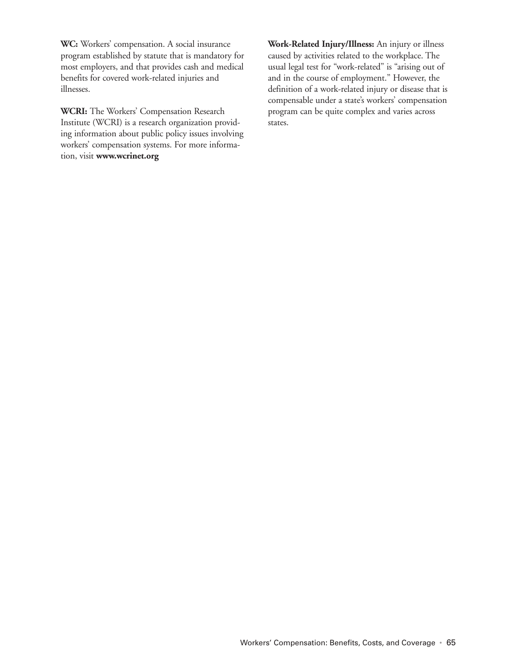**WC:** Workers' compensation. A social insurance program established by statute that is mandatory for most employers, and that provides cash and medical benefits for covered work-related injuries and illnesses.

**WCRI:** The Workers' Compensation Research Institute (WCRI) is a research organization providing information about public policy issues involving workers' compensation systems. For more information, visit **www.wcrinet.org**

**Work-Related Injury/Illness:** An injury or illness caused by activities related to the workplace. The usual legal test for "work-related" is "arising out of and in the course of employment." However, the definition of a work-related injury or disease that is compensable under a state's workers' compensation program can be quite complex and varies across states.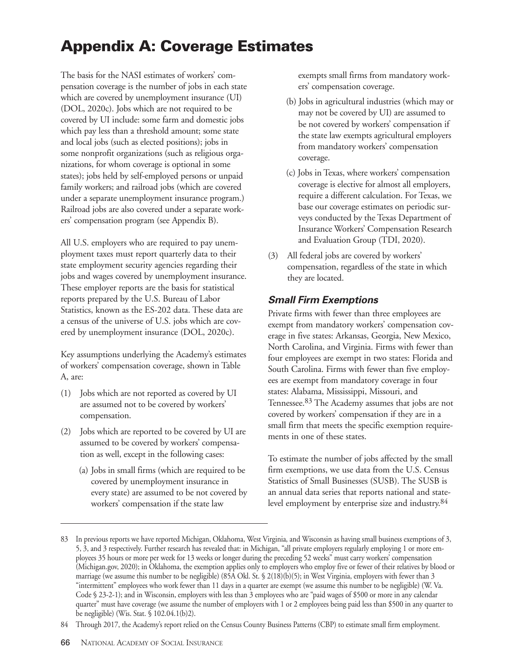# **Appendix A: Coverage Estimates**

The basis for the NASI estimates of workers' compensation coverage is the number of jobs in each state which are covered by unemployment insurance (UI) (DOL, 2020c). Jobs which are not required to be covered by UI include: some farm and domestic jobs which pay less than a threshold amount; some state and local jobs (such as elected positions); jobs in some nonprofit organizations (such as religious organizations, for whom coverage is optional in some states); jobs held by self-employed persons or unpaid family workers; and railroad jobs (which are covered under a separate unemployment insurance program.) Railroad jobs are also covered under a separate workers' compensation program (see Appendix B).

All U.S. employers who are required to pay unemployment taxes must report quarterly data to their state employment security agencies regarding their jobs and wages covered by unemployment insurance. These employer reports are the basis for statistical reports prepared by the U.S. Bureau of Labor Statistics, known as the ES-202 data. These data are a census of the universe of U.S. jobs which are covered by unemployment insurance (DOL, 2020c).

Key assumptions underlying the Academy's estimates of workers' compensation coverage, shown in Table A, are:

- (1) Jobs which are not reported as covered by UI are assumed not to be covered by workers' compensation.
- (2) Jobs which are reported to be covered by UI are assumed to be covered by workers' compensation as well, except in the following cases:
	- (a) Jobs in small firms (which are required to be covered by unemployment insurance in every state) are assumed to be not covered by workers' compensation if the state law

exempts small firms from mandatory workers' compensation coverage.

- (b) Jobs in agricultural industries (which may or may not be covered by UI) are assumed to be not covered by workers' compensation if the state law exempts agricultural employers from mandatory workers' compensation coverage.
- (c) Jobs in Texas, where workers' compensation coverage is elective for almost all employers, require a different calculation. For Texas, we base our coverage estimates on periodic surveys conducted by the Texas Department of Insurance Workers' Compensation Research and Evaluation Group (TDI, 2020).
- (3) All federal jobs are covered by workers' compensation, regardless of the state in which they are located.

## **Small Firm Exemptions**

Private firms with fewer than three employees are exempt from mandatory workers' compensation coverage in five states: Arkansas, Georgia, New Mexico, North Carolina, and Virginia. Firms with fewer than four employees are exempt in two states: Florida and South Carolina. Firms with fewer than five employees are exempt from mandatory coverage in four states: Alabama, Mississippi, Missouri, and Tennessee.83 The Academy assumes that jobs are not covered by workers' compensation if they are in a small firm that meets the specific exemption requirements in one of these states.

To estimate the number of jobs affected by the small firm exemptions, we use data from the U.S. Census Statistics of Small Businesses (SUSB). The SUSB is an annual data series that reports national and statelevel employment by enterprise size and industry.84

<sup>83</sup> In previous reports we have reported Michigan, Oklahoma, West Virginia, and Wisconsin as having small business exemptions of 3, 5, 3, and 3 respectively. Further research has revealed that: in Michigan, "all private employers regularly employing 1 or more employees 35 hours or more per week for 13 weeks or longer during the preceding 52 weeks" must carry workers' compensation (Michigan.gov, 2020); in Oklahoma, the exemption applies only to employers who employ five or fewer of their relatives by blood or marriage (we assume this number to be negligible) (85A Okl. St. § 2(18)(b)(5); in West Virginia, employers with fewer than 3 "intermittent" employees who work fewer than 11 days in a quarter are exempt (we assume this number to be negligible) (W. Va. Code § 23-2-1); and in Wisconsin, employers with less than 3 employees who are "paid wages of \$500 or more in any calendar quarter" must have coverage (we assume the number of employers with 1 or 2 employees being paid less than \$500 in any quarter to be negligible) (Wis. Stat. § 102.04.1(b)2).

<sup>84</sup> Through 2017, the Academy's report relied on the Census County Business Patterns (CBP) to estimate small firm employment.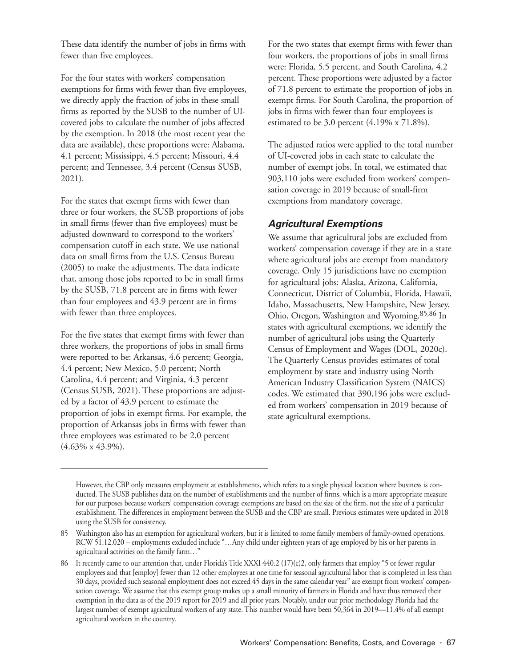These data identify the number of jobs in firms with fewer than five employees.

For the four states with workers' compensation exemptions for firms with fewer than five employees, we directly apply the fraction of jobs in these small firms as reported by the SUSB to the number of UIcovered jobs to calculate the number of jobs affected by the exemption. In 2018 (the most recent year the data are available), these proportions were: Alabama, 4.1 percent; Mississippi, 4.5 percent; Missouri, 4.4 percent; and Tennessee, 3.4 percent (Census SUSB, 2021).

For the states that exempt firms with fewer than three or four workers, the SUSB proportions of jobs in small firms (fewer than five employees) must be adjusted downward to correspond to the workers' compensation cutoff in each state. We use national data on small firms from the U.S. Census Bureau (2005) to make the adjustments. The data indicate that, among those jobs reported to be in small firms by the SUSB, 71.8 percent are in firms with fewer than four employees and 43.9 percent are in firms with fewer than three employees.

For the five states that exempt firms with fewer than three workers, the proportions of jobs in small firms were reported to be: Arkansas, 4.6 percent; Georgia, 4.4 percent; New Mexico, 5.0 percent; North Carolina, 4.4 percent; and Virginia, 4.3 percent (Census SUSB, 2021). These proportions are adjusted by a factor of 43.9 percent to estimate the proportion of jobs in exempt firms. For example, the proportion of Arkansas jobs in firms with fewer than three employees was estimated to be 2.0 percent (4.63% x 43.9%).

For the two states that exempt firms with fewer than four workers, the proportions of jobs in small firms were: Florida, 5.5 percent, and South Carolina, 4.2 percent. These proportions were adjusted by a factor of 71.8 percent to estimate the proportion of jobs in exempt firms. For South Carolina, the proportion of jobs in firms with fewer than four employees is estimated to be 3.0 percent (4.19% x 71.8%).

The adjusted ratios were applied to the total number of UI-covered jobs in each state to calculate the number of exempt jobs. In total, we estimated that 903,110 jobs were excluded from workers' compensation coverage in 2019 because of small-firm exemptions from mandatory coverage.

#### **Agricultural Exemptions**

We assume that agricultural jobs are excluded from workers' compensation coverage if they are in a state where agricultural jobs are exempt from mandatory coverage. Only 15 jurisdictions have no exemption for agricultural jobs: Alaska, Arizona, California, Connecticut, District of Columbia, Florida, Hawaii, Idaho, Massachusetts, New Hampshire, New Jersey, Ohio, Oregon, Washington and Wyoming.85,86 In states with agricultural exemptions, we identify the number of agricultural jobs using the Quarterly Census of Employment and Wages (DOL, 2020c). The Quarterly Census provides estimates of total employment by state and industry using North American Industry Classification System (NAICS) codes. We estimated that 390,196 jobs were excluded from workers' compensation in 2019 because of state agricultural exemptions.

However, the CBP only measures employment at establishments, which refers to a single physical location where business is conducted. The SUSB publishes data on the number of establishments and the number of firms, which is a more appropriate measure for our purposes because workers' compensation coverage exemptions are based on the size of the firm, not the size of a particular establishment. The differences in employment between the SUSB and the CBP are small. Previous estimates were updated in 2018 using the SUSB for consistency.

<sup>85</sup> Washington also has an exemption for agricultural workers, but it is limited to some family members of family-owned operations. RCW 51.12.020 – employments excluded include "…Any child under eighteen years of age employed by his or her parents in agricultural activities on the family farm…"

<sup>86</sup> It recently came to our attention that, under Florida's Title XXXI 440.2 (17)(c)2, only farmers that employ "5 or fewer regular employees and that [employ] fewer than 12 other employees at one time for seasonal agricultural labor that is completed in less than 30 days, provided such seasonal employment does not exceed 45 days in the same calendar year" are exempt from workers' compensation coverage. We assume that this exempt group makes up a small minority of farmers in Florida and have thus removed their exemption in the data as of the 2019 report for 2019 and all prior years. Notably, under our prior methodology Florida had the largest number of exempt agricultural workers of any state. This number would have been 50,364 in 2019—11.4% of all exempt agricultural workers in the country.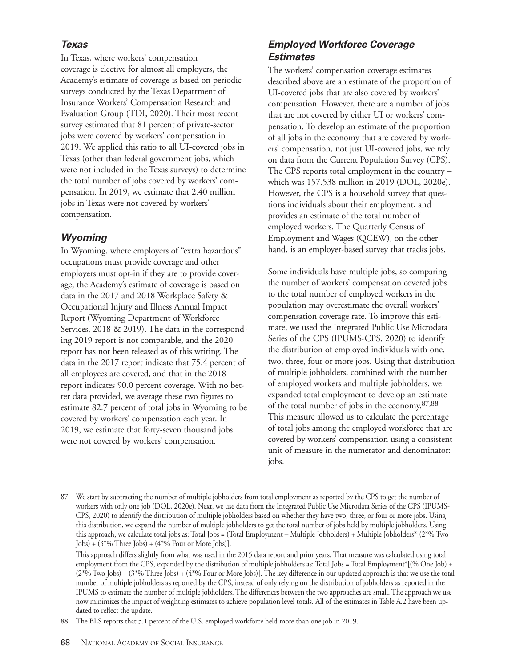#### **Texas**

In Texas, where workers' compensation coverage is elective for almost all employers, the Academy's estimate of coverage is based on periodic surveys conducted by the Texas Department of Insurance Workers' Compensation Research and Evaluation Group (TDI, 2020). Their most recent survey estimated that 81 percent of private-sector jobs were covered by workers' compensation in 2019. We applied this ratio to all UI-covered jobs in Texas (other than federal government jobs, which were not included in the Texas surveys) to determine the total number of jobs covered by workers' compensation. In 2019, we estimate that 2.40 million jobs in Texas were not covered by workers' compensation.

#### **Wyoming**

In Wyoming, where employers of "extra hazardous" occupations must provide coverage and other employers must opt-in if they are to provide coverage, the Academy's estimate of coverage is based on data in the 2017 and 2018 Workplace Safety & Occupational Injury and Illness Annual Impact Report (Wyoming Department of Workforce Services, 2018 & 2019). The data in the corresponding 2019 report is not comparable, and the 2020 report has not been released as of this writing. The data in the 2017 report indicate that 75.4 percent of all employees are covered, and that in the 2018 report indicates 90.0 percent coverage. With no better data provided, we average these two figures to estimate 82.7 percent of total jobs in Wyoming to be covered by workers' compensation each year. In 2019, we estimate that forty-seven thousand jobs were not covered by workers' compensation.

## **Employed Workforce Coverage Estimates**

The workers' compensation coverage estimates described above are an estimate of the proportion of UI-covered jobs that are also covered by workers' compensation. However, there are a number of jobs that are not covered by either UI or workers' compensation. To develop an estimate of the proportion of all jobs in the economy that are covered by workers' compensation, not just UI-covered jobs, we rely on data from the Current Population Survey (CPS). The CPS reports total employment in the country – which was 157.538 million in 2019 (DOL, 2020e). However, the CPS is a household survey that questions individuals about their employment, and provides an estimate of the total number of employed workers. The Quarterly Census of Employment and Wages (QCEW), on the other hand, is an employer-based survey that tracks jobs.

Some individuals have multiple jobs, so comparing the number of workers' compensation covered jobs to the total number of employed workers in the population may overestimate the overall workers' compensation coverage rate. To improve this estimate, we used the Integrated Public Use Microdata Series of the CPS (IPUMS-CPS, 2020) to identify the distribution of employed individuals with one, two, three, four or more jobs. Using that distribution of multiple jobholders, combined with the number of employed workers and multiple jobholders, we expanded total employment to develop an estimate of the total number of jobs in the economy.87,88 This measure allowed us to calculate the percentage of total jobs among the employed workforce that are covered by workers' compensation using a consistent unit of measure in the numerator and denominator: jobs.

We start by subtracting the number of multiple jobholders from total employment as reported by the CPS to get the number of workers with only one job (DOL, 2020e). Next, we use data from the Integrated Public Use Microdata Series of the CPS (IPUMS-CPS, 2020) to identify the distribution of multiple jobholders based on whether they have two, three, or four or more jobs. Using this distribution, we expand the number of multiple jobholders to get the total number of jobs held by multiple jobholders. Using this approach, we calculate total jobs as: Total Jobs = (Total Employment – Multiple Jobholders) + Multiple Jobholders\*[(2\*% Two Jobs) +  $(3^*%$  Three Jobs) +  $(4^*%$  Four or More Jobs)].

This approach differs slightly from what was used in the 2015 data report and prior years. That measure was calculated using total employment from the CPS, expanded by the distribution of multiple jobholders as: Total Jobs = Total Employment\*[(% One Job) +  $(2*)\%$  Two Jobs) +  $(3*)\%$  Three Jobs) +  $(4*)\%$  Four or More Jobs)]. The key difference in our updated approach is that we use the total number of multiple jobholders as reported by the CPS, instead of only relying on the distribution of jobholders as reported in the IPUMS to estimate the number of multiple jobholders. The differences between the two approaches are small. The approach we use now minimizes the impact of weighting estimates to achieve population level totals. All of the estimates in Table A.2 have been updated to reflect the update.

<sup>88</sup> The BLS reports that 5.1 percent of the U.S. employed workforce held more than one job in 2019.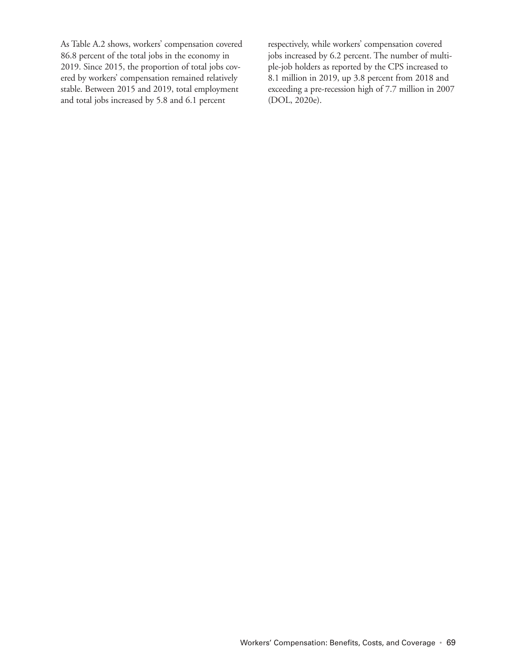As Table A.2 shows, workers' compensation covered 86.8 percent of the total jobs in the economy in 2019. Since 2015, the proportion of total jobs covered by workers' compensation remained relatively stable. Between 2015 and 2019, total employment and total jobs increased by 5.8 and 6.1 percent

respectively, while workers' compensation covered jobs increased by 6.2 percent. The number of multiple-job holders as reported by the CPS increased to 8.1 million in 2019, up 3.8 percent from 2018 and exceeding a pre-recession high of 7.7 million in 2007 (DOL, 2020e).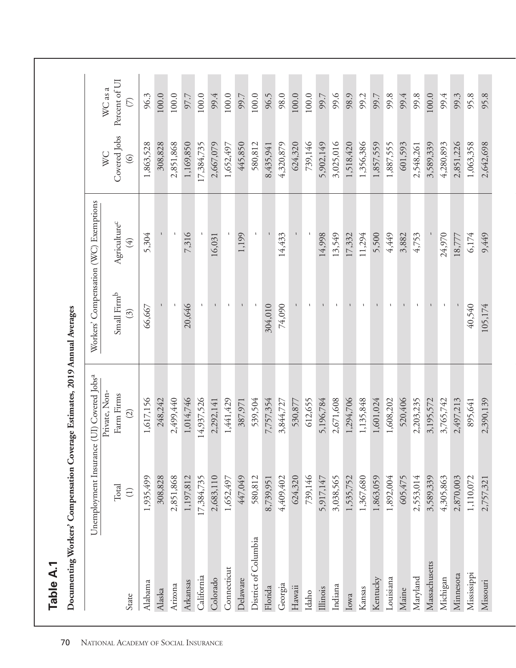|                      |                                       | Documenting Workers' Compensation Coverage Estimates, 2019 Annual Averages |                                  |                                         |                                |                                             |
|----------------------|---------------------------------------|----------------------------------------------------------------------------|----------------------------------|-----------------------------------------|--------------------------------|---------------------------------------------|
|                      |                                       | Unemployment Insurance (UI) Covered Jobs <sup>a</sup>                      |                                  | Workers' Compensation (WC) Exemptions   |                                |                                             |
|                      |                                       | Private, Non-                                                              |                                  |                                         | WC                             | WC as a                                     |
| State                | Total<br>$\left( \frac{1}{2} \right)$ | Farm Firms<br>$\widehat{c}$                                                | Small Firmb<br>$\widehat{\odot}$ | Agriculture <sup>c</sup><br>$\bigoplus$ | Covered Jobs<br>$\circledcirc$ | Percent of UI<br>$\widehat{\triangleright}$ |
| Alabama              | 1,935,499                             | 1,617,156                                                                  | 66,667                           | 5,304                                   | 1,863,528                      | 96.3                                        |
| Alaska               | 308,828                               | 248,242                                                                    |                                  |                                         | 308,828                        | 100.0                                       |
| Arizona              | 2,851,868                             | 2,499,440                                                                  |                                  |                                         | 2,851,868                      | $100.0$                                     |
| Arkansas             | 1,197,812                             | 1,014,746                                                                  | 20,646                           | 7,316                                   | 1,169,850                      | 97.7                                        |
| California           | 17,384,735                            | 14,937,526                                                                 |                                  |                                         | 17,384,735                     | 100.0                                       |
| Colorado             | 2,683,110                             | 2,292,141                                                                  | $\mathbf{I}$                     | 16,031                                  | 2,667,079                      | 99.4                                        |
| Connecticut          | 1,652,497                             | 1,441,429                                                                  | $\mathbf{I}$                     |                                         | 1,652,497                      | $100.0$                                     |
| Delaware             | 447,049                               | 387,971                                                                    |                                  | 1,199                                   | 445,850                        | 99.7                                        |
| District of Columbia | 580,812                               | 539,504                                                                    |                                  |                                         | 580,812                        | 100.0                                       |
| Florida              | 8,739,951                             | 7,757,354                                                                  | 304,010                          |                                         | 8,435,941                      | 96.5                                        |
| Georgia              | 4,409,402                             | 3,844,727                                                                  | 74,090                           | 14,433                                  | 4,320,879                      | 98.0                                        |
| Hawaii               | 624,320                               | 530,877                                                                    |                                  |                                         | 624,320                        | 100.0                                       |
| Idaho                | 739,146                               | 612,655                                                                    |                                  |                                         | 739,146                        | 100.0                                       |
| <b>Illinois</b>      | 5,917,147                             | 5,196,784                                                                  |                                  | 14,998                                  | 5,902,149                      | 99.7                                        |
| Indiana              | 3,038,565                             | 2,671,608                                                                  |                                  | 13,549                                  | 3,025,016                      | 99.6                                        |
| Iowa                 | 1,535,752                             | 1,294,706                                                                  |                                  | 17,332                                  | 1,518,420                      | 98.9                                        |
| Kansas               | 1,367,680                             | 1,135,848                                                                  | $\mathbf{I}$                     | 11,294                                  | 1,356,386                      | 99.2                                        |
| Kentucky             | 1,863,059                             | 1,601,024                                                                  |                                  | 5,500                                   | 1,857,559                      | 99.7                                        |
| Louisiana            | 1,892,004                             | 1,608,202                                                                  |                                  | 4,449                                   | 1,887,555                      | 99.8                                        |
| Maine                | 605,475                               | 520,406                                                                    |                                  | 3,882                                   | 601,593                        | 99.4                                        |
| Maryland             | 2,553,014                             | 2,203,235                                                                  | $\mathbf I$                      | 4,753                                   | 2,548,261                      | 99.8                                        |
| Massachusetts        | 3,589,339                             | 3,195,572                                                                  |                                  |                                         | 3,589,339                      | 100.0                                       |
| Michigan             | 4,305,863                             | 3,765,742                                                                  | $\mathbf{I}$                     | 24,970                                  | 4,280,893                      | 99.4                                        |
| Minnesota            | 2,870,003                             | 2,497,213                                                                  |                                  | 18,777                                  | 2,851,226                      | 99.3                                        |
| Mississippi          | 1,110,072                             | 895,641                                                                    | 40,540                           | 6,174                                   | 1,063,358                      | 95.8                                        |
| Missouri             | 2,757,321                             | 2,390,139                                                                  | 105,174                          | 9,449                                   | 2,642,698                      | 95.8                                        |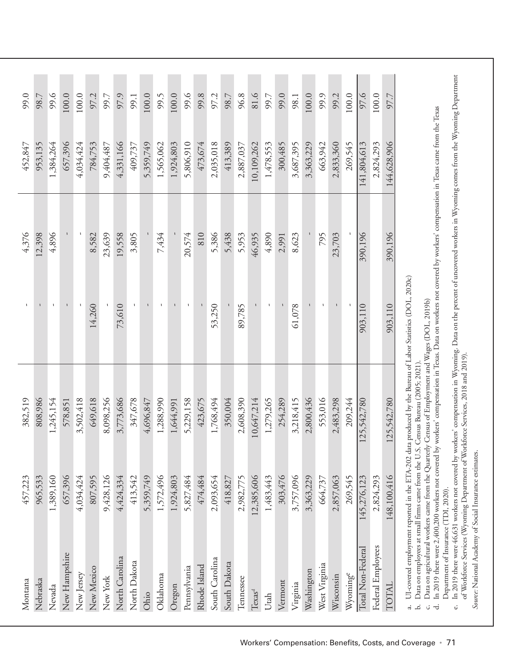| Montana            | 457,223     | 382,519                                                                                                  |              | 4,376   | 452,847     | 99.0  |
|--------------------|-------------|----------------------------------------------------------------------------------------------------------|--------------|---------|-------------|-------|
| Nebraska           | 965,533     | 808,986                                                                                                  |              | 12,398  | 953,135     | 98.7  |
| Nevada             | 1,389,160   | 1,245,154                                                                                                |              | 4,896   | 1,384,264   | 99.6  |
| New Hampshire      | 657,396     | 578,851                                                                                                  |              |         | 657,396     | 100.0 |
| New Jersey         | 4,034,424   | 3,502,418                                                                                                |              |         | 4,034,424   | 100.0 |
| New Mexico         | 807,595     | 649,618                                                                                                  | 14,260       | 8,582   | 784,753     | 97.2  |
| New York           | 9,428,126   | 8,098,256                                                                                                |              | 23,639  | 9,404,487   | 99.7  |
| North Carolina     | 4,424,334   | 3,773,686                                                                                                | 73,610       | 19,558  | 4,331,166   | 97.9  |
| North Dakota       | 413,542     | 347,678                                                                                                  |              | 3,805   | 409,737     | 99.1  |
| Ohio               | 5,359,749   | 4,696,847                                                                                                |              |         | 5,359,749   | 100.0 |
| Oklahoma           | 1,572,496   | 1,288,990                                                                                                | $\mathbf{I}$ | 7,434   | 1,565,062   | 99.5  |
| Oregon             | 1,924,803   | 1,644,991                                                                                                |              |         | 1,924,803   | 100.0 |
| Pennsylvania       | 5,827,484   | 5,229,158                                                                                                |              | 20,574  | 5,806,910   | 99.6  |
| Rhode Island       | 474,484     | 423,675                                                                                                  |              | 810     | 473,674     | 99.8  |
| South Carolina     | 2,093,654   | 1,768,494                                                                                                | 53,250       | 5,386   | 2,035,018   | 97.2  |
| South Dakota       | 418,827     | 350,004                                                                                                  |              | 5,438   | 413,389     | 98.7  |
| Tennessee          | 2,982,775   | 2,608,390                                                                                                | 89,785       | 5,953   | 2,887,037   | 96.8  |
| Texas <sup>d</sup> | 12,385,606  | 10,647,214                                                                                               |              | 46,935  | 10,109,262  | 81.6  |
| Utah               | 1,483,443   | 1,279,265                                                                                                | $\mathbf{I}$ | 4,890   | 1,478,553   | 99.7  |
| Vermont            | 303,476     | 254,289                                                                                                  |              | 2,991   | 300,485     | 99.0  |
| Virginia           | 3,757,096   | 3,218,415                                                                                                | 61,078       | 8,623   | 3,687,395   | 98.1  |
| Washington         | 3,363,229   | 2,800,436                                                                                                |              |         | 3,363,229   | 100.0 |
| West Virginia      | 664,737     | 553,016                                                                                                  | $\mathbf{I}$ | 795     | 663,942     | 99.9  |
| Wisconsin          | 2,857,063   | 2,483,298                                                                                                |              | 23,703  | 2,833,360   | 99.2  |
| Wyominge           | 269,545     | 209,244                                                                                                  |              |         | 269,545     | 100.0 |
| Total Non-Federal  | 145,276,123 | 125,542,780                                                                                              | 903,110      | 390,196 | 141,804,613 | 97.6  |
| Federal Employees  | 2,824,293   |                                                                                                          |              |         | 2,824,293   | 100.0 |
| TOTAL              | 148,100,416 | 125,542,780                                                                                              | 903,110      | 390,196 | 144,628,906 | 97.7  |
|                    |             | of I H conseal employment reported in the FTA 2002 data produced by the Bureau of Labor Statistics (DOL) |              |         |             |       |

a. UI-covered employment reported in the ETA-202 data produced by the Bureau of Labor Statistics (DOL, 2020c) על, ידורות data produced by the bureau or Or-covered employment reported in the ETV-202

b. Data on employees at small firms came from the U.S. Census Bureau (2005; 2021). Data on employees at small firms came from the U.S. Census Bureau (2005; 2021). a<br>Li

Data on agricultural workers came from the Quarterly Census of Employment and Wages (DOL, 2019b) c. Data on agricultural workers came from the Quarterly Census of Employment and Wages (DOL, 2019b)

d. In 2019 there were 2,400,200 workers not covered by workers' compensation in Texas. Data on workers not covered by workers' compensation in Texas came from the Texas In 2019 there were 2,400,200 workers not covered by workers' compensation in Texas. Data on workers not covered by workers' compensation in Texas came from the Texas Department of Insurance (TDI, 2020). ਂ ਚ

In 2019 there were 46,631 workers not covered by workers' compensation in Wyoming. Data on the percent of uncovered workers in Wyoming comes from the Wyoming Department e. In 2019 there were 46,631 workers not covered by workers' compensation in Wyoming. Data on the percent of uncovered workers in Wyoming comes from the Wyoming Department of Workforce Services (Wyoming Department of Workforce Services, 2018 and 2019). of Workforce Services (Wyoming Department of Workforce Services, 2018 and 2019). Department of Insurance (TDI, 2020). c.

Source: National Academy of Social Insurance estimates. *Source:* National Academy of Social Insurance estimates.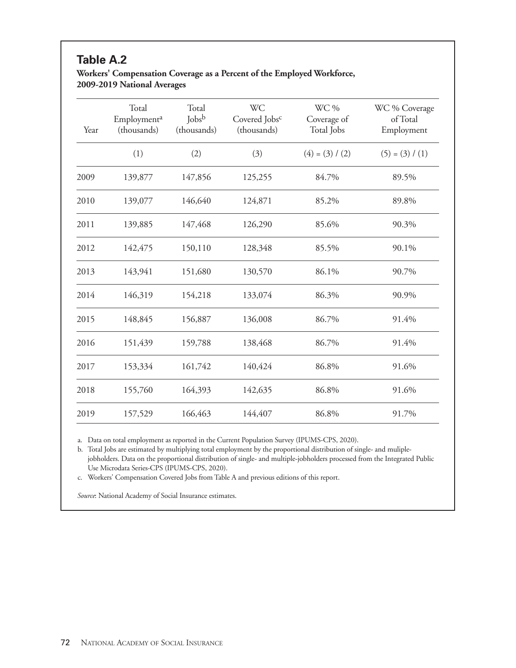# **Table A.2**

#### **Workers' Compensation Coverage as a Percent of the Employed Workforce, 2009-2019 National Averages**

| Year | Total<br>Employment <sup>a</sup><br>(thousands) | Total<br>$\mathrm{Jobs}^{\mathrm{b}}$<br>(thousands) | <b>WC</b><br>Covered Jobs <sup>c</sup><br>(thousands) | WC %<br>Coverage of<br>Total Jobs | WC % Coverage<br>of Total<br>Employment |
|------|-------------------------------------------------|------------------------------------------------------|-------------------------------------------------------|-----------------------------------|-----------------------------------------|
|      | (1)                                             | (2)                                                  | (3)                                                   | $(4) = (3) / (2)$                 | $(5) = (3) / (1)$                       |
| 2009 | 139,877                                         | 147,856                                              | 125,255                                               | 84.7%                             | 89.5%                                   |
| 2010 | 139,077                                         | 146,640                                              | 124,871                                               | 85.2%                             | 89.8%                                   |
| 2011 | 139,885                                         | 147,468                                              | 126,290                                               | 85.6%                             | 90.3%                                   |
| 2012 | 142,475                                         | 150,110                                              | 128,348                                               | 85.5%                             | 90.1%                                   |
| 2013 | 143,941                                         | 151,680                                              | 130,570                                               | 86.1%                             | 90.7%                                   |
| 2014 | 146,319                                         | 154,218                                              | 133,074                                               | 86.3%                             | 90.9%                                   |
| 2015 | 148,845                                         | 156,887                                              | 136,008                                               | 86.7%                             | 91.4%                                   |
| 2016 | 151,439                                         | 159,788                                              | 138,468                                               | 86.7%                             | 91.4%                                   |
| 2017 | 153,334                                         | 161,742                                              | 140,424                                               | 86.8%                             | 91.6%                                   |
| 2018 | 155,760                                         | 164,393                                              | 142,635                                               | 86.8%                             | 91.6%                                   |
| 2019 | 157,529                                         | 166,463                                              | 144,407                                               | 86.8%                             | 91.7%                                   |

a. Data on total employment as reported in the Current Population Survey (IPUMS-CPS, 2020).

b. Total Jobs are estimated by multiplying total employment by the proportional distribution of single- and muliplejobholders. Data on the proportional distribution of single- and multiple-jobholders processed from the Integrated Public Use Microdata Series-CPS (IPUMS-CPS, 2020).

c. Workers' Compensation Covered Jobs from Table A and previous editions of this report.

*Source*: National Academy of Social Insurance estimates.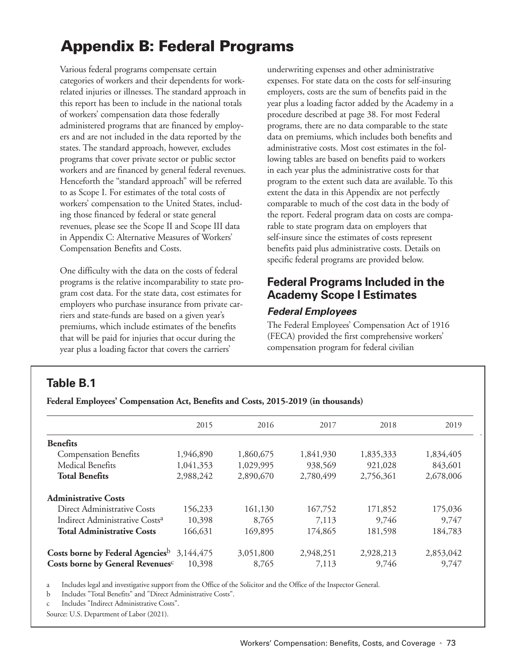# **Appendix B: Federal Programs**

Various federal programs compensate certain categories of workers and their dependents for workrelated injuries or illnesses. The standard approach in this report has been to include in the national totals of workers' compensation data those federally administered programs that are financed by employers and are not included in the data reported by the states. The standard approach, however, excludes programs that cover private sector or public sector workers and are financed by general federal revenues. Henceforth the "standard approach" will be referred to as Scope I. For estimates of the total costs of workers' compensation to the United States, including those financed by federal or state general revenues, please see the Scope II and Scope III data in Appendix C: Alternative Measures of Workers' Compensation Benefits and Costs.

One difficulty with the data on the costs of federal programs is the relative incomparability to state program cost data. For the state data, cost estimates for employers who purchase insurance from private carriers and state-funds are based on a given year's premiums, which include estimates of the benefits that will be paid for injuries that occur during the year plus a loading factor that covers the carriers'

underwriting expenses and other administrative expenses. For state data on the costs for self-insuring employers, costs are the sum of benefits paid in the year plus a loading factor added by the Academy in a procedure described at page 38. For most Federal programs, there are no data comparable to the state data on premiums, which includes both benefits and administrative costs. Most cost estimates in the following tables are based on benefits paid to workers in each year plus the administrative costs for that program to the extent such data are available. To this extent the data in this Appendix are not perfectly comparable to much of the cost data in the body of the report. Federal program data on costs are comparable to state program data on employers that self-insure since the estimates of costs represent benefits paid plus administrative costs. Details on specific federal programs are provided below.

# **Federal Programs Included in the Academy Scope I Estimates**

#### **Federal Employees**

The Federal Employees' Compensation Act of 1916 (FECA) provided the first comprehensive workers' compensation program for federal civilian

## **Table B.1**

**Federal Employees' Compensation Act, Benefits and Costs, 2015-2019 (in thousands)**

| 2018<br>1,835,333 | 2019      |
|-------------------|-----------|
|                   |           |
|                   |           |
|                   | 1,834,405 |
| 921,028           | 843,601   |
| 2,756,361         | 2,678,006 |
|                   |           |
| 171,852           | 175,036   |
| 9,746             | 9,747     |
| 181,598           | 184,783   |
| 2,928,213         | 2,853,042 |
| 9,746             | 9,747     |
|                   |           |

a Includes legal and investigative support from the Office of the Solicitor and the Office of the Inspector General.

b Includes "Total Benefits" and "Direct Administrative Costs".

c Includes "Indirect Administrative Costs".

Source: U.S. Department of Labor (2021).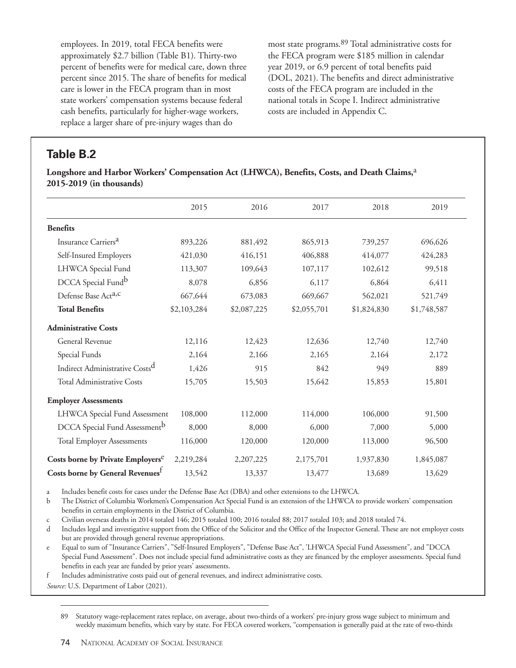employees. In 2019, total FECA benefits were approximately \$2.7 billion (Table B1). Thirty-two percent of benefits were for medical care, down three percent since 2015. The share of benefits for medical care is lower in the FECA program than in most state workers' compensation systems because federal cash benefits, particularly for higher-wage workers, replace a larger share of pre-injury wages than do

most state programs.89 Total administrative costs for the FECA program were \$185 million in calendar year 2019, or 6.9 percent of total benefits paid (DOL, 2021). The benefits and direct administrative costs of the FECA program are included in the national totals in Scope I. Indirect administrative costs are included in Appendix C.

# **Table B.2**

**Longshore and Harbor Workers' Compensation Act (LHWCA), Benefits, Costs, and Death Claims,**a **2015-2019 (in thousands)**

|                                               | 2015        | 2016        | 2017        | 2018        | 2019        |
|-----------------------------------------------|-------------|-------------|-------------|-------------|-------------|
| <b>Benefits</b>                               |             |             |             |             |             |
| Insurance Carriers <sup>a</sup>               | 893,226     | 881,492     | 865,913     | 739,257     | 696,626     |
| Self-Insured Employers                        | 421,030     | 416,151     | 406,888     | 414,077     | 424,283     |
| LHWCA Special Fund                            | 113,307     | 109,643     | 107,117     | 102,612     | 99,518      |
| DCCA Special Fundb                            | 8,078       | 6,856       | 6,117       | 6,864       | 6,411       |
| Defense Base Act <sup>a,c</sup>               | 667,644     | 673,083     | 669,667     | 562,021     | 521,749     |
| <b>Total Benefits</b>                         | \$2,103,284 | \$2,087,225 | \$2,055,701 | \$1,824,830 | \$1,748,587 |
| <b>Administrative Costs</b>                   |             |             |             |             |             |
| General Revenue                               | 12,116      | 12,423      | 12,636      | 12,740      | 12,740      |
| Special Funds                                 | 2,164       | 2,166       | 2,165       | 2,164       | 2,172       |
| Indirect Administrative Costs <sup>d</sup>    | 1,426       | 915         | 842         | 949         | 889         |
| <b>Total Administrative Costs</b>             | 15,705      | 15,503      | 15,642      | 15,853      | 15,801      |
| <b>Employer Assessments</b>                   |             |             |             |             |             |
| LHWCA Special Fund Assessment                 | 108,000     | 112,000     | 114,000     | 106,000     | 91,500      |
| DCCA Special Fund Assessment <sup>b</sup>     | 8,000       | 8,000       | 6,000       | 7,000       | 5,000       |
| <b>Total Employer Assessments</b>             | 116,000     | 120,000     | 120,000     | 113,000     | 96,500      |
| Costs borne by Private Employers <sup>e</sup> | 2,219,284   | 2, 207, 225 | 2,175,701   | 1,937,830   | 1,845,087   |
| Costs borne by General Revenues <sup>t</sup>  | 13,542      | 13,337      | 13,477      | 13,689      | 13,629      |

a Includes benefit costs for cases under the Defense Base Act (DBA) and other extensions to the LHWCA.

b The District of Columbia Workmen's Compensation Act Special Fund is an extension of the LHWCA to provide workers' compensation benefits in certain employments in the District of Columbia.

c Civilian overseas deaths in 2014 totaled 146; 2015 totaled 100; 2016 totaled 88; 2017 totaled 103; and 2018 totaled 74.

d Includes legal and investigative support from the Office of the Solicitor and the Office of the Inspector General. These are not employer costs but are provided through general revenue appropriations.

e Equal to sum of "Insurance Carriers", "Self-Insured Employers", "Defense Base Act", 'LHWCA Special Fund Assessment", and "DCCA Special Fund Assessment". Does not include special fund administrative costs as they are financed by the employer assessments. Special fund benefits in each year are funded by prior years' assessments.

f Includes administrative costs paid out of general revenues, and indirect administrative costs.

*Source:* U.S. Department of Labor (2021).

89 Statutory wage-replacement rates replace, on average, about two-thirds of a workers' pre-injury gross wage subject to minimum and weekly maximum benefits, which vary by state. For FECA covered workers, "compensation is generally paid at the rate of two-thirds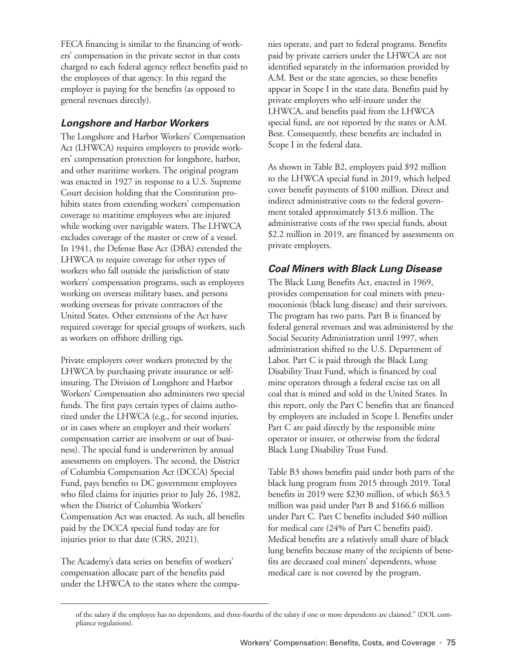FECA financing is similar to the financing of workers' compensation in the private sector in that costs charged to each federal agency reflect benefits paid to the employees of that agency. In this regard the employer is paying for the benefits (as opposed to general revenues directly).

#### **Longshore and Harbor Workers**

The Longshore and Harbor Workers' Compensation Act (LHWCA) requires employers to provide workers' compensation protection for longshore, harbor, and other maritime workers. The original program was enacted in 1927 in response to a U.S. Supreme Court decision holding that the Constitution prohibits states from extending workers' compensation coverage to maritime employees who are injured while working over navigable waters. The LHWCA excludes coverage of the master or crew of a vessel. In 1941, the Defense Base Act (DBA) extended the LHWCA to require coverage for other types of workers who fall outside the jurisdiction of state workers' compensation programs, such as employees working on overseas military bases, and persons working overseas for private contractors of the United States. Other extensions of the Act have required coverage for special groups of workers, such as workers on offshore drilling rigs.

Private employers cover workers protected by the LHWCA by purchasing private insurance or selfinsuring. The Division of Longshore and Harbor Workers' Compensation also administers two special funds. The first pays certain types of claims authorized under the LHWCA (e.g., for second injuries, or in cases where an employer and their workers' compensation carrier are insolvent or out of business). The special fund is underwritten by annual assessments on employers. The second, the District of Columbia Compensation Act (DCCA) Special Fund, pays benefits to DC government employees who filed claims for injuries prior to July 26, 1982, when the District of Columbia Workers' Compensation Act was enacted. As such, all benefits paid by the DCCA special fund today are for injuries prior to that date (CRS, 2021).

The Academy's data series on benefits of workers' compensation allocate part of the benefits paid under the LHWCA to the states where the companies operate, and part to federal programs. Benefits paid by private carriers under the LHWCA are not identified separately in the information provided by A.M. Best or the state agencies, so these benefits appear in Scope I in the state data. Benefits paid by private employers who self-insure under the LHWCA, and benefits paid from the LHWCA special fund, are not reported by the states or A.M. Best. Consequently, these benefits are included in Scope I in the federal data.

As shown in Table B2, employers paid \$92 million to the LHWCA special fund in 2019, which helped cover benefit payments of \$100 million. Direct and indirect administrative costs to the federal government totaled approximately \$13.6 million. The administrative costs of the two special funds, about \$2.2 million in 2019, are financed by assessments on private employers.

## **Coal Miners with Black Lung Disease**

The Black Lung Benefits Act, enacted in 1969, provides compensation for coal miners with pneumoconiosis (black lung disease) and their survivors. The program has two parts. Part B is financed by federal general revenues and was administered by the Social Security Administration until 1997, when administration shifted to the U.S. Department of Labor. Part C is paid through the Black Lung Disability Trust Fund, which is financed by coal mine operators through a federal excise tax on all coal that is mined and sold in the United States. In this report, only the Part C benefits that are financed by employers are included in Scope I. Benefits under Part C are paid directly by the responsible mine operator or insurer, or otherwise from the federal Black Lung Disability Trust Fund.

Table B3 shows benefits paid under both parts of the black lung program from 2015 through 2019. Total benefits in 2019 were \$230 million, of which \$63.5 million was paid under Part B and \$166.6 million under Part C. Part C benefits included \$40 million for medical care (24% of Part C benefits paid). Medical benefits are a relatively small share of black lung benefits because many of the recipients of benefits are deceased coal miners' dependents, whose medical care is not covered by the program.

of the salary if the employee has no dependents, and three-fourths of the salary if one or more dependents are claimed." (DOL compliance regulations).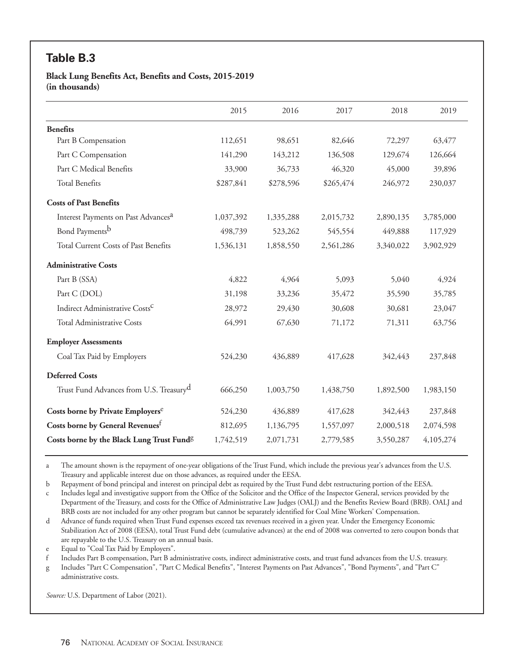# **Table B.3**

**Black Lung Benefits Act, Benefits and Costs, 2015-2019 (in thousands)**

|                                                       | 2015      | 2016      | 2017      | 2018      | 2019      |
|-------------------------------------------------------|-----------|-----------|-----------|-----------|-----------|
| <b>Benefits</b>                                       |           |           |           |           |           |
| Part B Compensation                                   | 112,651   | 98,651    | 82,646    | 72,297    | 63,477    |
| Part C Compensation                                   | 141,290   | 143,212   | 136,508   | 129,674   | 126,664   |
| Part C Medical Benefits                               | 33,900    | 36,733    | 46,320    | 45,000    | 39,896    |
| <b>Total Benefits</b>                                 | \$287,841 | \$278,596 | \$265,474 | 246,972   | 230,037   |
| <b>Costs of Past Benefits</b>                         |           |           |           |           |           |
| Interest Payments on Past Advances <sup>a</sup>       | 1,037,392 | 1,335,288 | 2,015,732 | 2,890,135 | 3,785,000 |
| Bond Paymentsb                                        | 498,739   | 523,262   | 545,554   | 449,888   | 117,929   |
| Total Current Costs of Past Benefits                  | 1,536,131 | 1,858,550 | 2,561,286 | 3,340,022 | 3,902,929 |
| <b>Administrative Costs</b>                           |           |           |           |           |           |
| Part B (SSA)                                          | 4,822     | 4,964     | 5,093     | 5,040     | 4,924     |
| Part C (DOL)                                          | 31,198    | 33,236    | 35,472    | 35,590    | 35,785    |
| Indirect Administrative Costs <sup>C</sup>            | 28,972    | 29,430    | 30,608    | 30,681    | 23,047    |
| <b>Total Administrative Costs</b>                     | 64,991    | 67,630    | 71,172    | 71,311    | 63,756    |
| <b>Employer Assessments</b>                           |           |           |           |           |           |
| Coal Tax Paid by Employers                            | 524,230   | 436,889   | 417,628   | 342,443   | 237,848   |
| <b>Deferred Costs</b>                                 |           |           |           |           |           |
| Trust Fund Advances from U.S. Treasury <sup>d</sup>   | 666,250   | 1,003,750 | 1,438,750 | 1,892,500 | 1,983,150 |
| Costs borne by Private Employers <sup>e</sup>         | 524,230   | 436,889   | 417,628   | 342,443   | 237,848   |
| Costs borne by General Revenues <sup>f</sup>          | 812,695   | 1,136,795 | 1,557,097 | 2,000,518 | 2,074,598 |
| Costs borne by the Black Lung Trust Fund <sup>g</sup> | 1,742,519 | 2,071,731 | 2,779,585 | 3,550,287 | 4,105,274 |

a The amount shown is the repayment of one-year obligations of the Trust Fund, which include the previous year's advances from the U.S. Treasury and applicable interest due on those advances, as required under the EESA.

b Repayment of bond principal and interest on principal debt as required by the Trust Fund debt restructuring portion of the EESA.

c Includes legal and investigative support from the Office of the Solicitor and the Office of the Inspector General, services provided by the Department of the Treasury, and costs for the Office of Administrative Law Judges (OALJ) and the Benefits Review Board (BRB). OALJ and BRB costs are not included for any other program but cannot be separately identified for Coal Mine Workers' Compensation.

d Advance of funds required when Trust Fund expenses exceed tax revenues received in a given year. Under the Emergency Economic Stabilization Act of 2008 (EESA), total Trust Fund debt (cumulative advances) at the end of 2008 was converted to zero coupon bonds that are repayable to the U.S. Treasury on an annual basis.

e Equal to "Coal Tax Paid by Employers".

f Includes Part B compensation, Part B administrative costs, indirect administrative costs, and trust fund advances from the U.S. treasury.

g Includes "Part C Compensation", "Part C Medical Benefits", "Interest Payments on Past Advances", "Bond Payments", and "Part C" administrative costs.

*Source:* U.S. Department of Labor (2021).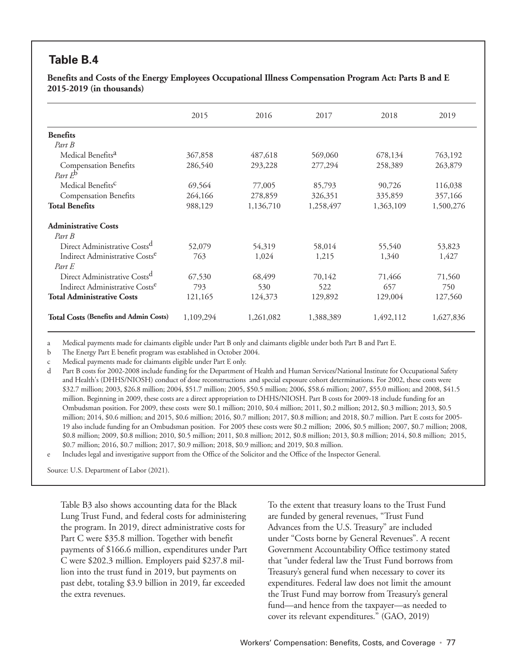# **Table B.4**

**Benefits and Costs of the Energy Employees Occupational Illness Compensation Program Act: Parts B and E 2015-2019 (in thousands)**

|                                               | 2015      | 2016      | 2017      | 2018      | 2019      |
|-----------------------------------------------|-----------|-----------|-----------|-----------|-----------|
| <b>Benefits</b>                               |           |           |           |           |           |
| Part B                                        |           |           |           |           |           |
| Medical Benefits <sup>a</sup>                 | 367,858   | 487,618   | 569,060   | 678,134   | 763,192   |
| <b>Compensation Benefits</b>                  | 286,540   | 293,228   | 277,294   | 258,389   | 263,879   |
| Part $E^{\rm b}$                              |           |           |           |           |           |
| Medical Benefits <sup>C</sup>                 | 69,564    | 77,005    | 85,793    | 90,726    | 116,038   |
| <b>Compensation Benefits</b>                  | 264,166   | 278,859   | 326,351   | 335,859   | 357,166   |
| <b>Total Benefits</b>                         | 988,129   | 1,136,710 | 1,258,497 | 1,363,109 | 1,500,276 |
| <b>Administrative Costs</b>                   |           |           |           |           |           |
| Part B                                        |           |           |           |           |           |
| Direct Administrative Costs <sup>d</sup>      | 52,079    | 54,319    | 58,014    | 55,540    | 53,823    |
| Indirect Administrative Costs <sup>e</sup>    | 763       | 1,024     | 1,215     | 1,340     | 1,427     |
| Part E                                        |           |           |           |           |           |
| Direct Administrative Costs <sup>d</sup>      | 67,530    | 68,499    | 70,142    | 71,466    | 71,560    |
| Indirect Administrative Costs <sup>e</sup>    | 793       | 530       | 522       | 657       | 750       |
| <b>Total Administrative Costs</b>             | 121,165   | 124,373   | 129,892   | 129,004   | 127,560   |
| <b>Total Costs (Benefits and Admin Costs)</b> | 1,109,294 | 1,261,082 | 1,388,389 | 1,492,112 | 1,627,836 |

a Medical payments made for claimants eligible under Part B only and claimants eligible under both Part B and Part E.

b The Energy Part E benefit program was established in October 2004.

c Medical payments made for claimants eligible under Part E only.

d Part B costs for 2002-2008 include funding for the Department of Health and Human Services/National Institute for Occupational Safety and Health's (DHHS/NIOSH) conduct of dose reconstructions and special exposure cohort determinations. For 2002, these costs were \$32.7 million; 2003, \$26.8 million; 2004, \$51.7 million; 2005, \$50.5 million; 2006, \$58.6 million; 2007, \$55.0 million; and 2008, \$41.5 million. Beginning in 2009, these costs are a direct appropriation to DHHS/NIOSH. Part B costs for 2009-18 include funding for an Ombudsman position. For 2009, these costs were \$0.1 million; 2010, \$0.4 million; 2011, \$0.2 million; 2012, \$0.3 million; 2013, \$0.5 million; 2014, \$0.6 million; and 2015, \$0.6 million; 2016, \$0.7 million; 2017, \$0.8 million; and 2018, \$0.7 million. Part E costs for 2005- 19 also include funding for an Ombudsman position. For 2005 these costs were \$0.2 million; 2006, \$0.5 million; 2007, \$0.7 million; 2008, \$0.8 million; 2009, \$0.8 million; 2010, \$0.5 million; 2011, \$0.8 million; 2012, \$0.8 million; 2013, \$0.8 million; 2014, \$0.8 million; 2015, \$0.7 million; 2016, \$0.7 million; 2017, \$0.9 million; 2018, \$0.9 million; and 2019, \$0.8 million.

e Includes legal and investigative support from the Office of the Solicitor and the Office of the Inspector General.

Source: U.S. Department of Labor (2021).

Table B3 also shows accounting data for the Black Lung Trust Fund, and federal costs for administering the program. In 2019, direct administrative costs for Part C were \$35.8 million. Together with benefit payments of \$166.6 million, expenditures under Part C were \$202.3 million. Employers paid \$237.8 million into the trust fund in 2019, but payments on past debt, totaling \$3.9 billion in 2019, far exceeded the extra revenues.

To the extent that treasury loans to the Trust Fund are funded by general revenues, "Trust Fund Advances from the U.S. Treasury" are included under "Costs borne by General Revenues". A recent Government Accountability Office testimony stated that "under federal law the Trust Fund borrows from Treasury's general fund when necessary to cover its expenditures. Federal law does not limit the amount the Trust Fund may borrow from Treasury's general fund—and hence from the taxpayer—as needed to cover its relevant expenditures." (GAO, 2019)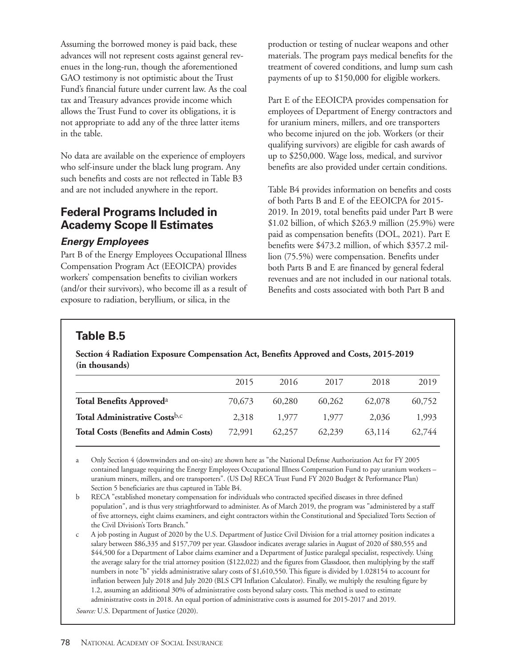Assuming the borrowed money is paid back, these advances will not represent costs against general revenues in the long-run, though the aforementioned GAO testimony is not optimistic about the Trust Fund's financial future under current law. As the coal tax and Treasury advances provide income which allows the Trust Fund to cover its obligations, it is not appropriate to add any of the three latter items in the table.

No data are available on the experience of employers who self-insure under the black lung program. Any such benefits and costs are not reflected in Table B3 and are not included anywhere in the report.

# **Federal Programs Included in Academy Scope II Estimates**

#### **Energy Employees**

Part B of the Energy Employees Occupational Illness Compensation Program Act (EEOICPA) provides workers' compensation benefits to civilian workers (and/or their survivors), who become ill as a result of exposure to radiation, beryllium, or silica, in the

production or testing of nuclear weapons and other materials. The program pays medical benefits for the treatment of covered conditions, and lump sum cash payments of up to \$150,000 for eligible workers.

Part E of the EEOICPA provides compensation for employees of Department of Energy contractors and for uranium miners, millers, and ore transporters who become injured on the job. Workers (or their qualifying survivors) are eligible for cash awards of up to \$250,000. Wage loss, medical, and survivor benefits are also provided under certain conditions.

Table B4 provides information on benefits and costs of both Parts B and E of the EEOICPA for 2015- 2019. In 2019, total benefits paid under Part B were \$1.02 billion, of which \$263.9 million (25.9%) were paid as compensation benefits (DOL, 2021). Part E benefits were \$473.2 million, of which \$357.2 million (75.5%) were compensation. Benefits under both Parts B and E are financed by general federal revenues and are not included in our national totals. Benefits and costs associated with both Part B and

# **Table B.5**

**Section 4 Radiation Exposure Compensation Act, Benefits Approved and Costs, 2015-2019 (in thousands)**

|                                               | 2015   | 2016   | 2017   | 2018   | 2019   |
|-----------------------------------------------|--------|--------|--------|--------|--------|
| Total Benefits Approved <sup>a</sup>          | 70,673 | 60.280 | 60,262 | 62,078 | 60,752 |
| Total Administrative Costsb,c                 | 2.318  | 1.977  | 1.977  | 2.036  | 1,993  |
| <b>Total Costs (Benefits and Admin Costs)</b> | 72,991 | 62.257 | 62.239 | 63.114 | 62.744 |

a Only Section 4 (downwinders and on-site) are shown here as "the National Defense Authorization Act for FY 2005 contained language requiring the Energy Employees Occupational Illness Compensation Fund to pay uranium workers – uranium miners, millers, and ore transporters". (US DoJ RECA Trust Fund FY 2020 Budget & Performance Plan) Section 5 beneficiaries are thus captured in Table B4.

b RECA "established monetary compensation for individuals who contracted specified diseases in three defined population", and is thus very striaghtforward to administer. As of March 2019, the program was "administered by a staff of five attorneys, eight claims examiners, and eight contractors within the Constitutional and Specialized Torts Section of the Civil Division's Torts Branch."

c A job posting in August of 2020 by the U.S. Department of Justice Civil Division for a trial attorney position indicates a salary between \$86,335 and \$157,709 per year. Glassdoor indicates average salaries in August of 2020 of \$80,555 and \$44,500 for a Department of Labor claims examiner and a Department of Justice paralegal specialist, respectively. Using the average salary for the trial attorney position (\$122,022) and the figures from Glassdoor, then multiplying by the staff numbers in note "b" yields administrative salary costs of \$1,610,550. This figure is divided by 1.028154 to account for inflation between July 2018 and July 2020 (BLS CPI Inflation Calculator). Finally, we multiply the resulting figure by 1.2, assuming an additional 30% of administrative costs beyond salary costs. This method is used to estimate administrative costs in 2018. An equal portion of administrative costs is assumed for 2015-2017 and 2019.

*Source:* U.S. Department of Justice (2020).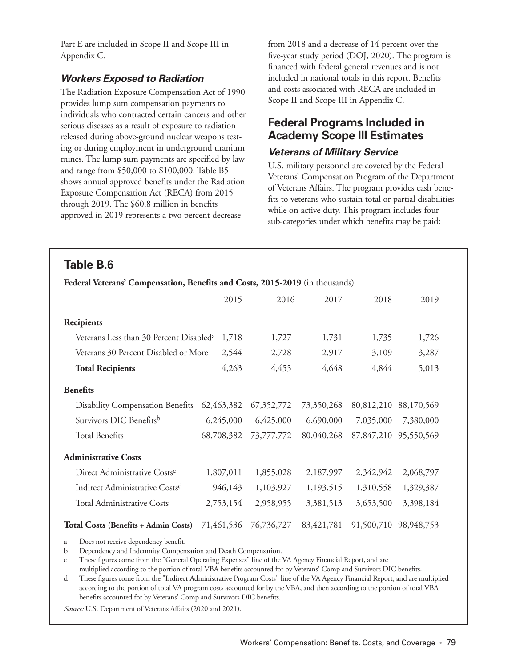Part E are included in Scope II and Scope III in Appendix C.

### **Workers Exposed to Radiation**

The Radiation Exposure Compensation Act of 1990 provides lump sum compensation payments to individuals who contracted certain cancers and other serious diseases as a result of exposure to radiation released during above-ground nuclear weapons testing or during employment in underground uranium mines. The lump sum payments are specified by law and range from \$50,000 to \$100,000. Table B5 shows annual approved benefits under the Radiation Exposure Compensation Act (RECA) from 2015 through 2019. The \$60.8 million in benefits approved in 2019 represents a two percent decrease

from 2018 and a decrease of 14 percent over the five-year study period (DOJ, 2020). The program is financed with federal general revenues and is not included in national totals in this report. Benefits and costs associated with RECA are included in Scope II and Scope III in Appendix C.

# **Federal Programs Included in Academy Scope III Estimates**

#### **Veterans of Military Service**

U.S. military personnel are covered by the Federal Veterans' Compensation Program of the Department of Veterans Affairs. The program provides cash benefits to veterans who sustain total or partial disabilities while on active duty. This program includes four sub-categories under which benefits may be paid:

## **Table B.6**

**Federal Veterans' Compensation, Benefits and Costs, 2015-2019** (in thousands)

|                                                     | 2015       | 2016       | 2017       | 2018       | 2019       |
|-----------------------------------------------------|------------|------------|------------|------------|------------|
| Recipients                                          |            |            |            |            |            |
| Veterans Less than 30 Percent Disabled <sup>a</sup> | 1,718      | 1,727      | 1,731      | 1,735      | 1,726      |
| Veterans 30 Percent Disabled or More                | 2,544      | 2,728      | 2,917      | 3,109      | 3,287      |
| <b>Total Recipients</b>                             | 4,263      | 4,455      | 4,648      | 4,844      | 5,013      |
| <b>Benefits</b>                                     |            |            |            |            |            |
| <b>Disability Compensation Benefits</b>             | 62,463,382 | 67,352,772 | 73,350,268 | 80,812,210 | 88,170,569 |
| Survivors DIC Benefitsb                             | 6,245,000  | 6,425,000  | 6,690,000  | 7,035,000  | 7,380,000  |
| <b>Total Benefits</b>                               | 68,708,382 | 73,777,772 | 80,040,268 | 87,847,210 | 95,550,569 |
| <b>Administrative Costs</b>                         |            |            |            |            |            |
| Direct Administrative Costs <sup>c</sup>            | 1,807,011  | 1,855,028  | 2,187,997  | 2,342,942  | 2,068,797  |
| Indirect Administrative Costs <sup>d</sup>          | 946,143    | 1,103,927  | 1,193,515  | 1,310,558  | 1,329,387  |
| <b>Total Administrative Costs</b>                   | 2,753,154  | 2,958,955  | 3,381,513  | 3,653,500  | 3,398,184  |
| <b>Total Costs (Benefits + Admin Costs)</b>         | 71,461,536 | 76,736,727 | 83,421,781 | 91,500,710 | 98,948,753 |

a Does not receive dependency benefit.

b Dependency and Indemnity Compensation and Death Compensation.

c These figures come from the "General Operating Expenses" line of the VA Agency Financial Report, and are

multiplied according to the portion of total VBA benefits accounted for by Veterans' Comp and Survivors DIC benefits. d These figures come from the "Indirect Administrative Program Costs" line of the VA Agency Financial Report, and are multiplied

according to the portion of total VA program costs accounted for by the VBA, and then according to the portion of total VBA benefits accounted for by Veterans' Comp and Survivors DIC benefits.

*Source:* U.S. Department of Veterans Affairs (2020 and 2021).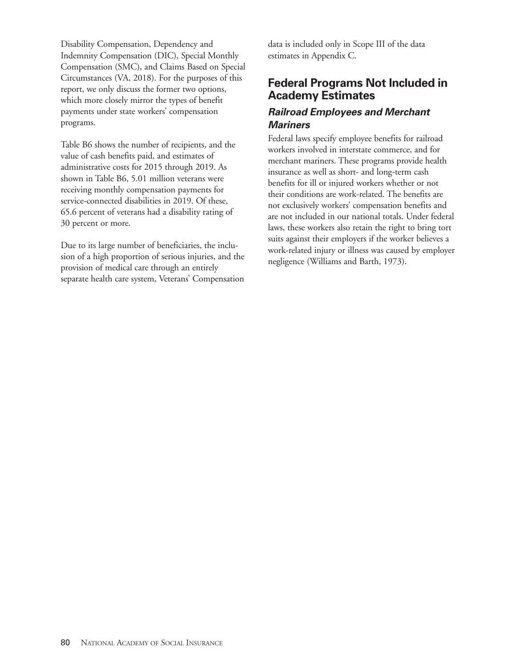Disability Compensation, Dependency and Indemnity Compensation (DIC), Special Monthly Compensation (SMC), and Claims Based on Special Circumstances (VA, 2018). For the purposes of this report, we only discuss the former two options, which more closely mirror the types of benefit payments under state workers' compensation programs.

Table B6 shows the number of recipients, and the value of cash benefits paid, and estimates of administrative costs for 2015 through 2019. As shown in Table B6, 5.01 million veterans were receiving monthly compensation payments for service-connected disabilities in 2019. Of these, 65.6 percent of veterans had a disability rating of 30 percent or more.

Due to its large number of beneficiaries, the inclusion of a high proportion of serious injuries, and the provision of medical care through an entirely separate health care system, Veterans' Compensation data is included only in Scope III of the data estimates in Appendix C.

# **Federal Programs Not Included in Academy Estimates**

#### **Railroad Employees and Merchant Mariners**

Federal laws specify employee benefits for railroad workers involved in interstate commerce, and for merchant mariners. These programs provide health insurance as well as short- and long-term cash benefits for ill or injured workers whether or not their conditions are work-related. The benefits are not exclusively workers' compensation benefits and are not included in our national totals. Under federal laws, these workers also retain the right to bring tort suits against their employers if the worker believes a work-related injury or illness was caused by employer negligence (Williams and Barth, 1973).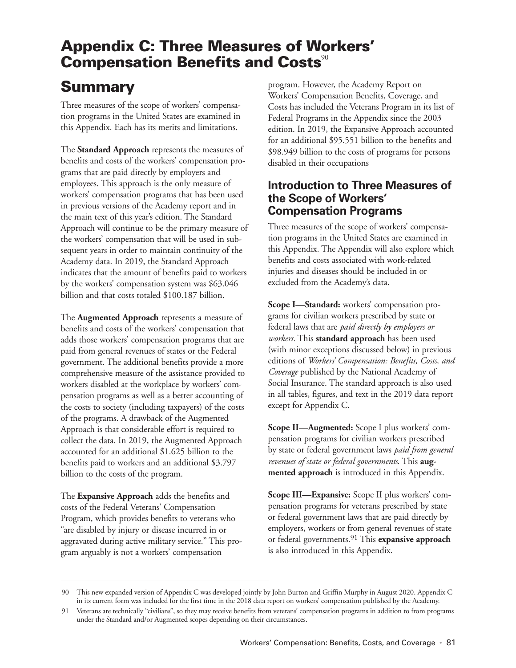# **Appendix C: Three Measures of Workers' Compensation Benefits and Costs<sup>90</sup>**

# **Summary**

Three measures of the scope of workers' compensation programs in the United States are examined in this Appendix. Each has its merits and limitations.

The **Standard Approach** represents the measures of benefits and costs of the workers' compensation programs that are paid directly by employers and employees. This approach is the only measure of workers' compensation programs that has been used in previous versions of the Academy report and in the main text of this year's edition. The Standard Approach will continue to be the primary measure of the workers' compensation that will be used in subsequent years in order to maintain continuity of the Academy data. In 2019, the Standard Approach indicates that the amount of benefits paid to workers by the workers' compensation system was \$63.046 billion and that costs totaled \$100.187 billion.

The **Augmented Approach** represents a measure of benefits and costs of the workers' compensation that adds those workers' compensation programs that are paid from general revenues of states or the Federal government. The additional benefits provide a more comprehensive measure of the assistance provided to workers disabled at the workplace by workers' compensation programs as well as a better accounting of the costs to society (including taxpayers) of the costs of the programs. A drawback of the Augmented Approach is that considerable effort is required to collect the data. In 2019, the Augmented Approach accounted for an additional \$1.625 billion to the benefits paid to workers and an additional \$3.797 billion to the costs of the program.

The **Expansive Approach** adds the benefits and costs of the Federal Veterans' Compensation Program, which provides benefits to veterans who "are disabled by injury or disease incurred in or aggravated during active military service." This program arguably is not a workers' compensation

program. However, the Academy Report on Workers' Compensation Benefits, Coverage, and Costs has included the Veterans Program in its list of Federal Programs in the Appendix since the 2003 edition. In 2019, the Expansive Approach accounted for an additional \$95.551 billion to the benefits and \$98.949 billion to the costs of programs for persons disabled in their occupations

## **Introduction to Three Measures of the Scope of Workers' Compensation Programs**

Three measures of the scope of workers' compensation programs in the United States are examined in this Appendix. The Appendix will also explore which benefits and costs associated with work-related injuries and diseases should be included in or excluded from the Academy's data.

**Scope I—Standard:** workers' compensation programs for civilian workers prescribed by state or federal laws that are *paid directly by employers or workers*. This **standard approach** has been used (with minor exceptions discussed below) in previous editions of *Workers' Compensation: Benefits, Costs, and Coverage* published by the National Academy of Social Insurance. The standard approach is also used in all tables, figures, and text in the 2019 data report except for Appendix C.

**Scope II—Augmented:** Scope I plus workers' compensation programs for civilian workers prescribed by state or federal government laws *paid from general revenues of state or federal governments*. This **augmented approach** is introduced in this Appendix.

**Scope III—Expansive:** Scope II plus workers' compensation programs for veterans prescribed by state or federal government laws that are paid directly by employers, workers or from general revenues of state or federal governments.91 This **expansive approach** is also introduced in this Appendix.

<sup>90</sup> This new expanded version of Appendix C was developed jointly by John Burton and Griffin Murphy in August 2020. Appendix C in its current form was included for the first time in the 2018 data report on workers' compensation published by the Academy.

<sup>91</sup> Veterans are technically "civilians", so they may receive benefits from veterans' compensation programs in addition to from programs under the Standard and/or Augmented scopes depending on their circumstances.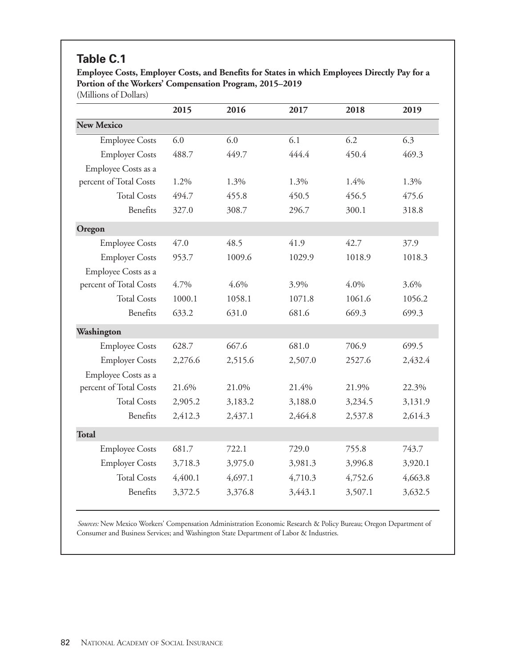# **Table C.1**

**Employee Costs, Employer Costs, and Benefits for States in which Employees Directly Pay for a Portion of the Workers' Compensation Program, 2015–2019**

(Millions of Dollars)

|                        | 2015    | 2016    | 2017    | 2018    | 2019    |
|------------------------|---------|---------|---------|---------|---------|
| <b>New Mexico</b>      |         |         |         |         |         |
| <b>Employee Costs</b>  | 6.0     | 6.0     | 6.1     | 6.2     | 6.3     |
| <b>Employer Costs</b>  | 488.7   | 449.7   | 444.4   | 450.4   | 469.3   |
| Employee Costs as a    |         |         |         |         |         |
| percent of Total Costs | 1.2%    | 1.3%    | 1.3%    | 1.4%    | 1.3%    |
| <b>Total Costs</b>     | 494.7   | 455.8   | 450.5   | 456.5   | 475.6   |
| Benefits               | 327.0   | 308.7   | 296.7   | 300.1   | 318.8   |
| Oregon                 |         |         |         |         |         |
| <b>Employee Costs</b>  | 47.0    | 48.5    | 41.9    | 42.7    | 37.9    |
| <b>Employer Costs</b>  | 953.7   | 1009.6  | 1029.9  | 1018.9  | 1018.3  |
| Employee Costs as a    |         |         |         |         |         |
| percent of Total Costs | 4.7%    | 4.6%    | 3.9%    | 4.0%    | 3.6%    |
| <b>Total Costs</b>     | 1000.1  | 1058.1  | 1071.8  | 1061.6  | 1056.2  |
| Benefits               | 633.2   | 631.0   | 681.6   | 669.3   | 699.3   |
| Washington             |         |         |         |         |         |
| <b>Employee Costs</b>  | 628.7   | 667.6   | 681.0   | 706.9   | 699.5   |
| <b>Employer Costs</b>  | 2,276.6 | 2,515.6 | 2,507.0 | 2527.6  | 2,432.4 |
| Employee Costs as a    |         |         |         |         |         |
| percent of Total Costs | 21.6%   | 21.0%   | 21.4%   | 21.9%   | 22.3%   |
| <b>Total Costs</b>     | 2,905.2 | 3,183.2 | 3,188.0 | 3,234.5 | 3,131.9 |
| Benefits               | 2,412.3 | 2,437.1 | 2,464.8 | 2,537.8 | 2,614.3 |
| <b>Total</b>           |         |         |         |         |         |
| <b>Employee Costs</b>  | 681.7   | 722.1   | 729.0   | 755.8   | 743.7   |
| <b>Employer Costs</b>  | 3,718.3 | 3,975.0 | 3,981.3 | 3,996.8 | 3,920.1 |
| <b>Total Costs</b>     | 4,400.1 | 4,697.1 | 4,710.3 | 4,752.6 | 4,663.8 |
| Benefits               | 3,372.5 | 3,376.8 | 3,443.1 | 3,507.1 | 3,632.5 |
|                        |         |         |         |         |         |

*Sources:* New Mexico Workers' Compensation Administration Economic Research & Policy Bureau; Oregon Department of Consumer and Business Services; and Washington State Department of Labor & Industries.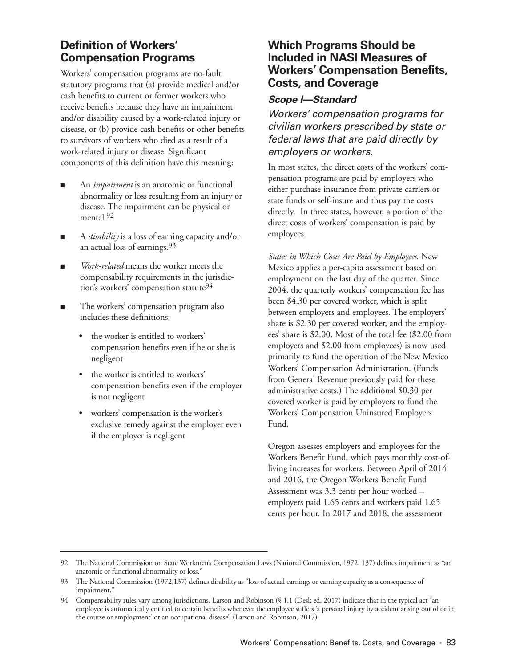# **Definition of Workers' Compensation Programs**

Workers' compensation programs are no-fault statutory programs that (a) provide medical and/or cash benefits to current or former workers who receive benefits because they have an impairment and/or disability caused by a work-related injury or disease, or (b) provide cash benefits or other benefits to survivors of workers who died as a result of a work-related injury or disease. Significant components of this definition have this meaning:

- An *impairment* is an anatomic or functional abnormality or loss resulting from an injury or disease. The impairment can be physical or mental.<sup>92</sup>
- A *disability* is a loss of earning capacity and/or an actual loss of earnings.93
- *Work-related* means the worker meets the compensability requirements in the jurisdiction's workers' compensation statute<sup>94</sup>
- The workers' compensation program also includes these definitions:
	- the worker is entitled to workers' compensation benefits even if he or she is negligent
	- the worker is entitled to workers' compensation benefits even if the employer is not negligent
	- workers' compensation is the worker's exclusive remedy against the employer even if the employer is negligent

## **Which Programs Should be Included in NASI Measures of Workers' Compensation Benefits, Costs, and Coverage**

#### **Scope I—Standard**

Workers' compensation programs for civilian workers prescribed by state or federal laws that are paid directly by employers or workers.

In most states, the direct costs of the workers' compensation programs are paid by employers who either purchase insurance from private carriers or state funds or self-insure and thus pay the costs directly. In three states, however, a portion of the direct costs of workers' compensation is paid by employees.

*States in Which Costs Are Paid by Employees*. New Mexico applies a per-capita assessment based on employment on the last day of the quarter. Since 2004, the quarterly workers' compensation fee has been \$4.30 per covered worker, which is split between employers and employees. The employers' share is \$2.30 per covered worker, and the employees' share is \$2.00. Most of the total fee (\$2.00 from employers and \$2.00 from employees) is now used primarily to fund the operation of the New Mexico Workers' Compensation Administration. (Funds from General Revenue previously paid for these administrative costs.) The additional \$0.30 per covered worker is paid by employers to fund the Workers' Compensation Uninsured Employers Fund.

Oregon assesses employers and employees for the Workers Benefit Fund, which pays monthly cost-ofliving increases for workers. Between April of 2014 and 2016, the Oregon Workers Benefit Fund Assessment was 3.3 cents per hour worked – employers paid 1.65 cents and workers paid 1.65 cents per hour. In 2017 and 2018, the assessment

<sup>92</sup> The National Commission on State Workmen's Compensation Laws (National Commission, 1972, 137) defines impairment as "an anatomic or functional abnormality or loss."

<sup>93</sup> The National Commission (1972,137) defines disability as "loss of actual earnings or earning capacity as a consequence of impairment."

<sup>94</sup> Compensability rules vary among jurisdictions. Larson and Robinson (§ 1.1 (Desk ed. 2017) indicate that in the typical act "an employee is automatically entitled to certain benefits whenever the employee suffers 'a personal injury by accident arising out of or in the course or employment' or an occupational disease" (Larson and Robinson, 2017).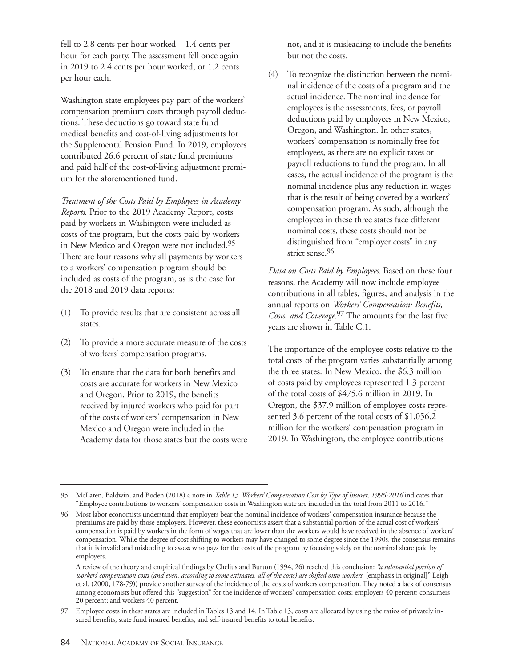fell to 2.8 cents per hour worked—1.4 cents per hour for each party. The assessment fell once again in 2019 to 2.4 cents per hour worked, or 1.2 cents per hour each.

Washington state employees pay part of the workers' compensation premium costs through payroll deductions. These deductions go toward state fund medical benefits and cost-of-living adjustments for the Supplemental Pension Fund. In 2019, employees contributed 26.6 percent of state fund premiums and paid half of the cost-of-living adjustment premium for the aforementioned fund.

*Treatment of the Costs Paid by Employees in Academy Reports*. Prior to the 2019 Academy Report, costs paid by workers in Washington were included as costs of the program, but the costs paid by workers in New Mexico and Oregon were not included.95 There are four reasons why all payments by workers to a workers' compensation program should be included as costs of the program, as is the case for the 2018 and 2019 data reports:

- (1) To provide results that are consistent across all states.
- (2) To provide a more accurate measure of the costs of workers' compensation programs.
- (3) To ensure that the data for both benefits and costs are accurate for workers in New Mexico and Oregon. Prior to 2019, the benefits received by injured workers who paid for part of the costs of workers' compensation in New Mexico and Oregon were included in the Academy data for those states but the costs were

not, and it is misleading to include the benefits but not the costs.

(4) To recognize the distinction between the nominal incidence of the costs of a program and the actual incidence. The nominal incidence for employees is the assessments, fees, or payroll deductions paid by employees in New Mexico, Oregon, and Washington. In other states, workers' compensation is nominally free for employees, as there are no explicit taxes or payroll reductions to fund the program. In all cases, the actual incidence of the program is the nominal incidence plus any reduction in wages that is the result of being covered by a workers' compensation program. As such, although the employees in these three states face different nominal costs, these costs should not be distinguished from "employer costs" in any strict sense.<sup>96</sup>

*Data on Costs Paid by Employees.* Based on these four reasons, the Academy will now include employee contributions in all tables, figures, and analysis in the annual reports on *Workers' Compensation: Benefits, Costs, and Coverage.*97 The amounts for the last five years are shown in Table C.1.

The importance of the employee costs relative to the total costs of the program varies substantially among the three states. In New Mexico, the \$6.3 million of costs paid by employees represented 1.3 percent of the total costs of \$475.6 million in 2019. In Oregon, the \$37.9 million of employee costs represented 3.6 percent of the total costs of \$1,056.2 million for the workers' compensation program in 2019. In Washington, the employee contributions

<sup>95</sup> McLaren, Baldwin, and Boden (2018) a note in *Table 13. Workers' Compensation Cost by Type of Insurer, 1996-2016* indicates that "Employee contributions to workers' compensation costs in Washington state are included in the total from 2011 to 2016."

<sup>96</sup> Most labor economists understand that employers bear the nominal incidence of workers' compensation insurance because the premiums are paid by those employers. However, these economists assert that a substantial portion of the actual cost of workers' compensation is paid by workers in the form of wages that are lower than the workers would have received in the absence of workers' compensation. While the degree of cost shifting to workers may have changed to some degree since the 1990s, the consensus remains that it is invalid and misleading to assess who pays for the costs of the program by focusing solely on the nominal share paid by employers.

A review of the theory and empirical findings by Chelius and Burton (1994, 26) reached this conclusion: *"a substantial portion of workers' compensation costs (and even, according to some estimates, all of the costs) are shifted onto workers.* [emphasis in original]" Leigh et al. (2000, 178-79)) provide another survey of the incidence of the costs of workers compensation. They noted a lack of consensus among economists but offered this "suggestion" for the incidence of workers' compensation costs: employers 40 percent; consumers 20 percent; and workers 40 percent.

<sup>97</sup> Employee costs in these states are included in Tables 13 and 14. In Table 13, costs are allocated by using the ratios of privately insured benefits, state fund insured benefits, and self-insured benefits to total benefits.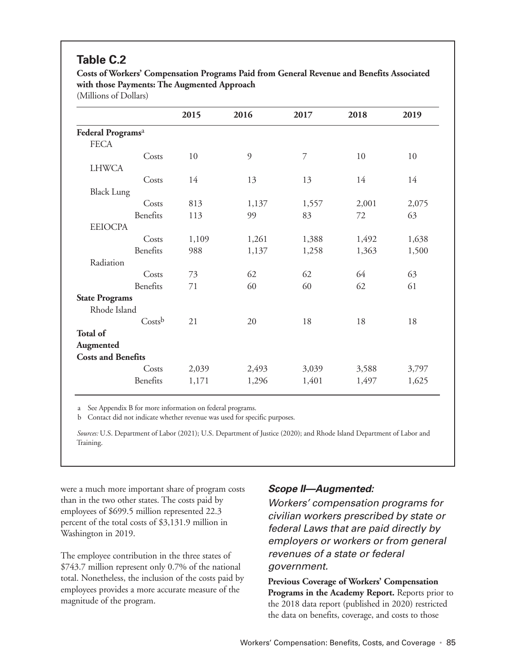# **Table C.2**

**Costs of Workers' Compensation Programs Paid from General Revenue and Benefits Associated with those Payments: The Augmented Approach**

(Millions of Dollars)

|                               | 2015  | 2016  | 2017  | 2018  | 2019  |
|-------------------------------|-------|-------|-------|-------|-------|
| Federal Programs <sup>a</sup> |       |       |       |       |       |
| <b>FECA</b>                   |       |       |       |       |       |
| Costs                         | 10    | 9     | 7     | 10    | 10    |
| <b>LHWCA</b>                  |       |       |       |       |       |
| Costs                         | 14    | 13    | 13    | 14    | 14    |
| <b>Black Lung</b>             |       |       |       |       |       |
| Costs                         | 813   | 1,137 | 1,557 | 2,001 | 2,075 |
| Benefits                      | 113   | 99    | 83    | 72    | 63    |
| <b>EEIOCPA</b>                |       |       |       |       |       |
| Costs                         | 1,109 | 1,261 | 1,388 | 1,492 | 1,638 |
| Benefits                      | 988   | 1,137 | 1,258 | 1,363 | 1,500 |
| Radiation                     |       |       |       |       |       |
| Costs                         | 73    | 62    | 62    | 64    | 63    |
| Benefits                      | 71    | 60    | 60    | 62    | 61    |
| <b>State Programs</b>         |       |       |       |       |       |
| Rhode Island                  |       |       |       |       |       |
| Costsb                        | 21    | 20    | 18    | 18    | 18    |
| <b>Total of</b>               |       |       |       |       |       |
| Augmented                     |       |       |       |       |       |
| <b>Costs and Benefits</b>     |       |       |       |       |       |
| Costs                         | 2,039 | 2,493 | 3,039 | 3,588 | 3,797 |
| Benefits                      | 1,171 | 1,296 | 1,401 | 1,497 | 1,625 |
|                               |       |       |       |       |       |

a See Appendix B for more information on federal programs.

b Contact did not indicate whether revenue was used for specific purposes.

*Sources:* U.S. Department of Labor (2021); U.S. Department of Justice (2020); and Rhode Island Department of Labor and Training.

were a much more important share of program costs than in the two other states. The costs paid by employees of \$699.5 million represented 22.3 percent of the total costs of \$3,131.9 million in Washington in 2019.

The employee contribution in the three states of \$743.7 million represent only 0.7% of the national total. Nonetheless, the inclusion of the costs paid by employees provides a more accurate measure of the magnitude of the program.

## **Scope II—Augmented:**

Workers' compensation programs for civilian workers prescribed by state or federal Laws that are paid directly by employers or workers or from general revenues of a state or federal government.

**Previous Coverage of Workers' Compensation Programs in the Academy Report.** Reports prior to the 2018 data report (published in 2020) restricted the data on benefits, coverage, and costs to those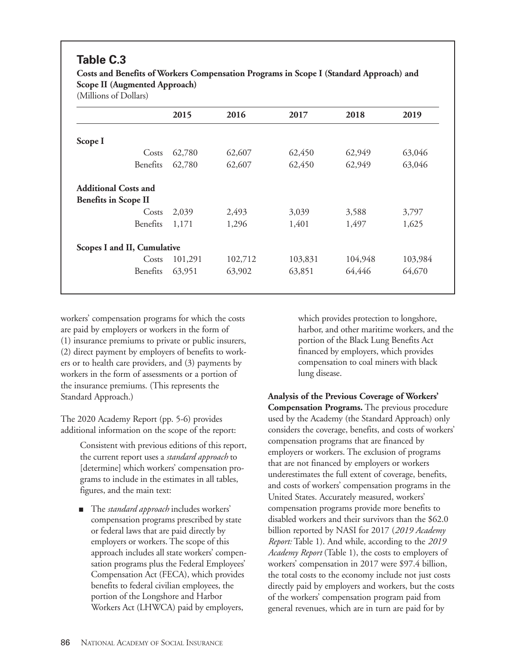# **Table C.3**

**Costs and Benefits of Workers Compensation Programs in Scope I (Standard Approach) and Scope II (Augmented Approach)**

(Millions of Dollars)

| 2015                        | 2016    | 2017    | 2018    | 2019    |
|-----------------------------|---------|---------|---------|---------|
|                             |         |         |         |         |
| 62,780                      | 62,607  | 62,450  | 62,949  | 63,046  |
| 62,780                      | 62,607  | 62,450  | 62,949  | 63,046  |
|                             |         |         |         |         |
|                             |         |         |         |         |
| 2,039                       | 2,493   | 3,039   | 3,588   | 3,797   |
| 1,171                       | 1,296   | 1,401   | 1,497   | 1,625   |
| Scopes I and II, Cumulative |         |         |         |         |
| 101,291                     | 102,712 | 103,831 | 104,948 | 103,984 |
| 63,951                      | 63,902  | 63,851  | 64,446  | 64,670  |
|                             |         |         |         |         |

workers' compensation programs for which the costs are paid by employers or workers in the form of (1) insurance premiums to private or public insurers, (2) direct payment by employers of benefits to workers or to health care providers, and (3) payments by workers in the form of assessments or a portion of the insurance premiums. (This represents the Standard Approach.)

The 2020 Academy Report (pp. 5-6) provides additional information on the scope of the report:

> Consistent with previous editions of this report, the current report uses a *standard approach* to [determine] which workers' compensation programs to include in the estimates in all tables, figures, and the main text:

> ■ The *standard approach* includes workers' compensation programs prescribed by state or federal laws that are paid directly by employers or workers. The scope of this approach includes all state workers' compensation programs plus the Federal Employees' Compensation Act (FECA), which provides benefits to federal civilian employees, the portion of the Longshore and Harbor Workers Act (LHWCA) paid by employers,

which provides protection to longshore, harbor, and other maritime workers, and the portion of the Black Lung Benefits Act financed by employers, which provides compensation to coal miners with black lung disease.

**Analysis of the Previous Coverage of Workers' Compensation Programs.** The previous procedure used by the Academy (the Standard Approach) only considers the coverage, benefits, and costs of workers' compensation programs that are financed by employers or workers. The exclusion of programs that are not financed by employers or workers underestimates the full extent of coverage, benefits, and costs of workers' compensation programs in the United States. Accurately measured, workers' compensation programs provide more benefits to disabled workers and their survivors than the \$62.0 billion reported by NASI for 2017 (*2019 Academy Report:* Table 1). And while, according to the *2019 Academy Report* (Table 1), the costs to employers of workers' compensation in 2017 were \$97.4 billion, the total costs to the economy include not just costs directly paid by employers and workers, but the costs of the workers' compensation program paid from general revenues, which are in turn are paid for by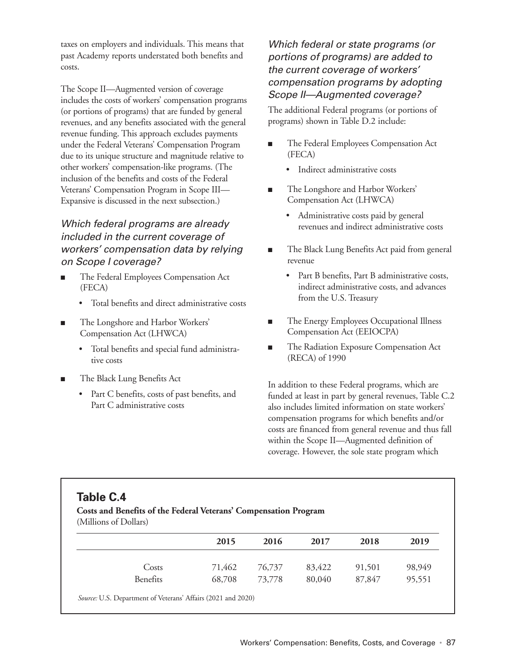taxes on employers and individuals. This means that past Academy reports understated both benefits and costs.

The Scope II—Augmented version of coverage includes the costs of workers' compensation programs (or portions of programs) that are funded by general revenues, and any benefits associated with the general revenue funding. This approach excludes payments under the Federal Veterans' Compensation Program due to its unique structure and magnitude relative to other workers' compensation-like programs. (The inclusion of the benefits and costs of the Federal Veterans' Compensation Program in Scope III— Expansive is discussed in the next subsection.)

## Which federal programs are already included in the current coverage of workers' compensation data by relying on Scope I coverage?

- The Federal Employees Compensation Act (FECA)
	- Total benefits and direct administrative costs
- The Longshore and Harbor Workers' Compensation Act (LHWCA)
	- Total benefits and special fund administrative costs
- The Black Lung Benefits Act
	- Part C benefits, costs of past benefits, and Part C administrative costs

Which federal or state programs (or portions of programs) are added to the current coverage of workers' compensation programs by adopting Scope II—Augmented coverage?

The additional Federal programs (or portions of programs) shown in Table D.2 include:

- The Federal Employees Compensation Act (FECA)
	- Indirect administrative costs
- The Longshore and Harbor Workers' Compensation Act (LHWCA)
	- Administrative costs paid by general revenues and indirect administrative costs
- The Black Lung Benefits Act paid from general revenue
	- Part B benefits, Part B administrative costs, indirect administrative costs, and advances from the U.S. Treasury
- The Energy Employees Occupational Illness Compensation Act (EEIOCPA)
- The Radiation Exposure Compensation Act (RECA) of 1990

In addition to these Federal programs, which are funded at least in part by general revenues, Table C.2 also includes limited information on state workers' compensation programs for which benefits and/or costs are financed from general revenue and thus fall within the Scope II—Augmented definition of coverage. However, the sole state program which

# **Table C.4**

#### **Costs and Benefits of the Federal Veterans' Compensation Program**

(Millions of Dollars)

|          | 2015   | 2016   | 2017   | 2018   | 2019   |
|----------|--------|--------|--------|--------|--------|
| Costs    | 71,462 | 76,737 | 83,422 | 91,501 | 98,949 |
| Benefits | 68,708 | 73,778 | 80,040 | 87,847 | 95,551 |

*Source:* U.S. Department of Veterans' Affairs (2021 and 2020)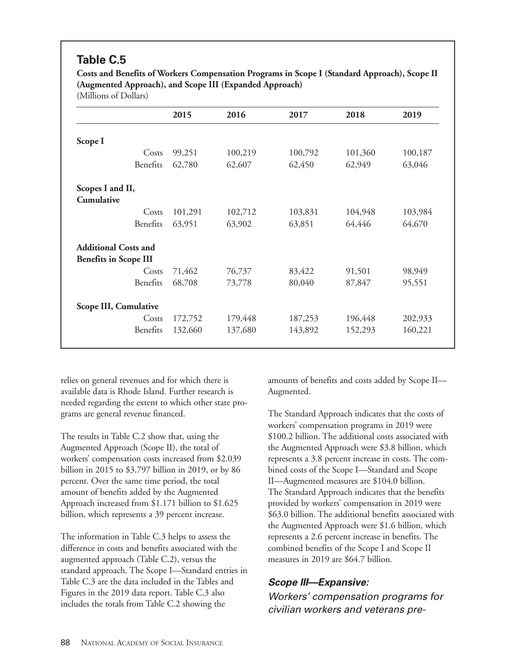# **Table C.5**

**Costs and Benefits of Workers Compensation Programs in Scope I (Standard Approach), Scope II (Augmented Approach), and Scope III (Expanded Approach)**

(Millions of Dollars)

|                              | 2015    | 2016    | 2017    | 2018    | 2019    |
|------------------------------|---------|---------|---------|---------|---------|
| Scope I                      |         |         |         |         |         |
| Costs                        | 99,251  | 100,219 | 100,792 | 101,360 | 100,187 |
| Benefits                     | 62,780  | 62,607  | 62,450  | 62,949  | 63,046  |
| Scopes I and II,             |         |         |         |         |         |
| Cumulative                   |         |         |         |         |         |
| Costs                        | 101,291 | 102,712 | 103,831 | 104,948 | 103,984 |
| Benefits                     | 63,951  | 63,902  | 63,851  | 64,446  | 64,670  |
| <b>Additional Costs and</b>  |         |         |         |         |         |
| <b>Benefits in Scope III</b> |         |         |         |         |         |
| Costs                        | 71,462  | 76,737  | 83,422  | 91,501  | 98,949  |
| Benefits                     | 68,708  | 73,778  | 80,040  | 87,847  | 95,551  |
| Scope III, Cumulative        |         |         |         |         |         |
| Costs                        | 172,752 | 179,448 | 187,253 | 196,448 | 202,933 |
| Benefits                     | 132,660 | 137,680 | 143,892 | 152,293 | 160,221 |
|                              |         |         |         |         |         |

relies on general revenues and for which there is available data is Rhode Island. Further research is needed regarding the extent to which other state programs are general revenue financed.

The results in Table C.2 show that, using the Augmented Approach (Scope II), the total of workers' compensation costs increased from \$2.039 billion in 2015 to \$3.797 billion in 2019, or by 86 percent. Over the same time period, the total amount of benefits added by the Augmented Approach increased from \$1.171 billion to \$1.625 billion, which represents a 39 percent increase.

The information in Table C.3 helps to assess the difference in costs and benefits associated with the augmented approach (Table C.2), versus the standard approach. The Scope I—Standard entries in Table C.3 are the data included in the Tables and Figures in the 2019 data report. Table C.3 also includes the totals from Table C.2 showing the

amounts of benefits and costs added by Scope II— Augmented.

The Standard Approach indicates that the costs of workers' compensation programs in 2019 were \$100.2 billion. The additional costs associated with the Augmented Approach were \$3.8 billion, which represents a 3.8 percent increase in costs. The combined costs of the Scope I—Standard and Scope II—Augmented measures are \$104.0 billion. The Standard Approach indicates that the benefits provided by workers' compensation in 2019 were \$63.0 billion. The additional benefits associated with the Augmented Approach were \$1.6 billion, which represents a 2.6 percent increase in benefits. The combined benefits of the Scope I and Scope II measures in 2019 are \$64.7 billion.

#### **Scope III—Expansive:**

Workers' compensation programs for civilian workers and veterans pre-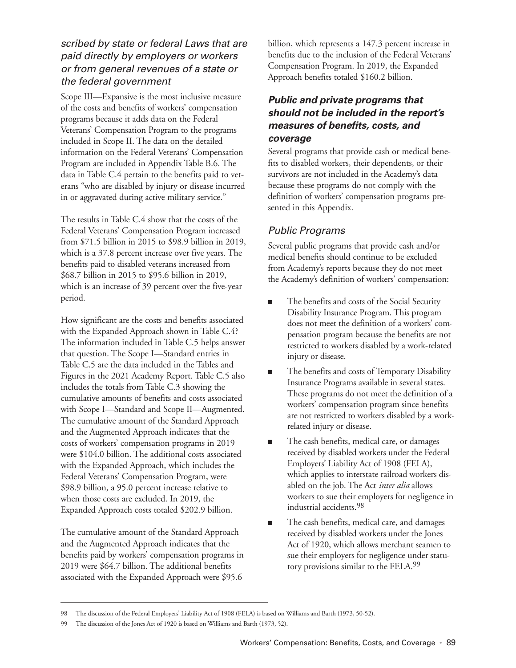### scribed by state or federal Laws that are paid directly by employers or workers or from general revenues of a state or the federal government

Scope III—Expansive is the most inclusive measure of the costs and benefits of workers' compensation programs because it adds data on the Federal Veterans' Compensation Program to the programs included in Scope II. The data on the detailed information on the Federal Veterans' Compensation Program are included in Appendix Table B.6. The data in Table C.4 pertain to the benefits paid to veterans "who are disabled by injury or disease incurred in or aggravated during active military service."

The results in Table C.4 show that the costs of the Federal Veterans' Compensation Program increased from \$71.5 billion in 2015 to \$98.9 billion in 2019, which is a 37.8 percent increase over five years. The benefits paid to disabled veterans increased from \$68.7 billion in 2015 to \$95.6 billion in 2019, which is an increase of 39 percent over the five-year period.

How significant are the costs and benefits associated with the Expanded Approach shown in Table C.4? The information included in Table C.5 helps answer that question. The Scope I—Standard entries in Table C.5 are the data included in the Tables and Figures in the 2021 Academy Report. Table C.5 also includes the totals from Table C.3 showing the cumulative amounts of benefits and costs associated with Scope I—Standard and Scope II—Augmented. The cumulative amount of the Standard Approach and the Augmented Approach indicates that the costs of workers' compensation programs in 2019 were \$104.0 billion. The additional costs associated with the Expanded Approach, which includes the Federal Veterans' Compensation Program, were \$98.9 billion, a 95.0 percent increase relative to when those costs are excluded. In 2019, the Expanded Approach costs totaled \$202.9 billion.

The cumulative amount of the Standard Approach and the Augmented Approach indicates that the benefits paid by workers' compensation programs in 2019 were \$64.7 billion. The additional benefits associated with the Expanded Approach were \$95.6

billion, which represents a 147.3 percent increase in benefits due to the inclusion of the Federal Veterans' Compensation Program. In 2019, the Expanded Approach benefits totaled \$160.2 billion.

## **Public and private programs that should not be included in the report's measures of benefits, costs, and coverage**

Several programs that provide cash or medical benefits to disabled workers, their dependents, or their survivors are not included in the Academy's data because these programs do not comply with the definition of workers' compensation programs presented in this Appendix.

## Public Programs

Several public programs that provide cash and/or medical benefits should continue to be excluded from Academy's reports because they do not meet the Academy's definition of workers' compensation:

- The benefits and costs of the Social Security Disability Insurance Program. This program does not meet the definition of a workers' compensation program because the benefits are not restricted to workers disabled by a work-related injury or disease.
- The benefits and costs of Temporary Disability Insurance Programs available in several states. These programs do not meet the definition of a workers' compensation program since benefits are not restricted to workers disabled by a workrelated injury or disease.
- The cash benefits, medical care, or damages received by disabled workers under the Federal Employers' Liability Act of 1908 (FELA), which applies to interstate railroad workers disabled on the job. The Act *inter alia* allows workers to sue their employers for negligence in industrial accidents.98
- The cash benefits, medical care, and damages received by disabled workers under the Jones Act of 1920, which allows merchant seamen to sue their employers for negligence under statutory provisions similar to the FELA.99

<sup>98</sup> The discussion of the Federal Employers' Liability Act of 1908 (FELA) is based on Williams and Barth (1973, 50-52).

<sup>99</sup> The discussion of the Jones Act of 1920 is based on Williams and Barth (1973, 52).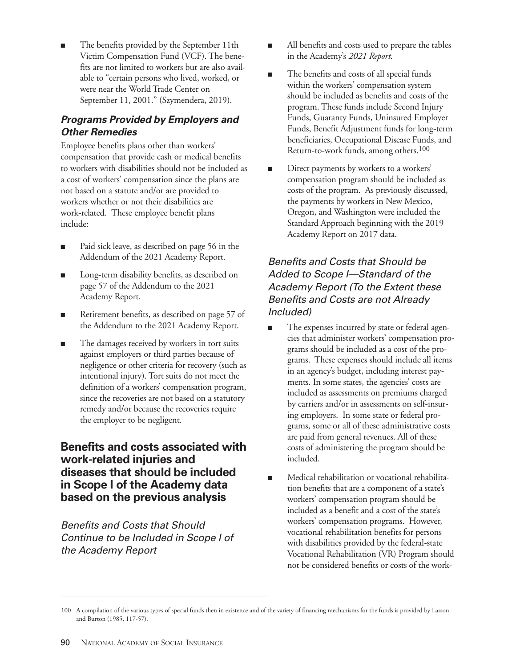The benefits provided by the September 11th Victim Compensation Fund (VCF). The benefits are not limited to workers but are also available to "certain persons who lived, worked, or were near the World Trade Center on September 11, 2001." (Szymendera, 2019).

## **Programs Provided by Employers and Other Remedies**

Employee benefits plans other than workers' compensation that provide cash or medical benefits to workers with disabilities should not be included as a cost of workers' compensation since the plans are not based on a statute and/or are provided to workers whether or not their disabilities are work-related. These employee benefit plans include:

- Paid sick leave, as described on page 56 in the Addendum of the 2021 Academy Report.
- Long-term disability benefits, as described on page 57 of the Addendum to the 2021 Academy Report.
- Retirement benefits, as described on page 57 of the Addendum to the 2021 Academy Report.
- The damages received by workers in tort suits against employers or third parties because of negligence or other criteria for recovery (such as intentional injury). Tort suits do not meet the definition of a workers' compensation program, since the recoveries are not based on a statutory remedy and/or because the recoveries require the employer to be negligent.

## **Benefits and costs associated with work-related injuries and diseases that should be included in Scope I of the Academy data based on the previous analysis**

Benefits and Costs that Should Continue to be Included in Scope I of the Academy Report

- All benefits and costs used to prepare the tables in the Academy's *2021 Report*.
- The benefits and costs of all special funds within the workers' compensation system should be included as benefits and costs of the program. These funds include Second Injury Funds, Guaranty Funds, Uninsured Employer Funds, Benefit Adjustment funds for long-term beneficiaries, Occupational Disease Funds, and Return-to-work funds, among others.<sup>100</sup>
- Direct payments by workers to a workers' compensation program should be included as costs of the program. As previously discussed, the payments by workers in New Mexico, Oregon, and Washington were included the Standard Approach beginning with the 2019 Academy Report on 2017 data.

## Benefits and Costs that Should be Added to Scope *I*-Standard of the Academy Report (To the Extent these Benefits and Costs are not Already Included)

- The expenses incurred by state or federal agencies that administer workers' compensation programs should be included as a cost of the programs. These expenses should include all items in an agency's budget, including interest payments. In some states, the agencies' costs are included as assessments on premiums charged by carriers and/or in assessments on self-insuring employers. In some state or federal programs, some or all of these administrative costs are paid from general revenues. All of these costs of administering the program should be included.
- Medical rehabilitation or vocational rehabilitation benefits that are a component of a state's workers' compensation program should be included as a benefit and a cost of the state's workers' compensation programs. However, vocational rehabilitation benefits for persons with disabilities provided by the federal-state Vocational Rehabilitation (VR) Program should not be considered benefits or costs of the work-

<sup>100</sup> A compilation of the various types of special funds then in existence and of the variety of financing mechanisms for the funds is provided by Larson and Burton (1985, 117-57).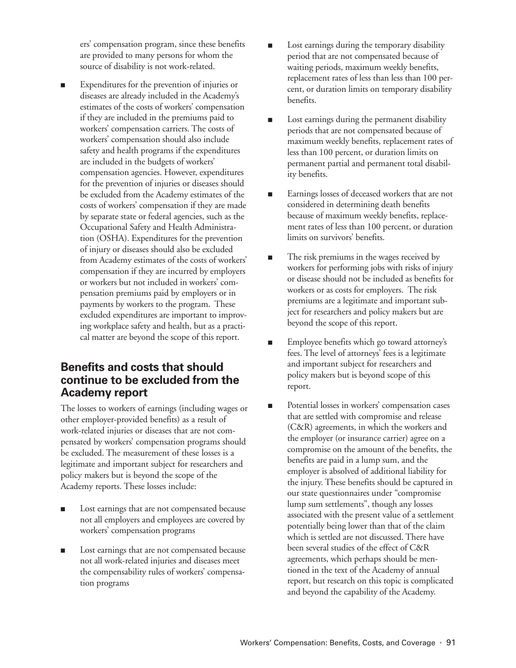ers' compensation program, since these benefits are provided to many persons for whom the source of disability is not work-related.

Expenditures for the prevention of injuries or diseases are already included in the Academy's estimates of the costs of workers' compensation if they are included in the premiums paid to workers' compensation carriers. The costs of workers' compensation should also include safety and health programs if the expenditures are included in the budgets of workers' compensation agencies. However, expenditures for the prevention of injuries or diseases should be excluded from the Academy estimates of the costs of workers' compensation if they are made by separate state or federal agencies, such as the Occupational Safety and Health Administration (OSHA). Expenditures for the prevention of injury or diseases should also be excluded from Academy estimates of the costs of workers' compensation if they are incurred by employers or workers but not included in workers' compensation premiums paid by employers or in payments by workers to the program. These excluded expenditures are important to improving workplace safety and health, but as a practical matter are beyond the scope of this report.

## **Benefits and costs that should continue to be excluded from the Academy report**

The losses to workers of earnings (including wages or other employer-provided benefits) as a result of work-related injuries or diseases that are not compensated by workers' compensation programs should be excluded. The measurement of these losses is a legitimate and important subject for researchers and policy makers but is beyond the scope of the Academy reports. These losses include:

- Lost earnings that are not compensated because not all employers and employees are covered by workers' compensation programs
- Lost earnings that are not compensated because not all work-related injuries and diseases meet the compensability rules of workers' compensation programs
- Lost earnings during the temporary disability period that are not compensated because of waiting periods, maximum weekly benefits, replacement rates of less than less than 100 percent, or duration limits on temporary disability benefits.
- Lost earnings during the permanent disability periods that are not compensated because of maximum weekly benefits, replacement rates of less than 100 percent, or duration limits on permanent partial and permanent total disability benefits.
- Earnings losses of deceased workers that are not considered in determining death benefits because of maximum weekly benefits, replacement rates of less than 100 percent, or duration limits on survivors' benefits.
- The risk premiums in the wages received by workers for performing jobs with risks of injury or disease should not be included as benefits for workers or as costs for employers. The risk premiums are a legitimate and important subject for researchers and policy makers but are beyond the scope of this report.
- Employee benefits which go toward attorney's fees. The level of attorneys' fees is a legitimate and important subject for researchers and policy makers but is beyond scope of this report.
- Potential losses in workers' compensation cases that are settled with compromise and release (C&R) agreements, in which the workers and the employer (or insurance carrier) agree on a compromise on the amount of the benefits, the benefits are paid in a lump sum, and the employer is absolved of additional liability for the injury. These benefits should be captured in our state questionnaires under "compromise lump sum settlements", though any losses associated with the present value of a settlement potentially being lower than that of the claim which is settled are not discussed. There have been several studies of the effect of C&R agreements, which perhaps should be mentioned in the text of the Academy of annual report, but research on this topic is complicated and beyond the capability of the Academy.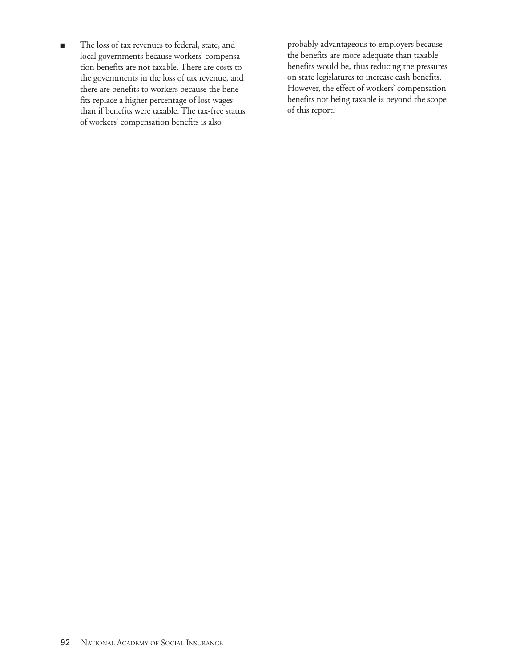■ The loss of tax revenues to federal, state, and local governments because workers' compensation benefits are not taxable. There are costs to the governments in the loss of tax revenue, and there are benefits to workers because the benefits replace a higher percentage of lost wages than if benefits were taxable. The tax-free status of workers' compensation benefits is also

probably advantageous to employers because the benefits are more adequate than taxable benefits would be, thus reducing the pressures on state legislatures to increase cash benefits. However, the effect of workers' compensation benefits not being taxable is beyond the scope of this report.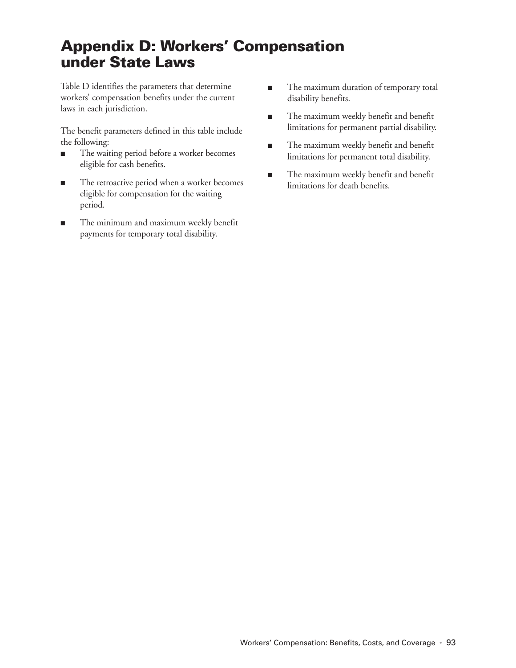# **Appendix D: Workers' Compensation under State Laws**

Table D identifies the parameters that determine workers' compensation benefits under the current laws in each jurisdiction.

The benefit parameters defined in this table include the following:

- The waiting period before a worker becomes eligible for cash benefits.
- The retroactive period when a worker becomes eligible for compensation for the waiting period.
- The minimum and maximum weekly benefit payments for temporary total disability.
- The maximum duration of temporary total disability benefits.
- The maximum weekly benefit and benefit limitations for permanent partial disability.
- The maximum weekly benefit and benefit limitations for permanent total disability.
- The maximum weekly benefit and benefit limitations for death benefits.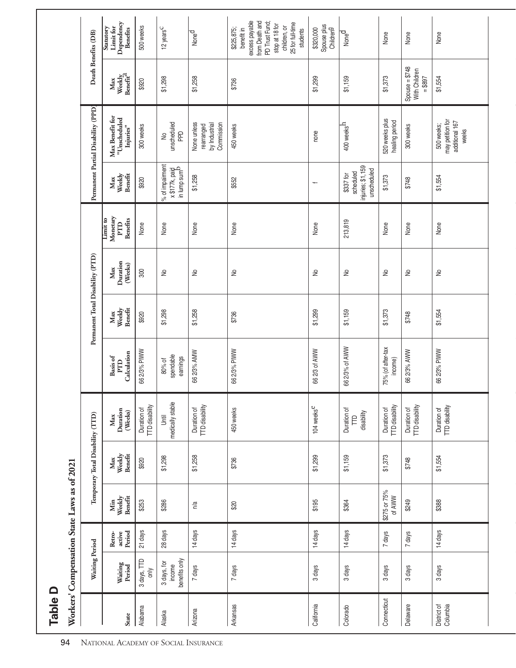| $-202$<br>rnna 1    |
|---------------------|
|                     |
|                     |
|                     |
|                     |
|                     |
|                     |
|                     |
| ws as of.           |
|                     |
|                     |
|                     |
|                     |
|                     |
|                     |
|                     |
| C                   |
| ٔ                   |
|                     |
|                     |
|                     |
|                     |
|                     |
|                     |
|                     |
| <b>Distribution</b> |
|                     |
|                     |
|                     |
|                     |
|                     |
|                     |
|                     |
|                     |
|                     |
| 10 <sup>4</sup>     |
|                     |
|                     |
|                     |

|                         |                                        |                            | Workers' Compensation State Laws as of 2021 |                                  |                                      |                                 |                                  |                            |                                                                                            |                                                               |                                                                                                     |                                              |                                                                                                                                                  |
|-------------------------|----------------------------------------|----------------------------|---------------------------------------------|----------------------------------|--------------------------------------|---------------------------------|----------------------------------|----------------------------|--------------------------------------------------------------------------------------------|---------------------------------------------------------------|-----------------------------------------------------------------------------------------------------|----------------------------------------------|--------------------------------------------------------------------------------------------------------------------------------------------------|
|                         | Waiting Period                         |                            |                                             | Temporary Total Disability (TTD) |                                      |                                 | Permanent Total Disability (PTD) |                            |                                                                                            |                                                               | Permanent Partial Disability (PPD)                                                                  |                                              | Death Benefits (DB)                                                                                                                              |
| <b>State</b>            | Waiting<br>Period                      | Period<br>active<br>Retro- | Benefit<br>Min<br>Weekly                    | Max<br>Weekly<br>Benefit         | Duration<br>(Weeks)<br>Max           | Calculation<br>Basis of<br>PTD  | Max<br>Weeldy<br>Benefit         | Duration<br>(Weeks)<br>Max | $\begin{array}{c} \text{Monetary}\\ \text{PTD} \end{array}$<br>Limit to<br><b>Benefits</b> | Benefit<br>Max<br>Weekly                                      | $\begin{array}{c} \text{Max} \text { benefit for}\\ \text {''Unscheduled} \end{array}$<br>Injuries" | Max<br>Weekly<br>Benefit <sup>2</sup>        | Limit for<br>Dependency<br>Statutory<br><b>Benefits</b>                                                                                          |
| Alabama                 | 3 days, TTD<br>only                    | 21 days                    | \$253                                       | \$920                            | <b>TTD</b> disability<br>Duration of | 66 2/3% PIWW                    | \$920                            | 300                        | None                                                                                       | \$920                                                         | 300 weeks                                                                                           | \$920                                        | 500 weeks                                                                                                                                        |
| Alaska                  | benefits only<br>3 days, for<br>income | 28 days                    | \$286                                       | \$1,298                          | medically stable<br><b>Jhtil</b>     | spendable<br>earnings<br>80% of | \$1,298                          | $\geq$                     | None                                                                                       | % of impairment<br>x \$177k, paid<br>in lump sum <sup>b</sup> | unscheduled<br>$\mathsf{P}^\mathsf{D}$<br>$\geq$                                                    | \$1,298                                      | 12 years <sup>C</sup>                                                                                                                            |
| Arizona                 | 7 days                                 | 14 days                    | n/a                                         | \$1,258                          | TTD disability<br>Duration of        | 66 2/3% AMW                     | \$1,258                          | $\geq$                     | None                                                                                       | \$1,258                                                       | None unless<br>Commission<br>by Industrial<br>rearranged                                            | \$1,258                                      | Noned                                                                                                                                            |
| Arkansas                | 7 days                                 | 14 days                    | \$20                                        | \$736                            | 450 weeks                            | 66 2/3% PIWW                    | \$736                            | $\geq$                     | None                                                                                       | \$552                                                         | 450 weeks                                                                                           | \$736                                        | excess payable<br>from Death and<br>PD Trust Fund;<br>25 for full-time<br>stop at 18 for<br>children, or<br>\$225,875;<br>benefit in<br>students |
| California              | 3 days                                 | 14 days                    | \$195                                       | \$1,299                          | 104 weeks <sup>e</sup>               | 66 2/3 of AWW                   | \$1,299                          | $\geq$                     | None                                                                                       | $\overline{\phantom{0}}$                                      | none                                                                                                | \$1,299                                      | Spouse plus<br>Children <sup>g</sup><br>\$320,000                                                                                                |
| Colorado                | 3 days                                 | 14 days                    | \$364                                       | \$1,159                          | Duration of<br>disability<br>Ê       | 66 2/3% of AWW                  | \$1,159                          | $\geq$                     | 213,819                                                                                    | injuries; \$1,159<br>unscheduled<br>scheduled<br>\$337 for    | 400 weeks <sup>h</sup>                                                                              | \$1,159                                      | None <sup>d</sup>                                                                                                                                |
| Connecticut             | 3 days                                 | 7 days                     | \$275 or 75%<br>of AWW                      | \$1,373                          | TTD disability<br>Duration of        | 75% (of after-tax<br>income)    | \$1,373                          | $\geq$                     | None                                                                                       | \$1,373                                                       | 520 weeks plus<br>healing period                                                                    | \$1,373                                      | None                                                                                                                                             |
| Delaware                | 3 days                                 | 7 days                     | \$249                                       | \$748                            | Duration of<br>TTD disability        | 66 2/3% AWW                     | \$748                            | $\geq$                     | None                                                                                       | \$748                                                         | 300 weeks                                                                                           | $Spouse = $748$<br>With Children<br>$= $897$ | None                                                                                                                                             |
| District of<br>Columbia | 3 days                                 | 14 days                    | \$388                                       | \$1,554                          | Duration of<br>TTD disability        | 66 2/3% PIWW                    | \$1,554                          | $\geq$                     | None                                                                                       | \$1,554                                                       | may petition for<br>additional 167<br>500 weeks;<br>weeks                                           | \$1,554                                      | None                                                                                                                                             |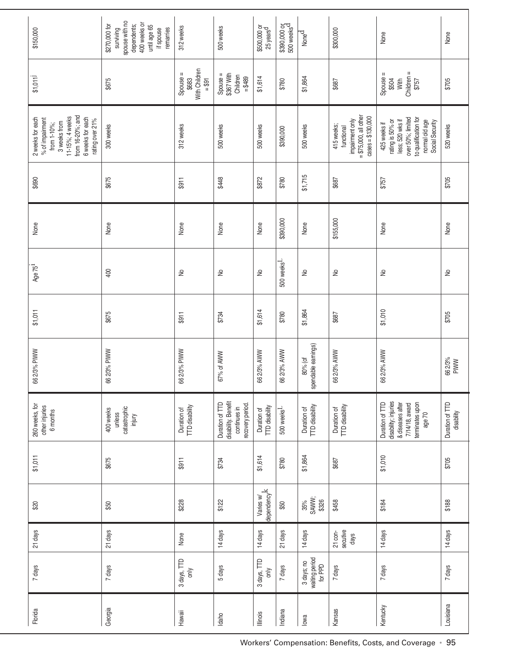| \$150,000                                                                                                                                        | spouse with no<br>dependents;<br>400 weeks or<br>\$270,000 for<br>until age 65<br>remarries<br>if spouse<br>surviving | 312 weeks                                     | 500 weeks                                                                  | \$500,000 or<br>25 years <sup>d</sup> | \$390,000 or<br>500 weeks <sup>d</sup> | $N$ one $\overline{d}$                  | \$300,000                                                                                    | None                                                                                                                                   | None                          |
|--------------------------------------------------------------------------------------------------------------------------------------------------|-----------------------------------------------------------------------------------------------------------------------|-----------------------------------------------|----------------------------------------------------------------------------|---------------------------------------|----------------------------------------|-----------------------------------------|----------------------------------------------------------------------------------------------|----------------------------------------------------------------------------------------------------------------------------------------|-------------------------------|
| \$1,011]                                                                                                                                         | \$675                                                                                                                 | With Children<br>Spouse =<br>$= $91$<br>\$683 | Spouse =<br>\$367 With<br>Children<br>= \$489                              | \$1,614                               | \$780                                  | \$1,864                                 | \$687                                                                                        | Children =<br>$$757$<br>Spouse =<br>\$504<br>With                                                                                      | \$705                         |
| from 16-20%; and<br>11-15%; 4 weeks<br>6 weeks for each<br>2 weeks for each<br>% of impairment<br>rating over 21%<br>3 weeks from<br>from 1-10%; | 300 weeks                                                                                                             | 312 weeks                                     | 500 weeks                                                                  | 500 weeks                             | \$390,000                              | 500 weeks                               | $=$ \$75,000, all other<br>$cases = $130,000$<br>impairment only<br>415 weeks;<br>functional | to qualification for<br>over 50%; limited<br>less; 520 wks if<br>425 weeks if<br>rating is 50% or<br>normal old age<br>Social Security | 520 weeks                     |
| \$690                                                                                                                                            | \$675                                                                                                                 | \$911                                         | \$448                                                                      | \$872                                 | \$780                                  | \$1,715                                 | \$687                                                                                        | \$757                                                                                                                                  | \$705                         |
| None                                                                                                                                             | None                                                                                                                  | None                                          | None                                                                       | None                                  | \$390,000                              | None                                    | \$155,000                                                                                    | None                                                                                                                                   | None                          |
| Age 75 <sup>1</sup>                                                                                                                              | 400                                                                                                                   | $\geq$                                        | $\geq$                                                                     | $\geq$                                | $500$ weeks <sup>L</sup>               | $\geq$                                  | $\geq$                                                                                       | $\geq$                                                                                                                                 | $\geq$                        |
| \$1,011                                                                                                                                          | \$675                                                                                                                 | \$911                                         | \$734                                                                      | \$1,614                               | \$780                                  | \$1,864                                 | \$687                                                                                        | \$1,010                                                                                                                                | \$705                         |
| 66 2/3% PIWW                                                                                                                                     | 66 2/3% PIWW                                                                                                          | 66 2/3% PIWW                                  | 67% of AWW                                                                 | 66 2/3% AWW                           | 66 2/3% AWW                            | spendable earnings)<br>80% (of          | 66 2/3% AWW                                                                                  | 66 2/3% AWW                                                                                                                            | 662/3%<br><b>PIWW</b>         |
| 260 weeks, for<br>other injuries<br>6 months                                                                                                     | catastrophic<br>injury<br>400 weeks<br>unless                                                                         | TTD disability<br>Duration of                 | disability. Benefit<br>Duration of TTD<br>recovery period.<br>continues in | TTD disability<br>Duration of         | 500 weeks <sup>L</sup>                 | Duration of<br>TTD disability           | Duration of<br>TTD disability                                                                | disability; injuries<br>terminates upon<br>Duration of TTD<br>& diseases after<br>7/14/18, award<br>age 70                             | Duration of TTD<br>disability |
| \$1,011                                                                                                                                          | \$675                                                                                                                 | \$911                                         | \$734                                                                      | \$1,614                               | \$780                                  | \$1,864                                 | \$687                                                                                        | \$1,010                                                                                                                                | \$705                         |
| \$20                                                                                                                                             | \$50                                                                                                                  | \$228                                         | \$122                                                                      | Varies w/<br>dependency <sup>k</sup>  | \$50                                   | 35%<br>SAWW;<br>\$326                   | \$458                                                                                        | \$184                                                                                                                                  | \$188                         |
| 21 days                                                                                                                                          | 21 days                                                                                                               | None                                          | 14 days                                                                    | 14 days                               | 21 days                                | 14 days                                 | 21 con-<br>secutive<br>days                                                                  | 14 days                                                                                                                                | 14 days                       |
| 7 days                                                                                                                                           | 7 days                                                                                                                | 3 days, TTD<br>only                           | 5 days                                                                     | 3 days, TTD<br>only                   | 7 days                                 | waiting period<br>3 days; no<br>for PPD | 7 days                                                                                       | 7 days                                                                                                                                 | 7 days                        |
| Florida                                                                                                                                          | Georgia                                                                                                               | Hawaii                                        | Idaho                                                                      | lllinois                              | Indiana                                | lowa                                    | Kansas                                                                                       | Kentucky                                                                                                                               | Louisiana                     |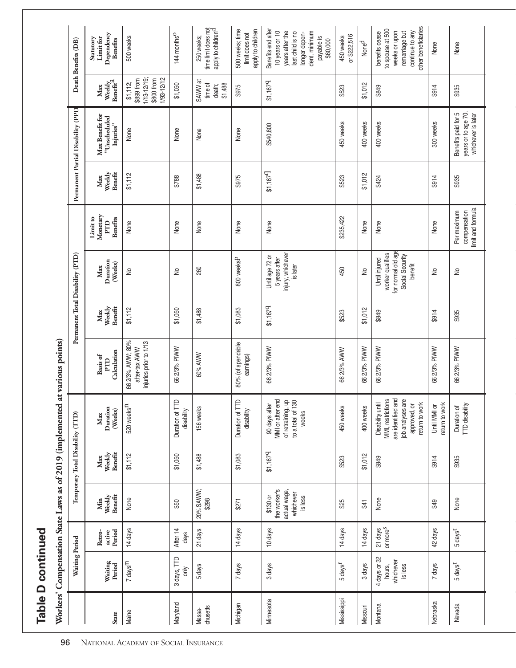|                    | Table D continued                              |                                 |                                                                  |                                  |                                                                                                                  |                                                                             |                          |                                                                                       |                                                 |                          |                                                                  |                                                                   |                                                                                                                                         |
|--------------------|------------------------------------------------|---------------------------------|------------------------------------------------------------------|----------------------------------|------------------------------------------------------------------------------------------------------------------|-----------------------------------------------------------------------------|--------------------------|---------------------------------------------------------------------------------------|-------------------------------------------------|--------------------------|------------------------------------------------------------------|-------------------------------------------------------------------|-----------------------------------------------------------------------------------------------------------------------------------------|
|                    |                                                |                                 |                                                                  |                                  |                                                                                                                  | Workers' Compensation State Laws as of 2019 (implemented at various points) |                          |                                                                                       |                                                 |                          |                                                                  |                                                                   |                                                                                                                                         |
|                    | Waiting Period                                 |                                 |                                                                  | Temporary Total Disability (TTD) |                                                                                                                  |                                                                             |                          | Permanent Total Disability (PTD)                                                      |                                                 |                          | Permanent Partial Disability (PPD                                |                                                                   | Death Benefits (DB)                                                                                                                     |
| <b>State</b>       | Waiting<br>Period                              | active<br>Period<br>Retro-      | Weekly<br>Benefit<br>Min                                         | Benefit<br>Weekly<br>Max         | Duration<br>(Weeks)<br>Max                                                                                       | Calculation<br>Basis of<br>PTD                                              | Weekly<br>Benefit<br>Max | Duration<br>(Weeks)<br>Max                                                            | Monetary<br><b>Benefits</b><br>Limit to<br>PTD  | Weekly<br>Benefit<br>Max | Max Benefit for<br>"Unscheduled<br>Injuries"                     | Weekly ${\rm Bener}$<br>Max                                       | Dependency<br>Limit for<br>Statutory<br><b>Benefits</b>                                                                                 |
| Maine              | 7 days <sup>m</sup>                            | 14 days                         | None                                                             | \$1,112                          | 520 weeks <sup>11</sup>                                                                                          | 66 2/3% AWW; 80%<br>injuries prior to 1/13<br>after-tax AWW                 | \$1,112                  | $\geq$                                                                                | None                                            | \$1,112                  | None                                                             | 1/13-12/19;<br>1/93-12/12<br>\$800 from<br>\$899 from<br>\$1,112; | 500 weeks                                                                                                                               |
| Maryland           | 3 days, TTD<br>only                            | After 14<br>days                | \$50                                                             | \$1,050                          | Duration of TTD<br>disability                                                                                    | 66 2/3% PIWW                                                                | \$1,050                  | ş                                                                                     | None                                            | \$788                    | None                                                             | \$1,050                                                           | 144 months <sup>O</sup>                                                                                                                 |
| chusetts<br>Massa- | 5 days                                         | 21 days                         | 20% SAWW;<br>\$298                                               | \$1,488                          | 156 weeks                                                                                                        | 60% AWW                                                                     | \$1,488                  | 260                                                                                   | None                                            | \$1,488                  | None                                                             | SAWW at<br>time of<br>\$1,488<br>death;                           | time limit does not<br>apply to children <sup>d</sup><br>250 weeks;                                                                     |
| Michigan           | 7 days                                         | 14 days                         | \$271                                                            | \$1,083                          | Duration of TTD<br>disability                                                                                    | 80% (of spendable<br>eamings)                                               | \$1,083                  | 800 weeksP                                                                            | None                                            | \$975                    | None                                                             | \$975                                                             | apply to children<br>500 weeks; time<br>limit does not                                                                                  |
| Minnesota          | 3 days                                         | 10 days                         | the worker's<br>actual wage,<br>whichever<br>\$130 or<br>is less | \$1,1679                         | MMI or after end<br>of retraining, up<br>to a total of 130<br>90 days after<br>weeks                             | 66 2/3% PIWW                                                                | \$1,1679                 | injury, whichever<br>Until age 72 or<br>5 years after<br>is later                     | None                                            | \$1,1679                 | \$540,800                                                        | \$1,1679                                                          | Benefits end after<br>years after the<br>dent, minimum<br>10 years or 10<br>last child is no<br>longer depen-<br>payable is<br>\$60,000 |
| Mississippi        | $5 \text{ days}^{\text{r}}$                    | 14 days                         | \$25                                                             | \$523                            | 450 weeks                                                                                                        | 66 2/3% AWW                                                                 | \$523                    | 450                                                                                   | \$235,422                                       | \$523                    | 450 weeks                                                        | \$523                                                             | or \$222,516<br>450 weeks                                                                                                               |
| Missouri           | 3 days                                         | 14 days                         | \$41                                                             | \$1,012                          | 400 weeks                                                                                                        | 66 2/3% PIWW                                                                | \$1,012                  | ₽                                                                                     | None                                            | \$1,012                  | 400 weeks                                                        | \$1,012                                                           | Noned                                                                                                                                   |
| Montana            | 4 days or 32<br>whichever<br>hours,<br>is less | 21 days<br>or more <sup>s</sup> | None                                                             | \$849                            | are identified and<br>job analyses are<br>MMI, restrictions<br>Disability until<br>retum to work<br>approved, or | 66 2/3% PIWW                                                                | \$849                    | for normal old age<br>worker qualifies<br>Social Security<br>Until injured<br>benefit | None                                            | \$424                    | 400 weeks                                                        | \$849                                                             | other beneficiaries<br>to spouse at 500<br>weeks or upon<br>remarriage but<br>continue to any<br>benefits cease                         |
| Nebraska           | 7 days                                         | 42 days                         | \$49                                                             | \$914                            | etum to work<br>Until MMI or                                                                                     | 66 2/3% PIWW                                                                | \$914                    | $\geq$                                                                                | None                                            | \$914                    | 300 weeks                                                        | \$914                                                             | None                                                                                                                                    |
| Nevada             | 5 days <sup>t</sup>                            | $5 \text{ days}^t$              | None                                                             | \$935                            | TTD disability<br>Duration of                                                                                    | 66 2/3% PIWW                                                                | \$935                    | $\geq$                                                                                | imit and formula<br>Per maximum<br>compensation | \$935                    | years or to age 70,<br>Benefits paid for 5<br>whichever is later | \$935                                                             | None                                                                                                                                    |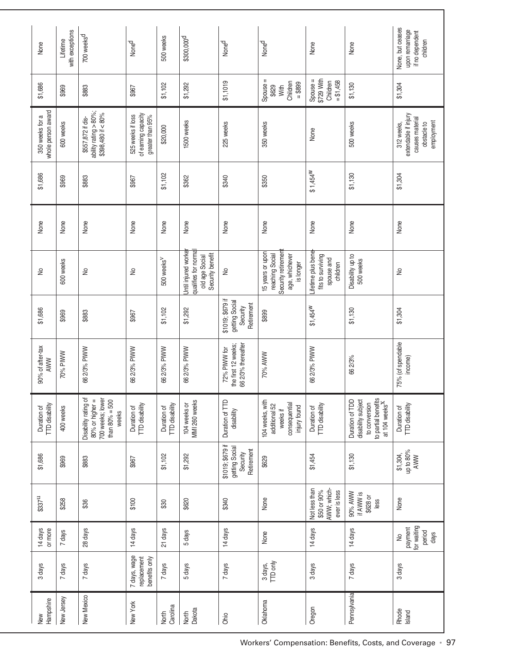| None                                  | with exceptions<br>Lifetime | 700 weeks <sup>d</sup>                                                                    | Noned                                                        | 500 weeks                            | \$300,000 <sup>d</sup>                                                           | Noned                                                        | Noned                                                                                    | None                                                              | None                                                                                                       | None, but ceases<br>upon remarriage<br>if no dependent<br>children                 |
|---------------------------------------|-----------------------------|-------------------------------------------------------------------------------------------|--------------------------------------------------------------|--------------------------------------|----------------------------------------------------------------------------------|--------------------------------------------------------------|------------------------------------------------------------------------------------------|-------------------------------------------------------------------|------------------------------------------------------------------------------------------------------------|------------------------------------------------------------------------------------|
| \$1,686                               | \$969                       | \$883                                                                                     | \$967                                                        | \$1,102                              | \$1,292                                                                          | \$1,1019                                                     | Spouse =<br>Children<br>$= $899$<br>\$629<br>With                                        | \$729 With<br>Spouse =<br>$= $1,458$<br>Children                  | \$1,130                                                                                                    | \$1,304                                                                            |
| whole person award<br>350 weeks for a | 600 weeks                   | ability rating > 80%;<br>\$398,480 if < 80%<br>\$557,872 if dis-                          | of earning capacity<br>525 weeks if loss<br>greater than 95% | \$20,000                             | 1500 weeks                                                                       | 225 weeks                                                    | 350 weeks                                                                                | None                                                              | 500 weeks                                                                                                  | extendable if injury<br>causes material<br>employment<br>obstacle to<br>312 weeks, |
| \$1,686                               | \$969                       | \$883                                                                                     | \$967                                                        | \$1,102                              | \$362                                                                            | \$340                                                        | \$350                                                                                    | $$1,454^W$                                                        | \$1,130                                                                                                    | \$1,304                                                                            |
| None                                  | None                        | None                                                                                      | None                                                         | None                                 | None                                                                             | None                                                         | None                                                                                     | None                                                              | None                                                                                                       | None                                                                               |
| $\geq$                                | 600 weeks                   | $\geq$                                                                                    | $\geq$                                                       | 500 weeks <sup>V</sup>               | Until injured worke<br>qualifies for norma<br>Security benefit<br>old age Social | $\geq$                                                       | Security retiremen<br>15 years or upon<br>reaching Social<br>age, whichever<br>is longer | lifetime plus bene<br>fits to surviving<br>spouse and<br>children | Disability up to<br>500 weeks                                                                              | $\geq$                                                                             |
| \$1,686                               | \$969                       | \$883                                                                                     | \$967                                                        | \$1,102                              | \$1,292                                                                          | \$1019; \$679 if<br>getting Social<br>Retirement<br>Security | \$899                                                                                    | $$1,454^W$                                                        | \$1,130                                                                                                    | \$1,304                                                                            |
| 90% of after-tax<br><b>AWW</b>        | 70% PIWW                    | 66 2/3% PIWW                                                                              | 66 2/3% PIWW                                                 | 66 2/3% PIWW                         | 66 2/3% PIWW                                                                     | the first 12 weeks;<br>36 2/3% thereafter<br>72% PIWW for    | 70% AWW                                                                                  | 66 2/3% PIWW                                                      | 662/3%                                                                                                     | 75% (of spendable<br>income)                                                       |
| TD disability<br>Duration of          | 400 weeks                   | Disability rating of<br>700 weeks; lower<br>80% or higher =<br>than $80\% = 500$<br>weeks | Duration of<br>TTD disability                                | <b>TTD</b> disability<br>Duration of | MMI 260 weeks<br>104 weeks or                                                    | Duration of TTD<br>disability                                | 104 weeks, with<br>consequential<br>additional 52<br>injury found<br>weeks if            | TTD disability<br>Duration of                                     | to partial benefits<br>at 104 weeks <sup>X</sup><br>Duration of TDD<br>disability subject<br>to conversion | Duration of<br>TTD disability                                                      |
| \$1,686                               | \$969                       | \$883                                                                                     | \$967                                                        | \$1,102                              | \$1,292                                                                          | \$1019; \$679 if<br>getting Social<br>Retirement<br>Security | \$629                                                                                    | \$1,454                                                           | \$1,130                                                                                                    | up to 80%<br>\$1,304,<br>AWW                                                       |
| \$337 <sup>u</sup>                    | \$258                       | \$36                                                                                      | \$100                                                        | \$30                                 | \$620                                                                            | \$340                                                        | None                                                                                     | Not less than<br>AWW; which-<br>\$50 or 90%<br>ever is less       | 90% AWW<br>if AWW is<br>\$628 or<br>less                                                                   | None                                                                               |
| 14 days<br>or more                    | 7 days                      | 28 days                                                                                   | 14 days                                                      | 21 days                              | 5 days                                                                           | 14 days                                                      | None                                                                                     | 14 days                                                           | 14 days                                                                                                    | for waiting<br>payment<br>period<br>days<br>$\frac{1}{2}$                          |
| 3 days                                | 7 days                      | 7 days                                                                                    | 7 days, wage<br>replacement<br>benefits only                 | 7 days                               | 5 days                                                                           | 7 days                                                       | TTD only<br>3 days,                                                                      | 3 days                                                            | 7 days                                                                                                     | 3 days                                                                             |
| Hampshire<br>New                      | New Jersey                  | New Mexico                                                                                | New York                                                     | Carolina<br>North                    | Dakota<br>North                                                                  | Ohio                                                         | Oklahoma                                                                                 | Oregon                                                            | Pennsylvania                                                                                               | Rhode<br>Island                                                                    |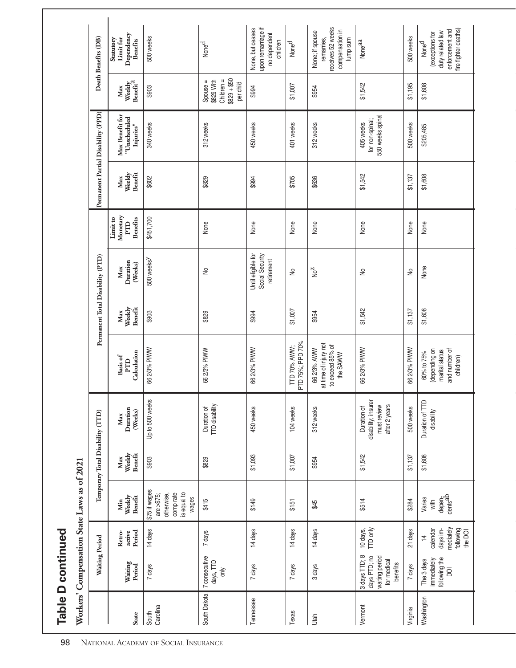Table D continued **Table D continued**

| ׇ֘֝֬֕<br>;<br>Ì<br>ĺ                                   |
|--------------------------------------------------------|
| é<br>֖֖֖֖֖֪ׅ֪ׅ֪ׅׅ֪ׅ֪֪֪ׅ֪֪ׅ֚֚֚֚֚֚֚֚֚֚֚֚֚֚֚֚֚֚֚֬֝֝֝֝֝֬֝֬ |
| ļ                                                      |
|                                                        |
|                                                        |
| ۱                                                      |
| í                                                      |

|                                    | Death Benefits (DB)                | Dependency<br>Limit for<br>Statutory<br><b>Benefits</b> | 500 weeks                                                                         | Noned                                                             | upon remarriage if<br>None, but ceases<br>no dependent<br>children | None <sup>d</sup>                | receives 52 weeks<br>compensation in<br>None; if spouse<br>remarries,<br>lump sum | Noneaa                                                                     | 500 weeks    | fire fighter deaths)<br>enforcement and<br>duty related law<br>(exceptions for<br>Noned |
|------------------------------------|------------------------------------|---------------------------------------------------------|-----------------------------------------------------------------------------------|-------------------------------------------------------------------|--------------------------------------------------------------------|----------------------------------|-----------------------------------------------------------------------------------|----------------------------------------------------------------------------|--------------|-----------------------------------------------------------------------------------------|
|                                    |                                    | Weekly<br>Benefit <sup>2</sup><br>Max                   | \$903                                                                             | $$829 + $50$<br>Children =<br>\$829 With<br>Spouse =<br>per child | \$994                                                              | \$1,007                          | \$954                                                                             | \$1,542                                                                    | \$1,195      | \$1,608                                                                                 |
|                                    | Permanent Partial Disability (PPD) | Max Benefit for<br>"Unscheduled<br>Injuries"            | 340 weeks                                                                         | 312 weeks                                                         | 450 weeks                                                          | 401 weeks                        | 312 weeks                                                                         | 550 weeks spinal<br>for non-spinal;<br>405 weeks                           | 500 weeks    | \$205,485                                                                               |
|                                    |                                    | Benefit<br>Weekly<br>Max                                | \$602                                                                             | \$829                                                             | \$994                                                              | \$705                            | \$636                                                                             | \$1,542                                                                    | \$1,137      | \$1,608                                                                                 |
|                                    |                                    | Monetary<br>Limit to<br><b>Benefits</b><br>PTD          | \$451,700                                                                         | None                                                              | None                                                               | None                             | None                                                                              | None                                                                       | None         | None                                                                                    |
|                                    | Permanent Total Disability (PTD)   | Duration<br>(Weeks)<br>Max                              | $500$ weeks $Y$                                                                   | $\geq$                                                            | Until eligible for<br>Social Security<br>retirement                | $\geq$                           | No <sup>Z</sup>                                                                   | $\geq$                                                                     | ₽            | None                                                                                    |
|                                    |                                    | Weekly<br>Benefit<br>Max                                | \$903                                                                             | \$829                                                             | \$994                                                              | \$1,007                          | \$954                                                                             | \$1,542                                                                    | \$1,137      | \$1,608                                                                                 |
|                                    |                                    | Calculation<br>Basis of<br>PTD                          | 66 2/3% PIWW                                                                      | 66 2/3% PIWW                                                      | 66 2/3% PIWW                                                       | PTD 75%; PPD 70%<br>TTD 70% AWW; | at time of injury not<br>to exceed 85% of<br>66 2/3% AWW<br>the SAWW              | 66 2/3% PIWW                                                               | 36 2/3% PIWW | and number of<br>(depending on<br>marital status<br>60% to 75%<br>children)             |
|                                    |                                    | Duration<br>(Weeks)<br>Max                              | Up to 500 weeks                                                                   | <b>TTD</b> disability<br>Duration of                              | 450 weeks                                                          | 104 weeks                        | 312 weeks                                                                         | disability; insurer<br>after 2 years<br>must review<br>Duration of         | 500 weeks    | Duration of TTD<br>disability                                                           |
| T707 IO SP SMPT 2000 IIONPST201110 | Temporary Total Disability (TTD)   | Weekly<br>Benefit<br>Max                                | \$903                                                                             | \$829                                                             | \$1,093                                                            | \$1,007                          | \$954                                                                             | \$1,542                                                                    | \$1,137      | \$1,608                                                                                 |
|                                    |                                    | Weekly<br>Benefit<br>Min                                | \$75 if wages<br>is equal to<br>comp rate<br>are $> $75$ ;<br>otherwise,<br>wages | \$415                                                             | \$149                                                              | \$151                            | \$45                                                                              | \$514                                                                      | \$284        | depen-<br>dents <sup>ab</sup><br>Varies<br>with                                         |
|                                    |                                    | Period<br>active<br>Retro-                              | 14 days                                                                           | 7 days                                                            | 14 days                                                            | 14 days                          | 14 days                                                                           | TTD only<br>10 days,                                                       | 21 days      | mediately<br>following<br>calendar<br>days im-<br>the DOI<br>$\overline{4}$             |
|                                    | Waiting Period                     | Waiting<br>Period                                       | 7 days                                                                            | 7 consecutive<br>days, TTD<br>only                                | 7 days                                                             | 7 days                           | 3 days                                                                            | 3 days TTD; 8<br>days PTD; no<br>waiting period<br>for medical<br>benefits | 7 days       | following the<br>immediately<br>The 3 days<br>$\overline{Q}$                            |
| WUINCIS                            |                                    | <b>State</b>                                            | Carolina<br>South                                                                 | South Dakota                                                      | Tennessee                                                          | Texas                            | Jtah                                                                              | Vernont                                                                    | Virginia     | Washington                                                                              |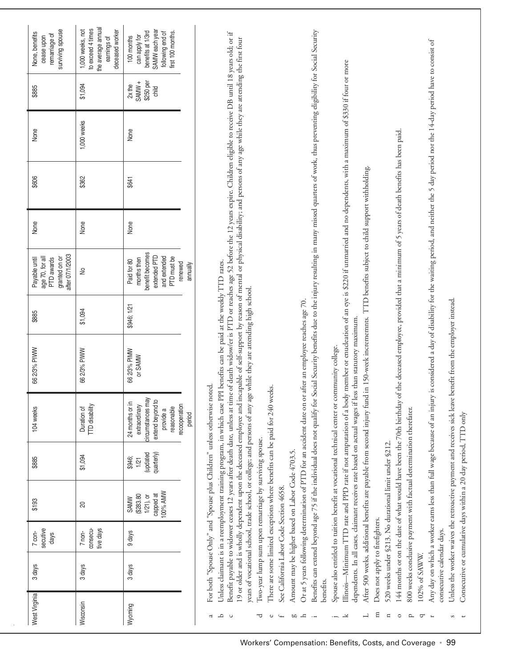| surviving spouse<br>None, benefits<br>remarriage of<br>cease upon<br>\$885<br>None<br>\$606<br>None | the average annual<br>to exceed 4 times<br>1,000 weeks, not<br>deceased worker<br>earnings of<br>\$1,094<br>1,000 weeks<br>\$362<br>None | SAMW each year<br>benefits at 1/3rd<br>first 100 months.<br>following end of<br>can apply for<br>100 months<br>SAMW +<br>\$250 per<br>$2x$ the<br>etiko<br>None<br>\$641<br>None | Benefits can extend beyond age 75 if the individual does not qualify for Social Security benefits due to the injury resulting in many missed quarters of work, thus preventing eligibility for Social Security<br>Benefit payable to widower ceases 12 years after death date, unless at time of death widow/er is PTD or reaches age 52 before the 12 years expire. Children eligible to receive DB until 18 years old; or if<br>19 or older and is wholly dependent upon the deceased employee and incapable of self-support by reason of mental or physical disability; and persons of any age while they are attending the first four<br>is considered a day of disability for the waiting period, and neither the 5 day period nor the 14-day period have to consist of<br>member or enucleation of an eye is \$220 if unmarried and no dependents, with a maximum of \$330 if four or more<br>the deceased employee, provided that a minimum of 5 years of death benefits has been paid.<br>TTD benefits subject to child support withholding. |
|-----------------------------------------------------------------------------------------------------|------------------------------------------------------------------------------------------------------------------------------------------|----------------------------------------------------------------------------------------------------------------------------------------------------------------------------------|------------------------------------------------------------------------------------------------------------------------------------------------------------------------------------------------------------------------------------------------------------------------------------------------------------------------------------------------------------------------------------------------------------------------------------------------------------------------------------------------------------------------------------------------------------------------------------------------------------------------------------------------------------------------------------------------------------------------------------------------------------------------------------------------------------------------------------------------------------------------------------------------------------------------------------------------------------------------------------------------------------------------------------------------------|
| after 07/1/2003<br>age 70, for all<br>granted on or<br>PTD awards<br>Payable until                  | $\geq$                                                                                                                                   | benefit becomes<br>extended PTD<br>and extended<br>PTD must be<br>months then<br>Paid for 80<br>renewed<br>annually                                                              |                                                                                                                                                                                                                                                                                                                                                                                                                                                                                                                                                                                                                                                                                                                                                                                                                                                                                                                                                                                                                                                      |
| \$885                                                                                               | \$1,094                                                                                                                                  | \$946; 1/21                                                                                                                                                                      |                                                                                                                                                                                                                                                                                                                                                                                                                                                                                                                                                                                                                                                                                                                                                                                                                                                                                                                                                                                                                                                      |
| 66 2/3% PIWW                                                                                        | 66 2/3% PIWW                                                                                                                             | 66 2/3% PIMW<br>or SAMW                                                                                                                                                          | Unless claimant is in a reemployment training program, in which case PPI benefits can be paid at the weekly TTD rates.<br>while they are attending high school<br>after an employee reaches age 70.<br>in 150-week incremennts.<br>dependents. In all cases, claimant receives rate based on actual wages if less than statutory maximum                                                                                                                                                                                                                                                                                                                                                                                                                                                                                                                                                                                                                                                                                                             |
| 104 weeks                                                                                           | TTD disability<br>Duration of                                                                                                            | circumstances may<br>extend beyond to<br>24 months or in<br>extraordinary<br>recooperation<br>reasonable<br>provide a<br>period                                                  | Spouse also entitled to tuition benefit at vocational technical center or community college.<br>For both "Spouse Only" and "Spouse plus Children" unless otherwise noted.<br>There are some limited exceptions where benefits can be paid for 240 weeks.<br>years of vocational school, trade school, or college; and persons of any age<br>Illinois-Minimum TTD rate and PPD rate if not amputation of a body<br>144 months or on the date of what would have been the 70th birthday of<br>Or at 5 years following determination of PTD for an accident date on or<br>After 500 weeks, additional benefits are payable from second injury fund<br>Any day on which a worker earns less than full wage because of an injury                                                                                                                                                                                                                                                                                                                          |
| \$885                                                                                               | \$1,094                                                                                                                                  | (updated<br>quarterly)<br>\$946;<br>1/21                                                                                                                                         |                                                                                                                                                                                                                                                                                                                                                                                                                                                                                                                                                                                                                                                                                                                                                                                                                                                                                                                                                                                                                                                      |
| \$193                                                                                               | 20                                                                                                                                       | 100% AMW<br>capped at<br>(\$283.80<br>$1/21$ ), or<br><b>SAMW</b>                                                                                                                | 800 weeks conclusive payment with factual determination therefater.<br>Two-year lump sum upon remarriage by surviving spouse.<br>520 weeks under §213. No durational limit under §212.<br>Amount may be higher based on Labor Code 4703.5.                                                                                                                                                                                                                                                                                                                                                                                                                                                                                                                                                                                                                                                                                                                                                                                                           |
| secutive<br>$7$ con-<br>days                                                                        | tive days<br>consecu-<br>$7$ non-                                                                                                        | 9 days                                                                                                                                                                           |                                                                                                                                                                                                                                                                                                                                                                                                                                                                                                                                                                                                                                                                                                                                                                                                                                                                                                                                                                                                                                                      |
| 3 days                                                                                              | 3 days                                                                                                                                   | 3 days                                                                                                                                                                           | See California Labor Code Section 4658.<br>Does not apply to firefighters.<br>consecutive calendar days.<br>102% of SAWW.<br>benefits.                                                                                                                                                                                                                                                                                                                                                                                                                                                                                                                                                                                                                                                                                                                                                                                                                                                                                                               |
| West Virginia                                                                                       | Wisconsin                                                                                                                                | Wyoming                                                                                                                                                                          | Ξ<br>L<br>$\mathbf n$<br>م<br>$\circ$<br>d<br>$\circ$<br>ᅮ<br>go<br>ᅺ<br>¥<br>≏<br>$\overline{ }$<br>ᡋ                                                                                                                                                                                                                                                                                                                                                                                                                                                                                                                                                                                                                                                                                                                                                                                                                                                                                                                                               |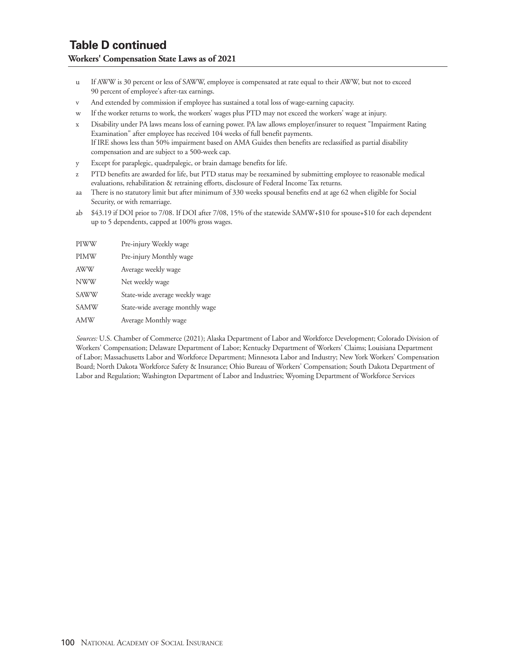- u If AWW is 30 percent or less of SAWW, employee is compensated at rate equal to their AWW, but not to exceed 90 percent of employee's after-tax earnings.
- v And extended by commission if employee has sustained a total loss of wage-earning capacity.
- w If the worker returns to work, the workers' wages plus PTD may not exceed the workers' wage at injury.
- x Disability under PA laws means loss of earning power. PA law allows employer/insurer to request "Impairment Rating Examination" after employee has received 104 weeks of full benefit payments. If IRE shows less than 50% impairment based on AMA Guides then benefits are reclassified as partial disability compensation and are subject to a 500-week cap.
- y Except for paraplegic, quadrpalegic, or brain damage benefits for life.
- z PTD benefits are awarded for life, but PTD status may be reexamined by submitting employee to reasonable medical evaluations, rehabilitation & retraining efforts, disclosure of Federal Income Tax returns.
- aa There is no statutory limit but after minimum of 330 weeks spousal benefits end at age 62 when eligible for Social Security, or with remarriage.
- ab \$43.19 if DOI prior to 7/08. If DOI after 7/08, 15% of the statewide SAMW+\$10 for spouse+\$10 for each dependent up to 5 dependents, capped at 100% gross wages.

| PIWW        | Pre-injury Weekly wage          |
|-------------|---------------------------------|
| <b>PIMW</b> | Pre-injury Monthly wage         |
| <b>AWW</b>  | Average weekly wage             |
| <b>NWW</b>  | Net weekly wage                 |
| <b>SAWW</b> | State-wide average weekly wage  |
| <b>SAMW</b> | State-wide average monthly wage |
| AMW         | Average Monthly wage            |

*Sources:* U.S. Chamber of Commerce (2021); Alaska Department of Labor and Workforce Development; Colorado Division of Workers' Compensation; Delaware Department of Labor; Kentucky Department of Workers' Claims; Louisiana Department of Labor; Massachusetts Labor and Workforce Department; Minnesota Labor and Industry; New York Workers' Compensation Board; North Dakota Workforce Safety & Insurance; Ohio Bureau of Workers' Compensation; South Dakota Department of Labor and Regulation; Washington Department of Labor and Industries; Wyoming Department of Workforce Services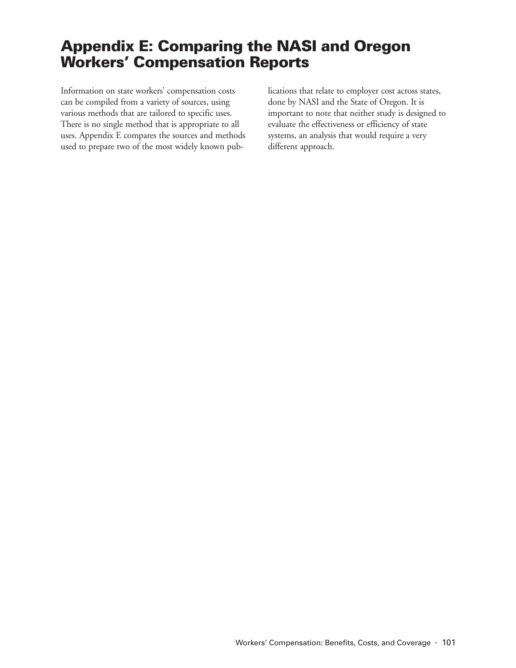## **Appendix E: Comparing the NASI and Oregon Workers' Compensation Reports**

Information on state workers' compensation costs can be compiled from a variety of sources, using various methods that are tailored to specific uses. There is no single method that is appropriate to all uses. Appendix E compares the sources and methods used to prepare two of the most widely known publications that relate to employer cost across states, done by NASI and the State of Oregon. It is important to note that neither study is designed to evaluate the effectiveness or efficiency of state systems, an analysis that would require a very different approach.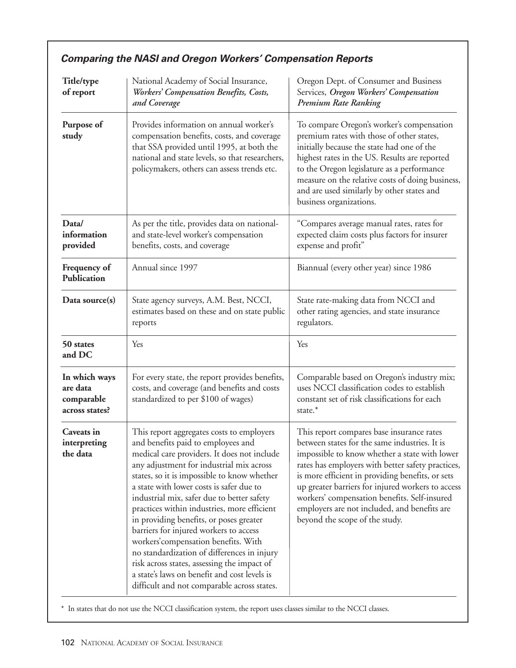| Title/type<br>of report                                   | National Academy of Social Insurance,<br>Workers' Compensation Benefits, Costs,<br>and Coverage                                                                                                                                                                                                                                                                                                                                                                                                                                                                                                                                                                                              | Oregon Dept. of Consumer and Business<br>Services, Oregon Workers' Compensation<br>Premium Rate Ranking                                                                                                                                                                                                                                                                                                                                     |  |  |
|-----------------------------------------------------------|----------------------------------------------------------------------------------------------------------------------------------------------------------------------------------------------------------------------------------------------------------------------------------------------------------------------------------------------------------------------------------------------------------------------------------------------------------------------------------------------------------------------------------------------------------------------------------------------------------------------------------------------------------------------------------------------|---------------------------------------------------------------------------------------------------------------------------------------------------------------------------------------------------------------------------------------------------------------------------------------------------------------------------------------------------------------------------------------------------------------------------------------------|--|--|
| Purpose of<br>study                                       | Provides information on annual worker's<br>compensation benefits, costs, and coverage<br>that SSA provided until 1995, at both the<br>national and state levels, so that researchers,<br>policymakers, others can assess trends etc.                                                                                                                                                                                                                                                                                                                                                                                                                                                         | To compare Oregon's worker's compensation<br>premium rates with those of other states,<br>initially because the state had one of the<br>highest rates in the US. Results are reported<br>to the Oregon legislature as a performance<br>measure on the relative costs of doing business,<br>and are used similarly by other states and<br>business organizations.                                                                            |  |  |
| Data/<br>information<br>provided                          | As per the title, provides data on national-<br>and state-level worker's compensation<br>benefits, costs, and coverage                                                                                                                                                                                                                                                                                                                                                                                                                                                                                                                                                                       | "Compares average manual rates, rates for<br>expected claim costs plus factors for insurer<br>expense and profit"                                                                                                                                                                                                                                                                                                                           |  |  |
| Frequency of<br><b>Publication</b>                        | Annual since 1997                                                                                                                                                                                                                                                                                                                                                                                                                                                                                                                                                                                                                                                                            | Biannual (every other year) since 1986                                                                                                                                                                                                                                                                                                                                                                                                      |  |  |
| Data source(s)                                            | State agency surveys, A.M. Best, NCCI,<br>estimates based on these and on state public<br>reports                                                                                                                                                                                                                                                                                                                                                                                                                                                                                                                                                                                            | State rate-making data from NCCI and<br>other rating agencies, and state insurance<br>regulators.                                                                                                                                                                                                                                                                                                                                           |  |  |
| 50 states<br>and DC                                       | Yes                                                                                                                                                                                                                                                                                                                                                                                                                                                                                                                                                                                                                                                                                          | Yes                                                                                                                                                                                                                                                                                                                                                                                                                                         |  |  |
| In which ways<br>are data<br>comparable<br>across states? | For every state, the report provides benefits,<br>costs, and coverage (and benefits and costs<br>standardized to per \$100 of wages)                                                                                                                                                                                                                                                                                                                                                                                                                                                                                                                                                         | Comparable based on Oregon's industry mix;<br>uses NCCI classification codes to establish<br>constant set of risk classifications for each<br>state.*                                                                                                                                                                                                                                                                                       |  |  |
| Caveats in<br>interpreting<br>the data                    | This report aggregates costs to employers<br>and benefits paid to employees and<br>medical care providers. It does not include<br>any adjustment for industrial mix across<br>states, so it is impossible to know whether<br>a state with lower costs is safer due to<br>industrial mix, safer due to better safety<br>practices within industries, more efficient<br>in providing benefits, or poses greater<br>barriers for injured workers to access<br>workers' compensation benefits. With<br>no standardization of differences in injury<br>risk across states, assessing the impact of<br>a state's laws on benefit and cost levels is<br>difficult and not comparable across states. | This report compares base insurance rates<br>between states for the same industries. It is<br>impossible to know whether a state with lower<br>rates has employers with better safety practices,<br>is more efficient in providing benefits, or sets<br>up greater barriers for injured workers to access<br>workers' compensation benefits. Self-insured<br>employers are not included, and benefits are<br>beyond the scope of the study. |  |  |

## **Comparing the NASI and Oregon Workers' Compensation Reports**

\* In states that do not use the NCCI classification system, the report uses classes similar to the NCCI classes.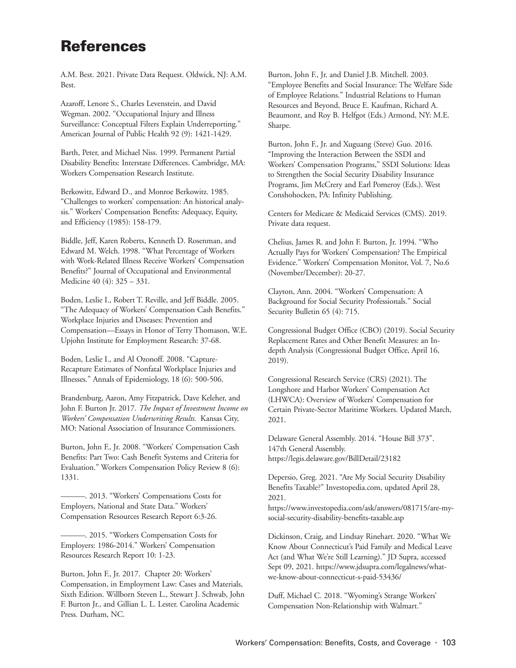## **References**

A.M. Best. 2021. Private Data Request. Oldwick, NJ: A.M. Best.

Azaroff, Lenore S., Charles Levenstein, and David Wegman. 2002. "Occupational Injury and Illness Surveillance: Conceptual Filters Explain Underreporting." American Journal of Public Health 92 (9): 1421-1429.

Barth, Peter, and Michael Niss. 1999. Permanent Partial Disability Benefits: Interstate Differences. Cambridge, MA: Workers Compensation Research Institute.

Berkowitz, Edward D., and Monroe Berkowitz. 1985. "Challenges to workers' compensation: An historical analysis." Workers' Compensation Benefits: Adequacy, Equity, and Efficiency (1985): 158-179.

Biddle, Jeff, Karen Roberts, Kenneth D. Rosenman, and Edward M. Welch. 1998. "What Percentage of Workers with Work-Related Illness Receive Workers' Compensation Benefits?" Journal of Occupational and Environmental Medicine 40 (4): 325 – 331.

Boden, Leslie I., Robert T. Reville, and Jeff Biddle. 2005. "The Adequacy of Workers' Compensation Cash Benefits." Workplace Injuries and Diseases: Prevention and Compensation—Essays in Honor of Terry Thomason, W.E. Upjohn Institute for Employment Research: 37-68.

Boden, Leslie I., and Al Ozonoff. 2008. "Capture-Recapture Estimates of Nonfatal Workplace Injuries and Illnesses." Annals of Epidemiology, 18 (6): 500-506.

Brandenburg, Aaron, Amy Fitzpatrick, Dave Keleher, and John F. Burton Jr. 2017. *The Impact of Investment Income on Workers' Compensation Underwriting Results.* Kansas City, MO: National Association of Insurance Commissioners.

Burton, John F., Jr. 2008. "Workers' Compensation Cash Benefits: Part Two: Cash Benefit Systems and Criteria for Evaluation." Workers Compensation Policy Review 8 (6): 1331.

———. 2013. "Workers' Compensations Costs for Employers, National and State Data." Workers' Compensation Resources Research Report 6:3-26.

———. 2015. "Workers Compensation Costs for Employers: 1986-2014." Workers' Compensation Resources Research Report 10: 1-23.

Burton, John F., Jr. 2017. Chapter 20: Workers' Compensation, in Employment Law: Cases and Materials, Sixth Edition. Willborn Steven L., Stewart J. Schwab, John F. Burton Jr., and Gillian L. L. Lester. Carolina Academic Press. Durham, NC.

Burton, John F., Jr. and Daniel J.B. Mitchell. 2003. "Employee Benefits and Social Insurance: The Welfare Side of Employee Relations." Industrial Relations to Human Resources and Beyond, Bruce E. Kaufman, Richard A. Beaumont, and Roy B. Helfgot (Eds.) Armond, NY: M.E. Sharpe.

Burton, John F., Jr. and Xuguang (Steve) Guo. 2016. "Improving the Interaction Between the SSDI and Workers' Compensation Programs," SSDI Solutions: Ideas to Strengthen the Social Security Disability Insurance Programs, Jim McCrery and Earl Pomeroy (Eds.). West Conshohocken, PA: Infinity Publishing.

Centers for Medicare & Medicaid Services (CMS). 2019. Private data request.

Chelius, James R. and John F. Burton, Jr. 1994. "Who Actually Pays for Workers' Compensation? The Empirical Evidence." Workers' Compensation Monitor, Vol. 7, No.6 (November/December): 20-27.

Clayton, Ann. 2004. "Workers' Compensation: A Background for Social Security Professionals." Social Security Bulletin 65 (4): 715.

Congressional Budget Office (CBO) (2019). Social Security Replacement Rates and Other Benefit Measures: an Indepth Analysis (Congressional Budget Office, April 16, 2019).

Congressional Research Service (CRS) (2021). The Longshore and Harbor Workers' Compensation Act (LHWCA): Overview of Workers' Compensation for Certain Private-Sector Maritime Workers. Updated March, 2021.

Delaware General Assembly. 2014. "House Bill 373". 147th General Assembly. https://legis.delaware.gov/BillDetail/23182

Depersio, Greg. 2021. "Are My Social Security Disability Benefits Taxable?" Investopedia.com, updated April 28, 2021.

https://www.investopedia.com/ask/answers/081715/are-mysocial-security-disability-benefits-taxable.asp

Dickinson, Craig, and Lindsay Rinehart. 2020. "What We Know About Connecticut's Paid Family and Medical Leave Act (and What We're Still Learning)." JD Supra, accessed Sept 09, 2021. https://www.jdsupra.com/legalnews/whatwe-know-about-connecticut-s-paid-53436/

Duff, Michael C. 2018. "Wyoming's Strange Workers' Compensation Non-Relationship with Walmart."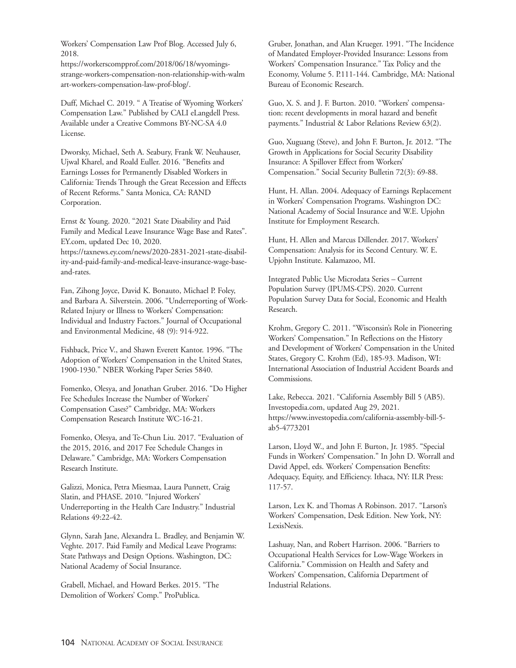Workers' Compensation Law Prof Blog. Accessed July 6, 2018.

https://workerscompprof.com/2018/06/18/wyomingsstrange-workers-compensation-non-relationship-with-walm art-workers-compensation-law-prof-blog/.

Duff, Michael C. 2019. " A Treatise of Wyoming Workers' Compensation Law." Published by CALI eLangdell Press. Available under a Creative Commons BY-NC-SA 4.0 License.

Dworsky, Michael, Seth A. Seabury, Frank W. Neuhauser, Ujwal Kharel, and Roald Euller. 2016. "Benefits and Earnings Losses for Permanently Disabled Workers in California: Trends Through the Great Recession and Effects of Recent Reforms." Santa Monica, CA: RAND Corporation.

Ernst & Young. 2020. "2021 State Disability and Paid Family and Medical Leave Insurance Wage Base and Rates". EY.com, updated Dec 10, 2020. https://taxnews.ey.com/news/2020-2831-2021-state-disability-and-paid-family-and-medical-leave-insurance-wage-base-

and-rates.

Fan, Zihong Joyce, David K. Bonauto, Michael P. Foley, and Barbara A. Silverstein. 2006. "Underreporting of Work-Related Injury or Illness to Workers' Compensation: Individual and Industry Factors." Journal of Occupational and Environmental Medicine, 48 (9): 914-922.

Fishback, Price V., and Shawn Everett Kantor. 1996. "The Adoption of Workers' Compensation in the United States, 1900-1930." NBER Working Paper Series 5840.

Fomenko, Olesya, and Jonathan Gruber. 2016. "Do Higher Fee Schedules Increase the Number of Workers' Compensation Cases?" Cambridge, MA: Workers Compensation Research Institute WC-16-21.

Fomenko, Olesya, and Te-Chun Liu. 2017. "Evaluation of the 2015, 2016, and 2017 Fee Schedule Changes in Delaware." Cambridge, MA: Workers Compensation Research Institute.

Galizzi, Monica, Petra Miesmaa, Laura Punnett, Craig Slatin, and PHASE. 2010. "Injured Workers' Underreporting in the Health Care Industry." Industrial Relations 49:22-42.

Glynn, Sarah Jane, Alexandra L. Bradley, and Benjamin W. Veghte. 2017. Paid Family and Medical Leave Programs: State Pathways and Design Options. Washington, DC: National Academy of Social Insurance.

Grabell, Michael, and Howard Berkes. 2015. "The Demolition of Workers' Comp." ProPublica.

Gruber, Jonathan, and Alan Krueger. 1991. "The Incidence of Mandated Employer-Provided Insurance: Lessons from Workers' Compensation Insurance." Tax Policy and the Economy, Volume 5. P.111-144. Cambridge, MA: National Bureau of Economic Research.

Guo, X. S. and J. F. Burton. 2010. "Workers' compensation: recent developments in moral hazard and benefit payments." Industrial & Labor Relations Review 63(2).

Guo, Xuguang (Steve), and John F. Burton, Jr. 2012. "The Growth in Applications for Social Security Disability Insurance: A Spillover Effect from Workers' Compensation." Social Security Bulletin 72(3): 69-88.

Hunt, H. Allan. 2004. Adequacy of Earnings Replacement in Workers' Compensation Programs. Washington DC: National Academy of Social Insurance and W.E. Upjohn Institute for Employment Research.

Hunt, H. Allen and Marcus Dillender. 2017. Workers' Compensation: Analysis for its Second Century. W. E. Upjohn Institute. Kalamazoo, MI.

Integrated Public Use Microdata Series – Current Population Survey (IPUMS-CPS). 2020. Current Population Survey Data for Social, Economic and Health Research.

Krohm, Gregory C. 2011. "Wisconsin's Role in Pioneering Workers' Compensation." In Reflections on the History and Development of Workers' Compensation in the United States, Gregory C. Krohm (Ed), 185-93. Madison, WI: International Association of Industrial Accident Boards and Commissions.

Lake, Rebecca. 2021. "California Assembly Bill 5 (AB5). Investopedia.com, updated Aug 29, 2021. https://www.investopedia.com/california-assembly-bill-5 ab5-4773201

Larson, Lloyd W., and John F. Burton, Jr. 1985. "Special Funds in Workers' Compensation." In John D. Worrall and David Appel, eds. Workers' Compensation Benefits: Adequacy, Equity, and Efficiency. Ithaca, NY: ILR Press: 117-57.

Larson, Lex K. and Thomas A Robinson. 2017. "Larson's Workers' Compensation, Desk Edition. New York, NY: LexisNexis.

Lashuay, Nan, and Robert Harrison. 2006. "Barriers to Occupational Health Services for Low-Wage Workers in California." Commission on Health and Safety and Workers' Compensation, California Department of Industrial Relations.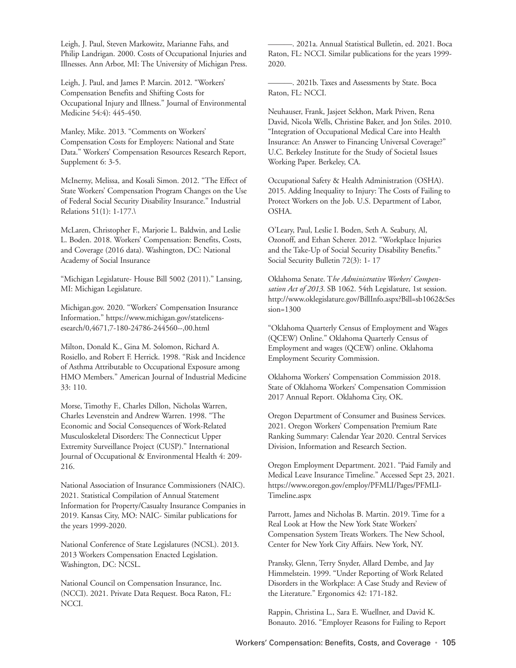Leigh, J. Paul, Steven Markowitz, Marianne Fahs, and Philip Landrigan. 2000. Costs of Occupational Injuries and Illnesses. Ann Arbor, MI: The University of Michigan Press.

Leigh, J. Paul, and James P. Marcin. 2012. "Workers' Compensation Benefits and Shifting Costs for Occupational Injury and Illness." Journal of Environmental Medicine 54:4): 445-450.

Manley, Mike. 2013. "Comments on Workers' Compensation Costs for Employers: National and State Data." Workers' Compensation Resources Research Report, Supplement 6: 3-5.

McInerny, Melissa, and Kosali Simon. 2012. "The Effect of State Workers' Compensation Program Changes on the Use of Federal Social Security Disability Insurance." Industrial Relations 51(1): 1-177.\

McLaren, Christopher F., Marjorie L. Baldwin, and Leslie L. Boden. 2018. Workers' Compensation: Benefits, Costs, and Coverage (2016 data). Washington, DC: National Academy of Social Insurance

"Michigan Legislature- House Bill 5002 (2011)." Lansing, MI: Michigan Legislature.

Michigan.gov. 2020. "Workers' Compensation Insurance Information." https://www.michigan.gov/statelicensesearch/0,4671,7-180-24786-244560--,00.html

Milton, Donald K., Gina M. Solomon, Richard A. Rosiello, and Robert F. Herrick. 1998. "Risk and Incidence of Asthma Attributable to Occupational Exposure among HMO Members." American Journal of Industrial Medicine 33: 110.

Morse, Timothy F., Charles Dillon, Nicholas Warren, Charles Levenstein and Andrew Warren. 1998. "The Economic and Social Consequences of Work-Related Musculoskeletal Disorders: The Connecticut Upper Extremity Surveillance Project (CUSP)." International Journal of Occupational & Environmental Health 4: 209- 216.

National Association of Insurance Commissioners (NAIC). 2021. Statistical Compilation of Annual Statement Information for Property/Casualty Insurance Companies in 2019. Kansas City, MO: NAIC- Similar publications for the years 1999-2020.

National Conference of State Legislatures (NCSL). 2013. 2013 Workers Compensation Enacted Legislation. Washington, DC: NCSL.

National Council on Compensation Insurance, Inc. (NCCI). 2021. Private Data Request. Boca Raton, FL: NCCI.

———. 2021a. Annual Statistical Bulletin, ed. 2021. Boca Raton, FL: NCCI. Similar publications for the years 1999- 2020.

———. 2021b. Taxes and Assessments by State. Boca Raton, FL: NCCI.

Neuhauser, Frank, Jasjeet Sekhon, Mark Priven, Rena David, Nicola Wells, Christine Baker, and Jon Stiles. 2010. "Integration of Occupational Medical Care into Health Insurance: An Answer to Financing Universal Coverage?" U.C. Berkeley Institute for the Study of Societal Issues Working Paper. Berkeley, CA.

Occupational Safety & Health Administration (OSHA). 2015. Adding Inequality to Injury: The Costs of Failing to Protect Workers on the Job. U.S. Department of Labor, OSHA.

O'Leary, Paul, Leslie I. Boden, Seth A. Seabury, Al, Ozonoff, and Ethan Scherer. 2012. "Workplace Injuries and the Take-Up of Social Security Disability Benefits." Social Security Bulletin 72(3): 1- 17

Oklahoma Senate. T*he Administrative Workers' Compensation Act of 2013.* SB 1062. 54th Legislature, 1st session. http://www.oklegislature.gov/BillInfo.aspx?Bill=sb1062&Ses sion=1300

"Oklahoma Quarterly Census of Employment and Wages (QCEW) Online." Oklahoma Quarterly Census of Employment and wages (QCEW) online. Oklahoma Employment Security Commission.

Oklahoma Workers' Compensation Commission 2018. State of Oklahoma Workers' Compensation Commission 2017 Annual Report. Oklahoma City, OK.

Oregon Department of Consumer and Business Services. 2021. Oregon Workers' Compensation Premium Rate Ranking Summary: Calendar Year 2020. Central Services Division, Information and Research Section.

Oregon Employment Department. 2021. "Paid Family and Medical Leave Insurance Timeline." Accessed Sept 23, 2021. https://www.oregon.gov/employ/PFMLI/Pages/PFMLI-Timeline.aspx

Parrott, James and Nicholas B. Martin. 2019. Time for a Real Look at How the New York State Workers' Compensation System Treats Workers. The New School, Center for New York City Affairs. New York, NY.

Pransky, Glenn, Terry Snyder, Allard Dembe, and Jay Himmelstein. 1999. "Under Reporting of Work Related Disorders in the Workplace: A Case Study and Review of the Literature." Ergonomics 42: 171-182.

Rappin, Christina L., Sara E. Wuellner, and David K. Bonauto. 2016. "Employer Reasons for Failing to Report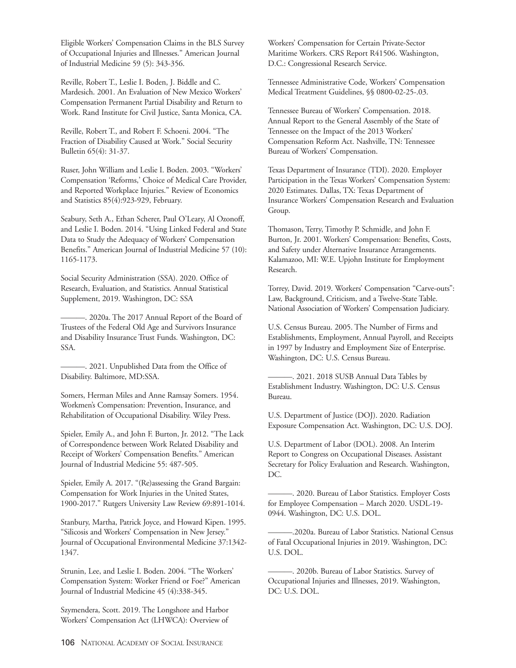Eligible Workers' Compensation Claims in the BLS Survey of Occupational Injuries and Illnesses." American Journal of Industrial Medicine 59 (5): 343-356.

Reville, Robert T., Leslie I. Boden, J. Biddle and C. Mardesich. 2001. An Evaluation of New Mexico Workers' Compensation Permanent Partial Disability and Return to Work. Rand Institute for Civil Justice, Santa Monica, CA.

Reville, Robert T., and Robert F. Schoeni. 2004. "The Fraction of Disability Caused at Work." Social Security Bulletin 65(4): 31-37.

Ruser, John William and Leslie I. Boden. 2003. "Workers' Compensation 'Reforms,' Choice of Medical Care Provider, and Reported Workplace Injuries." Review of Economics and Statistics 85(4):923-929, February.

Seabury, Seth A., Ethan Scherer, Paul O'Leary, Al Ozonoff, and Leslie I. Boden. 2014. "Using Linked Federal and State Data to Study the Adequacy of Workers' Compensation Benefits." American Journal of Industrial Medicine 57 (10): 1165-1173.

Social Security Administration (SSA). 2020. Office of Research, Evaluation, and Statistics. Annual Statistical Supplement, 2019. Washington, DC: SSA

———. 2020a. The 2017 Annual Report of the Board of Trustees of the Federal Old Age and Survivors Insurance and Disability Insurance Trust Funds. Washington, DC: SSA.

———. 2021. Unpublished Data from the Office of Disability. Baltimore, MD:SSA.

Somers, Herman Miles and Anne Ramsay Somers. 1954. Workmen's Compensation: Prevention, Insurance, and Rehabilitation of Occupational Disability. Wiley Press.

Spieler, Emily A., and John F. Burton, Jr. 2012. "The Lack of Correspondence between Work Related Disability and Receipt of Workers' Compensation Benefits." American Journal of Industrial Medicine 55: 487-505.

Spieler, Emily A. 2017. "(Re)assessing the Grand Bargain: Compensation for Work Injuries in the United States, 1900-2017." Rutgers University Law Review 69:891-1014.

Stanbury, Martha, Patrick Joyce, and Howard Kipen. 1995. "Silicosis and Workers' Compensation in New Jersey." Journal of Occupational Environmental Medicine 37:1342- 1347.

Strunin, Lee, and Leslie I. Boden. 2004. "The Workers' Compensation System: Worker Friend or Foe?" American Journal of Industrial Medicine 45 (4):338-345.

Szymendera, Scott. 2019. The Longshore and Harbor Workers' Compensation Act (LHWCA): Overview of Workers' Compensation for Certain Private-Sector Maritime Workers. CRS Report R41506. Washington, D.C.: Congressional Research Service.

Tennessee Administrative Code, Workers' Compensation Medical Treatment Guidelines, §§ 0800-02-25-.03.

Tennessee Bureau of Workers' Compensation. 2018. Annual Report to the General Assembly of the State of Tennessee on the Impact of the 2013 Workers' Compensation Reform Act. Nashville, TN: Tennessee Bureau of Workers' Compensation.

Texas Department of Insurance (TDI). 2020. Employer Participation in the Texas Workers' Compensation System: 2020 Estimates. Dallas, TX: Texas Department of Insurance Workers' Compensation Research and Evaluation Group.

Thomason, Terry, Timothy P. Schmidle, and John F. Burton, Jr. 2001. Workers' Compensation: Benefits, Costs, and Safety under Alternative Insurance Arrangements. Kalamazoo, MI: W.E. Upjohn Institute for Employment Research.

Torrey, David. 2019. Workers' Compensation "Carve-outs": Law, Background, Criticism, and a Twelve-State Table. National Association of Workers' Compensation Judiciary.

U.S. Census Bureau. 2005. The Number of Firms and Establishments, Employment, Annual Payroll, and Receipts in 1997 by Industry and Employment Size of Enterprise. Washington, DC: U.S. Census Bureau.

———. 2021. 2018 SUSB Annual Data Tables by Establishment Industry. Washington, DC: U.S. Census Bureau.

U.S. Department of Justice (DOJ). 2020. Radiation Exposure Compensation Act. Washington, DC: U.S. DOJ.

U.S. Department of Labor (DOL). 2008. An Interim Report to Congress on Occupational Diseases. Assistant Secretary for Policy Evaluation and Research. Washington, DC.

———. 2020. Bureau of Labor Statistics. Employer Costs for Employee Compensation – March 2020. USDL-19- 0944. Washington, DC: U.S. DOL.

———.2020a. Bureau of Labor Statistics. National Census of Fatal Occupational Injuries in 2019. Washington, DC: U.S. DOL.

———. 2020b. Bureau of Labor Statistics. Survey of Occupational Injuries and Illnesses, 2019. Washington, DC: U.S. DOL.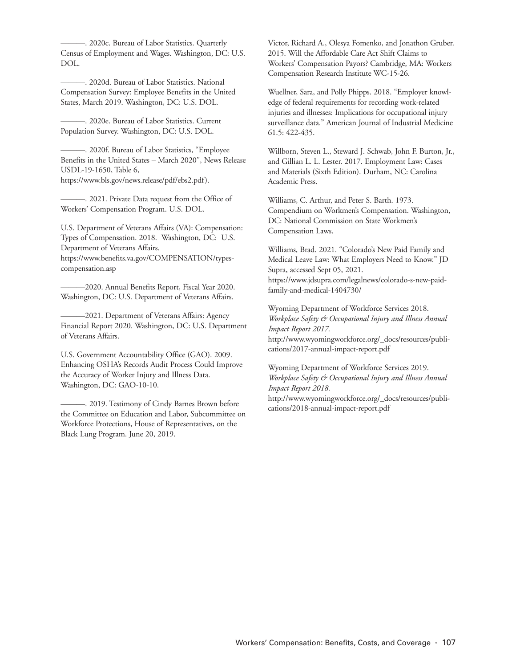———. 2020c. Bureau of Labor Statistics. Quarterly Census of Employment and Wages. Washington, DC: U.S. DOL.

———. 2020d. Bureau of Labor Statistics. National Compensation Survey: Employee Benefits in the United States, March 2019. Washington, DC: U.S. DOL.

———. 2020e. Bureau of Labor Statistics. Current Population Survey. Washington, DC: U.S. DOL.

———. 2020f. Bureau of Labor Statistics, "Employee Benefits in the United States – March 2020", News Release USDL-19-1650, Table 6, https://www.bls.gov/news.release/pdf/ebs2.pdf).

———. 2021. Private Data request from the Office of Workers' Compensation Program. U.S. DOL.

U.S. Department of Veterans Affairs (VA): Compensation: Types of Compensation. 2018. Washington, DC: U.S. Department of Veterans Affairs. https://www.benefits.va.gov/COMPENSATION/typescompensation.asp

-2020. Annual Benefits Report, Fiscal Year 2020. Washington, DC: U.S. Department of Veterans Affairs.

-2021. Department of Veterans Affairs: Agency Financial Report 2020. Washington, DC: U.S. Department of Veterans Affairs.

U.S. Government Accountability Office (GAO). 2009. Enhancing OSHA's Records Audit Process Could Improve the Accuracy of Worker Injury and Illness Data. Washington, DC: GAO-10-10.

———. 2019. Testimony of Cindy Barnes Brown before the Committee on Education and Labor, Subcommittee on Workforce Protections, House of Representatives, on the Black Lung Program. June 20, 2019.

Victor, Richard A., Olesya Fomenko, and Jonathon Gruber. 2015. Will the Affordable Care Act Shift Claims to Workers' Compensation Payors? Cambridge, MA: Workers Compensation Research Institute WC-15-26.

Wuellner, Sara, and Polly Phipps. 2018. "Employer knowledge of federal requirements for recording work-related injuries and illnesses: Implications for occupational injury surveillance data." American Journal of Industrial Medicine 61.5: 422-435.

Willborn, Steven L., Steward J. Schwab, John F. Burton, Jr., and Gillian L. L. Lester. 2017. Employment Law: Cases and Materials (Sixth Edition). Durham, NC: Carolina Academic Press.

Williams, C. Arthur, and Peter S. Barth. 1973. Compendium on Workmen's Compensation. Washington, DC: National Commission on State Workmen's Compensation Laws.

Williams, Brad. 2021. "Colorado's New Paid Family and Medical Leave Law: What Employers Need to Know." JD Supra, accessed Sept 05, 2021. https://www.jdsupra.com/legalnews/colorado-s-new-paidfamily-and-medical-1404730/

Wyoming Department of Workforce Services 2018. *Workplace Safety & Occupational Injury and Illness Annual Impact Report 2017*.

http://www.wyomingworkforce.org/\_docs/resources/publications/2017-annual-impact-report.pdf

## Wyoming Department of Workforce Services 2019. *Workplace Safety & Occupational Injury and Illness Annual Impact Report 2018.*

http://www.wyomingworkforce.org/\_docs/resources/publications/2018-annual-impact-report.pdf